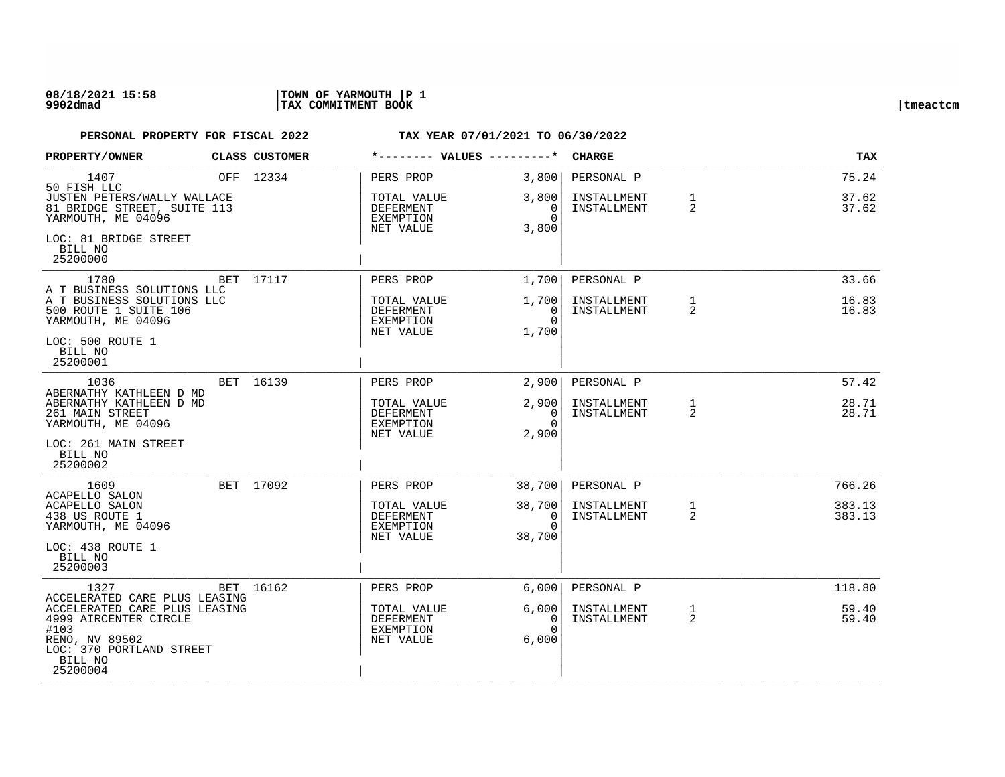### **08/18/2021 15:58 |TOWN OF YARMOUTH |P 1 9902dmad |TAX COMMITMENT BOOK |tmeactcm**

| PROPERTY/OWNER                                                                                                                                           | CLASS CUSTOMER | *-------- VALUES ---------*                        |                                              | <b>CHARGE</b>              |                   | TAX              |
|----------------------------------------------------------------------------------------------------------------------------------------------------------|----------------|----------------------------------------------------|----------------------------------------------|----------------------------|-------------------|------------------|
| 1407<br>50 FISH LLC                                                                                                                                      | OFF 12334      | PERS PROP                                          | 3,800                                        | PERSONAL P                 |                   | 75.24            |
| JUSTEN PETERS/WALLY WALLACE<br>81 BRIDGE STREET, SUITE 113<br>YARMOUTH, ME 04096                                                                         |                | TOTAL VALUE<br>DEFERMENT<br>EXEMPTION              | 3,800<br>0<br>$\Omega$                       | INSTALLMENT<br>INSTALLMENT | $\mathbf{1}$<br>2 | 37.62<br>37.62   |
| LOC: 81 BRIDGE STREET<br>BILL NO<br>25200000                                                                                                             |                | NET VALUE                                          | 3,800                                        |                            |                   |                  |
| 1780<br>A T BUSINESS SOLUTIONS LLC                                                                                                                       | BET 17117      | PERS PROP                                          | 1,700                                        | PERSONAL P                 |                   | 33.66            |
| A T BUSINESS SOLUTIONS LLC<br>500 ROUTE 1 SUITE 106<br>YARMOUTH, ME 04096                                                                                |                | TOTAL VALUE<br>DEFERMENT<br>EXEMPTION<br>NET VALUE | 1,700<br>0<br>$\Omega$<br>1,700              | INSTALLMENT<br>INSTALLMENT | $\mathbf{1}$<br>2 | 16.83<br>16.83   |
| LOC: 500 ROUTE 1<br>BILL NO<br>25200001                                                                                                                  |                |                                                    |                                              |                            |                   |                  |
| 1036<br>ABERNATHY KATHLEEN D MD                                                                                                                          | BET 16139      | PERS PROP                                          | 2,900                                        | PERSONAL P                 |                   | 57.42            |
| ABERNATHY KATHLEEN D MD<br>261 MAIN STREET<br>YARMOUTH, ME 04096                                                                                         |                | TOTAL VALUE<br>DEFERMENT<br>EXEMPTION              | 2,900<br>$\overline{0}$<br>$\Omega$<br>2,900 | INSTALLMENT<br>INSTALLMENT | 1<br>2            | 28.71<br>28.71   |
| LOC: 261 MAIN STREET<br>BILL NO<br>25200002                                                                                                              |                | NET VALUE                                          |                                              |                            |                   |                  |
| 1609                                                                                                                                                     | BET 17092      | PERS PROP                                          | 38,700                                       | PERSONAL P                 |                   | 766.26           |
| ACAPELLO SALON<br>ACAPELLO SALON<br>438 US ROUTE 1<br>YARMOUTH, ME 04096                                                                                 |                | TOTAL VALUE<br>DEFERMENT<br>EXEMPTION<br>NET VALUE | 38,700<br>0<br>$\Omega$<br>38,700            | INSTALLMENT<br>INSTALLMENT | $\mathbf{1}$<br>2 | 383.13<br>383.13 |
| LOC: 438 ROUTE 1<br>BILL NO<br>25200003                                                                                                                  |                |                                                    |                                              |                            |                   |                  |
| 1327                                                                                                                                                     | BET 16162      | PERS PROP                                          | 6,000                                        | PERSONAL P                 |                   | 118.80           |
| ACCELERATED CARE PLUS LEASING<br>ACCELERATED CARE PLUS LEASING<br>4999 AIRCENTER CIRCLE<br>#103<br>RENO, NV 89502<br>LOC: 370 PORTLAND STREET<br>BILL NO |                | TOTAL VALUE<br>DEFERMENT<br>EXEMPTION<br>NET VALUE | 6,000<br>0<br>$\Omega$<br>6,000              | INSTALLMENT<br>INSTALLMENT | $\mathbf{1}$<br>2 | 59.40<br>59.40   |
| 25200004                                                                                                                                                 |                |                                                    |                                              |                            |                   |                  |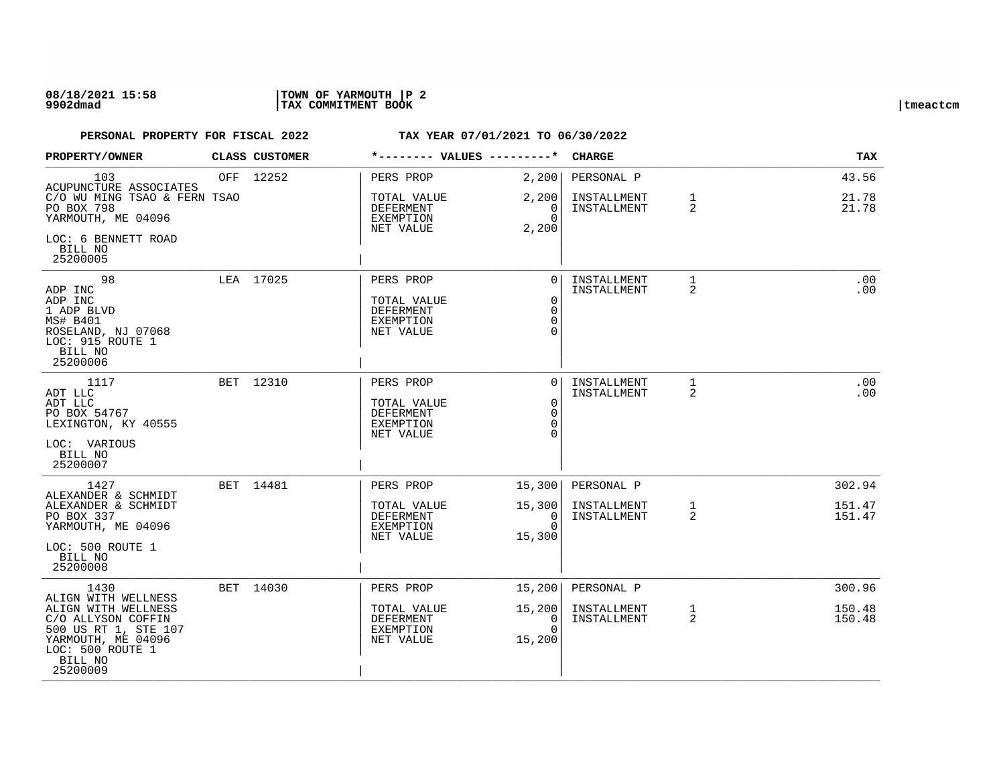### **08/18/2021 15:58 |TOWN OF YARMOUTH |P 2 9902dmad |TAX COMMITMENT BOOK |tmeactcm**

| PROPERTY/OWNER                                                                                                                     |     | CLASS CUSTOMER | *-------- VALUES ---------*                                      |                                                       | <b>CHARGE</b>              |                   | TAX              |
|------------------------------------------------------------------------------------------------------------------------------------|-----|----------------|------------------------------------------------------------------|-------------------------------------------------------|----------------------------|-------------------|------------------|
| 103<br>ACUPUNCTURE ASSOCIATES                                                                                                      | OFF | 12252          | PERS PROP                                                        | 2,200                                                 | PERSONAL P                 |                   | 43.56            |
| C/O WU MING TSAO & FERN TSAO<br>PO BOX 798<br>YARMOUTH, ME 04096                                                                   |     |                | TOTAL VALUE<br>DEFERMENT<br><b>EXEMPTION</b><br>NET VALUE        | 2,200<br>0<br>$\Omega$<br>2,200                       | INSTALLMENT<br>INSTALLMENT | $\mathbf{1}$<br>2 | 21.78<br>21.78   |
| LOC: 6 BENNETT ROAD<br>BILL NO<br>25200005                                                                                         |     |                |                                                                  |                                                       |                            |                   |                  |
| 98<br>ADP INC                                                                                                                      |     | LEA 17025      | PERS PROP                                                        | $\Omega$                                              | INSTALLMENT<br>INSTALLMENT | 1<br>2            | .00<br>.00       |
| ADP INC<br>1 ADP BLVD<br>MS# B401<br>ROSELAND, NJ 07068<br>LOC: 915 ROUTE 1<br>BILL NO<br>25200006                                 |     |                | TOTAL VALUE<br>DEFERMENT<br>EXEMPTION<br>NET VALUE               | $\mathbf 0$<br>$\Omega$<br>$\Omega$<br>$\Omega$       |                            |                   |                  |
| 1117<br>ADT LLC                                                                                                                    |     | BET 12310      | PERS PROP                                                        | $\Omega$                                              | INSTALLMENT<br>INSTALLMENT | $\mathbf{1}$<br>2 | .00<br>.00       |
| ADT LLC<br>PO BOX 54767<br>LEXINGTON, KY 40555                                                                                     |     |                | TOTAL VALUE<br><b>DEFERMENT</b><br><b>EXEMPTION</b><br>NET VALUE | $\overline{0}$<br>$\mathbf 0$<br>$\Omega$<br>$\Omega$ |                            |                   |                  |
| LOC: VARIOUS<br>BILL NO<br>25200007                                                                                                |     |                |                                                                  |                                                       |                            |                   |                  |
| 1427                                                                                                                               |     | BET 14481      | PERS PROP                                                        | 15,300                                                | PERSONAL P                 |                   | 302.94           |
| ALEXANDER & SCHMIDT<br>ALEXANDER & SCHMIDT<br>PO BOX 337<br>YARMOUTH, ME 04096                                                     |     |                | TOTAL VALUE<br>DEFERMENT<br><b>EXEMPTION</b><br>NET VALUE        | 15,300<br>0<br>$\Omega$<br>15,300                     | INSTALLMENT<br>INSTALLMENT | 1<br>2            | 151.47<br>151.47 |
| LOC: 500 ROUTE 1<br>BILL NO<br>25200008                                                                                            |     |                |                                                                  |                                                       |                            |                   |                  |
| 1430<br>ALIGN WITH WELLNESS                                                                                                        |     | BET 14030      | PERS PROP                                                        | 15,200                                                | PERSONAL P                 |                   | 300.96           |
| ALIGN WITH WELLNESS<br>C/O ALLYSON COFFIN<br>500 US RT 1, STE 107<br>YARMOUTH, ME 04096<br>LOC: 500 ROUTE 1<br>BILL NO<br>25200009 |     |                | TOTAL VALUE<br>DEFERMENT<br>EXEMPTION<br>NET VALUE               | 15,200<br>0<br>$\Omega$<br>15,200                     | INSTALLMENT<br>INSTALLMENT | 1<br>2            | 150.48<br>150.48 |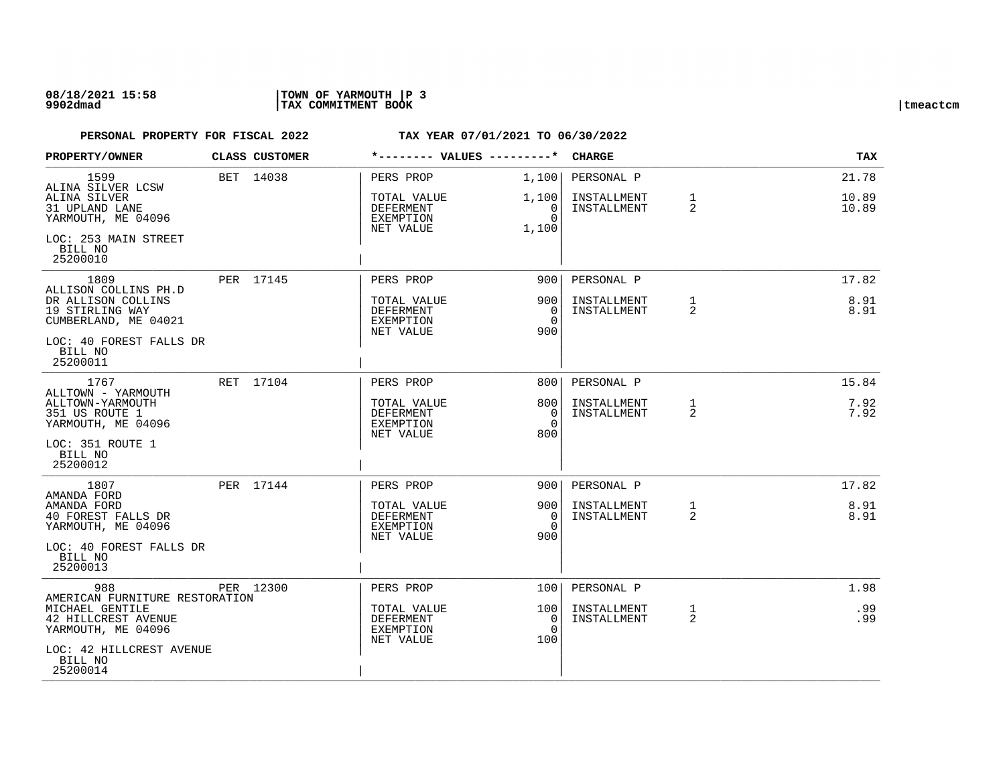### **08/18/2021 15:58 |TOWN OF YARMOUTH |P 3 9902dmad |TAX COMMITMENT BOOK |tmeactcm**

| PROPERTY/OWNER                                                | CLASS CUSTOMER | *-------- VALUES ---------*                               |                                           | <b>CHARGE</b>              |                   | TAX            |
|---------------------------------------------------------------|----------------|-----------------------------------------------------------|-------------------------------------------|----------------------------|-------------------|----------------|
| 1599<br>ALINA SILVER LCSW                                     | BET 14038      | PERS PROP                                                 | 1,100                                     | PERSONAL P                 |                   | 21.78          |
| ALINA SILVER<br>31 UPLAND LANE<br>YARMOUTH, ME 04096          |                | TOTAL VALUE<br>DEFERMENT<br><b>EXEMPTION</b>              | 1,100<br>$\mathbf 0$<br>$\Omega$          | INSTALLMENT<br>INSTALLMENT | $\mathbf{1}$<br>2 | 10.89<br>10.89 |
| LOC: 253 MAIN STREET<br>BILL NO<br>25200010                   |                | NET VALUE                                                 | 1,100                                     |                            |                   |                |
| 1809<br>ALLISON COLLINS PH.D                                  | PER 17145      | PERS PROP                                                 | 9001                                      | PERSONAL P                 |                   | 17.82          |
| DR ALLISON COLLINS<br>19 STIRLING WAY<br>CUMBERLAND, ME 04021 |                | TOTAL VALUE<br>DEFERMENT<br>EXEMPTION<br>NET VALUE        | 900<br>$\Omega$<br>$\Omega$<br>900        | INSTALLMENT<br>INSTALLMENT | 1<br>2            | 8.91<br>8.91   |
| LOC: 40 FOREST FALLS DR<br>BILL NO<br>25200011                |                |                                                           |                                           |                            |                   |                |
| 1767<br>ALLTOWN - YARMOUTH                                    | RET 17104      | PERS PROP                                                 | 8001                                      | PERSONAL P                 |                   | 15.84          |
| ALLTOWN-YARMOUTH<br>351 US ROUTE 1<br>YARMOUTH, ME 04096      |                | TOTAL VALUE<br>DEFERMENT<br><b>EXEMPTION</b><br>NET VALUE | 8001<br>$\overline{0}$<br>$\Omega$<br>800 | INSTALLMENT<br>INSTALLMENT | 1<br>2            | 7.92<br>7.92   |
| LOC: 351 ROUTE 1<br>BILL NO<br>25200012                       |                |                                                           |                                           |                            |                   |                |
| 1807<br>AMANDA FORD                                           | PER 17144      | PERS PROP                                                 | 9001                                      | PERSONAL P                 |                   | 17.82          |
| AMANDA FORD<br>40 FOREST FALLS DR<br>YARMOUTH, ME 04096       |                | TOTAL VALUE<br>DEFERMENT<br><b>EXEMPTION</b><br>NET VALUE | 9001<br>0<br>$\Omega$<br>900              | INSTALLMENT<br>INSTALLMENT | $\mathbf{1}$<br>2 | 8.91<br>8.91   |
| LOC: 40 FOREST FALLS DR<br>BILL NO<br>25200013                |                |                                                           |                                           |                            |                   |                |
| 988<br>AMERICAN FURNITURE RESTORATION                         | PER 12300      | PERS PROP                                                 | 100                                       | PERSONAL P                 |                   | 1.98           |
| MICHAEL GENTILE<br>42 HILLCREST AVENUE<br>YARMOUTH, ME 04096  |                | TOTAL VALUE<br>DEFERMENT<br><b>EXEMPTION</b><br>NET VALUE | 100<br>0<br>$\Omega$<br>100               | INSTALLMENT<br>INSTALLMENT | $\mathbf{1}$<br>2 | .99<br>.99     |
| LOC: 42 HILLCREST AVENUE<br>BILL NO<br>25200014               |                |                                                           |                                           |                            |                   |                |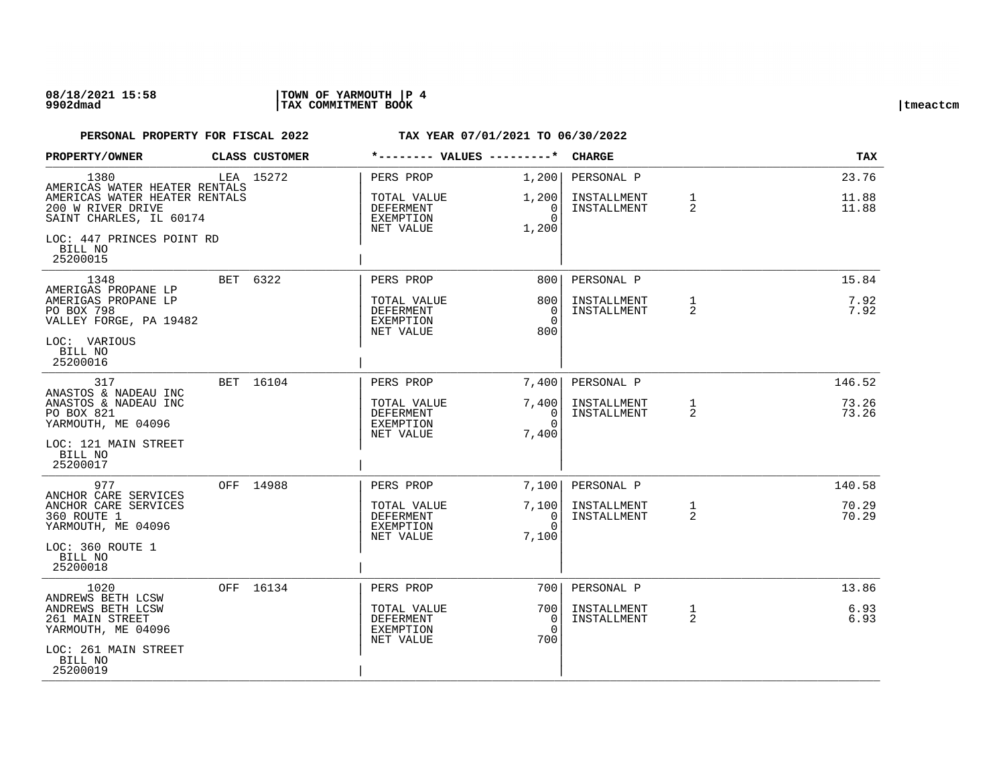| PROPERTY/OWNER                                                                    | CLASS CUSTOMER | *-------- VALUES ---------*                                      |                                        | <b>CHARGE</b>              |                     | TAX            |
|-----------------------------------------------------------------------------------|----------------|------------------------------------------------------------------|----------------------------------------|----------------------------|---------------------|----------------|
| 1380<br>AMERICAS WATER HEATER RENTALS                                             | LEA 15272      | PERS PROP                                                        | 1,200                                  | PERSONAL P                 |                     | 23.76          |
| AMERICAS WATER HEATER RENTALS<br>200 W RIVER DRIVE<br>SAINT CHARLES, IL 60174     |                | TOTAL VALUE<br>DEFERMENT<br><b>EXEMPTION</b>                     | 1,200<br>$\Omega$<br>$\Omega$          | INSTALLMENT<br>INSTALLMENT | $\mathbf{1}$<br>2   | 11.88<br>11.88 |
| LOC: 447 PRINCES POINT RD<br>BILL NO<br>25200015                                  |                | NET VALUE                                                        | 1,200                                  |                            |                     |                |
| 1348<br>AMERIGAS PROPANE LP                                                       | BET 6322       | PERS PROP                                                        | 800                                    | PERSONAL P                 |                     | 15.84          |
| AMERIGAS PROPANE LP<br>PO BOX 798<br>VALLEY FORGE, PA 19482                       |                | TOTAL VALUE<br><b>DEFERMENT</b><br><b>EXEMPTION</b><br>NET VALUE | 800<br>$\Omega$<br>$\Omega$<br>800     | INSTALLMENT<br>INSTALLMENT | 1<br>$\overline{a}$ | 7.92<br>7.92   |
| LOC: VARIOUS<br>BILL NO<br>25200016                                               |                |                                                                  |                                        |                            |                     |                |
| 317<br>ANASTOS & NADEAU INC                                                       | BET 16104      | PERS PROP                                                        | 7,400                                  | PERSONAL P                 |                     | 146.52         |
| ANASTOS & NADEAU INC<br>PO BOX 821<br>YARMOUTH, ME 04096                          |                | TOTAL VALUE<br><b>DEFERMENT</b><br>EXEMPTION                     | 7,400<br>$\Omega$<br>$\Omega$          | INSTALLMENT<br>INSTALLMENT | 1<br>2              | 73.26<br>73.26 |
| LOC: 121 MAIN STREET<br>BILL NO<br>25200017                                       |                | NET VALUE                                                        | 7,400                                  |                            |                     |                |
| 977                                                                               | OFF 14988      | PERS PROP                                                        | 7,100                                  | PERSONAL P                 |                     | 140.58         |
| ANCHOR CARE SERVICES<br>ANCHOR CARE SERVICES<br>360 ROUTE 1<br>YARMOUTH, ME 04096 |                | TOTAL VALUE<br>DEFERMENT<br>EXEMPTION<br>NET VALUE               | 7,100<br>$\Omega$<br>$\Omega$<br>7,100 | INSTALLMENT<br>INSTALLMENT | $\mathbf{1}$<br>2   | 70.29<br>70.29 |
| LOC: 360 ROUTE 1<br>BILL NO<br>25200018                                           |                |                                                                  |                                        |                            |                     |                |
| 1020<br>ANDREWS BETH LCSW                                                         | OFF 16134      | PERS PROP                                                        | 700                                    | PERSONAL P                 |                     | 13.86          |
| ANDREWS BETH LCSW<br>261 MAIN STREET<br>YARMOUTH, ME 04096                        |                | TOTAL VALUE<br><b>DEFERMENT</b><br><b>EXEMPTION</b><br>NET VALUE | 700<br>$\Omega$<br>$\Omega$<br>700     | INSTALLMENT<br>INSTALLMENT | $\mathbf{1}$<br>2   | 6.93<br>6.93   |
| LOC: 261 MAIN STREET<br>BILL NO<br>25200019                                       |                |                                                                  |                                        |                            |                     |                |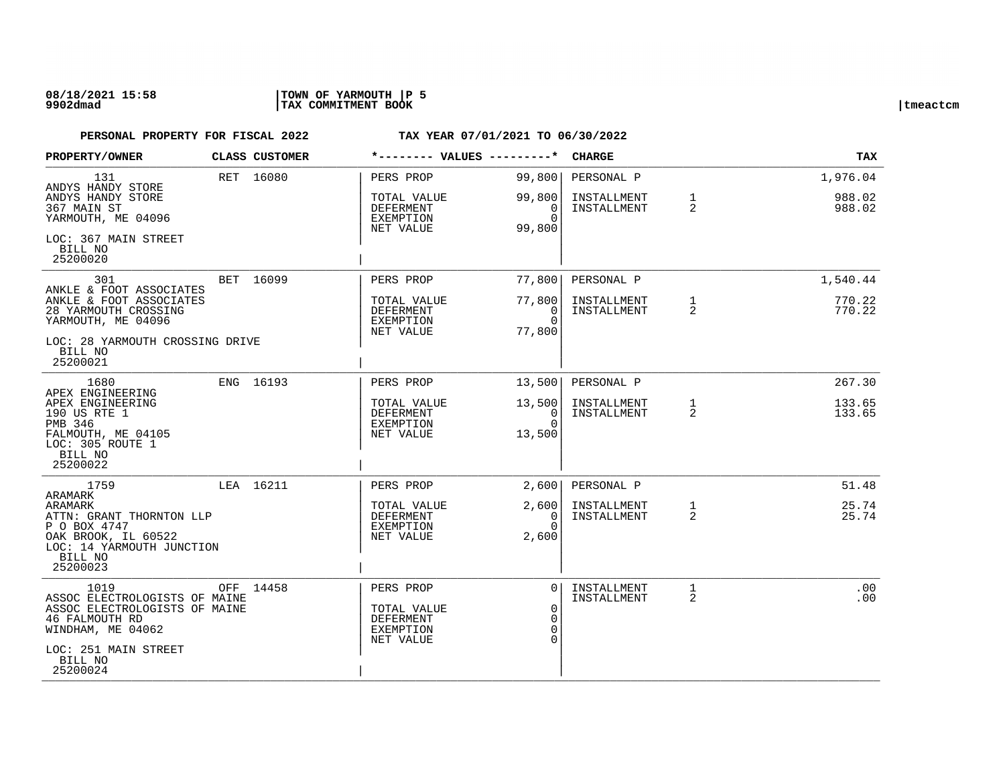### **08/18/2021 15:58 |TOWN OF YARMOUTH |P 5 9902dmad |TAX COMMITMENT BOOK |tmeactcm**

| PROPERTY/OWNER                                                                                                                            | <b>CLASS CUSTOMER</b> | *-------- VALUES ---------*                                            |                                   | <b>CHARGE</b>              |                                | <b>TAX</b>       |
|-------------------------------------------------------------------------------------------------------------------------------------------|-----------------------|------------------------------------------------------------------------|-----------------------------------|----------------------------|--------------------------------|------------------|
| 131<br>ANDYS HANDY STORE                                                                                                                  | RET 16080             | PERS PROP                                                              | 99,800                            | PERSONAL P                 |                                | 1,976.04         |
| ANDYS HANDY STORE<br>367 MAIN ST<br>YARMOUTH, ME 04096                                                                                    |                       | TOTAL VALUE<br>DEFERMENT<br>EXEMPTION<br>NET VALUE                     | 99,800<br>0<br>$\Omega$<br>99,800 | INSTALLMENT<br>INSTALLMENT | $\mathbf{1}$<br>$\overline{2}$ | 988.02<br>988.02 |
| LOC: 367 MAIN STREET<br>BILL NO<br>25200020                                                                                               |                       |                                                                        |                                   |                            |                                |                  |
| 301<br>ANKLE & FOOT ASSOCIATES                                                                                                            | BET 16099             | PERS PROP                                                              | 77,800                            | PERSONAL P                 |                                | 1,540.44         |
| ANKLE & FOOT ASSOCIATES<br>28 YARMOUTH CROSSING<br>YARMOUTH, ME 04096                                                                     |                       | TOTAL VALUE<br>DEFERMENT<br>EXEMPTION<br>NET VALUE                     | 77,800<br>0<br>$\Omega$<br>77,800 | INSTALLMENT<br>INSTALLMENT | $\mathbf{1}$<br>$\overline{2}$ | 770.22<br>770.22 |
| LOC: 28 YARMOUTH CROSSING DRIVE<br>BILL NO<br>25200021                                                                                    |                       |                                                                        |                                   |                            |                                |                  |
| 1680                                                                                                                                      | ENG 16193             | PERS PROP                                                              | 13,500                            | PERSONAL P                 |                                | 267.30           |
| APEX ENGINEERING<br>APEX ENGINEERING<br>190 US RTE 1<br>PMB 346                                                                           |                       | TOTAL VALUE<br><b>DEFERMENT</b><br>EXEMPTION                           | 13,500<br>0<br>$\Omega$           | INSTALLMENT<br>INSTALLMENT | $\mathbf{1}$<br>2              | 133.65<br>133.65 |
| FALMOUTH, ME 04105<br>LOC: 305 ROUTE 1<br>BILL NO<br>25200022                                                                             |                       | NET VALUE                                                              | 13,500                            |                            |                                |                  |
| 1759                                                                                                                                      | LEA 16211             | PERS PROP                                                              | 2.600                             | PERSONAL P                 |                                | 51.48            |
| ARAMARK<br>ARAMARK<br>ATTN: GRANT THORNTON LLP<br>P O BOX 4747<br>OAK BROOK, IL 60522<br>LOC: 14 YARMOUTH JUNCTION<br>BILL NO<br>25200023 |                       | TOTAL VALUE<br>DEFERMENT<br>EXEMPTION<br>NET VALUE                     | 2,600<br>0<br>$\Omega$<br>2,600   | INSTALLMENT<br>INSTALLMENT | $\mathbf{1}$<br>$\overline{2}$ | 25.74<br>25.74   |
| 1019<br>ASSOC ELECTROLOGISTS OF MAINE<br>ASSOC ELECTROLOGISTS OF MAINE<br>46 FALMOUTH RD<br>WINDHAM, ME 04062<br>LOC: 251 MAIN STREET     | OFF 14458             | PERS PROP<br>TOTAL VALUE<br><b>DEFERMENT</b><br>EXEMPTION<br>NET VALUE | $\Omega$<br>$\Omega$<br>$\Omega$  | INSTALLMENT<br>INSTALLMENT | 1<br>2                         | .00<br>.00       |
| BILL NO<br>25200024                                                                                                                       |                       |                                                                        |                                   |                            |                                |                  |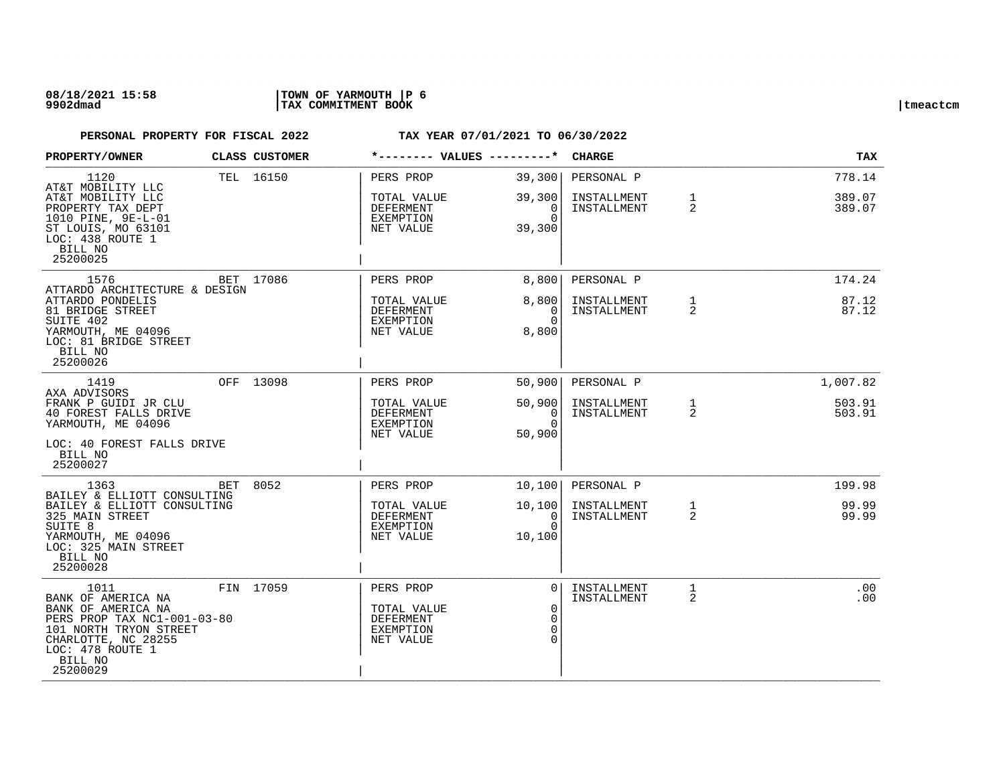### **08/18/2021 15:58 |TOWN OF YARMOUTH |P 6 9902dmad |TAX COMMITMENT BOOK |tmeactcm**

| PROPERTY/OWNER                                                                                                                                                              | CLASS CUSTOMER | *-------- VALUES ---------*                                            |                                                             | <b>CHARGE</b>                            |                                | TAX              |
|-----------------------------------------------------------------------------------------------------------------------------------------------------------------------------|----------------|------------------------------------------------------------------------|-------------------------------------------------------------|------------------------------------------|--------------------------------|------------------|
| 1120<br>AT&T MOBILITY LLC                                                                                                                                                   | TEL 16150      | PERS PROP                                                              | 39,300                                                      | PERSONAL P                               |                                | 778.14           |
| AT&T MOBILITY LLC<br>PROPERTY TAX DEPT<br>1010 PINE, 9E-L-01<br>ST LOUIS, MO 63101<br>LOC: 438 ROUTE 1<br>BILL NO                                                           |                | TOTAL VALUE<br>DEFERMENT<br>EXEMPTION<br>NET VALUE                     | 39,300<br>0<br>$\Omega$<br>39,300                           | INSTALLMENT<br>INSTALLMENT               | $\mathbf{1}$<br>2              | 389.07<br>389.07 |
| 25200025<br>1576                                                                                                                                                            | BET 17086      |                                                                        |                                                             |                                          |                                | 174.24           |
| ATTARDO ARCHITECTURE & DESIGN<br>ATTARDO PONDELIS<br>81 BRIDGE STREET<br>SUITE 402<br>YARMOUTH, ME 04096<br>LOC: 81 BRIDGE STREET<br>BILL NO<br>25200026                    |                | PERS PROP<br>TOTAL VALUE<br><b>DEFERMENT</b><br>EXEMPTION<br>NET VALUE | 8,800<br>8,800<br>$\Omega$<br>$\Omega$<br>8,800             | PERSONAL P<br>INSTALLMENT<br>INSTALLMENT | $\mathbf{1}$<br>2              | 87.12<br>87.12   |
| 1419<br>AXA ADVISORS                                                                                                                                                        | OFF 13098      | PERS PROP                                                              | 50,900                                                      | PERSONAL P                               |                                | 1,007.82         |
| FRANK P GUIDI JR CLU<br>40 FOREST FALLS DRIVE<br>YARMOUTH, ME 04096<br>LOC: 40 FOREST FALLS DRIVE<br>BILL NO<br>25200027                                                    |                | TOTAL VALUE<br><b>DEFERMENT</b><br>EXEMPTION<br>NET VALUE              | 50,900<br>0<br>$\Omega$<br>50,900                           | INSTALLMENT<br>INSTALLMENT               | $\mathbf{1}$<br>$\overline{2}$ | 503.91<br>503.91 |
| 1363<br>BAILEY & ELLIOTT CONSULTING                                                                                                                                         | BET 8052       | PERS PROP                                                              | 10,100                                                      | PERSONAL P                               |                                | 199.98           |
| BAILEY & ELLIOTT CONSULTING<br>325 MAIN STREET<br>SUITE 8<br>YARMOUTH, ME 04096<br>LOC: 325 MAIN STREET<br>BILL NO<br>25200028                                              |                | TOTAL VALUE<br><b>DEFERMENT</b><br>EXEMPTION<br>NET VALUE              | 10,100<br>$\Omega$<br>$\Omega$<br>10,100                    | INSTALLMENT<br>INSTALLMENT               | $\mathbf{1}$<br>$\overline{2}$ | 99.99<br>99.99   |
| 1011<br>BANK OF AMERICA NA<br>BANK OF AMERICA NA<br>PERS PROP TAX NC1-001-03-80<br>101 NORTH TRYON STREET<br>CHARLOTTE, NC 28255<br>LOC: 478 ROUTE 1<br>BILL NO<br>25200029 | FIN 17059      | PERS PROP<br>TOTAL VALUE<br><b>DEFERMENT</b><br>EXEMPTION<br>NET VALUE | $\Omega$<br>$\mathbf 0$<br>$\Omega$<br>$\Omega$<br>$\Omega$ | INSTALLMENT<br>INSTALLMENT               | $\mathbf{1}$<br>2              | .00<br>.00       |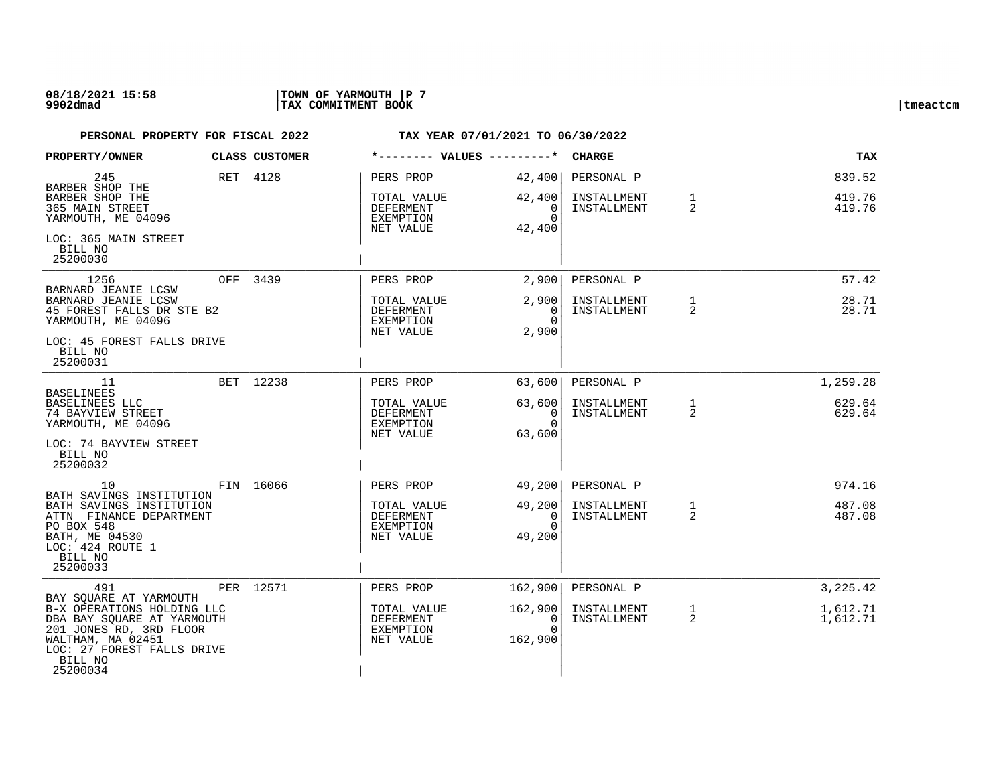| <b>PROPERTY/OWNER</b>                                                                                                                                                                          | CLASS CUSTOMER | *-------- VALUES ---------*                                     |                                                 | <b>CHARGE</b>                            |                                | <b>TAX</b>                       |
|------------------------------------------------------------------------------------------------------------------------------------------------------------------------------------------------|----------------|-----------------------------------------------------------------|-------------------------------------------------|------------------------------------------|--------------------------------|----------------------------------|
| 245<br>BARBER SHOP THE<br>BARBER SHOP THE<br>365 MAIN STREET<br>YARMOUTH, ME 04096<br>LOC: 365 MAIN STREET<br>BILL NO<br>25200030                                                              | RET 4128       | PERS PROP<br>TOTAL VALUE<br>DEFERMENT<br>EXEMPTION<br>NET VALUE | 42,400<br>42,400<br>0<br>$\Omega$<br>42,400     | PERSONAL P<br>INSTALLMENT<br>INSTALLMENT | $\mathbf{1}$<br>2              | 839.52<br>419.76<br>419.76       |
| 1256<br>BARNARD JEANIE LCSW<br>BARNARD JEANIE LCSW<br>45 FOREST FALLS DR STE B2<br>YARMOUTH, ME 04096<br>LOC: 45 FOREST FALLS DRIVE<br>BILL NO<br>25200031                                     | OFF 3439       | PERS PROP<br>TOTAL VALUE<br>DEFERMENT<br>EXEMPTION<br>NET VALUE | 2,900<br>2,900<br>$\Omega$<br>$\Omega$<br>2,900 | PERSONAL P<br>INSTALLMENT<br>INSTALLMENT | $\mathbf{1}$<br>$\mathfrak{D}$ | 57.42<br>28.71<br>28.71          |
| 11<br><b>BASELINEES</b><br>BASELINEES LLC<br>74 BAYVIEW STREET<br>YARMOUTH, ME 04096<br>LOC: 74 BAYVIEW STREET<br>BILL NO<br>25200032                                                          | BET 12238      | PERS PROP<br>TOTAL VALUE<br>DEFERMENT<br>EXEMPTION<br>NET VALUE | 63,600<br>63,600<br>0<br>$\Omega$<br>63,600     | PERSONAL P<br>INSTALLMENT<br>INSTALLMENT | $\mathbf{1}$<br>2              | 1,259.28<br>629.64<br>629.64     |
| 10<br>BATH SAVINGS INSTITUTION<br>BATH SAVINGS INSTITUTION<br>ATTN FINANCE DEPARTMENT<br>PO BOX 548<br>BATH, ME 04530<br>LOC: 424 ROUTE 1<br>BILL NO<br>25200033                               | FIN 16066      | PERS PROP<br>TOTAL VALUE<br>DEFERMENT<br>EXEMPTION<br>NET VALUE | 49,200<br>49,200<br>0<br>$\Omega$<br>49,200     | PERSONAL P<br>INSTALLMENT<br>INSTALLMENT | $\mathbf{1}$<br>$\overline{2}$ | 974.16<br>487.08<br>487.08       |
| 491<br>BAY SQUARE AT YARMOUTH<br>B-X OPERATIONS HOLDING LLC<br>DBA BAY SQUARE AT YARMOUTH<br>201 JONES RD, 3RD FLOOR<br>WALTHAM, MA 02451<br>LOC: 27 FOREST FALLS DRIVE<br>BILL NO<br>25200034 | PER 12571      | PERS PROP<br>TOTAL VALUE<br>DEFERMENT<br>EXEMPTION<br>NET VALUE | 162,900<br>162,900<br>0<br>$\Omega$<br>162,900  | PERSONAL P<br>INSTALLMENT<br>INSTALLMENT | $\mathbf{1}$<br>2              | 3,225.42<br>1,612.71<br>1,612.71 |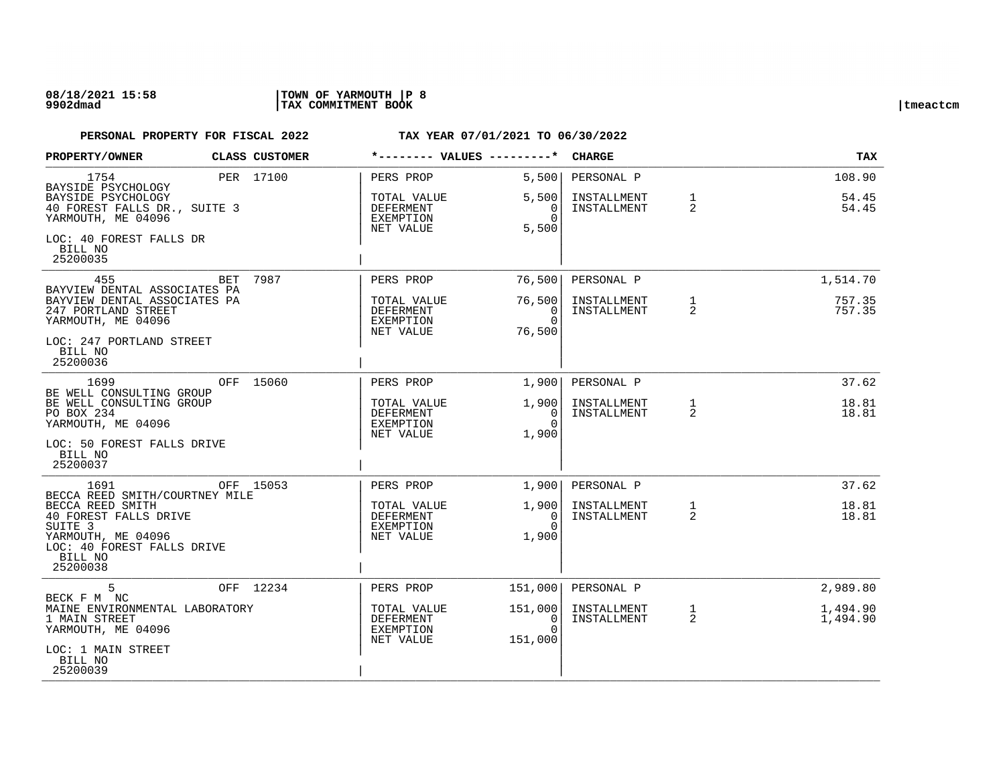### **08/18/2021 15:58 |TOWN OF YARMOUTH |P 8 9902dmad |TAX COMMITMENT BOOK |tmeactcm**

| PROPERTY/OWNER                                                            | <b>CLASS CUSTOMER</b> | *-------- VALUES ---------*                        |                                                                      | <b>CHARGE</b>              |                                | TAX                  |
|---------------------------------------------------------------------------|-----------------------|----------------------------------------------------|----------------------------------------------------------------------|----------------------------|--------------------------------|----------------------|
| 1754<br>BAYSIDE PSYCHOLOGY<br>BAYSIDE PSYCHOLOGY                          | PER 17100             | PERS PROP<br>TOTAL VALUE                           | 5,500<br>5,500                                                       | PERSONAL P<br>INSTALLMENT  | $\mathbf{1}$                   | 108.90<br>54.45      |
| 40 FOREST FALLS DR., SUITE 3<br>YARMOUTH, ME 04096                        |                       | DEFERMENT<br>EXEMPTION<br>NET VALUE                | $\overline{0}$<br>$\Omega$<br>5,500                                  | INSTALLMENT                | 2                              | 54.45                |
| LOC: 40 FOREST FALLS DR<br>BILL NO<br>25200035                            |                       |                                                    |                                                                      |                            |                                |                      |
| 455<br>BAYVIEW DENTAL ASSOCIATES PA                                       | BET 7987              | PERS PROP                                          | 76,500                                                               | PERSONAL P                 |                                | 1,514.70             |
| BAYVIEW DENTAL ASSOCIATES PA<br>247 PORTLAND STREET<br>YARMOUTH, ME 04096 |                       | TOTAL VALUE<br>DEFERMENT<br>EXEMPTION<br>NET VALUE | 76,500<br>$\overline{0}$<br>$\Omega$<br>76,500                       | INSTALLMENT<br>INSTALLMENT | $\mathbf{1}$<br>2              | 757.35<br>757.35     |
| LOC: 247 PORTLAND STREET<br>BILL NO<br>25200036                           |                       |                                                    |                                                                      |                            |                                |                      |
| 1699<br>BE WELL CONSULTING GROUP                                          | OFF 15060             | PERS PROP                                          | 1,900                                                                | PERSONAL P                 |                                | 37.62                |
| BE WELL CONSULTING GROUP<br>PO BOX 234<br>YARMOUTH, ME 04096              |                       | TOTAL VALUE<br>DEFERMENT<br>EXEMPTION<br>NET VALUE | 1,900<br>$\begin{bmatrix} 0 \\ 0 \end{bmatrix}$<br>$\Omega$<br>1,900 | INSTALLMENT<br>INSTALLMENT | $\mathbf{1}$<br>2              | 18.81<br>18.81       |
| LOC: 50 FOREST FALLS DRIVE<br>BILL NO<br>25200037                         |                       |                                                    |                                                                      |                            |                                |                      |
| 1691<br>BECCA REED SMITH/COURTNEY MILE                                    | OFF 15053             | PERS PROP                                          | 1,900                                                                | PERSONAL P                 |                                | 37.62                |
| BECCA REED SMITH<br>40 FOREST FALLS DRIVE<br>SUITE <sub>3</sub>           |                       | TOTAL VALUE<br>DEFERMENT<br>EXEMPTION              | 1,900<br>$\Omega$<br>$\Omega$                                        | INSTALLMENT<br>INSTALLMENT | $\mathbf{1}$<br>2              | 18.81<br>18.81       |
| YARMOUTH, ME 04096<br>LOC: 40 FOREST FALLS DRIVE<br>BILL NO               |                       | NET VALUE                                          | 1,900                                                                |                            |                                |                      |
| 25200038                                                                  |                       |                                                    |                                                                      |                            |                                |                      |
| 5<br>BECK F M NC                                                          | OFF 12234             | PERS PROP                                          | 151,000                                                              | PERSONAL P                 |                                | 2,989.80             |
| MAINE ENVIRONMENTAL LABORATORY<br>1 MAIN STREET<br>YARMOUTH, ME 04096     |                       | TOTAL VALUE<br>DEFERMENT<br>EXEMPTION<br>NET VALUE | 151,000<br>$\overline{0}$<br>$\Omega$<br>151,000                     | INSTALLMENT<br>INSTALLMENT | $\mathbf{1}$<br>$\overline{2}$ | 1,494.90<br>1,494.90 |
| LOC: 1 MAIN STREET<br>BILL NO<br>25200039                                 |                       |                                                    |                                                                      |                            |                                |                      |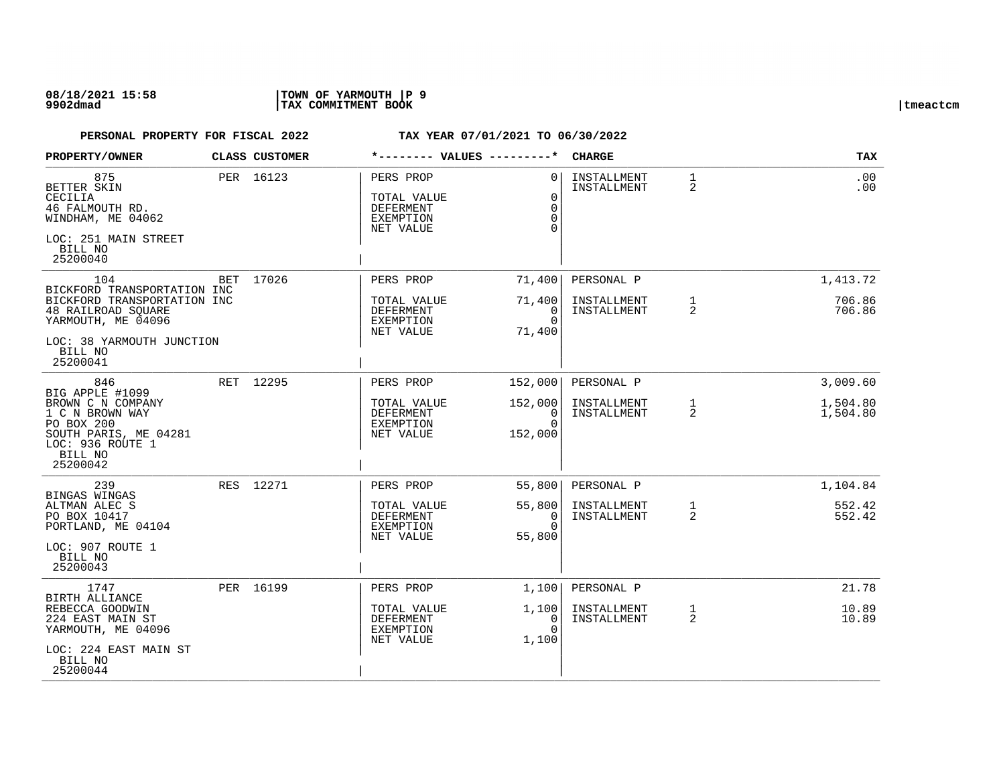### **08/18/2021 15:58 |TOWN OF YARMOUTH |P 9 9902dmad |TAX COMMITMENT BOOK |tmeactcm**

| PROPERTY/OWNER                                                                                                         |     | CLASS CUSTOMER | *-------- VALUES ---------*                                            |                                                             | <b>CHARGE</b>              |                                | <b>TAX</b>           |
|------------------------------------------------------------------------------------------------------------------------|-----|----------------|------------------------------------------------------------------------|-------------------------------------------------------------|----------------------------|--------------------------------|----------------------|
| 875<br>BETTER SKIN<br>CECILIA<br>46 FALMOUTH RD.<br>WINDHAM, ME 04062<br>LOC: 251 MAIN STREET                          |     | PER 16123      | PERS PROP<br>TOTAL VALUE<br>DEFERMENT<br><b>EXEMPTION</b><br>NET VALUE | $\Omega$<br>$\Omega$<br>$\mathbf 0$<br>$\Omega$<br>$\Omega$ | INSTALLMENT<br>INSTALLMENT | $\mathbf{1}$<br>2              | .00<br>.00           |
| BILL NO<br>25200040                                                                                                    |     |                |                                                                        |                                                             |                            |                                |                      |
| 104<br>BICKFORD TRANSPORTATION INC                                                                                     | BET | 17026          | PERS PROP                                                              | 71,400                                                      | PERSONAL P                 |                                | 1,413.72             |
| BICKFORD TRANSPORTATION INC<br>48 RAILROAD SQUARE<br>YARMOUTH, ME 04096                                                |     |                | TOTAL VALUE<br>DEFERMENT<br><b>EXEMPTION</b><br>NET VALUE              | 71,400<br>0<br>$\Omega$<br>71,400                           | INSTALLMENT<br>INSTALLMENT | $\mathbf{1}$<br>$\overline{a}$ | 706.86<br>706.86     |
| LOC: 38 YARMOUTH JUNCTION<br>BILL NO<br>25200041                                                                       |     |                |                                                                        |                                                             |                            |                                |                      |
| 846<br>BIG APPLE #1099                                                                                                 |     | RET 12295      | PERS PROP                                                              | 152,000                                                     | PERSONAL P                 |                                | 3,009.60             |
| BROWN C N COMPANY<br>1 C N BROWN WAY<br>PO BOX 200<br>SOUTH PARIS, ME 04281<br>LOC: 936 ROUTE 1<br>BILL NO<br>25200042 |     |                | TOTAL VALUE<br><b>DEFERMENT</b><br><b>EXEMPTION</b><br>NET VALUE       | 152,000<br>0<br>$\Omega$<br>152,000                         | INSTALLMENT<br>INSTALLMENT | $\mathbf{1}$<br>2              | 1,504.80<br>1,504.80 |
| 239                                                                                                                    |     | RES 12271      | PERS PROP                                                              | 55,800                                                      | PERSONAL P                 |                                | 1,104.84             |
| BINGAS WINGAS<br>ALTMAN ALEC S<br>PO BOX 10417<br>PORTLAND, ME 04104<br>LOC: 907 ROUTE 1<br>BILL NO<br>25200043        |     |                | TOTAL VALUE<br><b>DEFERMENT</b><br>EXEMPTION<br>NET VALUE              | 55,800<br>$\Omega$<br>$\Omega$<br>55,800                    | INSTALLMENT<br>INSTALLMENT | $\mathbf{1}$<br>$\overline{a}$ | 552.42<br>552.42     |
| 1747                                                                                                                   |     | PER 16199      | PERS PROP                                                              | 1,100                                                       | PERSONAL P                 |                                | 21.78                |
| <b>BIRTH ALLIANCE</b><br>REBECCA GOODWIN<br>224 EAST MAIN ST<br>YARMOUTH, ME 04096                                     |     |                | TOTAL VALUE<br>DEFERMENT<br><b>EXEMPTION</b><br>NET VALUE              | 1,100<br>$\Omega$<br>$\Omega$<br>1,100                      | INSTALLMENT<br>INSTALLMENT | $\mathbf{1}$<br>2              | 10.89<br>10.89       |
| LOC: 224 EAST MAIN ST<br>BILL NO<br>25200044                                                                           |     |                |                                                                        |                                                             |                            |                                |                      |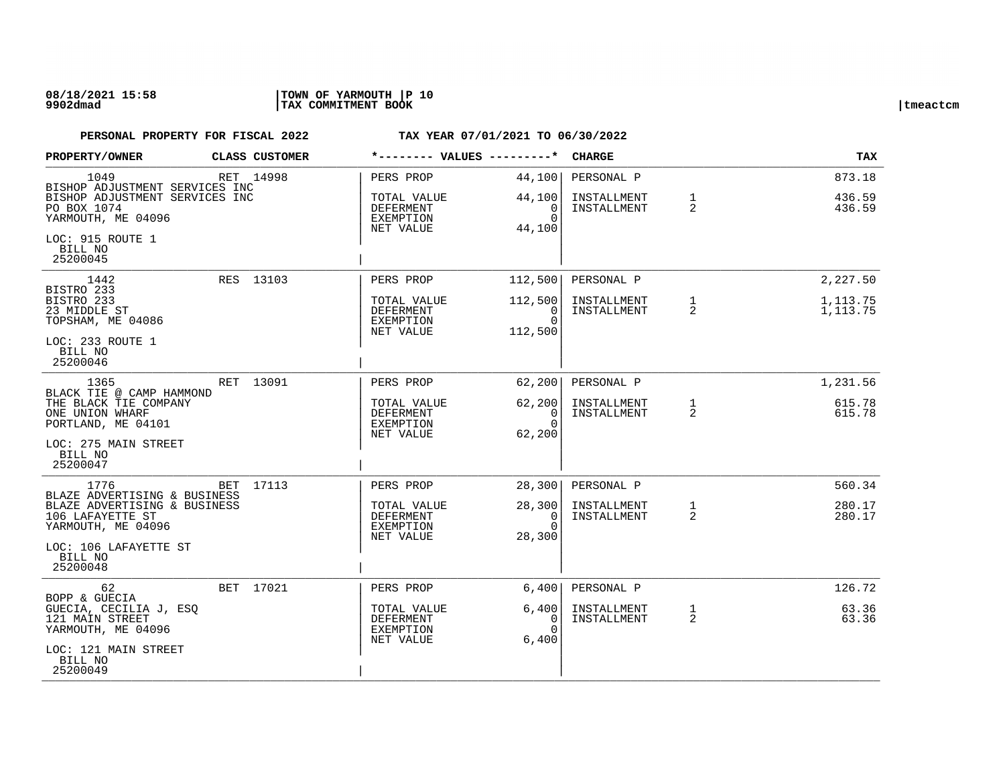| PROPERTY/OWNER                                                                                         | CLASS CUSTOMER | *-------- VALUES ---------*                        |                                            | <b>CHARGE</b>              |                   | TAX                  |
|--------------------------------------------------------------------------------------------------------|----------------|----------------------------------------------------|--------------------------------------------|----------------------------|-------------------|----------------------|
| 1049<br>BISHOP ADJUSTMENT SERVICES INC<br>BISHOP ADJUSTMENT SERVICES INC                               | RET 14998      | PERS PROP<br>TOTAL VALUE                           | 44,100<br>44,100                           | PERSONAL P<br>INSTALLMENT  | $\mathbf{1}$      | 873.18<br>436.59     |
| PO BOX 1074<br>YARMOUTH, ME 04096                                                                      |                | DEFERMENT<br>EXEMPTION<br>NET VALUE                | $\overline{0}$<br>$\Omega$<br>44,100       | INSTALLMENT                | 2                 | 436.59               |
| LOC: 915 ROUTE 1<br>BILL NO<br>25200045                                                                |                |                                                    |                                            |                            |                   |                      |
| 1442<br>BISTRO 233                                                                                     | RES 13103      | PERS PROP                                          | 112,500                                    | PERSONAL P                 |                   | 2,227.50             |
| BISTRO 233<br>23 MIDDLE ST<br>TOPSHAM, ME 04086                                                        |                | TOTAL VALUE<br>DEFERMENT<br>EXEMPTION<br>NET VALUE | 112,500<br>$\Omega$<br>$\Omega$<br>112,500 | INSTALLMENT<br>INSTALLMENT | $\mathbf{1}$<br>2 | 1,113.75<br>1,113.75 |
| LOC: 233 ROUTE 1<br>BILL NO<br>25200046                                                                |                |                                                    |                                            |                            |                   |                      |
| 1365<br>BLACK TIE @ CAMP HAMMOND                                                                       | RET 13091      | PERS PROP                                          | 62, 200                                    | PERSONAL P                 |                   | 1,231.56             |
| THE BLACK TIE COMPANY<br>ONE UNION WHARF<br>PORTLAND, ME 04101                                         |                | TOTAL VALUE<br>DEFERMENT<br>EXEMPTION              | 62, 200<br>0 <sup>1</sup><br>$\Omega$      | INSTALLMENT<br>INSTALLMENT | 1<br>2            | 615.78<br>615.78     |
| LOC: 275 MAIN STREET<br>BILL NO<br>25200047                                                            |                | NET VALUE                                          | 62,200                                     |                            |                   |                      |
| 1776                                                                                                   | BET 17113      | PERS PROP                                          | 28,300                                     | PERSONAL P                 |                   | 560.34               |
| BLAZE ADVERTISING & BUSINESS<br>BLAZE ADVERTISING & BUSINESS<br>106 LAFAYETTE ST<br>YARMOUTH, ME 04096 |                | TOTAL VALUE<br>DEFERMENT<br>EXEMPTION<br>NET VALUE | 28,300<br>0<br>$\Omega$<br>28,300          | INSTALLMENT<br>INSTALLMENT | 1<br>2            | 280.17<br>280.17     |
| LOC: 106 LAFAYETTE ST<br>BILL NO<br>25200048                                                           |                |                                                    |                                            |                            |                   |                      |
| 62<br>BOPP & GUECIA                                                                                    | BET 17021      | PERS PROP                                          | 6,400                                      | PERSONAL P                 |                   | 126.72               |
| GUECIA, CECILIA J, ESQ<br>121 MAIN STREET<br>YARMOUTH, ME 04096                                        |                | TOTAL VALUE<br>DEFERMENT<br>EXEMPTION<br>NET VALUE | 6,400<br>0<br>$\Omega$<br>6,400            | INSTALLMENT<br>INSTALLMENT | $\mathbf{1}$<br>2 | 63.36<br>63.36       |
| LOC: 121 MAIN STREET<br>BILL NO<br>25200049                                                            |                |                                                    |                                            |                            |                   |                      |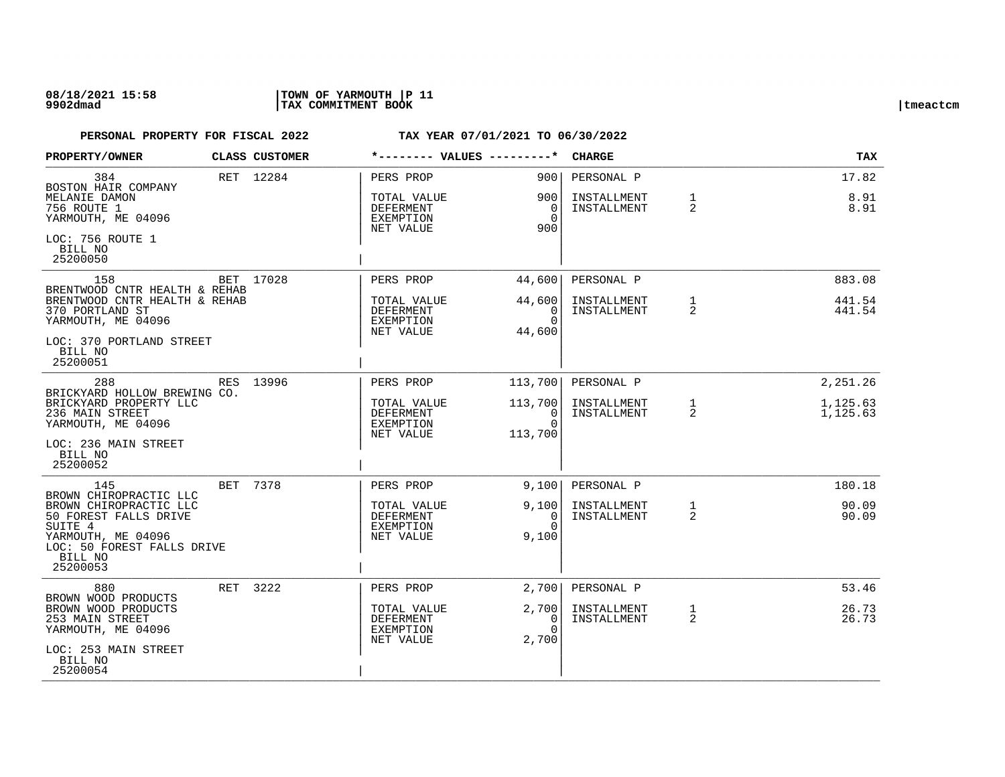| PROPERTY/OWNER                                                                       | CLASS CUSTOMER | *-------- VALUES ---------*                        |                                                     | <b>CHARGE</b>              |                   | <b>TAX</b>           |
|--------------------------------------------------------------------------------------|----------------|----------------------------------------------------|-----------------------------------------------------|----------------------------|-------------------|----------------------|
| 384<br>BOSTON HAIR COMPANY                                                           | RET 12284      | PERS PROP                                          | 9001                                                | PERSONAL P                 |                   | 17.82                |
| MELANIE DAMON<br>756 ROUTE 1<br>YARMOUTH, ME 04096                                   |                | TOTAL VALUE<br>DEFERMENT<br>EXEMPTION<br>NET VALUE | 900 I<br>$\Omega$<br>$\Omega$<br>900                | INSTALLMENT<br>INSTALLMENT | $\mathbf{1}$<br>2 | 8.91<br>8.91         |
| LOC: 756 ROUTE 1<br>BILL NO<br>25200050                                              |                |                                                    |                                                     |                            |                   |                      |
| 158<br>BRENTWOOD CNTR HEALTH & REHAB                                                 | BET 17028      | PERS PROP                                          | 44,600                                              | PERSONAL P                 |                   | 883.08               |
| BRENTWOOD CNTR HEALTH & REHAB<br>370 PORTLAND ST<br>YARMOUTH, ME 04096               |                | TOTAL VALUE<br>DEFERMENT<br>EXEMPTION<br>NET VALUE | 44,600<br>$\Omega$<br>$\Omega$<br>44,600            | INSTALLMENT<br>INSTALLMENT | $\mathbf{1}$<br>2 | 441.54<br>441.54     |
| LOC: 370 PORTLAND STREET<br>BILL NO<br>25200051                                      |                |                                                    |                                                     |                            |                   |                      |
| 288<br>BRICKYARD HOLLOW BREWING CO.                                                  | RES 13996      | PERS PROP                                          | 113,700                                             | PERSONAL P                 |                   | 2,251.26             |
| BRICKYARD PROPERTY LLC<br>236 MAIN STREET<br>YARMOUTH, ME 04096                      |                | TOTAL VALUE<br>DEFERMENT<br>EXEMPTION              | 113,700<br>$\overline{\phantom{0}}$ 0 1<br>$\Omega$ | INSTALLMENT<br>INSTALLMENT | $\mathbf{1}$<br>2 | 1,125.63<br>1,125.63 |
| LOC: 236 MAIN STREET<br>BILL NO<br>25200052                                          |                | NET VALUE                                          | 113,700                                             |                            |                   |                      |
| 145                                                                                  | BET 7378       | PERS PROP                                          | 9,100                                               | PERSONAL P                 |                   | 180.18               |
| BROWN CHIROPRACTIC LLC<br>BROWN CHIROPRACTIC LLC<br>50 FOREST FALLS DRIVE<br>SUITE 4 |                | TOTAL VALUE<br>DEFERMENT<br>EXEMPTION              | 9,100<br>$\Omega$<br>$\Omega$                       | INSTALLMENT<br>INSTALLMENT | $\mathbf{1}$<br>2 | 90.09<br>90.09       |
| YARMOUTH, ME 04096<br>LOC: 50 FOREST FALLS DRIVE<br>BILL NO<br>25200053              |                | NET VALUE                                          | 9,100                                               |                            |                   |                      |
| 880                                                                                  | RET 3222       | PERS PROP                                          | 2,700                                               | PERSONAL P                 |                   | 53.46                |
| BROWN WOOD PRODUCTS<br>BROWN WOOD PRODUCTS<br>253 MAIN STREET<br>YARMOUTH, ME 04096  |                | TOTAL VALUE<br>DEFERMENT<br>EXEMPTION              | 2,700<br>0<br>$\Omega$                              | INSTALLMENT<br>INSTALLMENT | $\mathbf{1}$<br>2 | 26.73<br>26.73       |
| LOC: 253 MAIN STREET<br>BILL NO<br>25200054                                          |                | NET VALUE                                          | 2,700                                               |                            |                   |                      |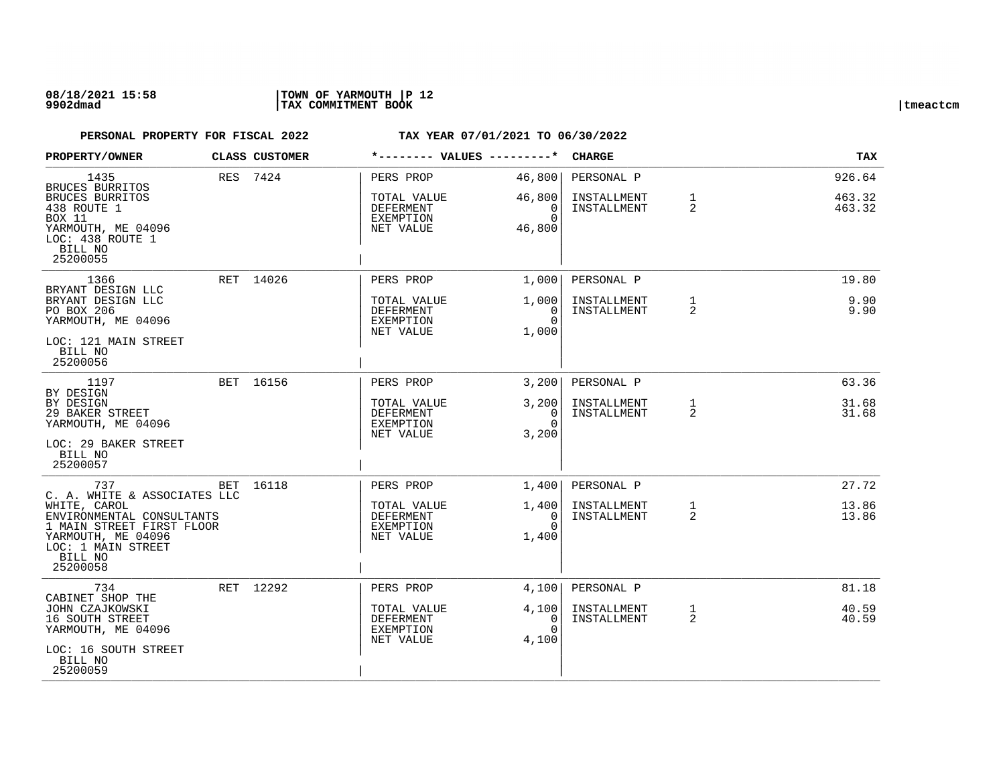### **08/18/2021 15:58 |TOWN OF YARMOUTH |P 12 9902dmad |TAX COMMITMENT BOOK |tmeactcm**

| <b>PROPERTY/OWNER</b>                                                                                                                                                            | <b>CLASS CUSTOMER</b> | *-------- VALUES ---------*                                            |                                               | <b>CHARGE</b>                            |                                | <b>TAX</b>                 |
|----------------------------------------------------------------------------------------------------------------------------------------------------------------------------------|-----------------------|------------------------------------------------------------------------|-----------------------------------------------|------------------------------------------|--------------------------------|----------------------------|
| 1435<br>BRUCES BURRITOS<br>BRUCES BURRITOS<br>438 ROUTE 1<br>BOX 11<br>YARMOUTH, ME 04096<br>LOC: 438 ROUTE 1<br>BILL NO<br>25200055                                             | RES 7424              | PERS PROP<br>TOTAL VALUE<br>DEFERMENT<br>EXEMPTION<br>NET VALUE        | 46,800<br>46,800<br>0<br>$\Omega$<br>46,800   | PERSONAL P<br>INSTALLMENT<br>INSTALLMENT | $\mathbf{1}$<br>2              | 926.64<br>463.32<br>463.32 |
| 1366<br>BRYANT DESIGN LLC<br>BRYANT DESIGN LLC<br>PO BOX 206<br>YARMOUTH, ME 04096<br>LOC: 121 MAIN STREET<br>BILL NO<br>25200056                                                | RET 14026             | PERS PROP<br>TOTAL VALUE<br>DEFERMENT<br>EXEMPTION<br>NET VALUE        | 1,000<br>1,000<br>0<br>$\Omega$<br>1,000      | PERSONAL P<br>INSTALLMENT<br>INSTALLMENT | $\mathbf{1}$<br>$\overline{2}$ | 19.80<br>9.90<br>9.90      |
| 1197<br>BY DESIGN<br>BY DESIGN<br>29 BAKER STREET<br>YARMOUTH, ME 04096<br>LOC: 29 BAKER STREET<br>BILL NO<br>25200057                                                           | BET 16156             | PERS PROP<br>TOTAL VALUE<br>DEFERMENT<br>EXEMPTION<br>NET VALUE        | 3,200<br>3,200<br>0<br>$\Omega$<br>3,200      | PERSONAL P<br>INSTALLMENT<br>INSTALLMENT | 1<br>2                         | 63.36<br>31.68<br>31.68    |
| 737<br>C. A. WHITE & ASSOCIATES LLC<br>WHITE, CAROL<br>ENVIRONMENTAL CONSULTANTS<br>1 MAIN STREET FIRST FLOOR<br>YARMOUTH, ME 04096<br>LOC: 1 MAIN STREET<br>BILL NO<br>25200058 | BET 16118             | PERS PROP<br>TOTAL VALUE<br>DEFERMENT<br>EXEMPTION<br>NET VALUE        | 1,400<br>1,400<br>0<br>$\Omega$<br>1,400      | PERSONAL P<br>INSTALLMENT<br>INSTALLMENT | $\mathbf{1}$<br>$\overline{2}$ | 27.72<br>13.86<br>13.86    |
| 734<br>CABINET SHOP THE<br>JOHN CZAJKOWSKI<br>16 SOUTH STREET<br>YARMOUTH, ME 04096<br>LOC: 16 SOUTH STREET<br>BILL NO<br>25200059                                               | RET 12292             | PERS PROP<br>TOTAL VALUE<br><b>DEFERMENT</b><br>EXEMPTION<br>NET VALUE | 4,100<br>4,100<br>$\Omega$<br>$\cap$<br>4,100 | PERSONAL P<br>INSTALLMENT<br>INSTALLMENT | $\mathbf{1}$<br>$\overline{2}$ | 81.18<br>40.59<br>40.59    |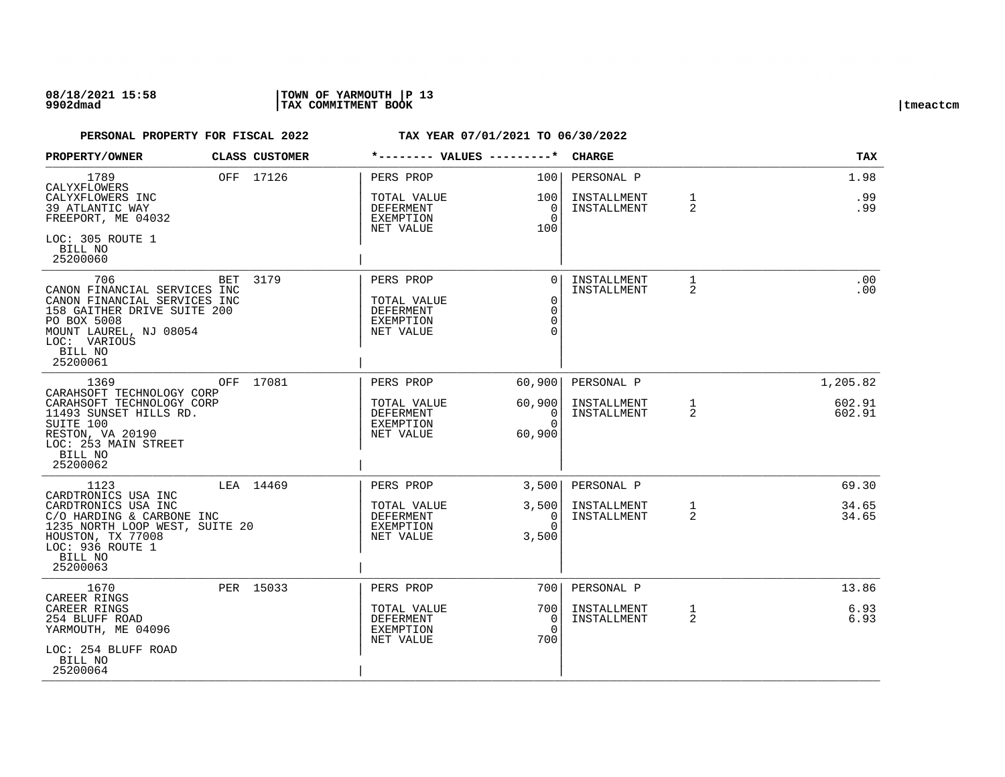### **08/18/2021 15:58 |TOWN OF YARMOUTH |P 13 9902dmad |TAX COMMITMENT BOOK |tmeactcm**

| PROPERTY/OWNER                                                                                                                                                                     |     | CLASS CUSTOMER | *-------- VALUES ---------*                                                   |                                                    | <b>CHARGE</b>              |                                | <b>TAX</b>       |
|------------------------------------------------------------------------------------------------------------------------------------------------------------------------------------|-----|----------------|-------------------------------------------------------------------------------|----------------------------------------------------|----------------------------|--------------------------------|------------------|
| 1789<br>CALYXFLOWERS<br>CALYXFLOWERS INC                                                                                                                                           |     | OFF 17126      | PERS PROP<br>TOTAL VALUE                                                      | 100<br>100                                         | PERSONAL P<br>INSTALLMENT  | $\mathbf{1}$                   | 1.98<br>.99      |
| 39 ATLANTIC WAY<br>FREEPORT, ME 04032                                                                                                                                              |     |                | DEFERMENT<br>EXEMPTION<br>NET VALUE                                           | 0<br>$\Omega$<br>100                               | INSTALLMENT                | $\overline{2}$                 | .99              |
| LOC: 305 ROUTE 1<br>BILL NO<br>25200060                                                                                                                                            |     |                |                                                                               |                                                    |                            |                                |                  |
| 706<br>CANON FINANCIAL SERVICES INC<br>CANON FINANCIAL SERVICES INC<br>158 GAITHER DRIVE SUITE 200<br>PO BOX 5008<br>MOUNT LAUREL, NJ 08054<br>LOC: VARIOUS<br>BILL NO<br>25200061 | BET | 3179           | PERS PROP<br>TOTAL VALUE<br><b>DEFERMENT</b><br><b>EXEMPTION</b><br>NET VALUE | $\Omega$<br>$\mathbf 0$<br>$\mathbf 0$<br>$\Omega$ | INSTALLMENT<br>INSTALLMENT | $\mathbf{1}$<br>$\overline{2}$ | .00<br>.00       |
| 1369<br>CARAHSOFT TECHNOLOGY CORP                                                                                                                                                  |     | OFF 17081      | PERS PROP                                                                     | 60,900                                             | PERSONAL P                 |                                | 1,205.82         |
| CARAHSOFT TECHNOLOGY CORP<br>11493 SUNSET HILLS RD.<br>SUITE 100<br>RESTON, VA 20190<br>LOC: 253 MAIN STREET<br>BILL NO<br>25200062                                                |     |                | TOTAL VALUE<br><b>DEFERMENT</b><br>EXEMPTION<br>NET VALUE                     | 60,900<br>0<br>$\Omega$<br>60,900                  | INSTALLMENT<br>INSTALLMENT | 1<br>2                         | 602.91<br>602.91 |
| 1123<br>CARDTRONICS USA INC                                                                                                                                                        |     | LEA 14469      | PERS PROP                                                                     | 3,500                                              | PERSONAL P                 |                                | 69.30            |
| CARDTRONICS USA INC<br>C/O HARDING & CARBONE INC<br>1235 NORTH LOOP WEST, SUITE 20<br>HOUSTON, TX 77008<br>LOC: 936 ROUTE 1<br>BILL NO<br>25200063                                 |     |                | TOTAL VALUE<br>DEFERMENT<br>EXEMPTION<br>NET VALUE                            | 3,500<br>0<br>$\Omega$<br>3,500                    | INSTALLMENT<br>INSTALLMENT | 1<br>2                         | 34.65<br>34.65   |
| 1670<br>CAREER RINGS                                                                                                                                                               |     | PER 15033      | PERS PROP                                                                     | 700                                                | PERSONAL P                 |                                | 13.86            |
| CAREER RINGS<br>254 BLUFF ROAD<br>YARMOUTH, ME 04096<br>LOC: 254 BLUFF ROAD                                                                                                        |     |                | TOTAL VALUE<br>DEFERMENT<br>EXEMPTION<br>NET VALUE                            | 700<br>$\Omega$<br>$\Omega$<br>700                 | INSTALLMENT<br>INSTALLMENT | $\mathbf{1}$<br>$\overline{2}$ | 6.93<br>6.93     |
| BILL NO<br>25200064                                                                                                                                                                |     |                |                                                                               |                                                    |                            |                                |                  |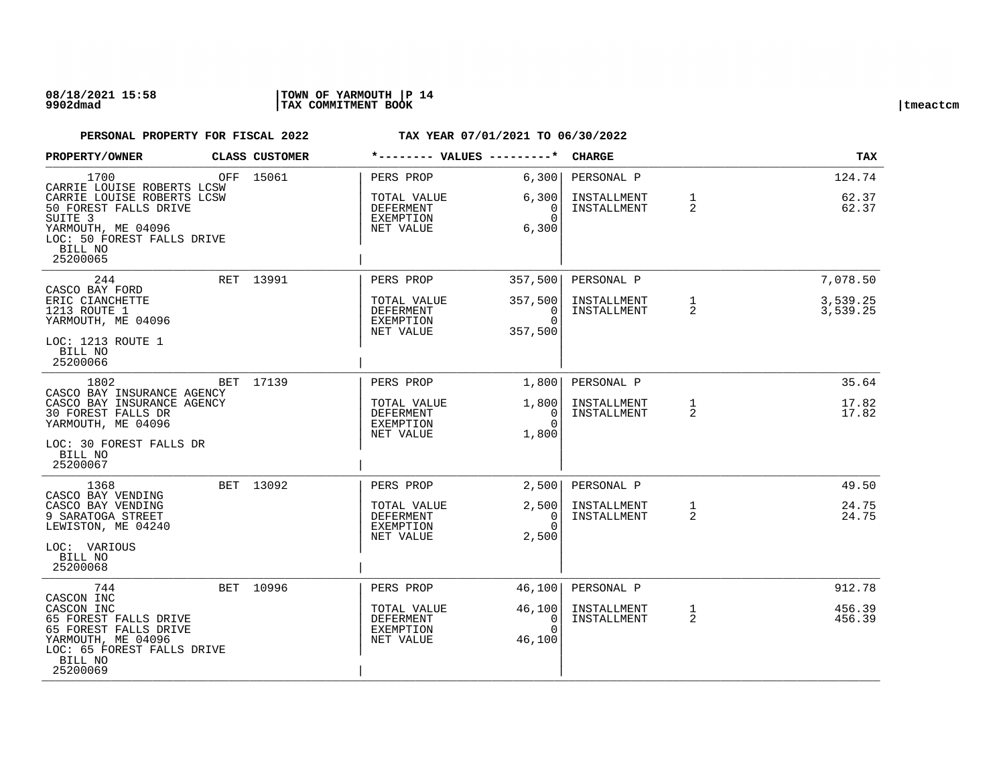### **08/18/2021 15:58 |TOWN OF YARMOUTH |P 14 9902dmad |TAX COMMITMENT BOOK |tmeactcm**

| PROPERTY/OWNER                                                                                                                                        | CLASS CUSTOMER |                                                    | *-------- VALUES ---------*                    | <b>CHARGE</b>              |                   | <b>TAX</b>           |
|-------------------------------------------------------------------------------------------------------------------------------------------------------|----------------|----------------------------------------------------|------------------------------------------------|----------------------------|-------------------|----------------------|
| 1700<br>CARRIE LOUISE ROBERTS LCSW<br>CARRIE LOUISE ROBERTS LCSW                                                                                      | OFF 15061      | PERS PROP<br>TOTAL VALUE                           | 6,300<br>6,300                                 | PERSONAL P<br>INSTALLMENT  | 1                 | 124.74<br>62.37      |
| 50 FOREST FALLS DRIVE<br>SUITE <sub>3</sub><br>YARMOUTH, ME 04096<br>LOC: 50 FOREST FALLS DRIVE<br>BILL NO<br>25200065                                |                | DEFERMENT<br>EXEMPTION<br>NET VALUE                | $\overline{0}$<br>$\Omega$<br>6,300            | INSTALLMENT                | 2                 | 62.37                |
| 244                                                                                                                                                   | RET 13991      | PERS PROP                                          | 357,500                                        | PERSONAL P                 |                   | 7,078.50             |
| CASCO BAY FORD<br>ERIC CIANCHETTE<br>1213 ROUTE 1<br>YARMOUTH, ME 04096                                                                               |                | TOTAL VALUE<br>DEFERMENT<br>EXEMPTION<br>NET VALUE | 357,500<br>0<br>$\Omega$<br>357,500            | INSTALLMENT<br>INSTALLMENT | $\mathbf{1}$<br>2 | 3,539.25<br>3,539.25 |
| LOC: 1213 ROUTE 1<br>BILL NO<br>25200066                                                                                                              |                |                                                    |                                                |                            |                   |                      |
| 1802<br>CASCO BAY INSURANCE AGENCY                                                                                                                    | BET 17139      | PERS PROP                                          | 1,800                                          | PERSONAL P                 |                   | 35.64                |
| CASCO BAY INSURANCE AGENCY<br>30 FOREST FALLS DR<br>YARMOUTH, ME 04096                                                                                |                | TOTAL VALUE<br>DEFERMENT<br>EXEMPTION<br>NET VALUE | 1,800 <br>$\overline{0}$<br>$\Omega$<br>1,800  | INSTALLMENT<br>INSTALLMENT | 1<br>2            | 17.82<br>17.82       |
| LOC: 30 FOREST FALLS DR<br>BILL NO<br>25200067                                                                                                        |                |                                                    |                                                |                            |                   |                      |
| 1368<br>CASCO BAY VENDING                                                                                                                             | BET 13092      | PERS PROP                                          | 2,500                                          | PERSONAL P                 |                   | 49.50                |
| CASCO BAY VENDING<br>9 SARATOGA STREET<br>LEWISTON, ME 04240                                                                                          |                | TOTAL VALUE<br>DEFERMENT<br>EXEMPTION<br>NET VALUE | 2,500<br>$\Omega$<br>$\Omega$<br>2,500         | INSTALLMENT<br>INSTALLMENT | $\mathbf{1}$<br>2 | 24.75<br>24.75       |
| LOC: VARIOUS<br>BILL NO<br>25200068                                                                                                                   |                |                                                    |                                                |                            |                   |                      |
| 744                                                                                                                                                   | BET 10996      | PERS PROP                                          | 46,100                                         | PERSONAL P                 |                   | 912.78               |
| CASCON INC<br>CASCON INC<br>65 FOREST FALLS DRIVE<br>65 FOREST FALLS DRIVE<br>YARMOUTH, ME 04096<br>LOC: 65 FOREST FALLS DRIVE<br>BILL NO<br>25200069 |                | TOTAL VALUE<br>DEFERMENT<br>EXEMPTION<br>NET VALUE | 46,100<br>$\overline{0}$<br>$\Omega$<br>46,100 | INSTALLMENT<br>INSTALLMENT | $\mathbf{1}$<br>2 | 456.39<br>456.39     |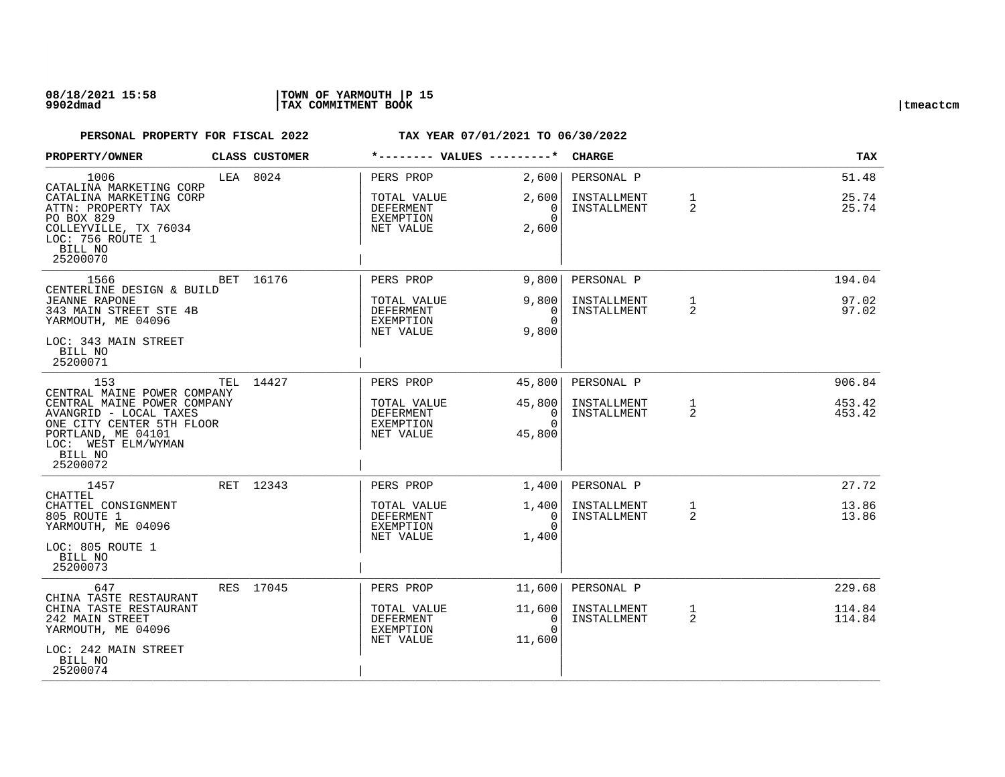### **08/18/2021 15:58 |TOWN OF YARMOUTH |P 15 9902dmad |TAX COMMITMENT BOOK |tmeactcm**

| PROPERTY/OWNER                                                                                                                                                                                                      | CLASS CUSTOMER |                                                                        | *-------- VALUES ---------*                              | <b>CHARGE</b>                            |                   | <b>TAX</b>                 |
|---------------------------------------------------------------------------------------------------------------------------------------------------------------------------------------------------------------------|----------------|------------------------------------------------------------------------|----------------------------------------------------------|------------------------------------------|-------------------|----------------------------|
| 1006<br>CATALINA MARKETING CORP<br>CATALINA MARKETING CORP<br>ATTN: PROPERTY TAX<br>PO BOX 829<br>COLLEYVILLE, TX 76034<br>LOC: 756 ROUTE 1<br>BILL NO<br>25200070                                                  | LEA 8024       | PERS PROP<br>TOTAL VALUE<br>DEFERMENT<br>EXEMPTION<br>NET VALUE        | 2,600<br>2,600<br>$\Omega$<br>$\Omega$<br>2,600          | PERSONAL P<br>INSTALLMENT<br>INSTALLMENT | $\mathbf{1}$<br>2 | 51.48<br>25.74<br>25.74    |
| 1566<br>CENTERLINE DESIGN & BUILD<br><b>JEANNE RAPONE</b><br>343 MAIN STREET STE 4B<br>YARMOUTH, ME 04096<br>LOC: 343 MAIN STREET                                                                                   | BET 16176      | PERS PROP<br>TOTAL VALUE<br><b>DEFERMENT</b><br>EXEMPTION<br>NET VALUE | 9,800<br>9,800<br>$\Omega$<br>$\Omega$<br>9,800          | PERSONAL P<br>INSTALLMENT<br>INSTALLMENT | $\mathbf{1}$<br>2 | 194.04<br>97.02<br>97.02   |
| BILL NO<br>25200071<br>153<br>CENTRAL MAINE POWER COMPANY<br>CENTRAL MAINE POWER COMPANY<br>AVANGRID - LOCAL TAXES<br>ONE CITY CENTER 5TH FLOOR<br>PORTLAND, ME 04101<br>LOC: WEST ELM/WYMAN<br>BILL NO<br>25200072 | TEL 14427      | PERS PROP<br>TOTAL VALUE<br><b>DEFERMENT</b><br>EXEMPTION<br>NET VALUE | 45,800<br>45,800<br>$\overline{0}$<br>$\Omega$<br>45,800 | PERSONAL P<br>INSTALLMENT<br>INSTALLMENT | $\mathbf{1}$<br>2 | 906.84<br>453.42<br>453.42 |
| 1457<br>CHATTEL<br>CHATTEL CONSIGNMENT<br>805 ROUTE 1<br>YARMOUTH, ME 04096<br>LOC: 805 ROUTE 1<br>BILL NO<br>25200073                                                                                              | RET 12343      | PERS PROP<br>TOTAL VALUE<br>DEFERMENT<br>EXEMPTION<br>NET VALUE        | 1,400<br>1,400<br>$\Omega$<br>$\Omega$<br>1,400          | PERSONAL P<br>INSTALLMENT<br>INSTALLMENT | $\mathbf{1}$<br>2 | 27.72<br>13.86<br>13.86    |
| 647<br>CHINA TASTE RESTAURANT<br>CHINA TASTE RESTAURANT<br>242 MAIN STREET<br>YARMOUTH, ME 04096<br>LOC: 242 MAIN STREET<br>BILL NO<br>25200074                                                                     | RES 17045      | PERS PROP<br>TOTAL VALUE<br>DEFERMENT<br>EXEMPTION<br>NET VALUE        | 11,600<br>11,600<br>0<br>$\cap$<br>11,600                | PERSONAL P<br>INSTALLMENT<br>INSTALLMENT | $\mathbf{1}$<br>2 | 229.68<br>114.84<br>114.84 |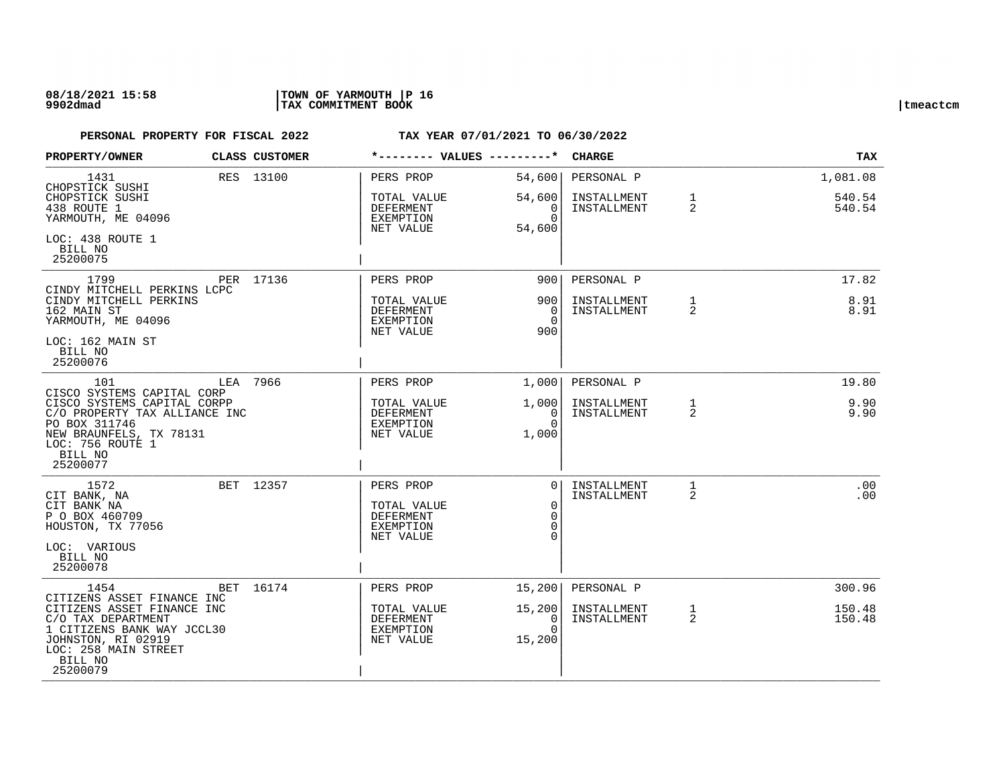### **08/18/2021 15:58 |TOWN OF YARMOUTH |P 16 9902dmad |TAX COMMITMENT BOOK |tmeactcm**

| PROPERTY/OWNER                                                                                                                                                                    |          | CLASS CUSTOMER | *-------- VALUES ---------*                                            |                                                    | <b>CHARGE</b>                            |                                | <b>TAX</b>                   |
|-----------------------------------------------------------------------------------------------------------------------------------------------------------------------------------|----------|----------------|------------------------------------------------------------------------|----------------------------------------------------|------------------------------------------|--------------------------------|------------------------------|
| 1431<br>CHOPSTICK SUSHI<br>CHOPSTICK SUSHI<br>438 ROUTE 1<br>YARMOUTH, ME 04096                                                                                                   |          | RES 13100      | PERS PROP<br>TOTAL VALUE<br>DEFERMENT<br>EXEMPTION<br>NET VALUE        | 54,600<br>54,600<br>0<br>$\Omega$<br>54,600        | PERSONAL P<br>INSTALLMENT<br>INSTALLMENT | $\mathbf{1}$<br>$\overline{2}$ | 1,081.08<br>540.54<br>540.54 |
| LOC: 438 ROUTE 1<br>BILL NO<br>25200075                                                                                                                                           |          |                |                                                                        |                                                    |                                          |                                |                              |
| 1799<br>CINDY MITCHELL PERKINS LCPC                                                                                                                                               |          | PER 17136      | PERS PROP                                                              | 900                                                | PERSONAL P                               |                                | 17.82                        |
| CINDY MITCHELL PERKINS<br>162 MAIN ST<br>YARMOUTH, ME 04096<br>LOC: 162 MAIN ST<br>BILL NO<br>25200076                                                                            |          |                | TOTAL VALUE<br><b>DEFERMENT</b><br>EXEMPTION<br>NET VALUE              | 900<br>0<br>$\Omega$<br>900                        | INSTALLMENT<br>INSTALLMENT               | 1<br>2                         | 8.91<br>8.91                 |
| 101                                                                                                                                                                               | LEA 7966 |                | PERS PROP                                                              | 1,000                                              | PERSONAL P                               |                                | 19.80                        |
| CISCO SYSTEMS CAPITAL CORP<br>CISCO SYSTEMS CAPITAL CORPP<br>C/O PROPERTY TAX ALLIANCE INC<br>PO BOX 311746<br>NEW BRAUNFELS, TX 78131<br>LOC: 756 ROUTE 1<br>BILL NO<br>25200077 |          |                | TOTAL VALUE<br><b>DEFERMENT</b><br>EXEMPTION<br>NET VALUE              | 1,000<br>0<br>$\Omega$<br>1,000                    | INSTALLMENT<br>INSTALLMENT               | 1<br>2                         | 9.90<br>9.90                 |
| 1572<br>CIT BANK, NA<br>CIT BANK NA<br>P O BOX 460709<br>HOUSTON, TX 77056<br>LOC: VARIOUS<br>BILL NO<br>25200078                                                                 |          | BET 12357      | PERS PROP<br>TOTAL VALUE<br><b>DEFERMENT</b><br>EXEMPTION<br>NET VALUE | $\Omega$<br>$\mathbf 0$<br>$\mathbf 0$<br>$\Omega$ | INSTALLMENT<br>INSTALLMENT               | $\mathbf{1}$<br>2              | .00<br>.00                   |
| 1454<br>CITIZENS ASSET FINANCE INC                                                                                                                                                |          | BET 16174      | PERS PROP                                                              | 15,200                                             | PERSONAL P                               |                                | 300.96                       |
| CITIZENS ASSET FINANCE INC<br>C/O TAX DEPARTMENT<br>1 CITIZENS BANK WAY JCCL30<br>JOHNSTON, RI 02919<br>LOC: 258 MAIN STREET<br>BILL NO<br>25200079                               |          |                | TOTAL VALUE<br>DEFERMENT<br>EXEMPTION<br>NET VALUE                     | 15,200<br>0<br>$\Omega$<br>15,200                  | INSTALLMENT<br>INSTALLMENT               | $\mathbf{1}$<br>$\overline{2}$ | 150.48<br>150.48             |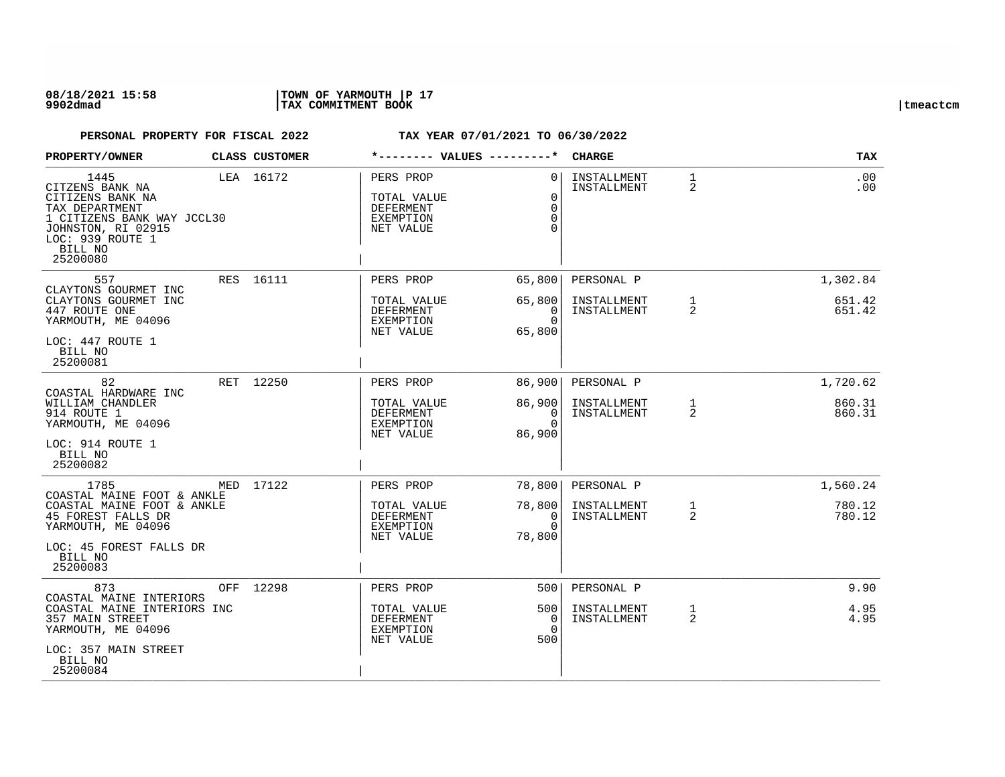### **08/18/2021 15:58 |TOWN OF YARMOUTH |P 17 9902dmad |TAX COMMITMENT BOOK |tmeactcm**

| PROPERTY/OWNER                                                                                                                                               | CLASS CUSTOMER | *-------- VALUES ---------*                                            |                                                         | <b>CHARGE</b>              |                   | <b>TAX</b>       |
|--------------------------------------------------------------------------------------------------------------------------------------------------------------|----------------|------------------------------------------------------------------------|---------------------------------------------------------|----------------------------|-------------------|------------------|
| 1445<br>CITZENS BANK NA<br>CITIZENS BANK NA<br>TAX DEPARTMENT<br>1 CITIZENS BANK WAY JCCL30<br>JOHNSTON, RI 02915<br>LOC: 939 ROUTE 1<br>BILL NO<br>25200080 | LEA 16172      | PERS PROP<br>TOTAL VALUE<br><b>DEFERMENT</b><br>EXEMPTION<br>NET VALUE | $\bigcap$<br>$\Omega$<br>$\Omega$<br>$\Omega$<br>$\cap$ | INSTALLMENT<br>INSTALLMENT | $\mathbf{1}$<br>2 | .00<br>.00       |
| 557<br>CLAYTONS GOURMET INC                                                                                                                                  | RES 16111      | PERS PROP                                                              | 65,800                                                  | PERSONAL P                 |                   | 1,302.84         |
| CLAYTONS GOURMET INC<br>447 ROUTE ONE<br>YARMOUTH, ME 04096<br>LOC: 447 ROUTE 1<br>BILL NO<br>25200081                                                       |                | TOTAL VALUE<br><b>DEFERMENT</b><br>EXEMPTION<br>NET VALUE              | 65,800<br>$\Omega$<br>$\Omega$<br>65,800                | INSTALLMENT<br>INSTALLMENT | $\mathbf{1}$<br>2 | 651.42<br>651.42 |
| 82                                                                                                                                                           | RET 12250      | PERS PROP                                                              | 86,900                                                  | PERSONAL P                 |                   | 1,720.62         |
| COASTAL HARDWARE INC<br>WILLIAM CHANDLER<br>914 ROUTE 1<br>YARMOUTH, ME 04096<br>LOC: 914 ROUTE 1<br>BILL NO<br>25200082                                     |                | TOTAL VALUE<br>DEFERMENT<br>EXEMPTION<br>NET VALUE                     | 86,900<br>$\overline{0}$<br>$\Omega$<br>86,900          | INSTALLMENT<br>INSTALLMENT | $\mathbf{1}$<br>2 | 860.31<br>860.31 |
| 1785                                                                                                                                                         | MED 17122      | PERS PROP                                                              | 78,800                                                  | PERSONAL P                 |                   | 1,560.24         |
| COASTAL MAINE FOOT & ANKLE<br>COASTAL MAINE FOOT & ANKLE<br>45 FOREST FALLS DR<br>YARMOUTH, ME 04096<br>LOC: 45 FOREST FALLS DR<br>BILL NO<br>25200083       |                | TOTAL VALUE<br>DEFERMENT<br>EXEMPTION<br>NET VALUE                     | 78,800<br>0<br>$\Omega$<br>78,800                       | INSTALLMENT<br>INSTALLMENT | $\mathbf{1}$<br>2 | 780.12<br>780.12 |
| 873<br>COASTAL MAINE INTERIORS                                                                                                                               | OFF 12298      | PERS PROP                                                              | 500                                                     | PERSONAL P                 |                   | 9.90             |
| COASTAL MAINE INTERIORS INC<br>357 MAIN STREET<br>YARMOUTH, ME 04096<br>LOC: 357 MAIN STREET<br>BILL NO                                                      |                | TOTAL VALUE<br>DEFERMENT<br>EXEMPTION<br>NET VALUE                     | 5001<br>0<br>$\Omega$<br>500                            | INSTALLMENT<br>INSTALLMENT | $\mathbf{1}$<br>2 | 4.95<br>4.95     |
| 25200084                                                                                                                                                     |                |                                                                        |                                                         |                            |                   |                  |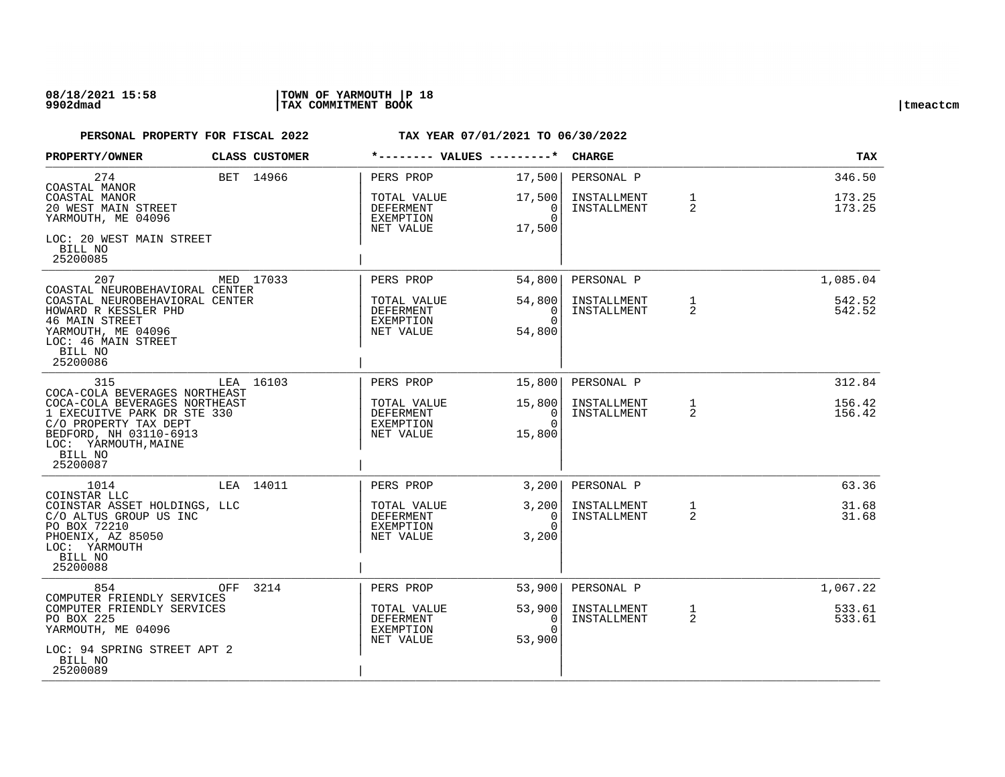### **08/18/2021 15:58 |TOWN OF YARMOUTH |P 18 9902dmad |TAX COMMITMENT BOOK |tmeactcm**

| PROPERTY/OWNER                                                                                                                                                 |     | <b>CLASS CUSTOMER</b> | *-------- VALUES ---------*                        |                                          | <b>CHARGE</b>              |                   | <b>TAX</b>       |
|----------------------------------------------------------------------------------------------------------------------------------------------------------------|-----|-----------------------|----------------------------------------------------|------------------------------------------|----------------------------|-------------------|------------------|
| 274<br>COASTAL MANOR                                                                                                                                           |     | BET 14966             | PERS PROP                                          | 17,500                                   | PERSONAL P                 |                   | 346.50           |
| COASTAL MANOR<br>20 WEST MAIN STREET<br>YARMOUTH, ME 04096                                                                                                     |     |                       | TOTAL VALUE<br>DEFERMENT<br>EXEMPTION<br>NET VALUE | 17,500<br>0<br>$\Omega$<br>17,500        | INSTALLMENT<br>INSTALLMENT | $\mathbf{1}$<br>2 | 173.25<br>173.25 |
| LOC: 20 WEST MAIN STREET<br>BILL NO<br>25200085                                                                                                                |     |                       |                                                    |                                          |                            |                   |                  |
| 207<br>COASTAL NEUROBEHAVIORAL CENTER                                                                                                                          |     | MED 17033             | PERS PROP                                          | 54,800                                   | PERSONAL P                 |                   | 1,085.04         |
| COASTAL NEUROBEHAVIORAL CENTER<br>HOWARD R KESSLER PHD<br><b>46 MAIN STREET</b><br>YARMOUTH, ME 04096<br>LOC: 46 MAIN STREET<br>BILL NO<br>25200086            |     |                       | TOTAL VALUE<br>DEFERMENT<br>EXEMPTION<br>NET VALUE | 54,800<br>$\Omega$<br>$\Omega$<br>54,800 | INSTALLMENT<br>INSTALLMENT | $\mathbf{1}$<br>2 | 542.52<br>542.52 |
| 315<br>COCA-COLA BEVERAGES NORTHEAST                                                                                                                           |     | LEA 16103             | PERS PROP                                          | 15,800                                   | PERSONAL P                 |                   | 312.84           |
| COCA-COLA BEVERAGES NORTHEAST<br>1 EXECUITVE PARK DR STE 330<br>C/O PROPERTY TAX DEPT<br>BEDFORD, NH 03110-6913<br>LOC: YARMOUTH, MAINE<br>BILL NO<br>25200087 |     |                       | TOTAL VALUE<br>DEFERMENT<br>EXEMPTION<br>NET VALUE | 15,800<br>- 0<br>$\Omega$<br>15,800      | INSTALLMENT<br>INSTALLMENT | $\mathbf{1}$<br>2 | 156.42<br>156.42 |
| 1014<br>COINSTAR LLC                                                                                                                                           |     | LEA 14011             | PERS PROP                                          | 3,2001                                   | PERSONAL P                 |                   | 63.36            |
| COINSTAR ASSET HOLDINGS, LLC<br>C/O ALTUS GROUP US INC<br>PO BOX 72210<br>PHOENIX, AZ 85050<br>LOC: YARMOUTH<br>BILL NO<br>25200088                            |     |                       | TOTAL VALUE<br>DEFERMENT<br>EXEMPTION<br>NET VALUE | 3,200<br>$\Omega$<br>$\Omega$<br>3,200   | INSTALLMENT<br>INSTALLMENT | $\mathbf{1}$<br>2 | 31.68<br>31.68   |
| 854<br>COMPUTER FRIENDLY SERVICES                                                                                                                              | OFF | 3214                  | PERS PROP                                          | 53,900                                   | PERSONAL P                 |                   | 1,067.22         |
| COMPUTER FRIENDLY SERVICES<br>PO BOX 225<br>YARMOUTH, ME 04096                                                                                                 |     |                       | TOTAL VALUE<br>DEFERMENT<br>EXEMPTION<br>NET VALUE | 53,900<br>0<br>$\Omega$<br>53,900        | INSTALLMENT<br>INSTALLMENT | $\mathbf{1}$<br>2 | 533.61<br>533.61 |
| LOC: 94 SPRING STREET APT 2<br>BILL NO<br>25200089                                                                                                             |     |                       |                                                    |                                          |                            |                   |                  |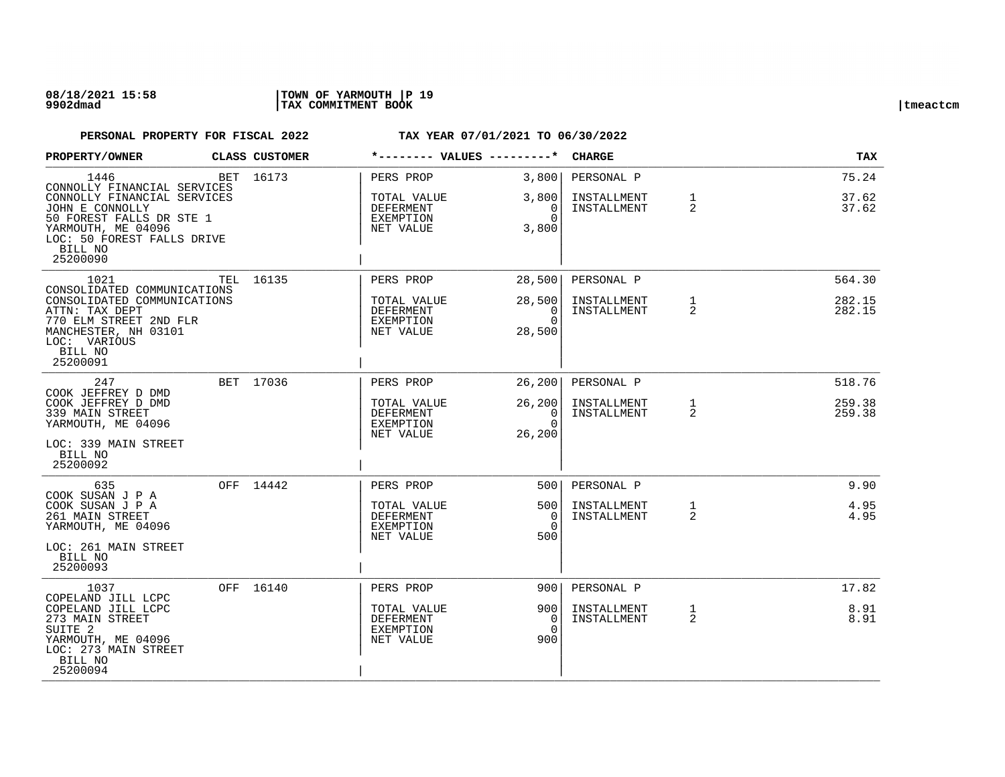| <b>PROPERTY/OWNER</b>                                                                                                                                                                        | CLASS CUSTOMER | *-------- VALUES ---------*                                            |                                                    | <b>CHARGE</b>                            |                   | TAX                        |
|----------------------------------------------------------------------------------------------------------------------------------------------------------------------------------------------|----------------|------------------------------------------------------------------------|----------------------------------------------------|------------------------------------------|-------------------|----------------------------|
| 1446<br>CONNOLLY FINANCIAL SERVICES<br>CONNOLLY FINANCIAL SERVICES<br>JOHN E CONNOLLY<br>50 FOREST FALLS DR STE 1<br>YARMOUTH, ME 04096<br>LOC: 50 FOREST FALLS DRIVE<br>BILL NO<br>25200090 | BET 16173      | PERS PROP<br>TOTAL VALUE<br>DEFERMENT<br><b>EXEMPTION</b><br>NET VALUE | 3,800<br>3,800<br>0<br>$\Omega$<br>3,800           | PERSONAL P<br>INSTALLMENT<br>INSTALLMENT | $\mathbf{1}$<br>2 | 75.24<br>37.62<br>37.62    |
| 1021<br>CONSOLIDATED COMMUNICATIONS<br>CONSOLIDATED COMMUNICATIONS<br>ATTN: TAX DEPT<br>770 ELM STREET 2ND FLR<br>MANCHESTER, NH 03101<br>LOC: VARIOUS<br>BILL NO<br>25200091                | TEL 16135      | PERS PROP<br>TOTAL VALUE<br>DEFERMENT<br>EXEMPTION<br>NET VALUE        | 28,500<br>28,500<br>$\Omega$<br>$\Omega$<br>28,500 | PERSONAL P<br>INSTALLMENT<br>INSTALLMENT | $\mathbf{1}$<br>2 | 564.30<br>282.15<br>282.15 |
| 247<br>COOK JEFFREY D DMD<br>COOK JEFFREY D DMD<br>339 MAIN STREET<br>YARMOUTH, ME 04096<br>LOC: 339 MAIN STREET<br>BILL NO<br>25200092                                                      | BET 17036      | PERS PROP<br>TOTAL VALUE<br>DEFERMENT<br><b>EXEMPTION</b><br>NET VALUE | 26, 200<br>26, 200<br>0<br>$\Omega$<br>26,200      | PERSONAL P<br>INSTALLMENT<br>INSTALLMENT | $\mathbf{1}$<br>2 | 518.76<br>259.38<br>259.38 |
| 635<br>COOK SUSAN J P A<br>COOK SUSAN J P A<br>261 MAIN STREET<br>YARMOUTH, ME 04096<br>LOC: 261 MAIN STREET<br>BILL NO<br>25200093                                                          | OFF 14442      | PERS PROP<br>TOTAL VALUE<br>DEFERMENT<br><b>EXEMPTION</b><br>NET VALUE | 500<br>5001<br>$\Omega$<br>$\Omega$<br>500         | PERSONAL P<br>INSTALLMENT<br>INSTALLMENT | $\mathbf{1}$<br>2 | 9.90<br>4.95<br>4.95       |
| 1037<br>COPELAND JILL LCPC<br>COPELAND JILL LCPC<br>273 MAIN STREET<br>SUITE <sub>2</sub><br>YARMOUTH, ME 04096<br>LOC: 273 MAIN STREET<br>BILL NO<br>25200094                               | OFF 16140      | PERS PROP<br>TOTAL VALUE<br>DEFERMENT<br><b>EXEMPTION</b><br>NET VALUE | 9001<br>9001<br>0<br>$\Omega$<br>900               | PERSONAL P<br>INSTALLMENT<br>INSTALLMENT | 1<br>2            | 17.82<br>8.91<br>8.91      |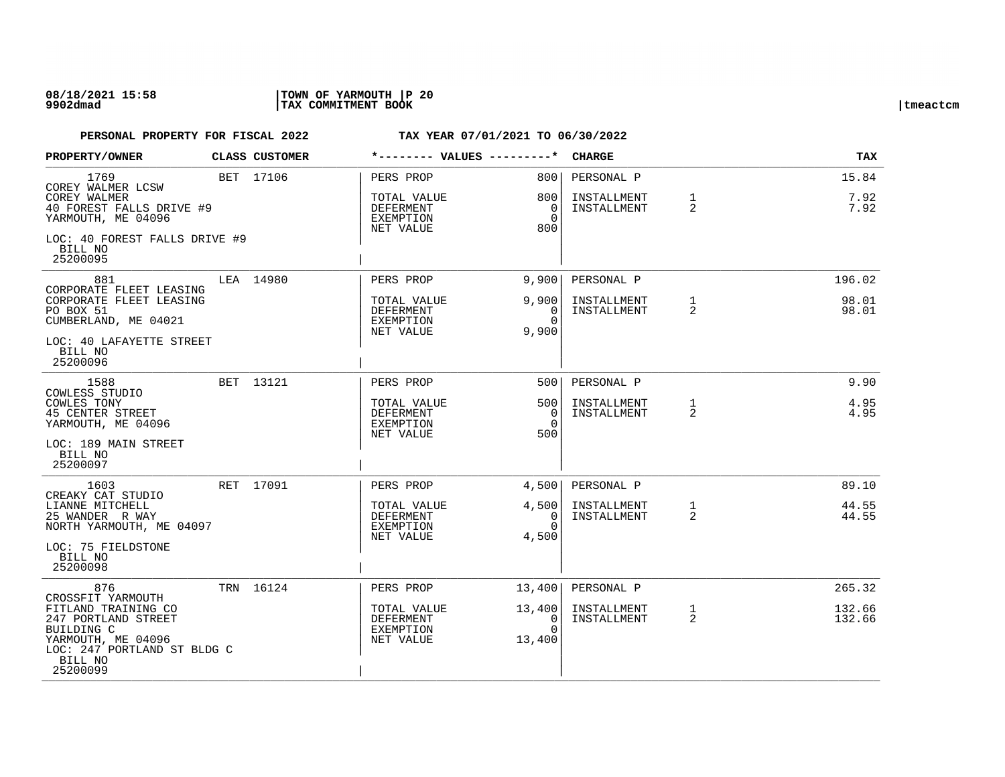### **08/18/2021 15:58 |TOWN OF YARMOUTH |P 20 9902dmad |TAX COMMITMENT BOOK |tmeactcm**

| PROPERTY/OWNER                                                                                                                       | <b>CLASS CUSTOMER</b> |                                                    |                                        | <b>CHARGE</b>              |                   | <b>TAX</b>       |
|--------------------------------------------------------------------------------------------------------------------------------------|-----------------------|----------------------------------------------------|----------------------------------------|----------------------------|-------------------|------------------|
| 1769<br>COREY WALMER LCSW                                                                                                            | BET 17106             | PERS PROP                                          | 8001                                   | PERSONAL P                 |                   | 15.84            |
| COREY WALMER<br>40 FOREST FALLS DRIVE #9<br>YARMOUTH, ME 04096                                                                       |                       | TOTAL VALUE<br>DEFERMENT<br>EXEMPTION<br>NET VALUE | 800<br>0<br>$\Omega$<br>800            | INSTALLMENT<br>INSTALLMENT | 1<br>2            | 7.92<br>7.92     |
| LOC: 40 FOREST FALLS DRIVE #9<br>BILL NO<br>25200095                                                                                 |                       |                                                    |                                        |                            |                   |                  |
| 881<br>CORPORATE FLEET LEASING                                                                                                       | LEA 14980             | PERS PROP                                          | 9,900                                  | PERSONAL P                 |                   | 196.02           |
| CORPORATE FLEET LEASING<br>PO BOX 51<br>CUMBERLAND, ME 04021                                                                         |                       | TOTAL VALUE<br>DEFERMENT<br>EXEMPTION<br>NET VALUE | 9,900<br>$\Omega$<br>$\Omega$<br>9,900 | INSTALLMENT<br>INSTALLMENT | $\mathbf{1}$<br>2 | 98.01<br>98.01   |
| LOC: 40 LAFAYETTE STREET<br>BILL NO<br>25200096                                                                                      |                       |                                                    |                                        |                            |                   |                  |
| 1588<br>COWLESS STUDIO                                                                                                               | BET 13121             | PERS PROP                                          | 500                                    | PERSONAL P                 |                   | 9.90             |
| COWLES TONY<br><b>45 CENTER STREET</b><br>YARMOUTH, ME 04096                                                                         |                       | TOTAL VALUE<br>DEFERMENT<br>EXEMPTION<br>NET VALUE | 500<br>0<br>$\Omega$<br>500            | INSTALLMENT<br>INSTALLMENT | $\mathbf{1}$<br>2 | 4.95<br>4.95     |
| LOC: 189 MAIN STREET<br>BILL NO<br>25200097                                                                                          |                       |                                                    |                                        |                            |                   |                  |
| 1603<br>CREAKY CAT STUDIO                                                                                                            | RET 17091             | PERS PROP                                          | 4,500                                  | PERSONAL P                 |                   | 89.10            |
| LIANNE MITCHELL<br>25 WANDER R WAY<br>NORTH YARMOUTH, ME 04097                                                                       |                       | TOTAL VALUE<br>DEFERMENT<br>EXEMPTION<br>NET VALUE | 4,500<br>$\Omega$<br>$\Omega$<br>4,500 | INSTALLMENT<br>INSTALLMENT | $\mathbf{1}$<br>2 | 44.55<br>44.55   |
| LOC: 75 FIELDSTONE<br>BILL NO<br>25200098                                                                                            |                       |                                                    |                                        |                            |                   |                  |
| 876<br>CROSSFIT YARMOUTH                                                                                                             | TRN 16124             | PERS PROP                                          | 13,400                                 | PERSONAL P                 |                   | 265.32           |
| FITLAND TRAINING CO<br>247 PORTLAND STREET<br>BUILDING C<br>YARMOUTH, ME 04096<br>LOC: 247 PORTLAND ST BLDG C<br>BILL NO<br>25200099 |                       | TOTAL VALUE<br>DEFERMENT<br>EXEMPTION<br>NET VALUE | 13,400<br>0<br>$\Omega$<br>13,400      | INSTALLMENT<br>INSTALLMENT | $\mathbf{1}$<br>2 | 132.66<br>132.66 |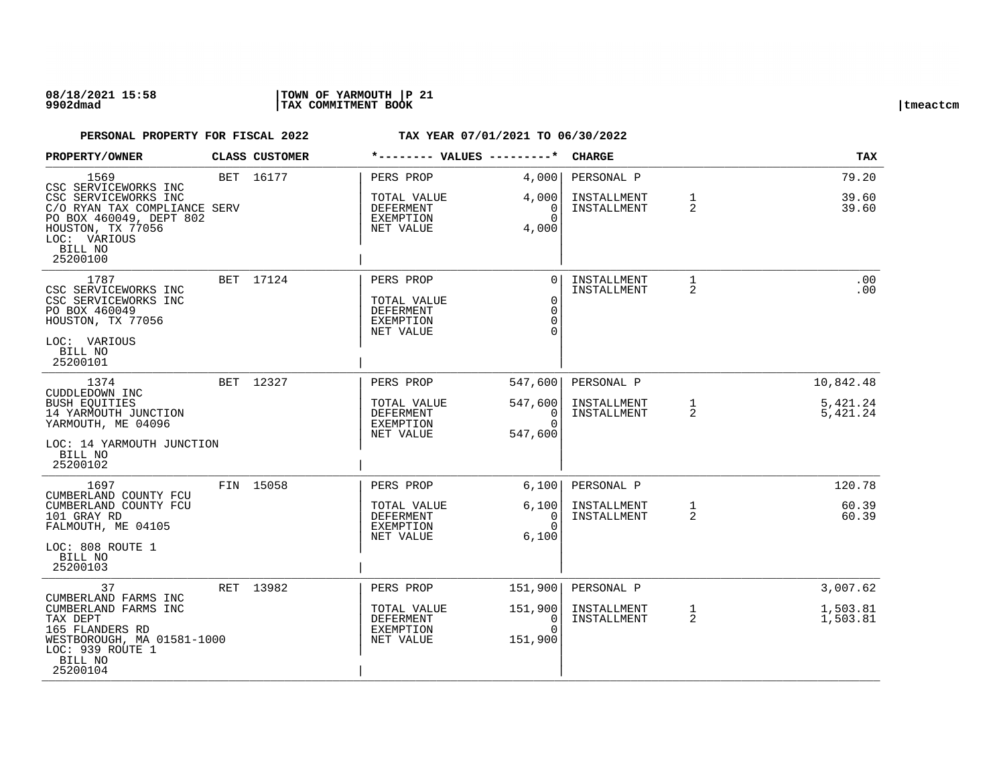### **08/18/2021 15:58 |TOWN OF YARMOUTH |P 21 9902dmad |TAX COMMITMENT BOOK |tmeactcm**

| PROPERTY/OWNER                                                                                                                              | CLASS CUSTOMER |                                                                 | *-------- VALUES ---------* |                                                   | <b>CHARGE</b>              |                   | <b>TAX</b>           |
|---------------------------------------------------------------------------------------------------------------------------------------------|----------------|-----------------------------------------------------------------|-----------------------------|---------------------------------------------------|----------------------------|-------------------|----------------------|
| 1569<br>CSC SERVICEWORKS INC                                                                                                                | BET 16177      | PERS PROP                                                       | 4,000                       |                                                   | PERSONAL P                 |                   | 79.20                |
| CSC SERVICEWORKS INC<br>C/O RYAN TAX COMPLIANCE SERV<br>PO BOX 460049, DEPT 802<br>HOUSTON, TX 77056<br>LOC: VARIOUS<br>BILL NO<br>25200100 |                | TOTAL VALUE<br>DEFERMENT<br>EXEMPTION<br>NET VALUE              | 4,000<br>4,000              | 0<br>$\Omega$                                     | INSTALLMENT<br>INSTALLMENT | 1<br>2            | 39.60<br>39.60       |
| 1787<br>CSC SERVICEWORKS INC<br>CSC SERVICEWORKS INC<br>PO BOX 460049<br>HOUSTON, TX 77056<br>LOC: VARIOUS<br>BILL NO<br>25200101           | BET 17124      | PERS PROP<br>TOTAL VALUE<br>DEFERMENT<br>EXEMPTION<br>NET VALUE |                             | $\Omega$<br>$\Omega$<br>0<br>$\Omega$<br>$\Omega$ | INSTALLMENT<br>INSTALLMENT | $\mathbf{1}$<br>2 | .00<br>.00           |
| 1374<br>CUDDLEDOWN INC                                                                                                                      | BET 12327      | PERS PROP                                                       | 547,600                     |                                                   | PERSONAL P                 |                   | 10,842.48            |
| <b>BUSH EOUITIES</b><br>14 YARMOUTH JUNCTION<br>YARMOUTH, ME 04096<br>LOC: 14 YARMOUTH JUNCTION<br>BILL NO<br>25200102                      |                | TOTAL VALUE<br>DEFERMENT<br>EXEMPTION<br>NET VALUE              | 547,600<br>547,600          | $\overline{0}$<br>$\Omega$                        | INSTALLMENT<br>INSTALLMENT | 1<br>2            | 5,421.24<br>5,421.24 |
| 1697<br>CUMBERLAND COUNTY FCU                                                                                                               | FIN 15058      | PERS PROP                                                       | 6,100                       |                                                   | PERSONAL P                 |                   | 120.78               |
| CUMBERLAND COUNTY FCU<br>101 GRAY RD<br>FALMOUTH, ME 04105<br>LOC: 808 ROUTE 1<br>BILL NO<br>25200103                                       |                | TOTAL VALUE<br>DEFERMENT<br>EXEMPTION<br>NET VALUE              | 6,100<br>6,100              | $\Omega$<br>$\Omega$                              | INSTALLMENT<br>INSTALLMENT | $\mathbf 1$<br>2  | 60.39<br>60.39       |
| 37<br>CUMBERLAND FARMS INC                                                                                                                  | RET 13982      | PERS PROP                                                       | 151,900                     |                                                   | PERSONAL P                 |                   | 3,007.62             |
| CUMBERLAND FARMS INC<br>TAX DEPT<br>165 FLANDERS RD<br>WESTBOROUGH, MA 01581-1000<br>LOC: 939 ROUTE 1<br>BILL NO<br>25200104                |                | TOTAL VALUE<br>DEFERMENT<br>EXEMPTION<br>NET VALUE              | 151,900<br>151,900          | 0<br>$\Omega$                                     | INSTALLMENT<br>INSTALLMENT | $\mathbf{1}$<br>2 | 1,503.81<br>1,503.81 |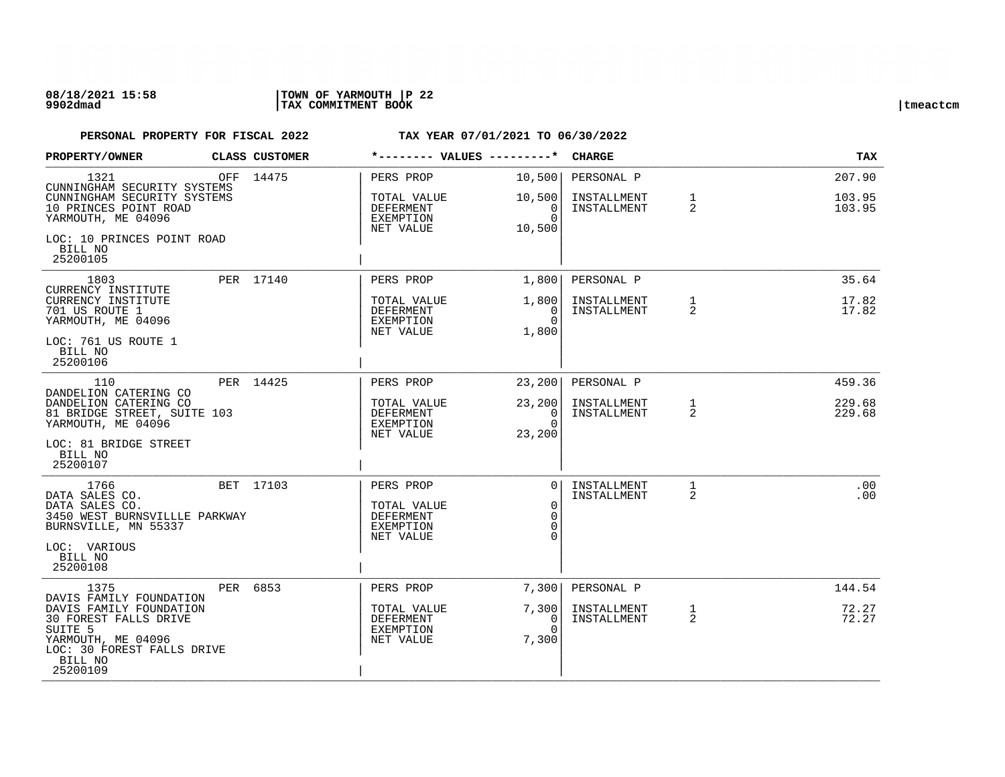| PROPERTY/OWNER                                                                                                                                                    | <b>CLASS CUSTOMER</b> | *-------- VALUES ---------*                                     |                                                                   | <b>CHARGE</b>                            |                   | TAX                        |
|-------------------------------------------------------------------------------------------------------------------------------------------------------------------|-----------------------|-----------------------------------------------------------------|-------------------------------------------------------------------|------------------------------------------|-------------------|----------------------------|
| 1321<br>CUNNINGHAM SECURITY SYSTEMS<br>CUNNINGHAM SECURITY SYSTEMS<br>10 PRINCES POINT ROAD                                                                       | OFF 14475             | PERS PROP<br>TOTAL VALUE<br>DEFERMENT                           | 10,500<br>10,500<br>$\overline{0}$                                | PERSONAL P<br>INSTALLMENT<br>INSTALLMENT | $\mathbf{1}$<br>2 | 207.90<br>103.95<br>103.95 |
| YARMOUTH, ME 04096<br>LOC: 10 PRINCES POINT ROAD<br>BILL NO<br>25200105                                                                                           |                       | EXEMPTION<br>NET VALUE                                          | $\Omega$<br>10,500                                                |                                          |                   |                            |
| 1803                                                                                                                                                              | PER 17140             | PERS PROP                                                       | 1,800                                                             | PERSONAL P                               |                   | 35.64                      |
| CURRENCY INSTITUTE<br>CURRENCY INSTITUTE<br>701 US ROUTE 1<br>YARMOUTH, ME 04096                                                                                  |                       | TOTAL VALUE<br>DEFERMENT<br>EXEMPTION<br>NET VALUE              | 1,800  <br>$\Omega$<br>$\Omega$<br>1,800                          | INSTALLMENT<br>INSTALLMENT               | $\mathbf{1}$<br>2 | 17.82<br>17.82             |
| LOC: 761 US ROUTE 1<br>BILL NO<br>25200106                                                                                                                        |                       |                                                                 |                                                                   |                                          |                   |                            |
| 110<br>DANDELION CATERING CO                                                                                                                                      | PER 14425             | PERS PROP                                                       | 23, 200                                                           | PERSONAL P                               |                   | 459.36                     |
| DANDELION CATERING CO<br>81 BRIDGE STREET, SUITE 103<br>YARMOUTH, ME 04096                                                                                        |                       | TOTAL VALUE<br>DEFERMENT<br>EXEMPTION<br>NET VALUE              | 23, 200<br>$\overline{0}$<br>$\Omega$<br>23,200                   | INSTALLMENT<br>INSTALLMENT               | $\mathbf{1}$<br>2 | 229.68<br>229.68           |
| LOC: 81 BRIDGE STREET<br>BILL NO<br>25200107                                                                                                                      |                       |                                                                 |                                                                   |                                          |                   |                            |
| 1766<br>DATA SALES CO.<br>DATA SALES CO.<br>3450 WEST BURNSVILLLE PARKWAY<br>BURNSVILLE, MN 55337                                                                 | BET 17103             | PERS PROP<br>TOTAL VALUE<br>DEFERMENT<br>EXEMPTION<br>NET VALUE | 0 <sup>1</sup><br>$\mathbf 0$<br>$\Omega$<br>$\Omega$<br>$\Omega$ | INSTALLMENT<br>INSTALLMENT               | $\mathbf{1}$<br>2 | .00<br>.00                 |
| LOC: VARIOUS<br>BILL NO<br>25200108                                                                                                                               |                       |                                                                 |                                                                   |                                          |                   |                            |
| 1375                                                                                                                                                              | PER 6853              | PERS PROP                                                       | 7,300                                                             | PERSONAL P                               |                   | 144.54                     |
| DAVIS FAMILY FOUNDATION<br>DAVIS FAMILY FOUNDATION<br>30 FOREST FALLS DRIVE<br>SUITE 5<br>YARMOUTH, ME 04096<br>LOC: 30 FOREST FALLS DRIVE<br>BILL NO<br>25200109 |                       | TOTAL VALUE<br>DEFERMENT<br>EXEMPTION<br>NET VALUE              | 7,300<br>0<br>$\Omega$<br>7,300                                   | INSTALLMENT<br>INSTALLMENT               | $\mathbf{1}$<br>2 | 72.27<br>72.27             |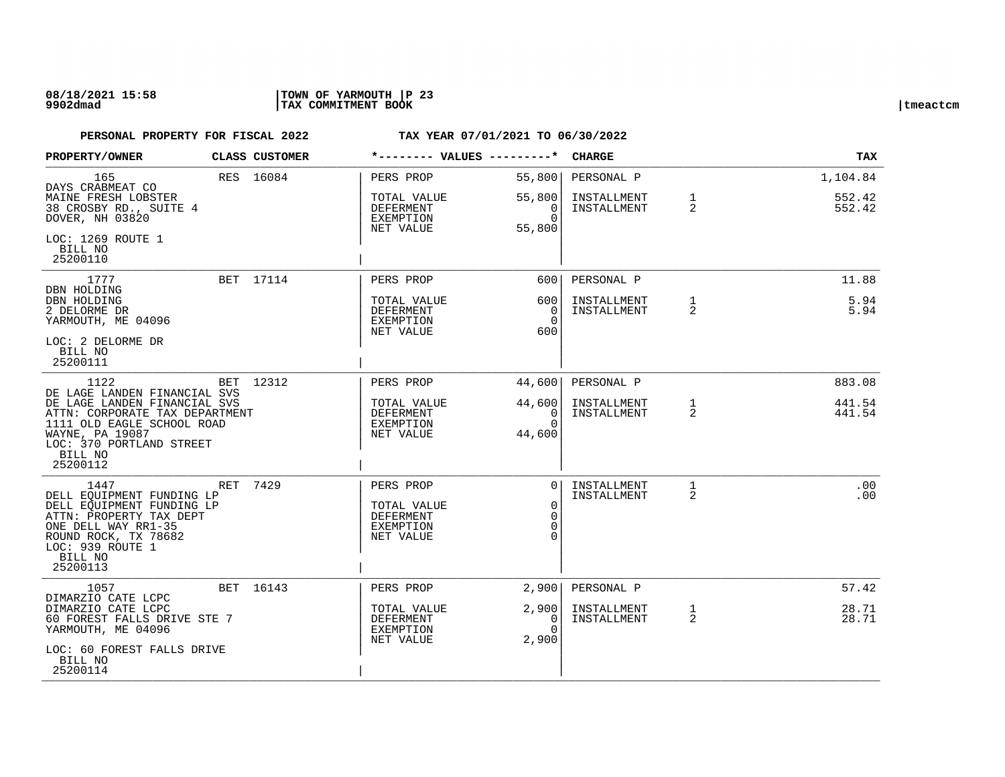### **08/18/2021 15:58 |TOWN OF YARMOUTH |P 23 9902dmad |TAX COMMITMENT BOOK |tmeactcm**

| PROPERTY/OWNER                                                                                                                                                                      |  | CLASS CUSTOMER |                                                                        | *-------- VALUES ---------*                        | <b>CHARGE</b>                 |                            | <b>TAX</b>        |              |
|-------------------------------------------------------------------------------------------------------------------------------------------------------------------------------------|--|----------------|------------------------------------------------------------------------|----------------------------------------------------|-------------------------------|----------------------------|-------------------|--------------|
| 165<br>DAYS CRABMEAT CO                                                                                                                                                             |  | RES 16084      | PERS PROP                                                              | 55,800                                             | PERSONAL P                    |                            | 1,104.84          |              |
| MAINE FRESH LOBSTER<br>38 CROSBY RD., SUITE 4<br>DOVER, NH 03820                                                                                                                    |  |                | TOTAL VALUE<br>DEFERMENT<br>EXEMPTION                                  | 55,800<br>$\overline{0}$<br>$\Omega$               | INSTALLMENT<br>INSTALLMENT    | $\mathbf{1}$<br>2          | 552.42<br>552.42  |              |
| LOC: 1269 ROUTE 1<br>BILL NO<br>25200110                                                                                                                                            |  |                | NET VALUE                                                              | 55,800                                             |                               |                            |                   |              |
| 1777<br>DBN HOLDING                                                                                                                                                                 |  | BET 17114      | PERS PROP                                                              | 600                                                | PERSONAL P                    |                            | 11.88             |              |
| DBN HOLDING<br>2 DELORME DR<br>YARMOUTH, ME 04096                                                                                                                                   |  |                |                                                                        | TOTAL VALUE<br>DEFERMENT<br>EXEMPTION<br>NET VALUE | 600 l<br>0<br>$\Omega$<br>600 | INSTALLMENT<br>INSTALLMENT | $\mathbf{1}$<br>2 | 5.94<br>5.94 |
| LOC: 2 DELORME DR<br>BILL NO<br>25200111                                                                                                                                            |  |                |                                                                        |                                                    |                               |                            |                   |              |
| 1122<br>DE LAGE LANDEN FINANCIAL SVS                                                                                                                                                |  | BET 12312      | PERS PROP                                                              | 44,600                                             | PERSONAL P                    |                            | 883.08            |              |
| DE LAGE LANDEN FINANCIAL SVS<br>ATTN: CORPORATE TAX DEPARTMENT<br>1111 OLD EAGLE SCHOOL ROAD<br>WAYNE, PA 19087<br>LOC: 370 PORTLAND STREET<br>BILL NO<br>25200112                  |  |                | TOTAL VALUE<br>DEFERMENT<br>EXEMPTION<br>NET VALUE                     | 44,600<br>- 0 I<br>$\Omega$<br>44,600              | INSTALLMENT<br>INSTALLMENT    | $\mathbf{1}$<br>2          | 441.54<br>441.54  |              |
| 1447<br>DELL EQUIPMENT FUNDING LP<br>DELL EQUIPMENT FUNDING LP<br>ATTN: PROPERTY TAX DEPT<br>ONE DELL WAY RR1-35<br>ROUND ROCK, TX 78682<br>LOC: 939 ROUTE 1<br>BILL NO<br>25200113 |  | RET 7429       | PERS PROP<br>TOTAL VALUE<br><b>DEFERMENT</b><br>EXEMPTION<br>NET VALUE | 0 <sup>1</sup><br>$\Omega$<br>$\Omega$<br>$\Omega$ | INSTALLMENT<br>INSTALLMENT    | $\mathbf{1}$<br>2          | .00<br>.00        |              |
| 1057<br>DIMARZIO CATE LCPC                                                                                                                                                          |  | BET 16143      | PERS PROP                                                              | 2,900                                              | PERSONAL P                    |                            | 57.42             |              |
| DIMARZIO CATE LCPC<br>60 FOREST FALLS DRIVE STE 7<br>YARMOUTH, ME 04096                                                                                                             |  |                | TOTAL VALUE<br>DEFERMENT<br>EXEMPTION<br>NET VALUE                     | 2,900<br>0<br>$\Omega$<br>2,900                    | INSTALLMENT<br>INSTALLMENT    | $\mathbf{1}$<br>2          | 28.71<br>28.71    |              |
| LOC: 60 FOREST FALLS DRIVE<br>BILL NO<br>25200114                                                                                                                                   |  |                |                                                                        |                                                    |                               |                            |                   |              |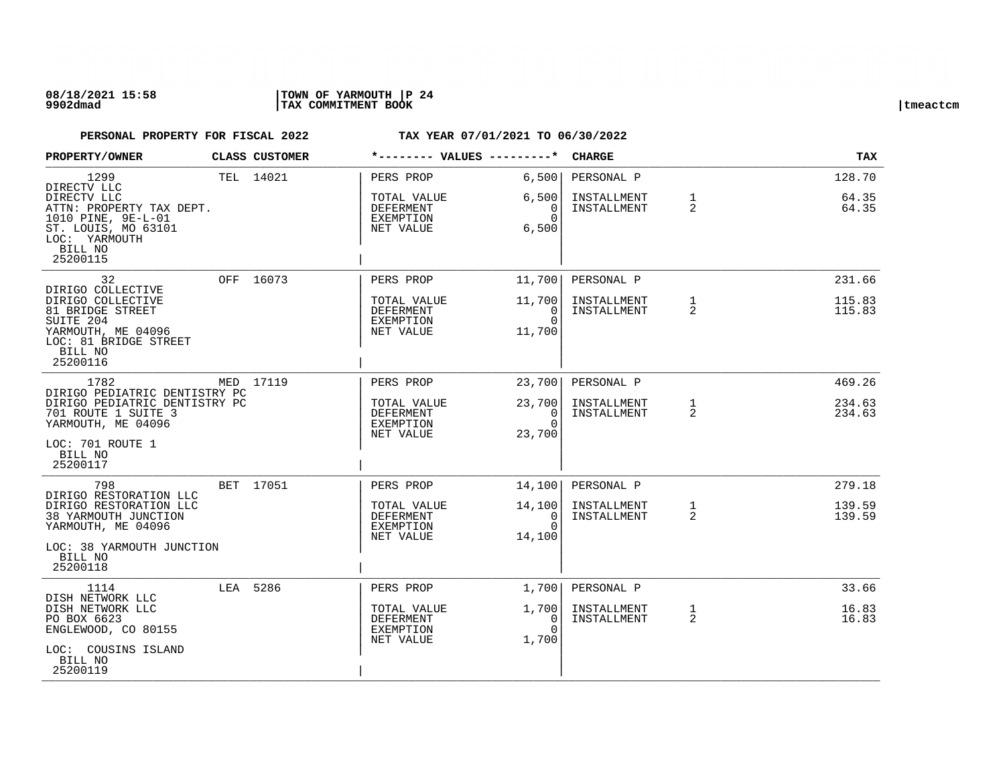### **08/18/2021 15:58 |TOWN OF YARMOUTH |P 24 9902dmad |TAX COMMITMENT BOOK |tmeactcm**

| PROPERTY/OWNER                                                                                                                                                 | CLASS CUSTOMER | *-------- VALUES ---------*                                            |                                             | <b>CHARGE</b>                            |                                | <b>TAX</b>                 |
|----------------------------------------------------------------------------------------------------------------------------------------------------------------|----------------|------------------------------------------------------------------------|---------------------------------------------|------------------------------------------|--------------------------------|----------------------------|
| 1299<br>DIRECTV LLC<br>DIRECTV LLC<br>ATTN: PROPERTY TAX DEPT.<br>1010 PINE, 9E-L-01<br>ST. LOUIS, MO 63101<br>LOC: YARMOUTH<br>BILL NO<br>25200115            | TEL 14021      | PERS PROP<br>TOTAL VALUE<br>DEFERMENT<br>EXEMPTION<br>NET VALUE        | 6,500<br>6,500<br>0<br>$\Omega$<br>6,500    | PERSONAL P<br>INSTALLMENT<br>INSTALLMENT | $\mathbf{1}$<br>$\overline{2}$ | 128.70<br>64.35<br>64.35   |
| 32<br>DIRIGO COLLECTIVE<br>DIRIGO COLLECTIVE<br>81 BRIDGE STREET<br>SUITE 204<br>YARMOUTH, ME 04096<br>LOC: 81 BRIDGE STREET<br>BILL NO<br>25200116            | OFF 16073      | PERS PROP<br>TOTAL VALUE<br>DEFERMENT<br>EXEMPTION<br>NET VALUE        | 11,700<br>11,700<br>0<br>$\Omega$<br>11,700 | PERSONAL P<br>INSTALLMENT<br>INSTALLMENT | $\mathbf{1}$<br>2              | 231.66<br>115.83<br>115.83 |
| 1782<br>DIRIGO PEDIATRIC DENTISTRY PC<br>DIRIGO PEDIATRIC DENTISTRY PC<br>701 ROUTE 1 SUITE 3<br>YARMOUTH, ME 04096<br>LOC: 701 ROUTE 1<br>BILL NO<br>25200117 | MED 17119      | PERS PROP<br>TOTAL VALUE<br><b>DEFERMENT</b><br>EXEMPTION<br>NET VALUE | 23,700<br>23,700<br>0<br>$\Omega$<br>23,700 | PERSONAL P<br>INSTALLMENT<br>INSTALLMENT | 1<br>2                         | 469.26<br>234.63<br>234.63 |
| 798<br>DIRIGO RESTORATION LLC<br>DIRIGO RESTORATION LLC<br>38 YARMOUTH JUNCTION<br>YARMOUTH, ME 04096<br>LOC: 38 YARMOUTH JUNCTION<br>BILL NO<br>25200118      | BET 17051      | PERS PROP<br>TOTAL VALUE<br><b>DEFERMENT</b><br>EXEMPTION<br>NET VALUE | 14,100<br>14,100<br>0<br>$\Omega$<br>14,100 | PERSONAL P<br>INSTALLMENT<br>INSTALLMENT | $\mathbf{1}$<br>2              | 279.18<br>139.59<br>139.59 |
| 1114<br>DISH NETWORK LLC<br>DISH NETWORK LLC<br>PO BOX 6623<br>ENGLEWOOD, CO 80155<br>LOC: COUSINS ISLAND<br>BILL NO<br>25200119                               | LEA 5286       | PERS PROP<br>TOTAL VALUE<br>DEFERMENT<br>EXEMPTION<br>NET VALUE        | 1,700<br>1,700<br>0<br>$\cap$<br>1,700      | PERSONAL P<br>INSTALLMENT<br>INSTALLMENT | $\mathbf{1}$<br>$\overline{2}$ | 33.66<br>16.83<br>16.83    |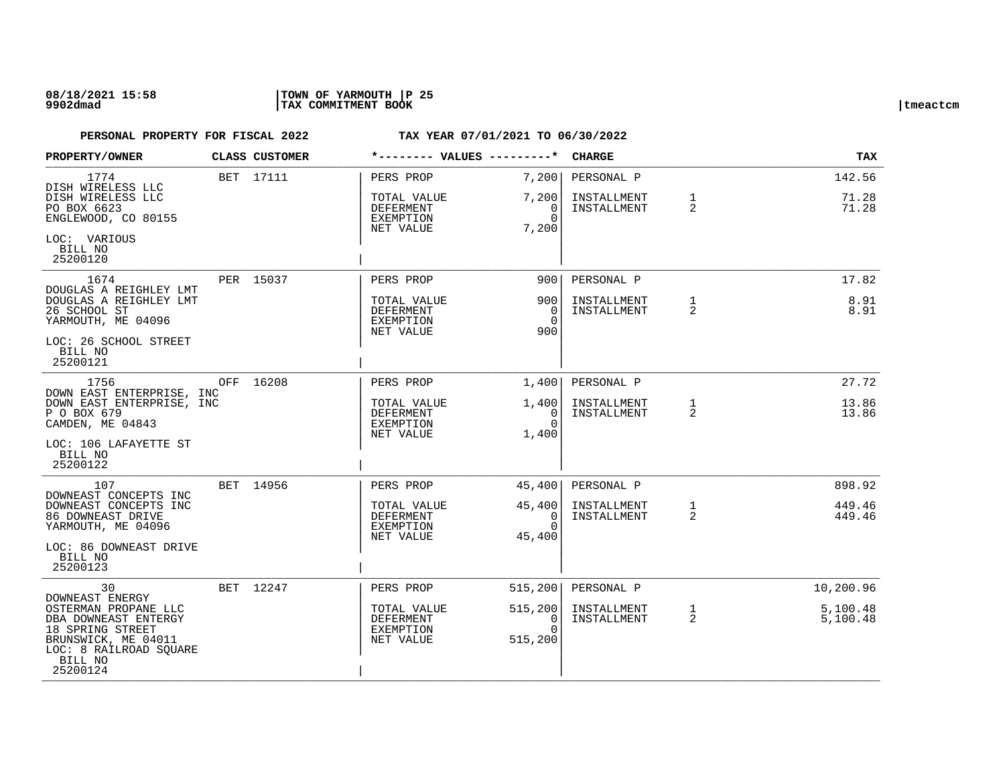### **08/18/2021 15:58 |TOWN OF YARMOUTH |P 25 9902dmad |TAX COMMITMENT BOOK |tmeactcm**

| PROPERTY/OWNER                                                                                                                                              | CLASS CUSTOMER | *-------- VALUES ---------*                        |                                               | <b>CHARGE</b>                            |                   | TAX                      |
|-------------------------------------------------------------------------------------------------------------------------------------------------------------|----------------|----------------------------------------------------|-----------------------------------------------|------------------------------------------|-------------------|--------------------------|
| 1774<br>DISH WIRELESS LLC<br>DISH WIRELESS LLC<br>PO BOX 6623                                                                                               | BET 17111      | PERS PROP<br>TOTAL VALUE<br>DEFERMENT              | 7,200<br>7,200<br>$\overline{0}$              | PERSONAL P<br>INSTALLMENT<br>INSTALLMENT | $\mathbf{1}$<br>2 | 142.56<br>71.28<br>71.28 |
| ENGLEWOOD, CO 80155<br>LOC: VARIOUS<br>BILL NO<br>25200120                                                                                                  |                | EXEMPTION<br>NET VALUE                             | $\Omega$<br>7,200                             |                                          |                   |                          |
| 1674                                                                                                                                                        | PER 15037      | PERS PROP                                          | 900                                           | PERSONAL P                               |                   | 17.82                    |
| DOUGLAS A REIGHLEY LMT<br>DOUGLAS A REIGHLEY LMT<br>26 SCHOOL ST<br>YARMOUTH, ME 04096                                                                      |                | TOTAL VALUE<br>DEFERMENT<br>EXEMPTION<br>NET VALUE | 900<br>$\Omega$<br>$\Omega$<br>900            | INSTALLMENT<br>INSTALLMENT               | $\mathbf{1}$<br>2 | 8.91<br>8.91             |
| LOC: 26 SCHOOL STREET<br>BILL NO<br>25200121                                                                                                                |                |                                                    |                                               |                                          |                   |                          |
| 1756                                                                                                                                                        | OFF 16208      | PERS PROP                                          | 1,400                                         | PERSONAL P                               |                   | 27.72                    |
| DOWN EAST ENTERPRISE, INC<br>DOWN EAST ENTERPRISE, INC<br>P O BOX 679<br>CAMDEN, ME 04843                                                                   |                | TOTAL VALUE<br>DEFERMENT<br>EXEMPTION<br>NET VALUE | 1,400 <br>$\overline{0}$<br>$\Omega$<br>1,400 | INSTALLMENT<br>INSTALLMENT               | 1<br>2            | 13.86<br>13.86           |
| LOC: 106 LAFAYETTE ST<br>BILL NO<br>25200122                                                                                                                |                |                                                    |                                               |                                          |                   |                          |
| 107                                                                                                                                                         | BET 14956      | PERS PROP                                          | 45,400                                        | PERSONAL P                               |                   | 898.92                   |
| DOWNEAST CONCEPTS INC<br>DOWNEAST CONCEPTS INC<br>86 DOWNEAST DRIVE<br>YARMOUTH, ME 04096                                                                   |                | TOTAL VALUE<br>DEFERMENT<br>EXEMPTION<br>NET VALUE | 45,400<br>0<br>$\Omega$<br>45,400             | INSTALLMENT<br>INSTALLMENT               | $\mathbf{1}$<br>2 | 449.46<br>449.46         |
| LOC: 86 DOWNEAST DRIVE<br>BILL NO<br>25200123                                                                                                               |                |                                                    |                                               |                                          |                   |                          |
| 30                                                                                                                                                          | BET 12247      | PERS PROP                                          | 515, 200                                      | PERSONAL P                               |                   | 10,200.96                |
| DOWNEAST ENERGY<br>OSTERMAN PROPANE LLC<br>DBA DOWNEAST ENTERGY<br>18 SPRING STREET<br>BRUNSWICK, ME 04011<br>LOC: 8 RAILROAD SQUARE<br>BILL NO<br>25200124 |                | TOTAL VALUE<br>DEFERMENT<br>EXEMPTION<br>NET VALUE | 515, 200<br>0<br>$\Omega$<br>515,200          | INSTALLMENT<br>INSTALLMENT               | $\mathbf{1}$<br>2 | 5,100.48<br>5,100.48     |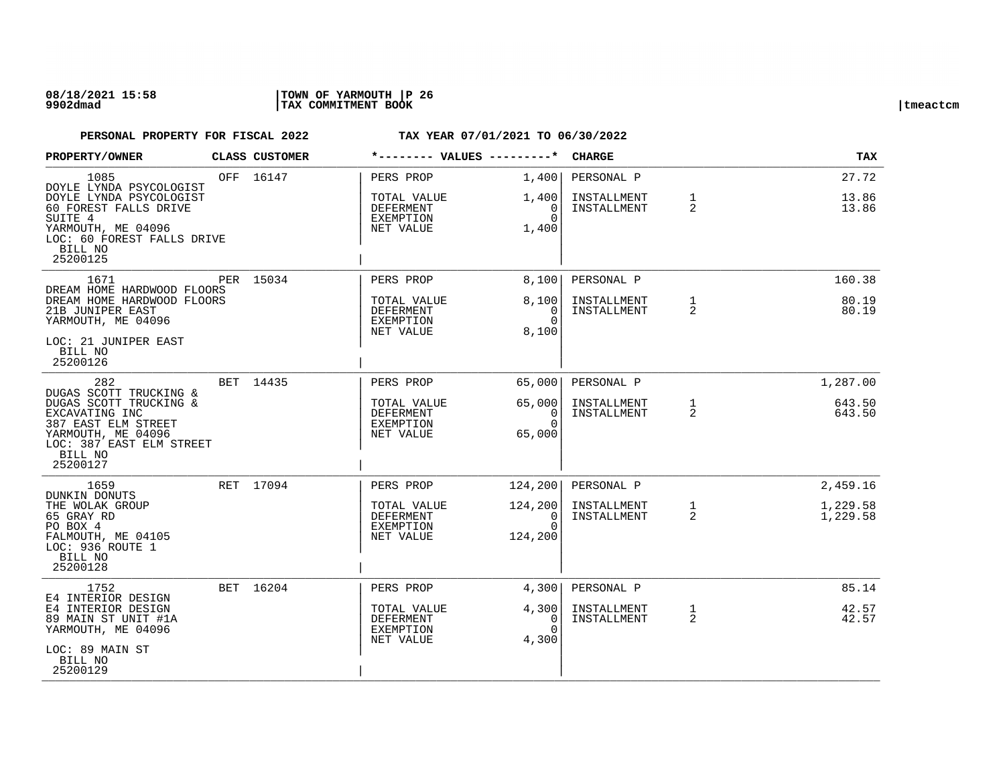| PROPERTY/OWNER                                                                                                                                                            | CLASS CUSTOMER | *-------- VALUES ---------*                                            |                                                          | <b>CHARGE</b>                            |                   | TAX                              |
|---------------------------------------------------------------------------------------------------------------------------------------------------------------------------|----------------|------------------------------------------------------------------------|----------------------------------------------------------|------------------------------------------|-------------------|----------------------------------|
| 1085<br>DOYLE LYNDA PSYCOLOGIST<br>DOYLE LYNDA PSYCOLOGIST<br>60 FOREST FALLS DRIVE<br>SUITE 4<br>YARMOUTH, ME 04096<br>LOC: 60 FOREST FALLS DRIVE<br>BILL NO<br>25200125 | OFF 16147      | PERS PROP<br>TOTAL VALUE<br>DEFERMENT<br><b>EXEMPTION</b><br>NET VALUE | 1,400 <br>1,400<br>$\Omega$<br>$\Omega$<br>1,400         | PERSONAL P<br>INSTALLMENT<br>INSTALLMENT | $\mathbf{1}$<br>2 | 27.72<br>13.86<br>13.86          |
| 1671<br>DREAM HOME HARDWOOD FLOORS<br>DREAM HOME HARDWOOD FLOORS<br>21B JUNIPER EAST<br>YARMOUTH, ME 04096<br>LOC: 21 JUNIPER EAST<br>BILL NO<br>25200126                 | PER 15034      | PERS PROP<br>TOTAL VALUE<br>DEFERMENT<br>EXEMPTION<br>NET VALUE        | 8,100<br>8,100<br>0<br>$\Omega$<br>8,100                 | PERSONAL P<br>INSTALLMENT<br>INSTALLMENT | $\mathbf{1}$<br>2 | 160.38<br>80.19<br>80.19         |
| 282<br>DUGAS SCOTT TRUCKING &<br>DUGAS SCOTT TRUCKING &<br>EXCAVATING INC<br>387 EAST ELM STREET<br>YARMOUTH, ME 04096<br>LOC: 387 EAST ELM STREET<br>BILL NO<br>25200127 | BET 14435      | PERS PROP<br>TOTAL VALUE<br>DEFERMENT<br><b>EXEMPTION</b><br>NET VALUE | 65,000<br>65,000<br>$\overline{0}$<br>$\Omega$<br>65,000 | PERSONAL P<br>INSTALLMENT<br>INSTALLMENT | $\mathbf{1}$<br>2 | 1,287.00<br>643.50<br>643.50     |
| 1659<br>DUNKIN DONUTS<br>THE WOLAK GROUP<br>65 GRAY RD<br>PO BOX 4<br>FALMOUTH, ME 04105<br>LOC: 936 ROUTE 1<br>BILL NO<br>25200128                                       | RET 17094      | PERS PROP<br>TOTAL VALUE<br>DEFERMENT<br><b>EXEMPTION</b><br>NET VALUE | 124, 200<br>124,200<br>0<br>$\Omega$<br>124,200          | PERSONAL P<br>INSTALLMENT<br>INSTALLMENT | $\mathbf{1}$<br>2 | 2,459.16<br>1,229.58<br>1,229.58 |
| 1752<br>E4 INTERIOR DESIGN<br>E4 INTERIOR DESIGN<br>89 MAIN ST UNIT #1A<br>YARMOUTH, ME 04096<br>LOC: 89 MAIN ST<br>BILL NO<br>25200129                                   | BET 16204      | PERS PROP<br>TOTAL VALUE<br>DEFERMENT<br><b>EXEMPTION</b><br>NET VALUE | 4,300<br>4,300<br>0<br>$\Omega$<br>4,300                 | PERSONAL P<br>INSTALLMENT<br>INSTALLMENT | $\mathbf{1}$<br>2 | 85.14<br>42.57<br>42.57          |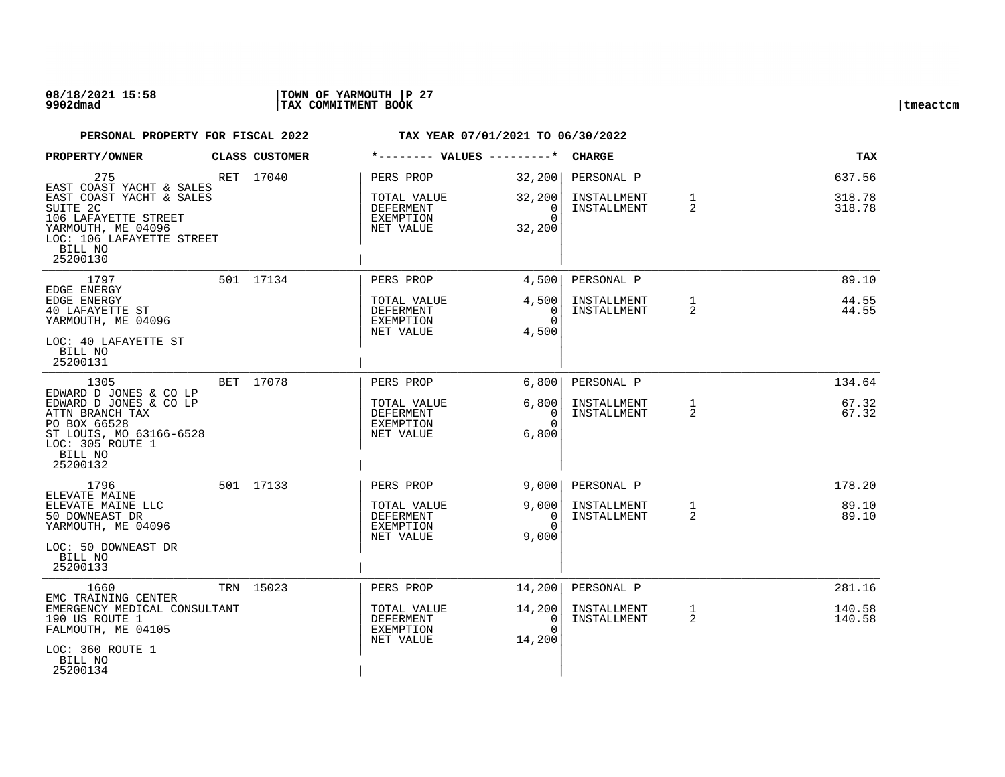### **08/18/2021 15:58 |TOWN OF YARMOUTH |P 27 9902dmad |TAX COMMITMENT BOOK |tmeactcm**

| PROPERTY/OWNER                                                                                                                                            | <b>CLASS CUSTOMER</b> | *-------- VALUES ---------*                        |                                              | <b>CHARGE</b>              |                   | <b>TAX</b>       |
|-----------------------------------------------------------------------------------------------------------------------------------------------------------|-----------------------|----------------------------------------------------|----------------------------------------------|----------------------------|-------------------|------------------|
| 275<br>EAST COAST YACHT & SALES                                                                                                                           | RET 17040             | PERS PROP                                          | 32,200                                       | PERSONAL P                 |                   | 637.56           |
| EAST COAST YACHT & SALES<br>SUITE 2C<br>106 LAFAYETTE STREET<br>YARMOUTH, ME 04096<br>LOC: 106 LAFAYETTE STREET<br>BILL NO<br>25200130                    |                       | TOTAL VALUE<br>DEFERMENT<br>EXEMPTION<br>NET VALUE | 32,200<br>0<br>$\Omega$<br>32,200            | INSTALLMENT<br>INSTALLMENT | $\mathbf{1}$<br>2 | 318.78<br>318.78 |
| 1797<br>EDGE ENERGY                                                                                                                                       | 501 17134             | PERS PROP                                          | 4,500                                        | PERSONAL P                 |                   | 89.10            |
| EDGE ENERGY<br>40 LAFAYETTE ST<br>YARMOUTH, ME 04096<br>LOC: 40 LAFAYETTE ST                                                                              |                       | TOTAL VALUE<br>DEFERMENT<br>EXEMPTION<br>NET VALUE | 4,500<br>$\Omega$<br>$\Omega$<br>4,500       | INSTALLMENT<br>INSTALLMENT | $\mathbf{1}$<br>2 | 44.55<br>44.55   |
| BILL NO<br>25200131                                                                                                                                       |                       |                                                    |                                              |                            |                   |                  |
| 1305                                                                                                                                                      | BET 17078             | PERS PROP                                          | 6,800                                        | PERSONAL P                 |                   | 134.64           |
| EDWARD D JONES & CO LP<br>EDWARD D JONES & CO LP<br>ATTN BRANCH TAX<br>PO BOX 66528<br>ST LOUIS, MO 63166-6528<br>LOC: 305 ROUTE 1<br>BILL NO<br>25200132 |                       | TOTAL VALUE<br>DEFERMENT<br>EXEMPTION<br>NET VALUE | 6,800<br>$\overline{0}$<br>$\Omega$<br>6,800 | INSTALLMENT<br>INSTALLMENT | $\mathbf{1}$<br>2 | 67.32<br>67.32   |
| 1796                                                                                                                                                      | 501 17133             | PERS PROP                                          | 9,0001                                       | PERSONAL P                 |                   | 178.20           |
| ELEVATE MAINE<br>ELEVATE MAINE LLC<br>50 DOWNEAST DR<br>YARMOUTH, ME 04096<br>LOC: 50 DOWNEAST DR<br>BILL NO<br>25200133                                  |                       | TOTAL VALUE<br>DEFERMENT<br>EXEMPTION<br>NET VALUE | 9,000<br>$\Omega$<br>$\Omega$<br>9,000       | INSTALLMENT<br>INSTALLMENT | $\mathbf{1}$<br>2 | 89.10<br>89.10   |
| 1660                                                                                                                                                      | TRN 15023             | PERS PROP                                          | 14,200                                       | PERSONAL P                 |                   | 281.16           |
| EMC TRAINING CENTER<br>EMERGENCY MEDICAL CONSULTANT<br>190 US ROUTE 1<br>FALMOUTH, ME 04105                                                               |                       | TOTAL VALUE<br>DEFERMENT<br>EXEMPTION<br>NET VALUE | 14,200<br>0<br>$\Omega$<br>14,200            | INSTALLMENT<br>INSTALLMENT | $\mathbf{1}$<br>2 | 140.58<br>140.58 |
| LOC: 360 ROUTE 1<br>BILL NO<br>25200134                                                                                                                   |                       |                                                    |                                              |                            |                   |                  |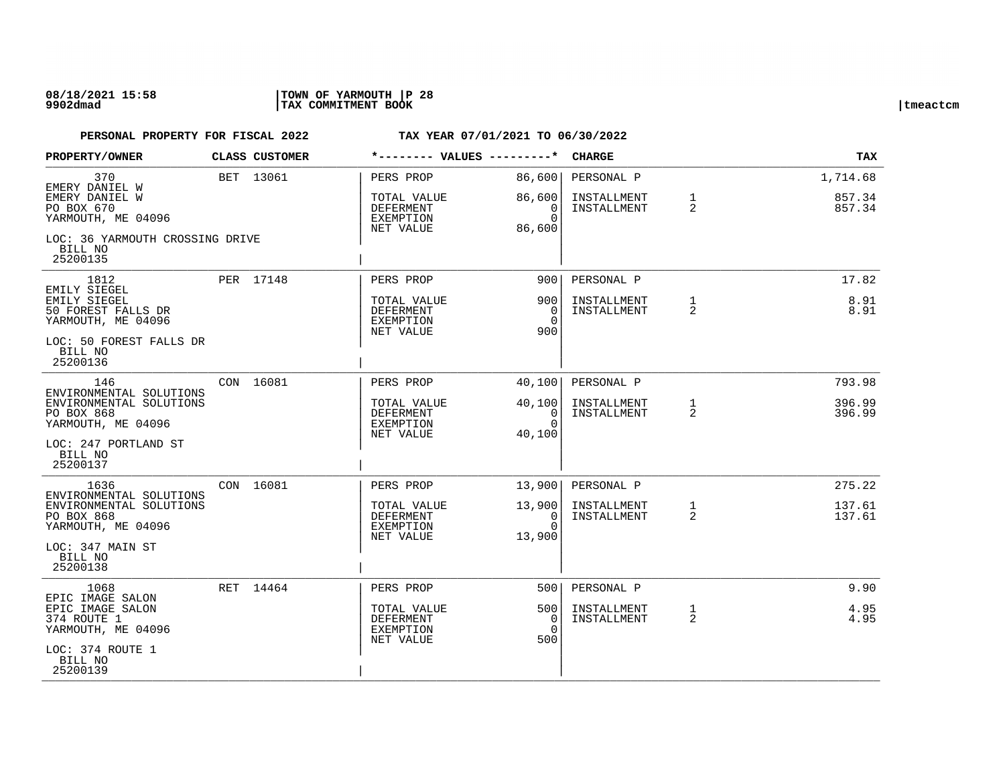### **08/18/2021 15:58 |TOWN OF YARMOUTH |P 28 9902dmad |TAX COMMITMENT BOOK |tmeactcm**

| PROPERTY/OWNER                                                                         | CLASS CUSTOMER | *-------- VALUES ---------*                                      |                                      | <b>CHARGE</b>              |                   | <b>TAX</b>       |
|----------------------------------------------------------------------------------------|----------------|------------------------------------------------------------------|--------------------------------------|----------------------------|-------------------|------------------|
| 370<br>EMERY DANIEL W                                                                  | BET 13061      | PERS PROP                                                        | 86,600                               | PERSONAL P                 |                   | 1,714.68         |
| EMERY DANIEL W<br>PO BOX 670<br>YARMOUTH, ME 04096                                     |                | TOTAL VALUE<br>DEFERMENT<br>EXEMPTION<br>NET VALUE               | 86,600<br>0<br>$\Omega$<br>86,600    | INSTALLMENT<br>INSTALLMENT | $\mathbf{1}$<br>2 | 857.34<br>857.34 |
| LOC: 36 YARMOUTH CROSSING DRIVE<br>BILL NO<br>25200135                                 |                |                                                                  |                                      |                            |                   |                  |
| 1812<br>EMILY SIEGEL                                                                   | PER 17148      | PERS PROP                                                        | 900                                  | PERSONAL P                 |                   | 17.82            |
| EMILY SIEGEL<br>50 FOREST FALLS DR<br>YARMOUTH, ME 04096                               |                | TOTAL VALUE<br><b>DEFERMENT</b><br>EXEMPTION<br>NET VALUE        | 900<br>$\Omega$<br>$\Omega$<br>900   | INSTALLMENT<br>INSTALLMENT | $\mathbf{1}$<br>2 | 8.91<br>8.91     |
| LOC: 50 FOREST FALLS DR<br>BILL NO<br>25200136                                         |                |                                                                  |                                      |                            |                   |                  |
| 146<br>ENVIRONMENTAL SOLUTIONS                                                         | CON 16081      | PERS PROP                                                        | 40,100                               | PERSONAL P                 |                   | 793.98           |
| ENVIRONMENTAL SOLUTIONS<br>PO BOX 868<br>YARMOUTH, ME 04096                            |                | TOTAL VALUE<br><b>DEFERMENT</b><br>EXEMPTION                     | 40,100<br>$\overline{0}$<br>$\Omega$ | INSTALLMENT<br>INSTALLMENT | $\mathbf{1}$<br>2 | 396.99<br>396.99 |
| LOC: 247 PORTLAND ST<br>BILL NO<br>25200137                                            |                | NET VALUE                                                        | 40,100                               |                            |                   |                  |
| 1636                                                                                   | CON 16081      | PERS PROP                                                        | 13,900                               | PERSONAL P                 |                   | 275.22           |
| ENVIRONMENTAL SOLUTIONS<br>ENVIRONMENTAL SOLUTIONS<br>PO BOX 868<br>YARMOUTH, ME 04096 |                | TOTAL VALUE<br>DEFERMENT<br>EXEMPTION<br>NET VALUE               | 13,900<br>0<br>$\Omega$<br>13,900    | INSTALLMENT<br>INSTALLMENT | $\mathbf{1}$<br>2 | 137.61<br>137.61 |
| LOC: 347 MAIN ST<br>BILL NO<br>25200138                                                |                |                                                                  |                                      |                            |                   |                  |
| 1068<br>EPIC IMAGE SALON                                                               | RET 14464      | PERS PROP                                                        | 5001                                 | PERSONAL P                 |                   | 9.90             |
| EPIC IMAGE SALON<br>374 ROUTE 1<br>YARMOUTH, ME 04096                                  |                | TOTAL VALUE<br><b>DEFERMENT</b><br><b>EXEMPTION</b><br>NET VALUE | 500 l<br>0<br>$\Omega$<br>500        | INSTALLMENT<br>INSTALLMENT | 1<br>2            | 4.95<br>4.95     |
| LOC: 374 ROUTE 1<br>BILL NO<br>25200139                                                |                |                                                                  |                                      |                            |                   |                  |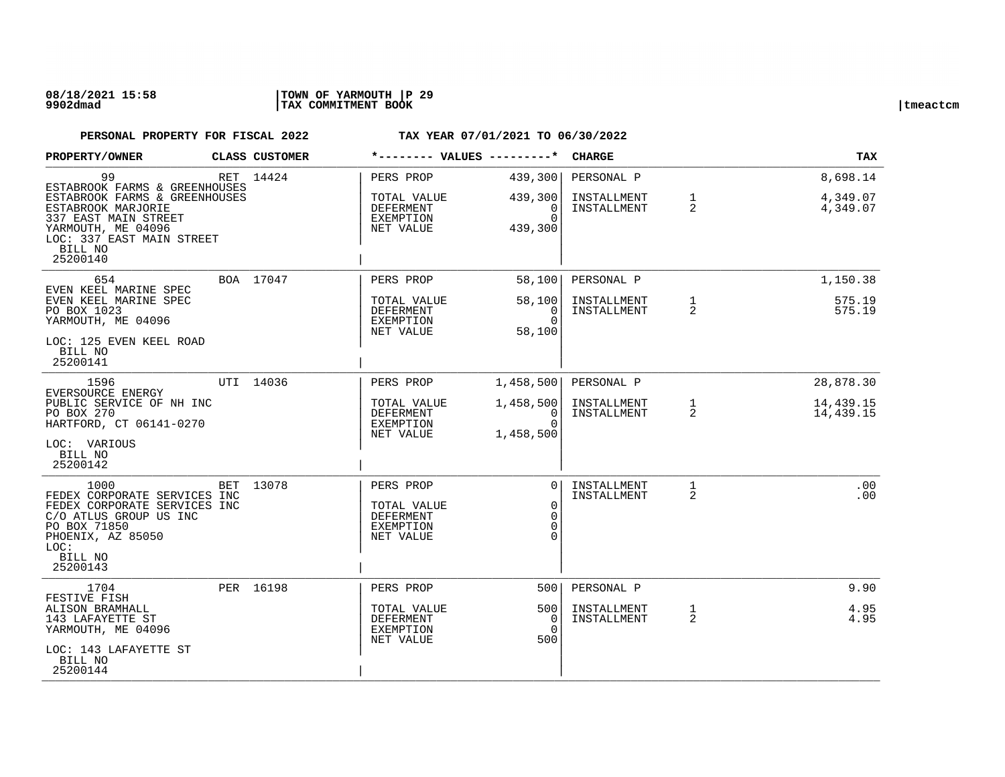| <b>PROPERTY/OWNER</b>                                                                                                                    | CLASS CUSTOMER | *-------- VALUES ---------*                                     |                                                | <b>CHARGE</b>                            |                                | <b>TAX</b>                       |
|------------------------------------------------------------------------------------------------------------------------------------------|----------------|-----------------------------------------------------------------|------------------------------------------------|------------------------------------------|--------------------------------|----------------------------------|
| 99<br>ESTABROOK FARMS & GREENHOUSES<br>ESTABROOK FARMS & GREENHOUSES<br>ESTABROOK MARJORIE<br>337 EAST MAIN STREET<br>YARMOUTH, ME 04096 | RET 14424      | PERS PROP<br>TOTAL VALUE<br>DEFERMENT<br>EXEMPTION<br>NET VALUE | 439,300<br>439,300<br>0<br>$\Omega$<br>439,300 | PERSONAL P<br>INSTALLMENT<br>INSTALLMENT | $\mathbf{1}$<br>2              | 8,698.14<br>4,349.07<br>4,349.07 |
| LOC: 337 EAST MAIN STREET<br>BILL NO<br>25200140                                                                                         |                |                                                                 |                                                |                                          |                                |                                  |
| 654<br>EVEN KEEL MARINE SPEC                                                                                                             | BOA 17047      | PERS PROP                                                       | 58,100                                         | PERSONAL P                               |                                | 1,150.38                         |
| EVEN KEEL MARINE SPEC<br>PO BOX 1023<br>YARMOUTH, ME 04096<br>LOC: 125 EVEN KEEL ROAD                                                    |                | TOTAL VALUE<br><b>DEFERMENT</b><br>EXEMPTION<br>NET VALUE       | 58,100<br>$\Omega$<br>$\Omega$<br>58,100       | INSTALLMENT<br>INSTALLMENT               | $\mathbf{1}$<br>$\overline{a}$ | 575.19<br>575.19                 |
| BILL NO<br>25200141                                                                                                                      |                |                                                                 |                                                |                                          |                                |                                  |
| 1596<br>EVERSOURCE ENERGY                                                                                                                | UTI 14036      | PERS PROP                                                       | 1,458,500                                      | PERSONAL P                               |                                | 28,878.30                        |
| PUBLIC SERVICE OF NH INC<br>PO BOX 270<br>HARTFORD, CT 06141-0270                                                                        |                | TOTAL VALUE<br>DEFERMENT<br>EXEMPTION<br>NET VALUE              | 1,458,500<br>0<br>$\Omega$<br>1,458,500        | INSTALLMENT<br>INSTALLMENT               | $\mathbf{1}$<br>2              | 14,439.15<br>14,439.15           |
| LOC: VARIOUS<br>BILL NO<br>25200142                                                                                                      |                |                                                                 |                                                |                                          |                                |                                  |
| 1000<br>FEDEX CORPORATE SERVICES INC<br>FEDEX CORPORATE SERVICES INC                                                                     | BET 13078      | PERS PROP<br>TOTAL VALUE                                        | $\Omega$<br>$\overline{0}$                     | INSTALLMENT<br>INSTALLMENT               | $\mathbf{1}$<br>2              | .00<br>.00                       |
| C/O ATLUS GROUP US INC<br>PO BOX 71850<br>PHOENIX, AZ 85050<br>LOC:                                                                      |                | DEFERMENT<br><b>EXEMPTION</b><br>NET VALUE                      | $\Omega$<br>$\Omega$                           |                                          |                                |                                  |
| BILL NO<br>25200143                                                                                                                      |                |                                                                 |                                                |                                          |                                |                                  |
| 1704<br>FESTIVE FISH                                                                                                                     | PER 16198      | PERS PROP                                                       | 500                                            | PERSONAL P                               |                                | 9.90                             |
| ALISON BRAMHALL<br>143 LAFAYETTE ST<br>YARMOUTH, ME 04096                                                                                |                | TOTAL VALUE<br><b>DEFERMENT</b><br>EXEMPTION<br>NET VALUE       | 500<br>$\Omega$<br>$\Omega$<br>500             | INSTALLMENT<br>INSTALLMENT               | $\mathbf{1}$<br>$\overline{2}$ | 4.95<br>4.95                     |
| LOC: 143 LAFAYETTE ST<br>BILL NO<br>25200144                                                                                             |                |                                                                 |                                                |                                          |                                |                                  |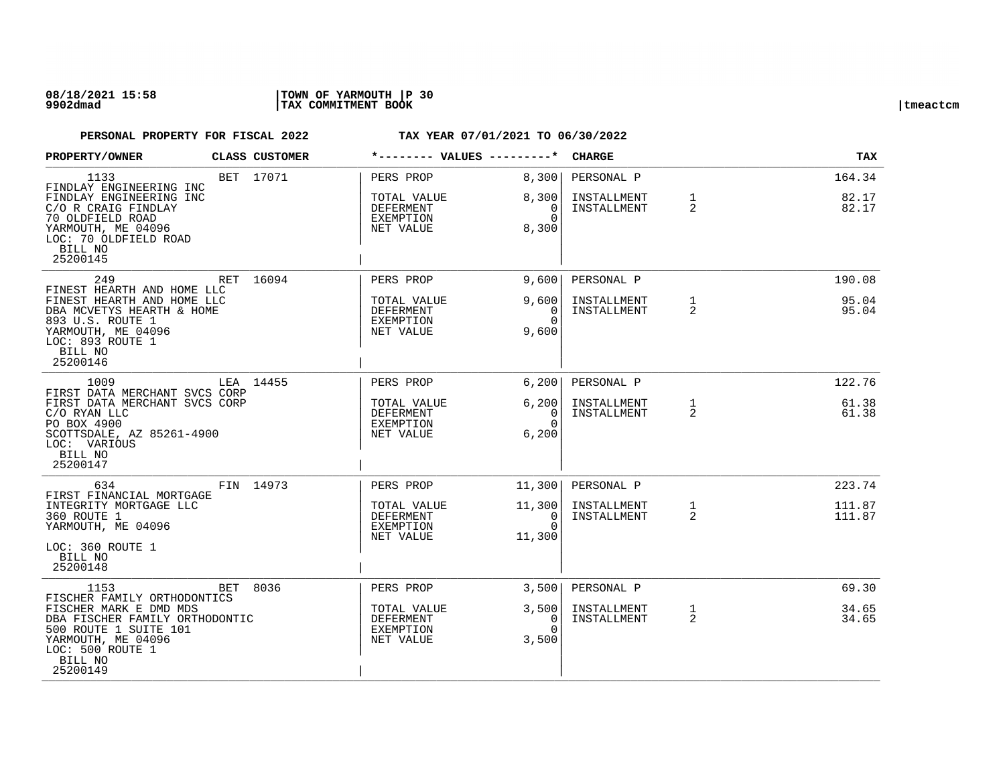### **08/18/2021 15:58 |TOWN OF YARMOUTH |P 30 9902dmad |TAX COMMITMENT BOOK |tmeactcm**

| PROPERTY/OWNER                                                                                                                               | CLASS CUSTOMER | *-------- VALUES ---------*                               |                                   | <b>CHARGE</b>              |                   | TAX              |
|----------------------------------------------------------------------------------------------------------------------------------------------|----------------|-----------------------------------------------------------|-----------------------------------|----------------------------|-------------------|------------------|
| 1133<br>FINDLAY ENGINEERING INC                                                                                                              | BET 17071      | PERS PROP                                                 | 8,300                             | PERSONAL P                 |                   | 164.34           |
| FINDLAY ENGINEERING INC<br>C/O R CRAIG FINDLAY                                                                                               |                | TOTAL VALUE<br>DEFERMENT                                  | 8,300<br>0                        | INSTALLMENT<br>INSTALLMENT | $\mathbf{1}$<br>2 | 82.17<br>82.17   |
| 70 OLDFIELD ROAD<br>YARMOUTH, ME 04096<br>LOC: 70 OLDFIELD ROAD<br>BILL NO<br>25200145                                                       |                | EXEMPTION<br>NET VALUE                                    | $\Omega$<br>8,300                 |                            |                   |                  |
| 249<br>FINEST HEARTH AND HOME LLC                                                                                                            | RET 16094      | PERS PROP                                                 | 9.600                             | PERSONAL P                 |                   | 190.08           |
| FINEST HEARTH AND HOME LLC<br>DBA MCVETYS HEARTH & HOME<br>893 U.S. ROUTE 1<br>YARMOUTH, ME 04096<br>LOC: 893 ROUTE 1<br>BILL NO<br>25200146 |                | TOTAL VALUE<br>DEFERMENT<br><b>EXEMPTION</b><br>NET VALUE | 9,600<br>0<br>$\Omega$<br>9,600   | INSTALLMENT<br>INSTALLMENT | $\mathbf{1}$<br>2 | 95.04<br>95.04   |
| 1009<br>FIRST DATA MERCHANT SVCS CORP                                                                                                        | LEA 14455      | PERS PROP                                                 | 6,200                             | PERSONAL P                 |                   | 122.76           |
| FIRST DATA MERCHANT SVCS CORP<br>C/O RYAN LLC<br>PO BOX 4900<br>SCOTTSDALE, AZ 85261-4900<br>LOC: VARIOUS<br>BILL NO<br>25200147             |                | TOTAL VALUE<br><b>DEFERMENT</b><br>EXEMPTION<br>NET VALUE | 6,200<br>0<br>$\Omega$<br>6,200   | INSTALLMENT<br>INSTALLMENT | 1<br>2            | 61.38<br>61.38   |
| 634<br>FIRST FINANCIAL MORTGAGE                                                                                                              | FIN 14973      | PERS PROP                                                 | 11,300                            | PERSONAL P                 |                   | 223.74           |
| INTEGRITY MORTGAGE LLC<br>360 ROUTE 1<br>YARMOUTH, ME 04096<br>LOC: 360 ROUTE 1<br>BILL NO<br>25200148                                       |                | TOTAL VALUE<br>DEFERMENT<br>EXEMPTION<br>NET VALUE        | 11,300<br>0<br>$\Omega$<br>11,300 | INSTALLMENT<br>INSTALLMENT | $\mathbf{1}$<br>2 | 111.87<br>111.87 |
| 1153<br>BET                                                                                                                                  | 8036           | PERS PROP                                                 | 3,500                             | PERSONAL P                 |                   | 69.30            |
| FISCHER FAMILY ORTHODONTICS<br>FISCHER MARK E DMD MDS                                                                                        |                | TOTAL VALUE                                               | 3,500                             | INSTALLMENT                | $\mathbf{1}$      | 34.65            |
| DBA FISCHER FAMILY ORTHODONTIC<br>500 ROUTE 1 SUITE 101<br>YARMOUTH, ME 04096<br>LOC: 500 ROUTE 1<br>BILL NO<br>25200149                     |                | <b>DEFERMENT</b><br>EXEMPTION<br>NET VALUE                | 0<br>$\Omega$<br>3,500            | INSTALLMENT                | $\overline{2}$    | 34.65            |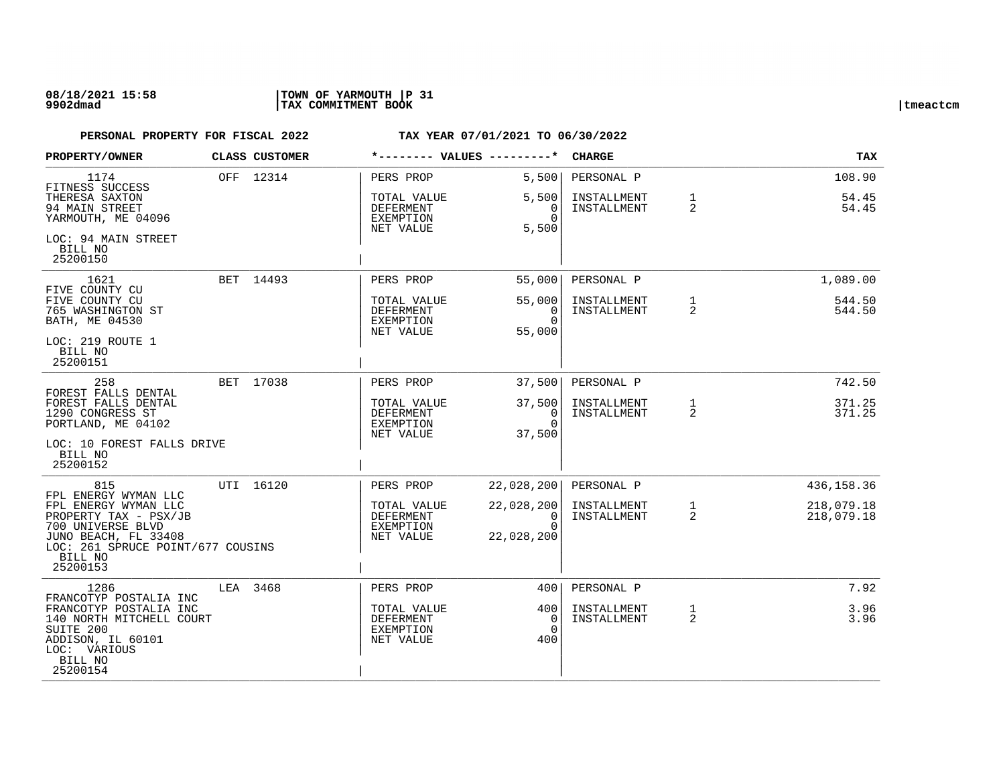| PROPERTY/OWNER                                                                                                                                                                        | CLASS CUSTOMER | *-------- VALUES ---------*                                            |                                                         | <b>CHARGE</b>                            |                     | <b>TAX</b>                             |
|---------------------------------------------------------------------------------------------------------------------------------------------------------------------------------------|----------------|------------------------------------------------------------------------|---------------------------------------------------------|------------------------------------------|---------------------|----------------------------------------|
| 1174<br>FITNESS SUCCESS<br>THERESA SAXTON<br>94 MAIN STREET<br>YARMOUTH, ME 04096<br>LOC: 94 MAIN STREET<br>BILL NO<br>25200150                                                       | OFF 12314      | PERS PROP<br>TOTAL VALUE<br><b>DEFERMENT</b><br>EXEMPTION<br>NET VALUE | 5,500<br>5,500<br>0<br>$\cap$<br>5,500                  | PERSONAL P<br>INSTALLMENT<br>INSTALLMENT | $\mathbf{1}$<br>2   | 108.90<br>54.45<br>54.45               |
| 1621<br>FIVE COUNTY CU<br>FIVE COUNTY CU<br>765 WASHINGTON ST<br>BATH, ME 04530<br>LOC: 219 ROUTE 1<br>BILL NO<br>25200151                                                            | BET 14493      | PERS PROP<br>TOTAL VALUE<br><b>DEFERMENT</b><br>EXEMPTION<br>NET VALUE | 55,000<br>55,000<br>$\Omega$<br>$\Omega$<br>55,000      | PERSONAL P<br>INSTALLMENT<br>INSTALLMENT | $\mathbf{1}$<br>2   | 1,089.00<br>544.50<br>544.50           |
| 258<br>FOREST FALLS DENTAL<br>FOREST FALLS DENTAL<br>1290 CONGRESS ST<br>PORTLAND, ME 04102<br>LOC: 10 FOREST FALLS DRIVE<br>BILL NO<br>25200152                                      | BET 17038      | PERS PROP<br>TOTAL VALUE<br><b>DEFERMENT</b><br>EXEMPTION<br>NET VALUE | 37,500<br>37,500<br>0<br>$\Omega$<br>37,500             | PERSONAL P<br>INSTALLMENT<br>INSTALLMENT | 1<br>2              | 742.50<br>371.25<br>371.25             |
| 815<br>FPL ENERGY WYMAN LLC<br>FPL ENERGY WYMAN LLC<br>PROPERTY TAX - PSX/JB<br>700 UNIVERSE BLVD<br>JUNO BEACH, FL 33408<br>LOC: 261 SPRUCE POINT/677 COUSINS<br>BILL NO<br>25200153 | UTI 16120      | PERS PROP<br>TOTAL VALUE<br><b>DEFERMENT</b><br>EXEMPTION<br>NET VALUE | 22,028,200<br>22,028,200<br>0<br>$\Omega$<br>22,028,200 | PERSONAL P<br>INSTALLMENT<br>INSTALLMENT | 1<br>$\overline{2}$ | 436,158.36<br>218,079.18<br>218,079.18 |
| 1286<br>FRANCOTYP POSTALIA INC<br>FRANCOTYP POSTALIA INC<br>140 NORTH MITCHELL COURT<br>SUITE 200<br>ADDISON, IL 60101<br>LOC: VARIOUS<br>BILL NO<br>25200154                         | LEA 3468       | PERS PROP<br>TOTAL VALUE<br>DEFERMENT<br><b>EXEMPTION</b><br>NET VALUE | 400<br>400<br>0<br>$\Omega$<br>400                      | PERSONAL P<br>INSTALLMENT<br>INSTALLMENT | $\mathbf 1$<br>2    | 7.92<br>3.96<br>3.96                   |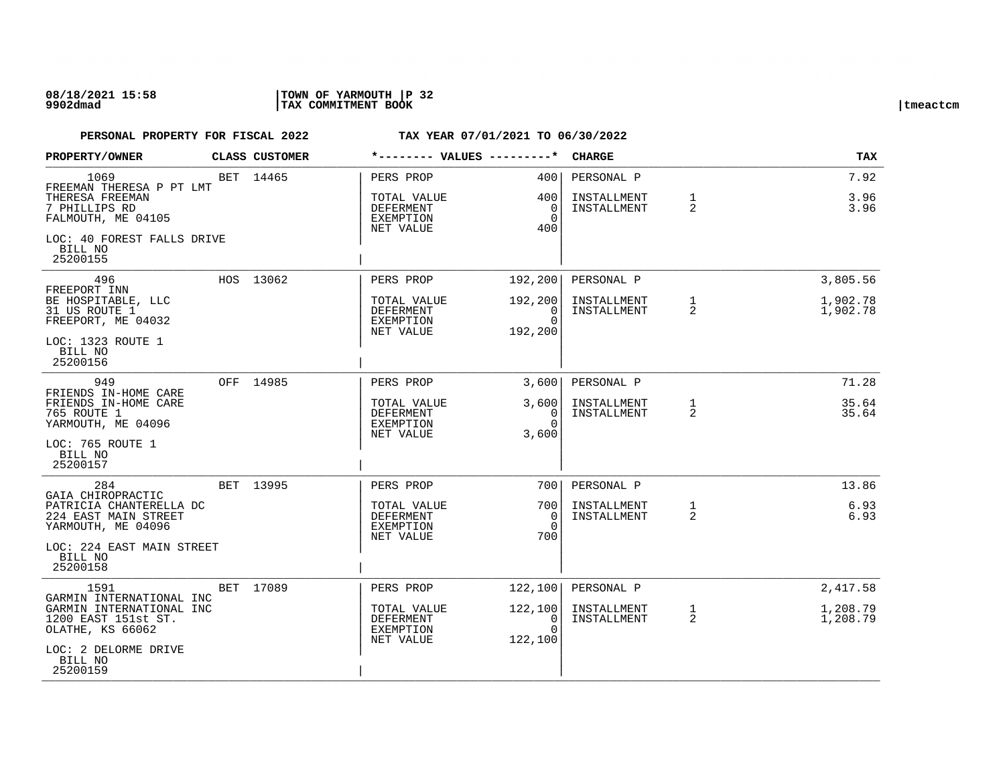| PROPERTY/OWNER                                                        | CLASS CUSTOMER | *-------- VALUES ---------*                               |                                     | <b>CHARGE</b>              |                   | TAX                  |
|-----------------------------------------------------------------------|----------------|-----------------------------------------------------------|-------------------------------------|----------------------------|-------------------|----------------------|
| 1069<br>FREEMAN THERESA P PT LMT<br>THERESA FREEMAN                   | BET 14465      | PERS PROP<br>TOTAL VALUE                                  | 400<br>400                          | PERSONAL P<br>INSTALLMENT  | $\mathbf{1}$      | 7.92<br>3.96         |
| 7 PHILLIPS RD<br>FALMOUTH, ME 04105                                   |                | DEFERMENT<br>EXEMPTION<br>NET VALUE                       | $\mathbf 0$<br>$\Omega$<br>400      | INSTALLMENT                | 2                 | 3.96                 |
| LOC: 40 FOREST FALLS DRIVE<br>BILL NO<br>25200155                     |                |                                                           |                                     |                            |                   |                      |
| 496<br>FREEPORT INN                                                   | HOS 13062      | PERS PROP                                                 | 192,200                             | PERSONAL P                 |                   | 3,805.56             |
| BE HOSPITABLE, LLC<br>31 US ROUTE 1<br>FREEPORT, ME 04032             |                | TOTAL VALUE<br>DEFERMENT<br>EXEMPTION<br>NET VALUE        | 192,200<br>0<br>$\Omega$<br>192,200 | INSTALLMENT<br>INSTALLMENT | $\mathbf{1}$<br>2 | 1,902.78<br>1,902.78 |
| LOC: 1323 ROUTE 1<br>BILL NO<br>25200156                              |                |                                                           |                                     |                            |                   |                      |
| 949<br>FRIENDS IN-HOME CARE                                           | OFF 14985      | PERS PROP                                                 | 3,600                               | PERSONAL P                 |                   | 71.28                |
| FRIENDS IN-HOME CARE<br>765 ROUTE 1<br>YARMOUTH, ME 04096             |                | TOTAL VALUE<br>DEFERMENT<br>EXEMPTION<br>NET VALUE        | 3,600<br>0<br>$\Omega$<br>3,600     | INSTALLMENT<br>INSTALLMENT | 1<br>2            | 35.64<br>35.64       |
| LOC: 765 ROUTE 1<br>BILL NO<br>25200157                               |                |                                                           |                                     |                            |                   |                      |
| 284<br>GAIA CHIROPRACTIC                                              | BET 13995      | PERS PROP                                                 | 7001                                | PERSONAL P                 |                   | 13.86                |
| PATRICIA CHANTERELLA DC<br>224 EAST MAIN STREET<br>YARMOUTH, ME 04096 |                | TOTAL VALUE<br>DEFERMENT<br><b>EXEMPTION</b><br>NET VALUE | 700<br>$\Omega$<br>$\Omega$<br>700  | INSTALLMENT<br>INSTALLMENT | $\mathbf{1}$<br>2 | 6.93<br>6.93         |
| LOC: 224 EAST MAIN STREET<br>BILL NO<br>25200158                      |                |                                                           |                                     |                            |                   |                      |
| 1591<br>GARMIN INTERNATIONAL INC                                      | BET 17089      | PERS PROP                                                 | 122,100                             | PERSONAL P                 |                   | 2,417.58             |
| GARMIN INTERNATIONAL INC<br>1200 EAST 151st ST.<br>OLATHE, KS 66062   |                | TOTAL VALUE<br>DEFERMENT<br>EXEMPTION<br>NET VALUE        | 122,100<br>0<br>$\Omega$<br>122,100 | INSTALLMENT<br>INSTALLMENT | $\mathbf{1}$<br>2 | 1,208.79<br>1,208.79 |
| LOC: 2 DELORME DRIVE<br>BILL NO<br>25200159                           |                |                                                           |                                     |                            |                   |                      |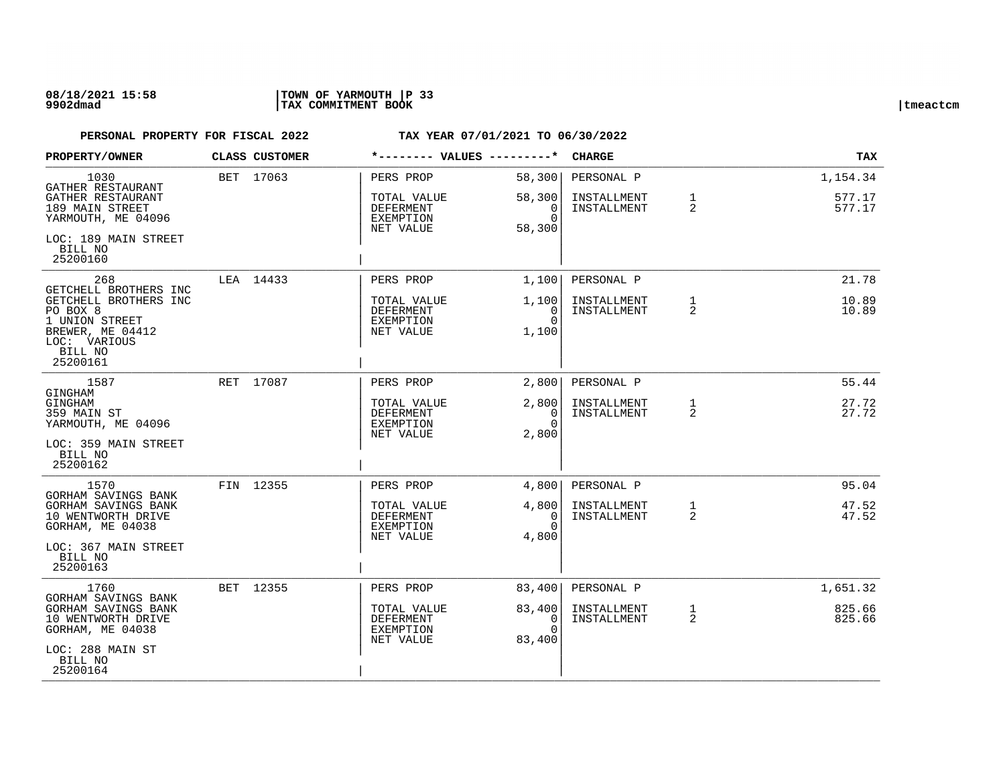### **08/18/2021 15:58 |TOWN OF YARMOUTH |P 33 9902dmad |TAX COMMITMENT BOOK |tmeactcm**

| <b>PROPERTY/OWNER</b>                                                                                          | CLASS CUSTOMER | *-------- VALUES ---------*                               |                                          | <b>CHARGE</b>                            |                                | <b>TAX</b>                   |
|----------------------------------------------------------------------------------------------------------------|----------------|-----------------------------------------------------------|------------------------------------------|------------------------------------------|--------------------------------|------------------------------|
| 1030<br>GATHER RESTAURANT<br>GATHER RESTAURANT<br>189 MAIN STREET                                              | BET 17063      | PERS PROP<br>TOTAL VALUE<br>DEFERMENT                     | 58,300<br>58,300<br>0                    | PERSONAL P<br>INSTALLMENT<br>INSTALLMENT | $\mathbf{1}$<br>2              | 1,154.34<br>577.17<br>577.17 |
| YARMOUTH, ME 04096<br>LOC: 189 MAIN STREET                                                                     |                | EXEMPTION<br>NET VALUE                                    | $\Omega$<br>58,300                       |                                          |                                |                              |
| BILL NO<br>25200160                                                                                            |                |                                                           |                                          |                                          |                                |                              |
| 268<br>GETCHELL BROTHERS INC                                                                                   | LEA 14433      | PERS PROP                                                 | 1,100                                    | PERSONAL P                               |                                | 21.78                        |
| GETCHELL BROTHERS INC<br>PO BOX 8<br>1 UNION STREET<br>BREWER, ME 04412<br>LOC: VARIOUS<br>BILL NO<br>25200161 |                | TOTAL VALUE<br>DEFERMENT<br>EXEMPTION<br>NET VALUE        | 1,100<br>0<br>$\Omega$<br>1,100          | INSTALLMENT<br>INSTALLMENT               | $\mathbf{1}$<br>2              | 10.89<br>10.89               |
| 1587<br>GINGHAM                                                                                                | RET 17087      | PERS PROP                                                 | 2,800                                    | PERSONAL P                               |                                | 55.44                        |
| GINGHAM<br>359 MAIN ST<br>YARMOUTH, ME 04096                                                                   |                | TOTAL VALUE<br><b>DEFERMENT</b><br>EXEMPTION<br>NET VALUE | 2,800<br>0<br>$\Omega$<br>2,800          | INSTALLMENT<br>INSTALLMENT               | 1<br>2                         | 27.72<br>27.72               |
| LOC: 359 MAIN STREET<br>BILL NO<br>25200162                                                                    |                |                                                           |                                          |                                          |                                |                              |
| 1570<br>GORHAM SAVINGS BANK                                                                                    | FIN 12355      | PERS PROP                                                 | 4,800                                    | PERSONAL P                               |                                | 95.04                        |
| GORHAM SAVINGS BANK<br>10 WENTWORTH DRIVE<br>GORHAM, ME 04038                                                  |                | TOTAL VALUE<br>DEFERMENT<br>EXEMPTION<br>NET VALUE        | 4,800<br>0<br>$\Omega$<br>4,800          | INSTALLMENT<br>INSTALLMENT               | 1<br>2                         | 47.52<br>47.52               |
| LOC: 367 MAIN STREET<br>BILL NO<br>25200163                                                                    |                |                                                           |                                          |                                          |                                |                              |
| 1760<br>GORHAM SAVINGS BANK                                                                                    | BET 12355      | PERS PROP                                                 | 83,400                                   | PERSONAL P                               |                                | 1,651.32                     |
| GORHAM SAVINGS BANK<br>10 WENTWORTH DRIVE<br>GORHAM, ME 04038                                                  |                | TOTAL VALUE<br>DEFERMENT<br>EXEMPTION<br>NET VALUE        | 83,400<br>$\Omega$<br>$\Omega$<br>83,400 | INSTALLMENT<br>INSTALLMENT               | $\mathbf{1}$<br>$\overline{2}$ | 825.66<br>825.66             |
| LOC: 288 MAIN ST<br>BILL NO<br>25200164                                                                        |                |                                                           |                                          |                                          |                                |                              |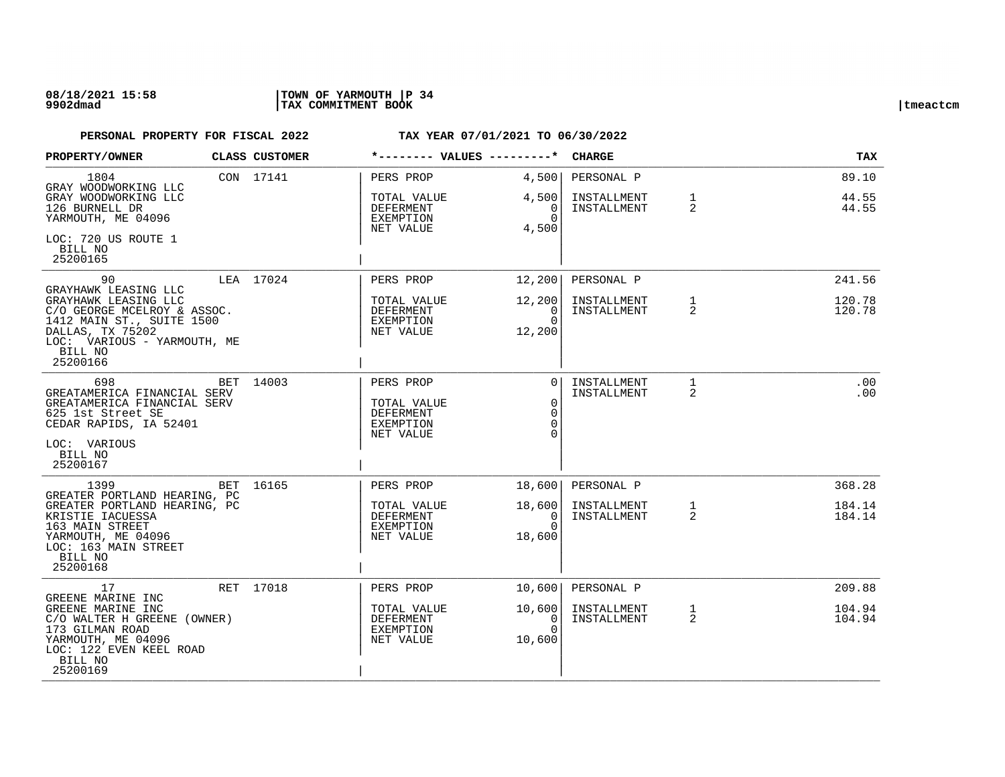| <b>PROPERTY/OWNER</b>                                                                                                                                      |     | CLASS CUSTOMER | *-------- VALUES ---------*                                            |                                                         | <b>CHARGE</b>                            |                                | <b>TAX</b>              |
|------------------------------------------------------------------------------------------------------------------------------------------------------------|-----|----------------|------------------------------------------------------------------------|---------------------------------------------------------|------------------------------------------|--------------------------------|-------------------------|
| 1804<br>GRAY WOODWORKING LLC<br>GRAY WOODWORKING LLC<br>126 BURNELL DR<br>YARMOUTH, ME 04096                                                               |     | CON 17141      | PERS PROP<br>TOTAL VALUE<br>DEFERMENT<br>EXEMPTION                     | 4,500<br>4,500<br>0<br>$\Omega$                         | PERSONAL P<br>INSTALLMENT<br>INSTALLMENT | $\mathbf{1}$<br>$\overline{2}$ | 89.10<br>44.55<br>44.55 |
| LOC: 720 US ROUTE 1<br>BILL NO<br>25200165                                                                                                                 |     |                | NET VALUE                                                              | 4,500                                                   |                                          |                                |                         |
| 90<br>GRAYHAWK LEASING LLC                                                                                                                                 |     | LEA 17024      | PERS PROP                                                              | 12,200                                                  | PERSONAL P                               |                                | 241.56                  |
| GRAYHAWK LEASING LLC<br>C/O GEORGE MCELROY & ASSOC.<br>1412 MAIN ST., SUITE 1500<br>DALLAS, TX 75202<br>LOC: VARIOUS - YARMOUTH, ME<br>BILL NO<br>25200166 |     |                | TOTAL VALUE<br><b>DEFERMENT</b><br>EXEMPTION<br>NET VALUE              | 12,200<br>$\Omega$<br>$\Omega$<br>12,200                | INSTALLMENT<br>INSTALLMENT               | $\mathbf{1}$<br>2              | 120.78<br>120.78        |
| 698<br>GREATAMERICA FINANCIAL SERV<br>GREATAMERICA FINANCIAL SERV<br>625 1st Street SE<br>CEDAR RAPIDS, IA 52401<br>LOC: VARIOUS<br>BILL NO<br>25200167    | BET | 14003          | PERS PROP<br>TOTAL VALUE<br>DEFERMENT<br><b>EXEMPTION</b><br>NET VALUE | $\Omega$<br>$\mathbf 0$<br>$\mathbf 0$<br>$\Omega$<br>∩ | INSTALLMENT<br>INSTALLMENT               | $\mathbf{1}$<br>$\overline{2}$ | .00<br>.00              |
| 1399<br>GREATER PORTLAND HEARING, PC                                                                                                                       |     | BET 16165      | PERS PROP                                                              | 18,600                                                  | PERSONAL P                               |                                | 368.28                  |
| GREATER PORTLAND HEARING, PC<br>KRISTIE IACUESSA<br>163 MAIN STREET<br>YARMOUTH, ME 04096<br>LOC: 163 MAIN STREET<br>BILL NO<br>25200168                   |     |                | TOTAL VALUE<br>DEFERMENT<br>EXEMPTION<br>NET VALUE                     | 18,600<br>0<br>$\Omega$<br>18,600                       | INSTALLMENT<br>INSTALLMENT               | 1<br>$\overline{2}$            | 184.14<br>184.14        |
| 17<br>GREENE MARINE INC                                                                                                                                    |     | RET 17018      | PERS PROP                                                              | 10,600                                                  | PERSONAL P                               |                                | 209.88                  |
| GREENE MARINE INC<br>C/O WALTER H GREENE (OWNER)<br>173 GILMAN ROAD<br>YARMOUTH, ME 04096<br>LOC: 122 EVEN KEEL ROAD<br>BILL NO<br>25200169                |     |                | TOTAL VALUE<br>DEFERMENT<br>EXEMPTION<br>NET VALUE                     | 10,600<br>0<br>$\cap$<br>10,600                         | INSTALLMENT<br>INSTALLMENT               | $\mathbf{1}$<br>$\overline{2}$ | 104.94<br>104.94        |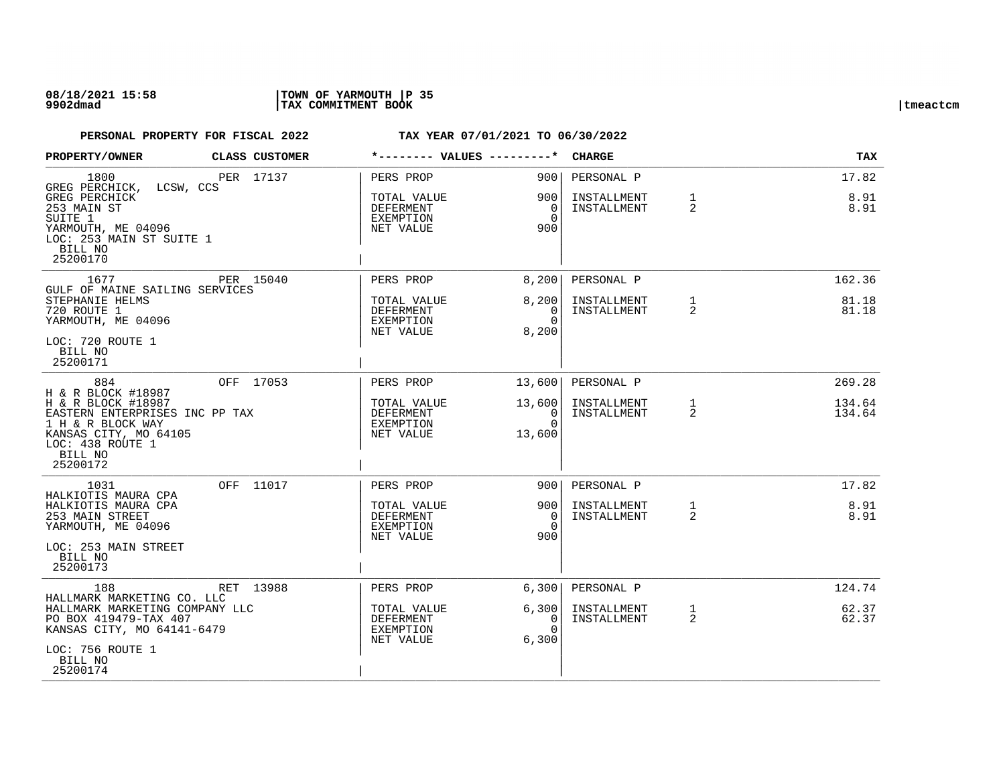| PROPERTY/OWNER                                                                                                                                                             |           | CLASS CUSTOMER |                                                                        |                                                          | <b>CHARGE</b>                            |                   | <b>TAX</b>                 |
|----------------------------------------------------------------------------------------------------------------------------------------------------------------------------|-----------|----------------|------------------------------------------------------------------------|----------------------------------------------------------|------------------------------------------|-------------------|----------------------------|
| 1800<br>GREG PERCHICK,<br>GREG PERCHICK<br>253 MAIN ST<br>SUITE 1<br>YARMOUTH, ME 04096<br>LOC: 253 MAIN ST SUITE 1<br>BILL NO<br>25200170                                 | LCSW, CCS | PER 17137      | PERS PROP<br>TOTAL VALUE<br>DEFERMENT<br><b>EXEMPTION</b><br>NET VALUE | 9001<br>9001<br>- 0<br>$\Omega$<br>900                   | PERSONAL P<br>INSTALLMENT<br>INSTALLMENT | $\mathbf{1}$<br>2 | 17.82<br>8.91<br>8.91      |
| 1677<br>GULF OF MAINE SAILING SERVICES<br>STEPHANIE HELMS<br>720 ROUTE 1<br>YARMOUTH, ME 04096<br>LOC: 720 ROUTE 1<br>BILL NO<br>25200171                                  |           | PER 15040      | PERS PROP<br>TOTAL VALUE<br>DEFERMENT<br>EXEMPTION<br>NET VALUE        | 8,200<br>8,200<br>$\Omega$<br>$\Omega$<br>8,200          | PERSONAL P<br>INSTALLMENT<br>INSTALLMENT | $\mathbf{1}$<br>2 | 162.36<br>81.18<br>81.18   |
| 884<br>H & R BLOCK #18987<br>H & R BLOCK #18987<br>EASTERN ENTERPRISES INC PP TAX<br>1 H & R BLOCK WAY<br>KANSAS CITY, MO 64105<br>LOC: 438 ROUTE 1<br>BILL NO<br>25200172 |           | OFF 17053      | PERS PROP<br>TOTAL VALUE<br>DEFERMENT<br><b>EXEMPTION</b><br>NET VALUE | 13,600<br>13,600<br>$\overline{0}$<br>$\Omega$<br>13,600 | PERSONAL P<br>INSTALLMENT<br>INSTALLMENT | $\mathbf{1}$<br>2 | 269.28<br>134.64<br>134.64 |
| 1031<br>HALKIOTIS MAURA CPA<br>HALKIOTIS MAURA CPA<br>253 MAIN STREET<br>YARMOUTH, ME 04096<br>LOC: 253 MAIN STREET<br>BILL NO<br>25200173                                 |           | OFF 11017      | PERS PROP<br>TOTAL VALUE<br><b>DEFERMENT</b><br>EXEMPTION<br>NET VALUE | 9001<br>9001<br>$\Omega$<br>$\Omega$<br>900              | PERSONAL P<br>INSTALLMENT<br>INSTALLMENT | 1<br>2            | 17.82<br>8.91<br>8.91      |
| 188<br>HALLMARK MARKETING CO. LLC<br>HALLMARK MARKETING COMPANY LLC<br>PO BOX 419479-TAX 407<br>KANSAS CITY, MO 64141-6479<br>LOC: 756 ROUTE 1<br>BILL NO<br>25200174      |           | RET 13988      | PERS PROP<br>TOTAL VALUE<br>DEFERMENT<br>EXEMPTION<br>NET VALUE        | 6,300<br>6,300<br>0<br>$\Omega$<br>6,300                 | PERSONAL P<br>INSTALLMENT<br>INSTALLMENT | $\mathbf{1}$<br>2 | 124.74<br>62.37<br>62.37   |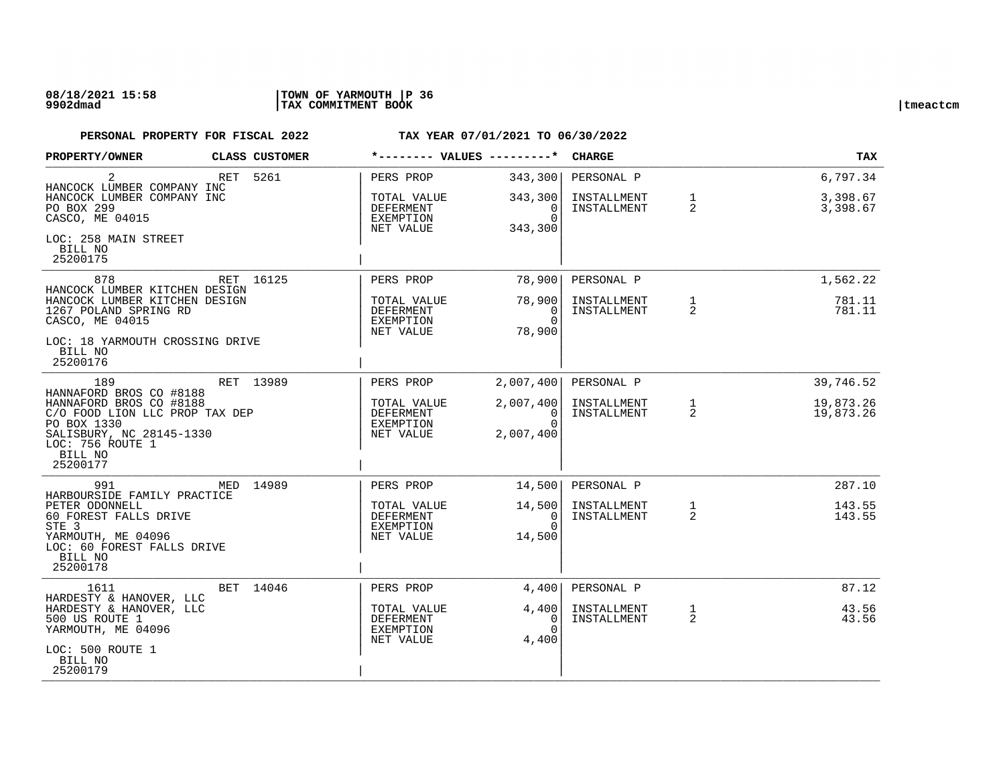| PROPERTY/OWNER                                                                                                                         |     | CLASS CUSTOMER | *-------- VALUES ---------*                        |                                                      | <b>CHARGE</b>              |                                | <b>TAX</b>             |
|----------------------------------------------------------------------------------------------------------------------------------------|-----|----------------|----------------------------------------------------|------------------------------------------------------|----------------------------|--------------------------------|------------------------|
| 2<br>HANCOCK LUMBER COMPANY INC                                                                                                        | RET | 5261           | PERS PROP                                          | 343,300                                              | PERSONAL P                 |                                | 6,797.34               |
| HANCOCK LUMBER COMPANY INC<br>PO BOX 299<br>CASCO, ME 04015                                                                            |     |                | TOTAL VALUE<br>DEFERMENT<br>EXEMPTION<br>NET VALUE | 343,300<br>0<br>$\Omega$<br>343,300                  | INSTALLMENT<br>INSTALLMENT | $\mathbf{1}$<br>2              | 3,398.67<br>3,398.67   |
| LOC: 258 MAIN STREET<br>BILL NO<br>25200175                                                                                            |     |                |                                                    |                                                      |                            |                                |                        |
| 878<br>HANCOCK LUMBER KITCHEN DESIGN                                                                                                   |     | RET 16125      | PERS PROP                                          | 78,900                                               | PERSONAL P                 |                                | 1,562.22               |
| HANCOCK LUMBER KITCHEN DESIGN<br>1267 POLAND SPRING RD<br>CASCO, ME 04015                                                              |     |                | TOTAL VALUE<br>DEFERMENT<br>EXEMPTION<br>NET VALUE | 78,900<br>$\Omega$<br>$\Omega$<br>78,900             | INSTALLMENT<br>INSTALLMENT | $\mathbf{1}$<br>2              | 781.11<br>781.11       |
| LOC: 18 YARMOUTH CROSSING DRIVE<br>BILL NO<br>25200176                                                                                 |     |                |                                                    |                                                      |                            |                                |                        |
| 189<br>HANNAFORD BROS CO #8188                                                                                                         |     | RET 13989      | PERS PROP                                          | 2,007,400                                            | PERSONAL P                 |                                | 39,746.52              |
| HANNAFORD BROS CO #8188<br>C/O FOOD LION LLC PROP TAX DEP<br>PO BOX 1330<br>SALISBURY, NC 28145-1330<br>LOC: 756 ROUTE 1<br>BILL NO    |     |                | TOTAL VALUE<br>DEFERMENT<br>EXEMPTION<br>NET VALUE | 2,007,400<br>$\overline{0}$<br>$\Omega$<br>2,007,400 | INSTALLMENT<br>INSTALLMENT | $\mathbf{1}$<br>$\overline{2}$ | 19,873.26<br>19,873.26 |
| 25200177                                                                                                                               |     |                |                                                    |                                                      |                            |                                |                        |
| 991<br>HARBOURSIDE FAMILY PRACTICE                                                                                                     |     | MED 14989      | PERS PROP                                          | 14,500                                               | PERSONAL P                 |                                | 287.10                 |
| PETER ODONNELL<br>60 FOREST FALLS DRIVE<br>STE <sub>3</sub><br>YARMOUTH, ME 04096<br>LOC: 60 FOREST FALLS DRIVE<br>BILL NO<br>25200178 |     |                | TOTAL VALUE<br>DEFERMENT<br>EXEMPTION<br>NET VALUE | 14,500<br>$\Omega$<br>$\Omega$<br>14,500             | INSTALLMENT<br>INSTALLMENT | $\mathbf{1}$<br>2              | 143.55<br>143.55       |
| 1611<br>HARDESTY & HANOVER, LLC                                                                                                        |     | BET 14046      | PERS PROP                                          | 4,400                                                | PERSONAL P                 |                                | 87.12                  |
| HARDESTY & HANOVER, LLC<br>500 US ROUTE 1<br>YARMOUTH, ME 04096                                                                        |     |                | TOTAL VALUE<br>DEFERMENT<br>EXEMPTION<br>NET VALUE | 4,400<br>0<br>$\Omega$<br>4,400                      | INSTALLMENT<br>INSTALLMENT | $\mathbf{1}$<br>2              | 43.56<br>43.56         |
| LOC: 500 ROUTE 1<br>BILL NO<br>25200179                                                                                                |     |                |                                                    |                                                      |                            |                                |                        |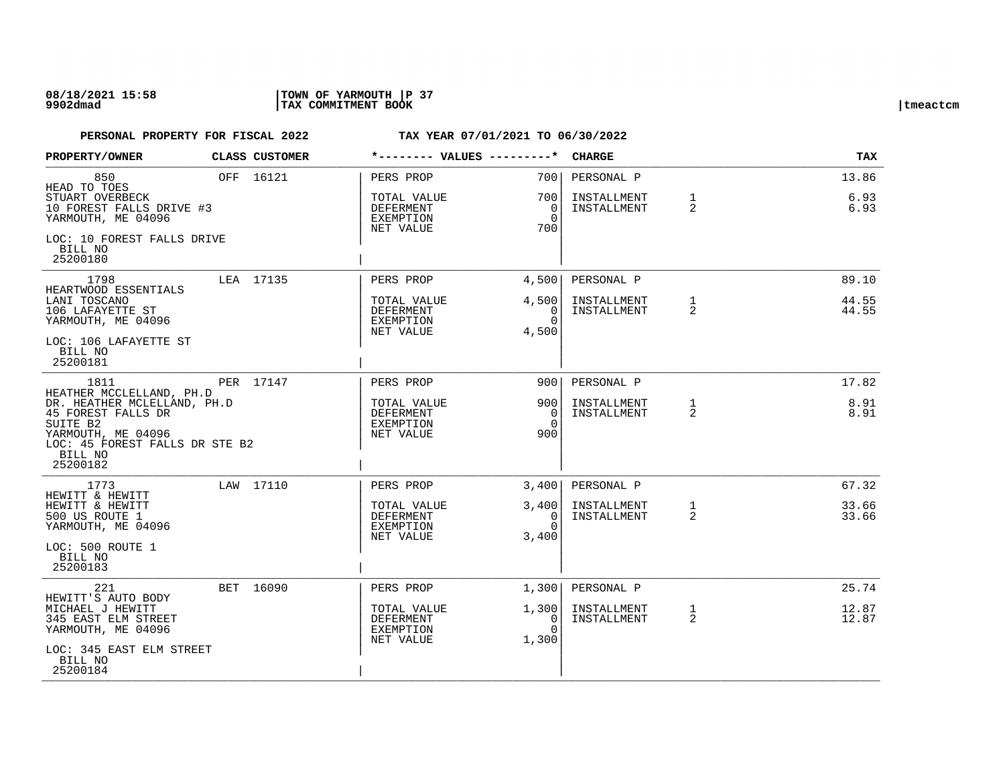## **08/18/2021 15:58 |TOWN OF YARMOUTH |P 37 9902dmad |TAX COMMITMENT BOOK |tmeactcm**

| PROPERTY/OWNER                                                                                                                                                           | <b>CLASS CUSTOMER</b> | *-------- VALUES ---------*                        |                                              | <b>CHARGE</b>                            |                   | TAX                   |
|--------------------------------------------------------------------------------------------------------------------------------------------------------------------------|-----------------------|----------------------------------------------------|----------------------------------------------|------------------------------------------|-------------------|-----------------------|
| 850<br>HEAD TO TOES<br>STUART OVERBECK<br>10 FOREST FALLS DRIVE #3<br>YARMOUTH, ME 04096                                                                                 | OFF 16121             | PERS PROP<br>TOTAL VALUE<br>DEFERMENT<br>EXEMPTION | 700 L<br>700 I<br>$\overline{0}$<br>$\Omega$ | PERSONAL P<br>INSTALLMENT<br>INSTALLMENT | $\mathbf{1}$<br>2 | 13.86<br>6.93<br>6.93 |
| LOC: 10 FOREST FALLS DRIVE<br>BILL NO<br>25200180                                                                                                                        |                       | NET VALUE                                          | 700                                          |                                          |                   |                       |
| 1798                                                                                                                                                                     | LEA 17135             | PERS PROP                                          | 4,500                                        | PERSONAL P                               |                   | 89.10                 |
| HEARTWOOD ESSENTIALS<br>LANI TOSCANO<br>106 LAFAYETTE ST<br>YARMOUTH, ME 04096                                                                                           |                       | TOTAL VALUE<br>DEFERMENT<br>EXEMPTION<br>NET VALUE | 4,500<br>$\Omega$<br>$\Omega$<br>4,500       | INSTALLMENT<br>INSTALLMENT               | $\mathbf{1}$<br>2 | 44.55<br>44.55        |
| LOC: 106 LAFAYETTE ST<br>BILL NO<br>25200181                                                                                                                             |                       |                                                    |                                              |                                          |                   |                       |
| 1811                                                                                                                                                                     | PER 17147             | PERS PROP                                          | 9001                                         | PERSONAL P                               |                   | 17.82                 |
| HEATHER MCCLELLAND, PH.D<br>DR. HEATHER MCLELLAND, PH.D<br>45 FOREST FALLS DR<br>SUITE B2<br>YARMOUTH, ME 04096<br>LOC: 45 FOREST FALLS DR STE B2<br>BILL NO<br>25200182 |                       | TOTAL VALUE<br>DEFERMENT<br>EXEMPTION<br>NET VALUE | 9001<br>$\overline{0}$<br>$\Omega$<br>900    | INSTALLMENT<br>INSTALLMENT               | $\mathbf{1}$<br>2 | 8.91<br>8.91          |
| 1773                                                                                                                                                                     | LAW 17110             | PERS PROP                                          | 3,400                                        | PERSONAL P                               |                   | 67.32                 |
| HEWITT & HEWITT<br>HEWITT & HEWITT<br>500 US ROUTE 1<br>YARMOUTH, ME 04096                                                                                               |                       | TOTAL VALUE<br>DEFERMENT<br>EXEMPTION<br>NET VALUE | 3,400<br>$\Omega$<br>$\Omega$<br>3,400       | INSTALLMENT<br>INSTALLMENT               | 1<br>2            | 33.66<br>33.66        |
| LOC: 500 ROUTE 1<br>BILL NO<br>25200183                                                                                                                                  |                       |                                                    |                                              |                                          |                   |                       |
| 221                                                                                                                                                                      | BET 16090             | PERS PROP                                          | 1,300                                        | PERSONAL P                               |                   | 25.74                 |
| HEWITT'S AUTO BODY<br>MICHAEL J HEWITT<br>345 EAST ELM STREET<br>YARMOUTH, ME 04096                                                                                      |                       | TOTAL VALUE<br>DEFERMENT<br>EXEMPTION<br>NET VALUE | 1,300<br>0<br>$\Omega$<br>1,300              | INSTALLMENT<br>INSTALLMENT               | $\mathbf{1}$<br>2 | 12.87<br>12.87        |
| LOC: 345 EAST ELM STREET<br>BILL NO<br>25200184                                                                                                                          |                       |                                                    |                                              |                                          |                   |                       |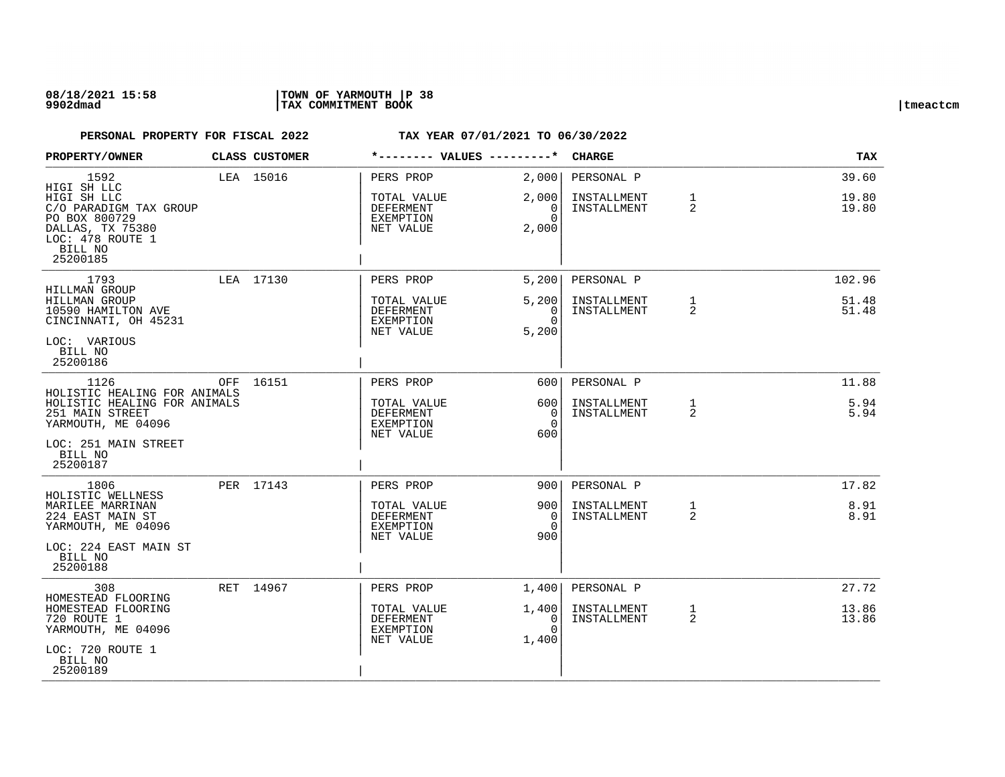## **08/18/2021 15:58 |TOWN OF YARMOUTH |P 38 9902dmad |TAX COMMITMENT BOOK |tmeactcm**

| PROPERTY/OWNER                                                                                                                           |     | CLASS CUSTOMER |                                                                 | *-------- VALUES ---------*                | <b>CHARGE</b>                            |                   | TAX                   |
|------------------------------------------------------------------------------------------------------------------------------------------|-----|----------------|-----------------------------------------------------------------|--------------------------------------------|------------------------------------------|-------------------|-----------------------|
| 1592<br>HIGI SH LLC                                                                                                                      |     | LEA 15016      | PERS PROP                                                       | 2,000                                      | PERSONAL P                               |                   | 39.60                 |
| HIGI SH LLC<br>C/O PARADIGM TAX GROUP<br>PO BOX 800729<br>DALLAS, TX 75380<br>LOC: 478 ROUTE 1<br>BILL NO<br>25200185                    |     |                | TOTAL VALUE<br>DEFERMENT<br>EXEMPTION<br>NET VALUE              | 2,000<br>$\mathbf{0}$<br>$\Omega$<br>2,000 | INSTALLMENT<br>INSTALLMENT               | 1<br>2            | 19.80<br>19.80        |
| 1793                                                                                                                                     |     | LEA 17130      | PERS PROP                                                       | 5,200                                      | PERSONAL P                               |                   | 102.96                |
| HILLMAN GROUP<br><b>HILLMAN GROUP</b><br>10590 HAMILTON AVE<br>CINCINNATI, OH 45231<br>LOC: VARIOUS<br>BILL NO<br>25200186               |     |                | TOTAL VALUE<br>DEFERMENT<br>EXEMPTION<br>NET VALUE              | 5,200<br>0<br>$\Omega$<br>5,200            | INSTALLMENT<br>INSTALLMENT               | $\mathbf{1}$<br>2 | 51.48<br>51.48        |
| 1126                                                                                                                                     | OFF | 16151          | PERS PROP                                                       | 6001                                       | PERSONAL P                               |                   | 11.88                 |
| HOLISTIC HEALING FOR ANIMALS<br>HOLISTIC HEALING FOR ANIMALS<br>251 MAIN STREET<br>YARMOUTH, ME 04096<br>LOC: 251 MAIN STREET<br>BILL NO |     |                | TOTAL VALUE<br>DEFERMENT<br>EXEMPTION<br>NET VALUE              | 600<br>$\overline{0}$<br>$\Omega$<br>600   | INSTALLMENT<br>INSTALLMENT               | 1<br>2            | 5.94<br>5.94          |
| 25200187                                                                                                                                 |     |                |                                                                 |                                            |                                          |                   |                       |
| 1806<br>HOLISTIC WELLNESS<br>MARILEE MARRINAN<br>224 EAST MAIN ST<br>YARMOUTH, ME 04096<br>LOC: 224 EAST MAIN ST<br>BILL NO<br>25200188  |     | PER 17143      | PERS PROP<br>TOTAL VALUE<br>DEFERMENT<br>EXEMPTION<br>NET VALUE | 9001<br>900<br>$\Omega$<br>$\Omega$<br>900 | PERSONAL P<br>INSTALLMENT<br>INSTALLMENT | $\mathbf{1}$<br>2 | 17.82<br>8.91<br>8.91 |
| 308                                                                                                                                      |     | RET 14967      | PERS PROP                                                       | 1,400                                      | PERSONAL P                               |                   | 27.72                 |
| HOMESTEAD FLOORING<br>HOMESTEAD FLOORING<br>720 ROUTE 1<br>YARMOUTH, ME 04096<br>LOC: 720 ROUTE 1                                        |     |                | TOTAL VALUE<br>DEFERMENT<br>EXEMPTION<br>NET VALUE              | 1,400 <br>0<br>$\Omega$<br>1,400           | INSTALLMENT<br>INSTALLMENT               | $\mathbf{1}$<br>2 | 13.86<br>13.86        |
| BILL NO<br>25200189                                                                                                                      |     |                |                                                                 |                                            |                                          |                   |                       |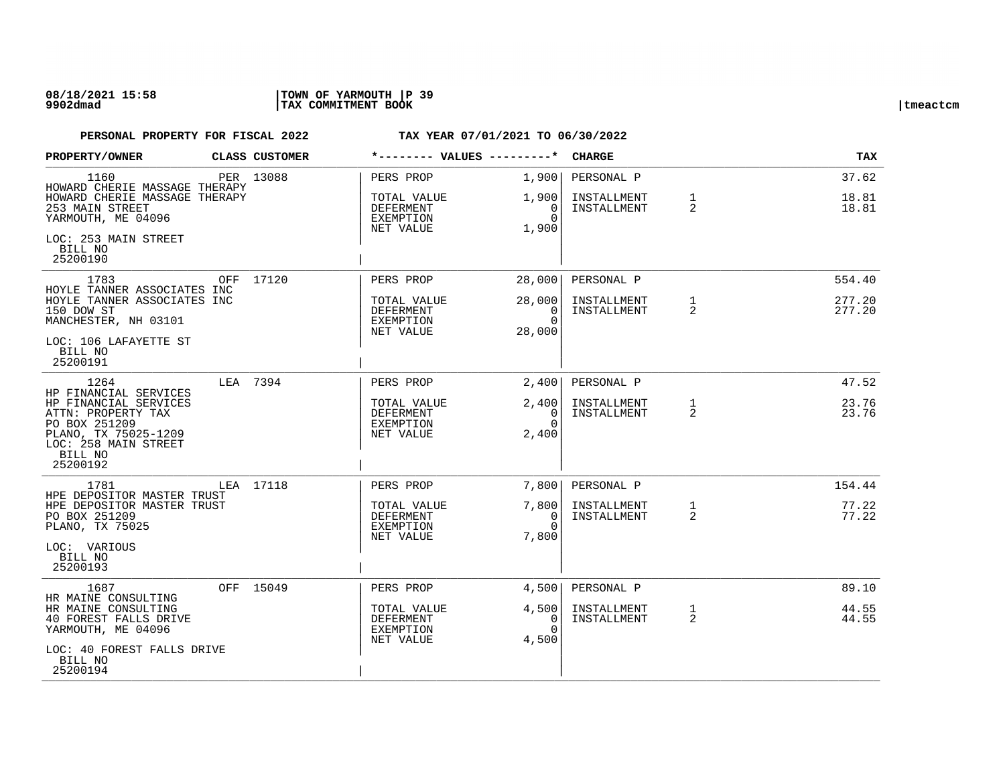| PROPERTY/OWNER                                                                       |  | CLASS CUSTOMER | *-------- VALUES ---------*                               |                                                           | <b>CHARGE</b>                            |                            | <b>TAX</b>                     |                  |
|--------------------------------------------------------------------------------------|--|----------------|-----------------------------------------------------------|-----------------------------------------------------------|------------------------------------------|----------------------------|--------------------------------|------------------|
| 1160<br>HOWARD CHERIE MASSAGE THERAPY                                                |  | PER 13088      | PERS PROP                                                 | 1,900                                                     | PERSONAL P                               |                            | 37.62                          |                  |
| HOWARD CHERIE MASSAGE THERAPY<br>253 MAIN STREET<br>YARMOUTH, ME 04096               |  |                | TOTAL VALUE<br>DEFERMENT<br>EXEMPTION                     | 1,900<br>0<br>$\Omega$                                    | INSTALLMENT<br>INSTALLMENT               | $\mathbf{1}$<br>2          | 18.81<br>18.81                 |                  |
| LOC: 253 MAIN STREET<br>BILL NO<br>25200190                                          |  |                | NET VALUE                                                 | 1,900                                                     |                                          |                            |                                |                  |
| 1783<br>HOYLE TANNER ASSOCIATES INC                                                  |  | OFF 17120      | PERS PROP                                                 | 28,000                                                    | PERSONAL P                               |                            | 554.40                         |                  |
| HOYLE TANNER ASSOCIATES INC<br>150 DOW ST<br>MANCHESTER, NH 03101                    |  |                |                                                           | TOTAL VALUE<br><b>DEFERMENT</b><br>EXEMPTION<br>NET VALUE | 28,000<br>$\Omega$<br>$\Omega$<br>28,000 | INSTALLMENT<br>INSTALLMENT | $\mathbf{1}$<br>$\overline{2}$ | 277.20<br>277.20 |
| LOC: 106 LAFAYETTE ST<br>BILL NO<br>25200191                                         |  |                |                                                           |                                                           |                                          |                            |                                |                  |
| 1264<br>HP FINANCIAL SERVICES                                                        |  | LEA 7394       | PERS PROP                                                 | 2,400                                                     | PERSONAL P                               |                            | 47.52                          |                  |
| HP FINANCIAL SERVICES<br>ATTN: PROPERTY TAX<br>PO BOX 251209<br>PLANO, TX 75025-1209 |  |                | TOTAL VALUE<br><b>DEFERMENT</b><br>EXEMPTION<br>NET VALUE | 2,400<br>$\overline{0}$<br>$\Omega$<br>2,400              | INSTALLMENT<br>INSTALLMENT               | 1<br>2                     | 23.76<br>23.76                 |                  |
| LOC: 258 MAIN STREET<br>BILL NO<br>25200192                                          |  |                |                                                           |                                                           |                                          |                            |                                |                  |
| 1781<br>HPE DEPOSITOR MASTER TRUST                                                   |  | LEA 17118      | PERS PROP                                                 | 7,800                                                     | PERSONAL P                               |                            | 154.44                         |                  |
| HPE DEPOSITOR MASTER TRUST<br>PO BOX 251209<br>PLANO, TX 75025                       |  |                | TOTAL VALUE<br><b>DEFERMENT</b><br>EXEMPTION              | 7,800<br>$\Omega$<br>$\Omega$                             | INSTALLMENT<br>INSTALLMENT               | 1<br>2                     | 77.22<br>77.22                 |                  |
| LOC: VARIOUS<br>BILL NO                                                              |  |                | NET VALUE                                                 | 7,800                                                     |                                          |                            |                                |                  |
| 25200193                                                                             |  |                |                                                           |                                                           |                                          |                            |                                |                  |
| 1687<br>HR MAINE CONSULTING                                                          |  | OFF 15049      | PERS PROP                                                 | 4,500                                                     | PERSONAL P                               |                            | 89.10                          |                  |
| HR MAINE CONSULTING<br>40 FOREST FALLS DRIVE<br>YARMOUTH, ME 04096                   |  |                | TOTAL VALUE<br>DEFERMENT<br>EXEMPTION                     | 4,500<br>0<br>$\Omega$                                    | INSTALLMENT<br>INSTALLMENT               | $\mathbf{1}$<br>2          | 44.55<br>44.55                 |                  |
| LOC: 40 FOREST FALLS DRIVE<br>BILL NO<br>25200194                                    |  |                | NET VALUE                                                 | 4,500                                                     |                                          |                            |                                |                  |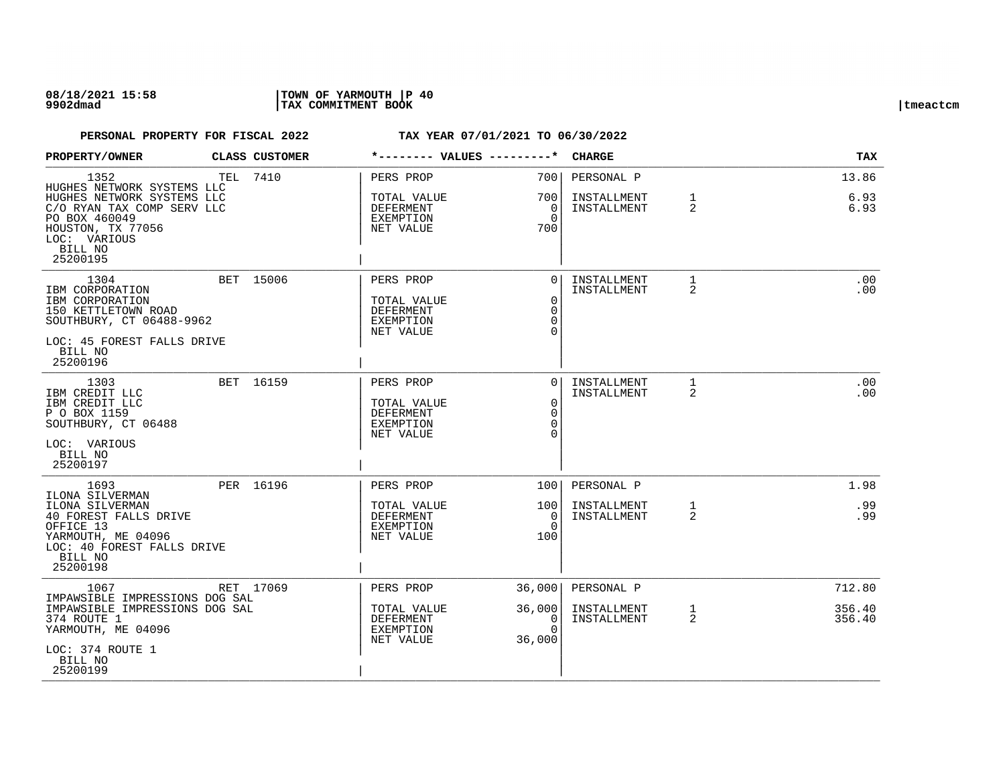## **08/18/2021 15:58 |TOWN OF YARMOUTH |P 40 9902dmad |TAX COMMITMENT BOOK |tmeactcm**

| PROPERTY/OWNER                                                                                                                                                              | <b>CLASS CUSTOMER</b> | *-------- VALUES ---------*                                            |                                                             | <b>CHARGE</b>                            |                     | <b>TAX</b>                 |
|-----------------------------------------------------------------------------------------------------------------------------------------------------------------------------|-----------------------|------------------------------------------------------------------------|-------------------------------------------------------------|------------------------------------------|---------------------|----------------------------|
| 1352<br>HUGHES NETWORK SYSTEMS LLC<br>HUGHES NETWORK SYSTEMS LLC<br>C/O RYAN TAX COMP SERV LLC<br>PO BOX 460049<br>HOUSTON, TX 77056<br>LOC: VARIOUS<br>BILL NO<br>25200195 | TEL 7410              | PERS PROP<br>TOTAL VALUE<br>DEFERMENT<br>EXEMPTION<br>NET VALUE        | 700 l<br>700 l<br>0<br>$\Omega$<br>700                      | PERSONAL P<br>INSTALLMENT<br>INSTALLMENT | 1<br>$\overline{2}$ | 13.86<br>6.93<br>6.93      |
| 1304<br>IBM CORPORATION<br>IBM CORPORATION<br>150 KETTLETOWN ROAD<br>SOUTHBURY, CT 06488-9962<br>LOC: 45 FOREST FALLS DRIVE<br>BILL NO<br>25200196                          | BET 15006             | PERS PROP<br>TOTAL VALUE<br><b>DEFERMENT</b><br>EXEMPTION<br>NET VALUE | $\Omega$<br>$\mathbf 0$<br>$\Omega$<br>$\Omega$<br>$\cap$   | INSTALLMENT<br>INSTALLMENT               | $\mathbf{1}$<br>2   | .00<br>.00                 |
| 1303<br>IBM CREDIT LLC<br>IBM CREDIT LLC<br>P O BOX 1159<br>SOUTHBURY, CT 06488<br>LOC: VARIOUS<br>BILL NO<br>25200197                                                      | BET 16159             | PERS PROP<br>TOTAL VALUE<br><b>DEFERMENT</b><br>EXEMPTION<br>NET VALUE | $\Omega$<br>$\mathbf 0$<br>$\Omega$<br>$\Omega$<br>$\Omega$ | INSTALLMENT<br>INSTALLMENT               | 1<br>2              | .00<br>.00                 |
| 1693<br>ILONA SILVERMAN<br>ILONA SILVERMAN<br>40 FOREST FALLS DRIVE<br>OFFICE 13<br>YARMOUTH, ME 04096<br>LOC: 40 FOREST FALLS DRIVE<br>BILL NO<br>25200198                 | PER 16196             | PERS PROP<br>TOTAL VALUE<br>DEFERMENT<br>EXEMPTION<br>NET VALUE        | 1001<br>1001<br>$\Omega$<br>$\Omega$<br>100                 | PERSONAL P<br>INSTALLMENT<br>INSTALLMENT | $\mathbf{1}$<br>2   | 1.98<br>.99<br>.99         |
| 1067<br>IMPAWSIBLE IMPRESSIONS DOG SAL<br>IMPAWSIBLE IMPRESSIONS DOG SAL<br>374 ROUTE 1<br>YARMOUTH, ME 04096<br>LOC: 374 ROUTE 1<br>BILL NO<br>25200199                    | RET 17069             | PERS PROP<br>TOTAL VALUE<br>DEFERMENT<br>EXEMPTION<br>NET VALUE        | 36,000<br>36,000<br>0<br>$\Omega$<br>36,000                 | PERSONAL P<br>INSTALLMENT<br>INSTALLMENT | 1<br>2              | 712.80<br>356.40<br>356.40 |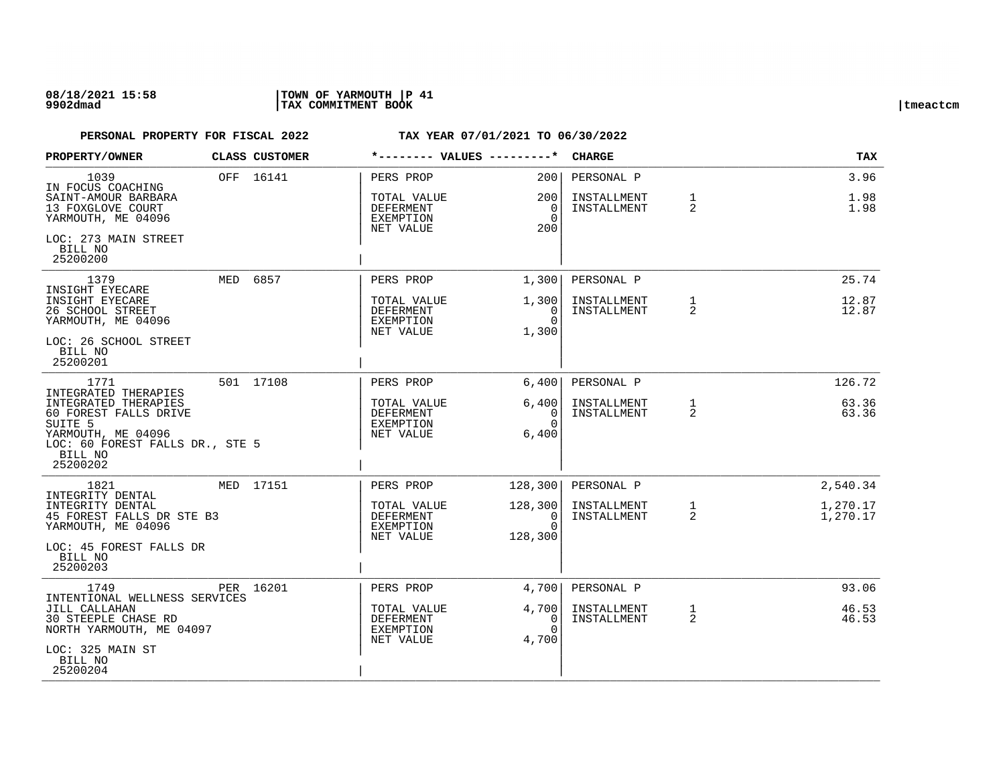## **08/18/2021 15:58 |TOWN OF YARMOUTH |P 41 9902dmad |TAX COMMITMENT BOOK |tmeactcm**

| PROPERTY/OWNER                                                                                                                                                              | CLASS CUSTOMER |                                                                 |                                             | <b>CHARGE</b>                            |                                | <b>TAX</b>           |
|-----------------------------------------------------------------------------------------------------------------------------------------------------------------------------|----------------|-----------------------------------------------------------------|---------------------------------------------|------------------------------------------|--------------------------------|----------------------|
| 1039<br>IN FOCUS COACHING<br>SAINT-AMOUR BARBARA<br>13 FOXGLOVE COURT<br>YARMOUTH, ME 04096                                                                                 | OFF 16141      | PERS PROP<br>TOTAL VALUE<br>DEFERMENT<br>EXEMPTION<br>NET VALUE | 2001<br>2001<br>0<br>$\Omega$<br>200        | PERSONAL P<br>INSTALLMENT<br>INSTALLMENT | $\mathbf{1}$<br>$\overline{2}$ | 3.96<br>1.98<br>1.98 |
| LOC: 273 MAIN STREET<br>BILL NO<br>25200200                                                                                                                                 |                |                                                                 |                                             |                                          |                                |                      |
| 1379<br>INSIGHT EYECARE                                                                                                                                                     | MED 6857       | PERS PROP                                                       | 1,300                                       | PERSONAL P                               |                                | 25.74                |
| INSIGHT EYECARE<br>26 SCHOOL STREET<br>YARMOUTH, ME 04096<br>LOC: 26 SCHOOL STREET<br>BILL NO<br>25200201                                                                   |                | TOTAL VALUE<br>DEFERMENT<br>EXEMPTION<br>NET VALUE              | 1,300<br>$\Omega$<br>$\Omega$<br>1,300      | INSTALLMENT<br>INSTALLMENT               | $\mathbf{1}$<br>$\overline{2}$ | 12.87<br>12.87       |
| 1771                                                                                                                                                                        | 501 17108      | PERS PROP                                                       | 6,400                                       | PERSONAL P                               |                                | 126.72               |
| INTEGRATED THERAPIES<br>INTEGRATED THERAPIES<br>60 FOREST FALLS DRIVE<br>SUITE <sub>5</sub><br>YARMOUTH, ME 04096<br>LOC: 60 FOREST FALLS DR., STE 5<br>BILL NO<br>25200202 |                | TOTAL VALUE<br>DEFERMENT<br><b>EXEMPTION</b><br>NET VALUE       | 6,400<br>0<br>$\Omega$<br>6,400             | INSTALLMENT<br>INSTALLMENT               | $\mathbf{1}$<br>2              | 63.36<br>63.36       |
| 1821                                                                                                                                                                        | MED 17151      | PERS PROP                                                       | 128,300                                     | PERSONAL P                               |                                | 2,540.34             |
| INTEGRITY DENTAL<br>INTEGRITY DENTAL<br>45 FOREST FALLS DR STE B3<br>YARMOUTH, ME 04096<br>LOC: 45 FOREST FALLS DR<br>BILL NO<br>25200203                                   |                | TOTAL VALUE<br>DEFERMENT<br>EXEMPTION<br>NET VALUE              | 128, 300<br>$\Omega$<br>$\Omega$<br>128,300 | INSTALLMENT<br>INSTALLMENT               | 1<br>2                         | 1,270.17<br>1,270.17 |
| 1749                                                                                                                                                                        | PER 16201      | PERS PROP                                                       | 4,700                                       | PERSONAL P                               |                                | 93.06                |
| INTENTIONAL WELLNESS SERVICES<br>JILL CALLAHAN<br><b>30 STEEPLE CHASE RD</b><br>NORTH YARMOUTH, ME 04097<br>LOC: 325 MAIN ST                                                |                | TOTAL VALUE<br>DEFERMENT<br>EXEMPTION<br>NET VALUE              | 4,700<br>0<br>$\Omega$<br>4,700             | INSTALLMENT<br>INSTALLMENT               | $\mathbf{1}$<br>$\overline{2}$ | 46.53<br>46.53       |
| BILL NO<br>25200204                                                                                                                                                         |                |                                                                 |                                             |                                          |                                |                      |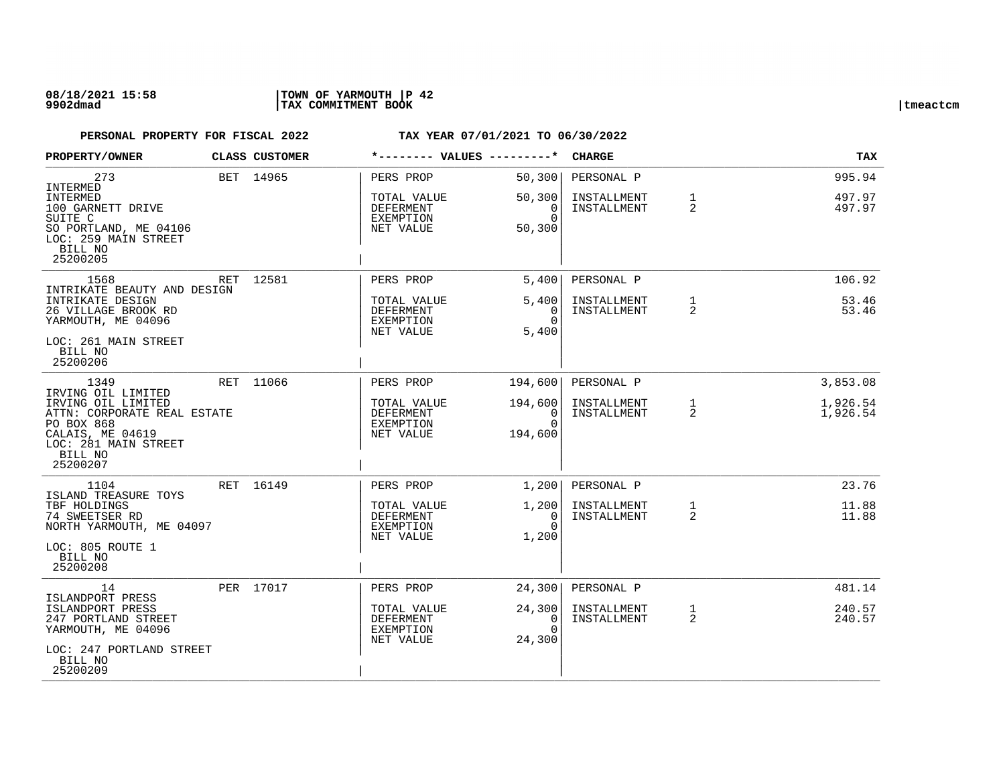## **08/18/2021 15:58 |TOWN OF YARMOUTH |P 42 9902dmad |TAX COMMITMENT BOOK |tmeactcm**

| PROPERTY/OWNER                                                                                                         | CLASS CUSTOMER | *-------- VALUES ---------*                               |                                        | <b>CHARGE</b>              |                                | <b>TAX</b>           |
|------------------------------------------------------------------------------------------------------------------------|----------------|-----------------------------------------------------------|----------------------------------------|----------------------------|--------------------------------|----------------------|
| 273<br>INTERMED<br>INTERMED                                                                                            | BET 14965      | PERS PROP<br>TOTAL VALUE                                  | 50,300<br>50,300                       | PERSONAL P<br>INSTALLMENT  | $\mathbf{1}$                   | 995.94<br>497.97     |
| 100 GARNETT DRIVE<br>SUITE C<br>SO PORTLAND, ME 04106<br>LOC: 259 MAIN STREET<br>BILL NO<br>25200205                   |                | DEFERMENT<br>EXEMPTION<br>NET VALUE                       | 0<br>$\Omega$<br>50,300                | INSTALLMENT                | 2                              | 497.97               |
| 1568<br>INTRIKATE BEAUTY AND DESIGN                                                                                    | RET 12581      | PERS PROP                                                 | 5,400                                  | PERSONAL P                 |                                | 106.92               |
| INTRIKATE DESIGN<br>26 VILLAGE BROOK RD<br>YARMOUTH, ME 04096                                                          |                | TOTAL VALUE<br><b>DEFERMENT</b><br>EXEMPTION<br>NET VALUE | 5,400<br>$\Omega$<br>$\Omega$<br>5,400 | INSTALLMENT<br>INSTALLMENT | $\mathbf{1}$<br>2              | 53.46<br>53.46       |
| LOC: 261 MAIN STREET<br>BILL NO<br>25200206                                                                            |                |                                                           |                                        |                            |                                |                      |
| 1349<br>IRVING OIL LIMITED                                                                                             | RET 11066      | PERS PROP                                                 | 194,600                                | PERSONAL P                 |                                | 3,853.08             |
| IRVING OIL LIMITED<br>ATTN: CORPORATE REAL ESTATE<br>PO BOX 868<br>CALAIS, ME 04619<br>LOC: 281 MAIN STREET<br>BILL NO |                | TOTAL VALUE<br>DEFERMENT<br>EXEMPTION<br>NET VALUE        | 194,600<br>0<br>$\Omega$<br>194,600    | INSTALLMENT<br>INSTALLMENT | $\mathbf{1}$<br>$\overline{2}$ | 1,926.54<br>1,926.54 |
| 25200207                                                                                                               |                |                                                           |                                        |                            |                                | 23.76                |
| 1104<br>ISLAND TREASURE TOYS                                                                                           | RET 16149      | PERS PROP                                                 | 1,200                                  | PERSONAL P                 |                                |                      |
| TBF HOLDINGS<br>74 SWEETSER RD<br>NORTH YARMOUTH, ME 04097                                                             |                | TOTAL VALUE<br>DEFERMENT<br>EXEMPTION<br>NET VALUE        | 1,200<br>$\Omega$<br>$\Omega$<br>1,200 | INSTALLMENT<br>INSTALLMENT | $\mathbf{1}$<br>2              | 11.88<br>11.88       |
| LOC: 805 ROUTE 1<br>BILL NO<br>25200208                                                                                |                |                                                           |                                        |                            |                                |                      |
| 14<br>ISLANDPORT PRESS                                                                                                 | PER 17017      | PERS PROP                                                 | 24,300                                 | PERSONAL P                 |                                | 481.14               |
| ISLANDPORT PRESS<br>247 PORTLAND STREET<br>YARMOUTH, ME 04096                                                          |                | TOTAL VALUE<br>DEFERMENT<br>EXEMPTION<br>NET VALUE        | 24,300<br>0<br>$\Omega$<br>24,300      | INSTALLMENT<br>INSTALLMENT | $\mathbf{1}$<br>2              | 240.57<br>240.57     |
| LOC: 247 PORTLAND STREET<br>BILL NO<br>25200209                                                                        |                |                                                           |                                        |                            |                                |                      |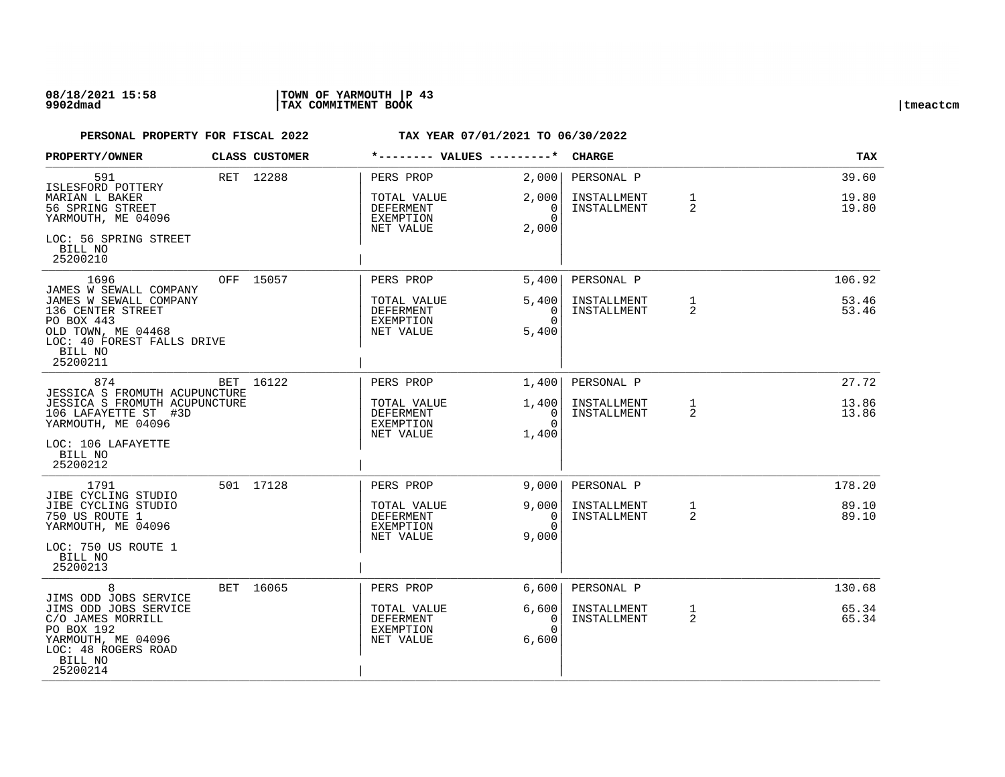## **08/18/2021 15:58 |TOWN OF YARMOUTH |P 43 9902dmad |TAX COMMITMENT BOOK |tmeactcm**

| PROPERTY/OWNER                                                                                                                                                         | CLASS CUSTOMER | *-------- VALUES ---------*                                            |                                                 | <b>CHARGE</b>                            |                   | <b>TAX</b>               |
|------------------------------------------------------------------------------------------------------------------------------------------------------------------------|----------------|------------------------------------------------------------------------|-------------------------------------------------|------------------------------------------|-------------------|--------------------------|
| 591<br>ISLESFORD POTTERY<br>MARIAN L BAKER<br>56 SPRING STREET<br>YARMOUTH, ME 04096<br>LOC: 56 SPRING STREET<br>BILL NO<br>25200210                                   | RET 12288      | PERS PROP<br>TOTAL VALUE<br><b>DEFERMENT</b><br>EXEMPTION<br>NET VALUE | 2,000<br>2,000<br>0<br>$\Omega$<br>2,000        | PERSONAL P<br>INSTALLMENT<br>INSTALLMENT | $\mathbf{1}$<br>2 | 39.60<br>19.80<br>19.80  |
| 1696<br>JAMES W SEWALL COMPANY<br>JAMES W SEWALL COMPANY<br>136 CENTER STREET<br>PO BOX 443<br>OLD TOWN, ME 04468<br>LOC: 40 FOREST FALLS DRIVE<br>BILL NO<br>25200211 | OFF 15057      | PERS PROP<br>TOTAL VALUE<br><b>DEFERMENT</b><br>EXEMPTION<br>NET VALUE | 5,400<br>5,400<br>$\Omega$<br>$\Omega$<br>5,400 | PERSONAL P<br>INSTALLMENT<br>INSTALLMENT | $\mathbf{1}$<br>2 | 106.92<br>53.46<br>53.46 |
| 874<br>JESSICA S FROMUTH ACUPUNCTURE<br>JESSICA S FROMUTH ACUPUNCTURE<br>106 LAFAYETTE ST #3D<br>YARMOUTH, ME 04096<br>LOC: 106 LAFAYETTE<br>BILL NO<br>25200212       | BET 16122      | PERS PROP<br>TOTAL VALUE<br><b>DEFERMENT</b><br>EXEMPTION<br>NET VALUE | 1.400<br>1,400<br>$\Omega$<br>$\Omega$<br>1,400 | PERSONAL P<br>INSTALLMENT<br>INSTALLMENT | 1<br>2            | 27.72<br>13.86<br>13.86  |
| 1791<br>JIBE CYCLING STUDIO<br>JIBE CYCLING STUDIO<br>750 US ROUTE 1<br>YARMOUTH, ME 04096<br>LOC: 750 US ROUTE 1<br>BILL NO<br>25200213                               | 501 17128      | PERS PROP<br>TOTAL VALUE<br><b>DEFERMENT</b><br>EXEMPTION<br>NET VALUE | 9.0001<br>9.000<br>0<br>$\Omega$<br>9,000       | PERSONAL P<br>INSTALLMENT<br>INSTALLMENT | 1<br>2            | 178.20<br>89.10<br>89.10 |
| 8<br>JIMS ODD JOBS SERVICE<br>JIMS ODD JOBS SERVICE<br>C/O JAMES MORRILL<br>PO BOX 192<br>YARMOUTH, ME 04096<br>LOC: 48 ROGERS ROAD<br>BILL NO<br>25200214             | BET 16065      | PERS PROP<br>TOTAL VALUE<br>DEFERMENT<br>EXEMPTION<br>NET VALUE        | 6,600<br>6,600<br>0<br>$\Omega$<br>6,600        | PERSONAL P<br>INSTALLMENT<br>INSTALLMENT | $\mathbf{1}$<br>2 | 130.68<br>65.34<br>65.34 |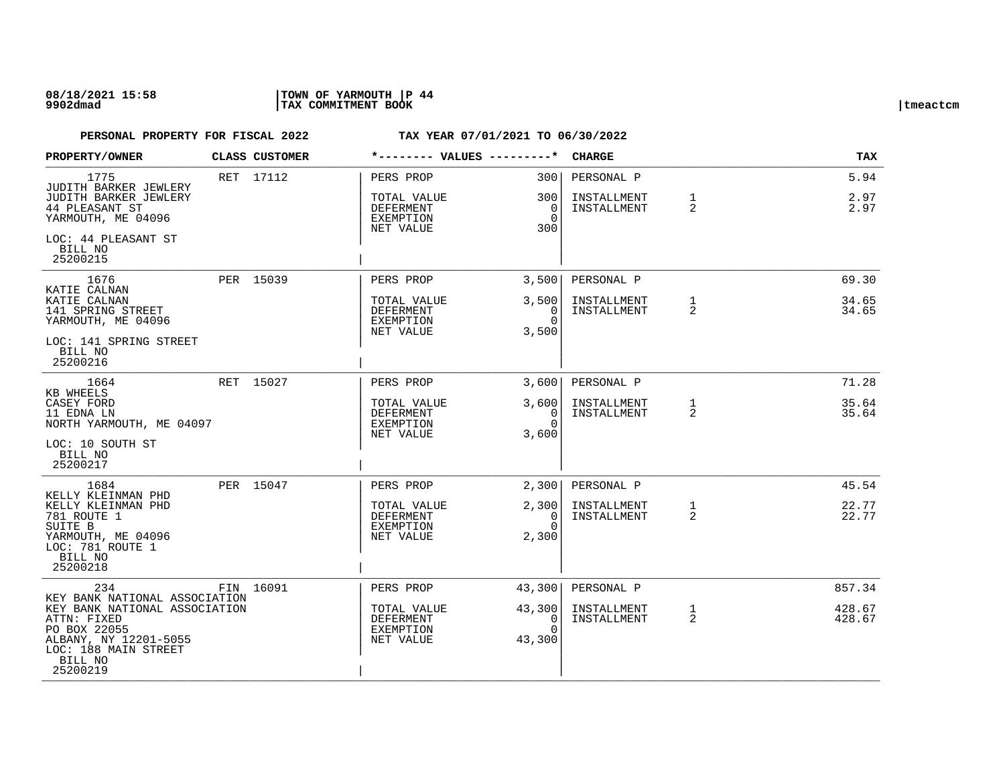## **08/18/2021 15:58 |TOWN OF YARMOUTH |P 44 9902dmad |TAX COMMITMENT BOOK |tmeactcm**

| <b>PROPERTY/OWNER</b>                                                                                                                                                 | CLASS CUSTOMER | *-------- VALUES ---------*                                     |                                        | <b>CHARGE</b>                            |                                | TAX                  |
|-----------------------------------------------------------------------------------------------------------------------------------------------------------------------|----------------|-----------------------------------------------------------------|----------------------------------------|------------------------------------------|--------------------------------|----------------------|
| 1775<br>JUDITH BARKER JEWLERY<br>JUDITH BARKER JEWLERY<br>44 PLEASANT ST<br>YARMOUTH, ME 04096                                                                        | RET 17112      | PERS PROP<br>TOTAL VALUE<br>DEFERMENT<br>EXEMPTION<br>NET VALUE | 3001<br>300<br>0<br>$\Omega$<br>300    | PERSONAL P<br>INSTALLMENT<br>INSTALLMENT | $\mathbf{1}$<br>2              | 5.94<br>2.97<br>2.97 |
| LOC: 44 PLEASANT ST<br>BILL NO<br>25200215                                                                                                                            |                |                                                                 |                                        |                                          |                                |                      |
| 1676                                                                                                                                                                  | PER 15039      | PERS PROP                                                       | 3,500                                  | PERSONAL P                               |                                | 69.30                |
| KATIE CALNAN<br>KATIE CALNAN<br>141 SPRING STREET<br>YARMOUTH, ME 04096<br>LOC: 141 SPRING STREET                                                                     |                | TOTAL VALUE<br>DEFERMENT<br>EXEMPTION<br>NET VALUE              | 3,500<br>$\Omega$<br>$\Omega$<br>3,500 | INSTALLMENT<br>INSTALLMENT               | $\mathbf{1}$<br>$\mathfrak{D}$ | 34.65<br>34.65       |
| BILL NO<br>25200216                                                                                                                                                   |                |                                                                 |                                        |                                          |                                |                      |
| 1664                                                                                                                                                                  | RET 15027      | PERS PROP                                                       | 3.600                                  | PERSONAL P                               |                                | 71.28                |
| KB WHEELS<br>CASEY FORD<br>11 EDNA LN<br>NORTH YARMOUTH, ME 04097                                                                                                     |                | TOTAL VALUE<br>DEFERMENT<br>EXEMPTION<br>NET VALUE              | 3,600<br>0<br>$\Omega$<br>3,600        | INSTALLMENT<br>INSTALLMENT               | $\mathbf{1}$<br>$\overline{2}$ | 35.64<br>35.64       |
| LOC: 10 SOUTH ST<br>BILL NO<br>25200217                                                                                                                               |                |                                                                 |                                        |                                          |                                |                      |
| 1684                                                                                                                                                                  | PER 15047      | PERS PROP                                                       | 2,300                                  | PERSONAL P                               |                                | 45.54                |
| KELLY KLEINMAN PHD<br>KELLY KLEINMAN PHD<br>781 ROUTE 1<br>SUITE B                                                                                                    |                | TOTAL VALUE<br>DEFERMENT<br>EXEMPTION                           | 2,300<br>0<br>$\Omega$                 | INSTALLMENT<br>INSTALLMENT               | $\mathbf{1}$<br>$\overline{2}$ | 22.77<br>22.77       |
| YARMOUTH, ME 04096<br>LOC: 781 ROUTE 1<br>BILL NO<br>25200218                                                                                                         |                | NET VALUE                                                       | 2,300                                  |                                          |                                |                      |
| 234                                                                                                                                                                   | FIN 16091      | PERS PROP                                                       | 43,300                                 | PERSONAL P                               |                                | 857.34               |
| KEY BANK NATIONAL ASSOCIATION<br>KEY BANK NATIONAL ASSOCIATION<br>ATTN: FIXED<br>PO BOX 22055<br>ALBANY, NY 12201-5055<br>LOC: 188 MAIN STREET<br>BILL NO<br>25200219 |                | TOTAL VALUE<br>DEFERMENT<br>EXEMPTION<br>NET VALUE              | 43,300<br>0<br>$\Omega$<br>43,300      | INSTALLMENT<br>INSTALLMENT               | $\mathbf{1}$<br>2              | 428.67<br>428.67     |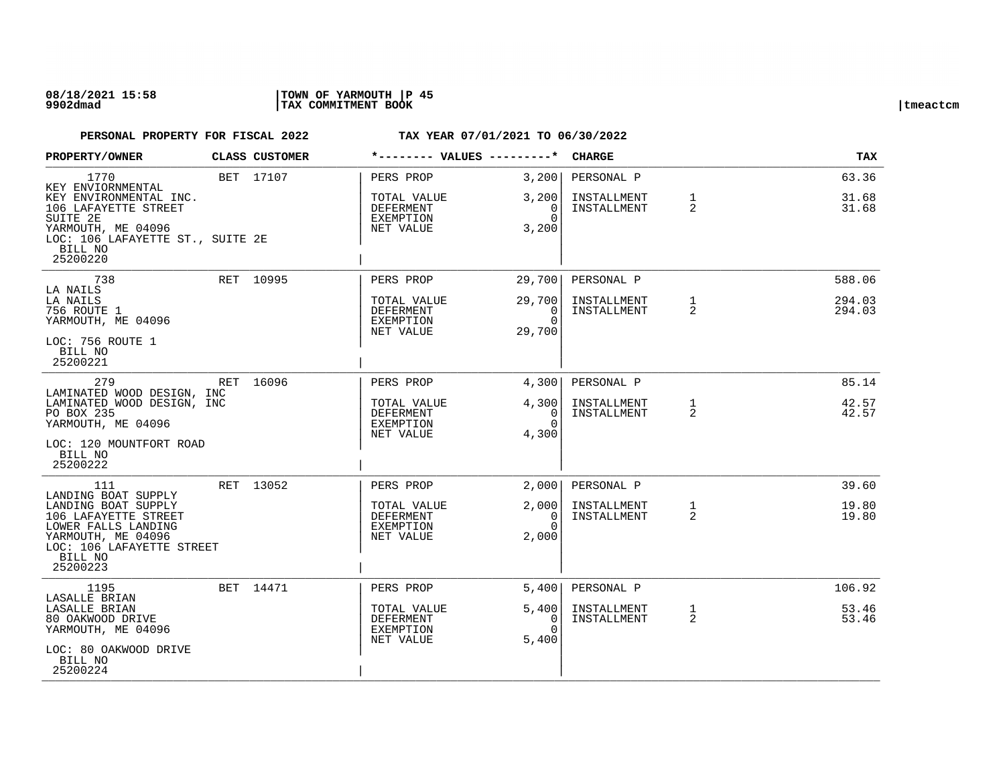| PROPERTY/OWNER                                                                                                                                                      | CLASS CUSTOMER | *-------- VALUES ---------*                               |                                                        | <b>CHARGE</b>              |                   | <b>TAX</b>       |
|---------------------------------------------------------------------------------------------------------------------------------------------------------------------|----------------|-----------------------------------------------------------|--------------------------------------------------------|----------------------------|-------------------|------------------|
| 1770<br>KEY ENVIORNMENTAL                                                                                                                                           | BET 17107      | PERS PROP                                                 | 3,200                                                  | PERSONAL P                 |                   | 63.36            |
| KEY ENVIRONMENTAL INC.<br>106 LAFAYETTE STREET<br>SUITE 2E<br>YARMOUTH, ME 04096<br>LOC: 106 LAFAYETTE ST., SUITE 2E<br>BILL NO<br>25200220                         |                | TOTAL VALUE<br>DEFERMENT<br>EXEMPTION<br>NET VALUE        | 3,200<br>0<br>$\Omega$<br>3,200                        | INSTALLMENT<br>INSTALLMENT | $\mathbf 1$<br>2  | 31.68<br>31.68   |
| 738                                                                                                                                                                 | RET 10995      | PERS PROP                                                 | 29,700                                                 | PERSONAL P                 |                   | 588.06           |
| LA NAILS<br>LA NAILS<br>756 ROUTE 1<br>YARMOUTH, ME 04096<br>LOC: 756 ROUTE 1<br>BILL NO<br>25200221                                                                |                | TOTAL VALUE<br>DEFERMENT<br>EXEMPTION<br>NET VALUE        | 29,700<br>$\Omega$<br>$\Omega$<br>29,700               | INSTALLMENT<br>INSTALLMENT | $\mathbf{1}$<br>2 | 294.03<br>294.03 |
| 279                                                                                                                                                                 | RET 16096      | PERS PROP                                                 | 4,300                                                  | PERSONAL P                 |                   | 85.14            |
| LAMINATED WOOD DESIGN, INC<br>LAMINATED WOOD DESIGN, INC<br>PO BOX 235<br>YARMOUTH, ME 04096<br>LOC: 120 MOUNTFORT ROAD<br>BILL NO<br>25200222                      |                | TOTAL VALUE<br>DEFERMENT<br><b>EXEMPTION</b><br>NET VALUE | 4,300<br>$\overline{\phantom{0}}$<br>$\Omega$<br>4,300 | INSTALLMENT<br>INSTALLMENT | $\mathbf{1}$<br>2 | 42.57<br>42.57   |
| 111                                                                                                                                                                 | RET 13052      | PERS PROP                                                 | 2,000                                                  | PERSONAL P                 |                   | 39.60            |
| LANDING BOAT SUPPLY<br>LANDING BOAT SUPPLY<br>106 LAFAYETTE STREET<br>LOWER FALLS LANDING<br>YARMOUTH, ME 04096<br>LOC: 106 LAFAYETTE STREET<br>BILL NO<br>25200223 |                | TOTAL VALUE<br><b>DEFERMENT</b><br>EXEMPTION<br>NET VALUE | 2,000<br>$\Omega$<br>$\Omega$<br>2,000                 | INSTALLMENT<br>INSTALLMENT | 1<br>2            | 19.80<br>19.80   |
| 1195<br>LASALLE BRIAN                                                                                                                                               | BET 14471      | PERS PROP                                                 | 5,400                                                  | PERSONAL P                 |                   | 106.92           |
| LASALLE BRIAN<br>80 OAKWOOD DRIVE<br>YARMOUTH, ME 04096<br>LOC: 80 OAKWOOD DRIVE<br>BILL NO<br>25200224                                                             |                | TOTAL VALUE<br>DEFERMENT<br>EXEMPTION<br>NET VALUE        | 5,400<br>0<br>$\Omega$<br>5,400                        | INSTALLMENT<br>INSTALLMENT | $\mathbf{1}$<br>2 | 53.46<br>53.46   |
|                                                                                                                                                                     |                |                                                           |                                                        |                            |                   |                  |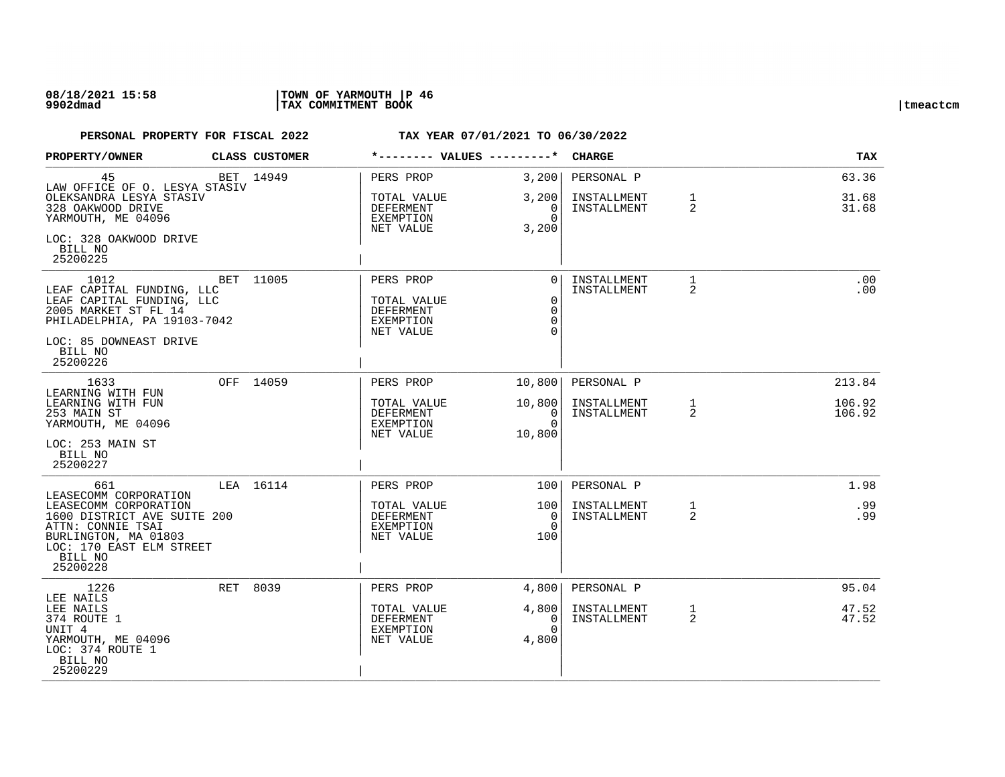| PROPERTY/OWNER                                                                                                                                                         | CLASS CUSTOMER | *-------- VALUES ---------*                                            |                                                              | <b>CHARGE</b>                            |                   | <b>TAX</b>              |
|------------------------------------------------------------------------------------------------------------------------------------------------------------------------|----------------|------------------------------------------------------------------------|--------------------------------------------------------------|------------------------------------------|-------------------|-------------------------|
| 45<br>LAW OFFICE OF O. LESYA STASIV<br>OLEKSANDRA LESYA STASIV<br>328 OAKWOOD DRIVE<br>YARMOUTH, ME 04096                                                              | BET 14949      | PERS PROP<br>TOTAL VALUE<br>DEFERMENT<br>EXEMPTION<br>NET VALUE        | 3,200<br>3,200<br>0<br>$\Omega$<br>3,200                     | PERSONAL P<br>INSTALLMENT<br>INSTALLMENT | $\mathbf{1}$<br>2 | 63.36<br>31.68<br>31.68 |
| LOC: 328 OAKWOOD DRIVE<br>BILL NO<br>25200225                                                                                                                          |                |                                                                        |                                                              |                                          |                   |                         |
| 1012<br>LEAF CAPITAL FUNDING, LLC<br>LEAF CAPITAL FUNDING, LLC<br>2005 MARKET ST FL 14<br>PHILADELPHIA, PA 19103-7042<br>LOC: 85 DOWNEAST DRIVE<br>BILL NO<br>25200226 | BET 11005      | PERS PROP<br>TOTAL VALUE<br>DEFERMENT<br><b>EXEMPTION</b><br>NET VALUE | $\Omega$<br>$\mathbf 0$<br>$\mathbf 0$<br>$\Omega$<br>$\cap$ | INSTALLMENT<br>INSTALLMENT               | $\mathbf{1}$<br>2 | .00<br>.00              |
| 1633                                                                                                                                                                   | OFF 14059      | PERS PROP                                                              | 10,800                                                       | PERSONAL P                               |                   | 213.84                  |
| LEARNING WITH FUN<br>LEARNING WITH FUN<br>253 MAIN ST<br>YARMOUTH, ME 04096<br>LOC: 253 MAIN ST<br>BILL NO<br>25200227                                                 |                | TOTAL VALUE<br>DEFERMENT<br>EXEMPTION<br>NET VALUE                     | 10,800<br>0<br>$\Omega$<br>10,800                            | INSTALLMENT<br>INSTALLMENT               | 1<br>2            | 106.92<br>106.92        |
| 661<br>LEASECOMM CORPORATION                                                                                                                                           | LEA 16114      | PERS PROP                                                              | 100                                                          | PERSONAL P                               |                   | 1.98                    |
| LEASECOMM CORPORATION<br>1600 DISTRICT AVE SUITE 200<br>ATTN: CONNIE TSAI<br>BURLINGTON, MA 01803<br>LOC: 170 EAST ELM STREET<br>BILL NO<br>25200228                   |                | TOTAL VALUE<br>DEFERMENT<br>EXEMPTION<br>NET VALUE                     | 100<br>$\Omega$<br>$\Omega$<br>100                           | INSTALLMENT<br>INSTALLMENT               | $\mathbf{1}$<br>2 | .99<br>.99              |
| 1226<br>LEE NAILS                                                                                                                                                      | RET 8039       | PERS PROP                                                              | 4,800                                                        | PERSONAL P                               |                   | 95.04                   |
| LEE NAILS<br>374 ROUTE 1<br>UNIT 4<br>YARMOUTH, ME 04096<br>LOC: 374 ROUTE 1<br>BILL NO<br>25200229                                                                    |                | TOTAL VALUE<br>DEFERMENT<br>EXEMPTION<br>NET VALUE                     | 4,800<br>$\Omega$<br>$\Omega$<br>4,800                       | INSTALLMENT<br>INSTALLMENT               | $\mathbf{1}$<br>2 | 47.52<br>47.52          |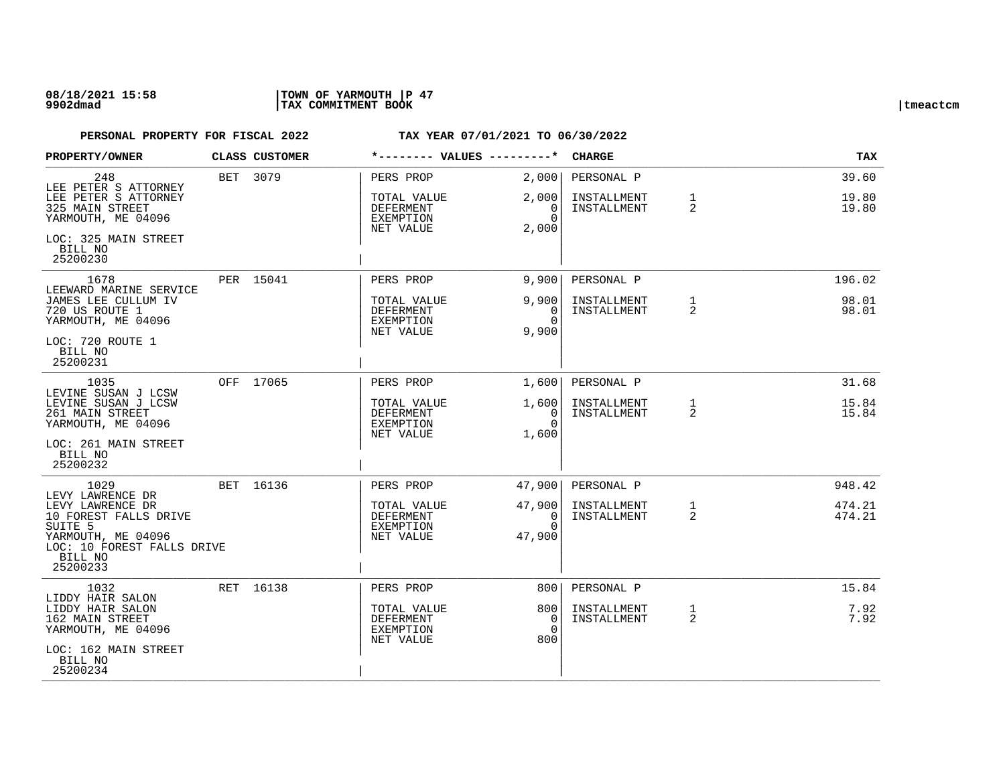## **08/18/2021 15:58 |TOWN OF YARMOUTH |P 47 9902dmad |TAX COMMITMENT BOOK |tmeactcm**

| PROPERTY/OWNER                                                                                                                             | CLASS CUSTOMER | *-------- VALUES ---------*                               |                                              | <b>CHARGE</b>              |                     | <b>TAX</b>       |
|--------------------------------------------------------------------------------------------------------------------------------------------|----------------|-----------------------------------------------------------|----------------------------------------------|----------------------------|---------------------|------------------|
| 248<br>LEE PETER S ATTORNEY                                                                                                                | BET 3079       | PERS PROP                                                 | 2,000                                        | PERSONAL P                 |                     | 39.60            |
| LEE PETER S ATTORNEY<br>325 MAIN STREET<br>YARMOUTH, ME 04096                                                                              |                | TOTAL VALUE<br>DEFERMENT<br>EXEMPTION                     | 2,000<br>0<br>$\Omega$                       | INSTALLMENT<br>INSTALLMENT | $\mathbf{1}$<br>2   | 19.80<br>19.80   |
| LOC: 325 MAIN STREET<br>BILL NO<br>25200230                                                                                                |                | NET VALUE                                                 | 2,000                                        |                            |                     |                  |
| 1678                                                                                                                                       | PER 15041      | PERS PROP                                                 | 9,900                                        | PERSONAL P                 |                     | 196.02           |
| LEEWARD MARINE SERVICE<br>JAMES LEE CULLUM IV<br>720 US ROUTE 1<br>YARMOUTH, ME 04096                                                      |                | TOTAL VALUE<br>DEFERMENT<br><b>EXEMPTION</b><br>NET VALUE | 9,900<br>$\Omega$<br>$\Omega$<br>9,900       | INSTALLMENT<br>INSTALLMENT | 1<br>2              | 98.01<br>98.01   |
| LOC: 720 ROUTE 1<br>BILL NO<br>25200231                                                                                                    |                |                                                           |                                              |                            |                     |                  |
| 1035<br>LEVINE SUSAN J LCSW                                                                                                                | OFF 17065      | PERS PROP                                                 | 1,600                                        | PERSONAL P                 |                     | 31.68            |
| LEVINE SUSAN J LCSW<br>261 MAIN STREET<br>YARMOUTH, ME 04096                                                                               |                | TOTAL VALUE<br>DEFERMENT<br>EXEMPTION<br>NET VALUE        | 1,600<br>$\overline{0}$<br>$\Omega$<br>1,600 | INSTALLMENT<br>INSTALLMENT | 1<br>2              | 15.84<br>15.84   |
| LOC: 261 MAIN STREET<br>BILL NO<br>25200232                                                                                                |                |                                                           |                                              |                            |                     |                  |
| 1029<br>LEVY LAWRENCE DR                                                                                                                   | BET 16136      | PERS PROP                                                 | 47,900                                       | PERSONAL P                 |                     | 948.42           |
| LEVY LAWRENCE DR<br>10 FOREST FALLS DRIVE<br>SUITE <sub>5</sub><br>YARMOUTH, ME 04096<br>LOC: 10 FOREST FALLS DRIVE<br>BILL NO<br>25200233 |                | TOTAL VALUE<br>DEFERMENT<br><b>EXEMPTION</b><br>NET VALUE | 47,900<br>0<br>$\Omega$<br>47,900            | INSTALLMENT<br>INSTALLMENT | $\mathbf{1}$<br>2   | 474.21<br>474.21 |
| 1032                                                                                                                                       | RET 16138      | PERS PROP                                                 | 800                                          | PERSONAL P                 |                     | 15.84            |
| LIDDY HAIR SALON<br>LIDDY HAIR SALON<br>162 MAIN STREET<br>YARMOUTH, ME 04096                                                              |                | TOTAL VALUE<br><b>DEFERMENT</b><br>EXEMPTION<br>NET VALUE | 800<br>$\Omega$<br>$\Omega$<br>800           | INSTALLMENT<br>INSTALLMENT | 1<br>$\overline{2}$ | 7.92<br>7.92     |
| LOC: 162 MAIN STREET<br>BILL NO<br>25200234                                                                                                |                |                                                           |                                              |                            |                     |                  |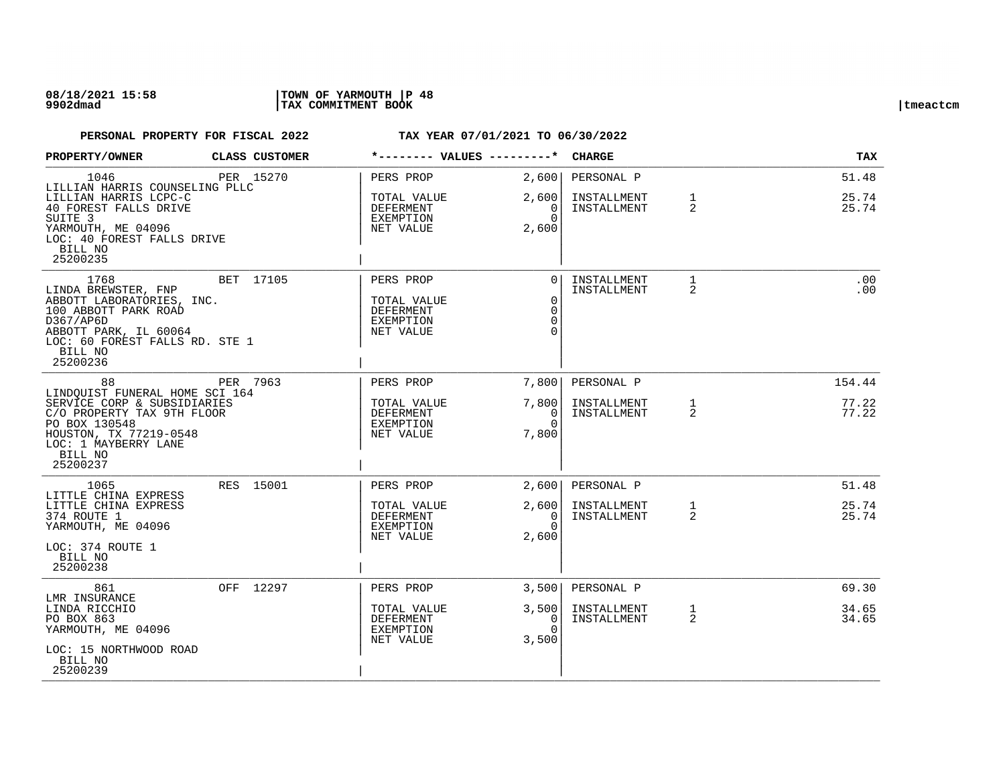| PROPERTY/OWNER                                                                                                                                                                        | CLASS CUSTOMER |                                                                        | *-------- VALUES ---------*                                    | <b>CHARGE</b>              |                                | TAX            |
|---------------------------------------------------------------------------------------------------------------------------------------------------------------------------------------|----------------|------------------------------------------------------------------------|----------------------------------------------------------------|----------------------------|--------------------------------|----------------|
| 1046<br>LILLIAN HARRIS COUNSELING PLLC                                                                                                                                                | PER 15270      | PERS PROP                                                              | 2,600                                                          | PERSONAL P                 |                                | 51.48          |
| LILLIAN HARRIS LCPC-C<br>40 FOREST FALLS DRIVE<br>SUITE 3<br>YARMOUTH, ME 04096<br>LOC: 40 FOREST FALLS DRIVE<br>BILL NO<br>25200235                                                  |                | TOTAL VALUE<br>DEFERMENT<br>EXEMPTION<br>NET VALUE                     | 2,600<br>0<br>$\Omega$<br>2,600                                | INSTALLMENT<br>INSTALLMENT | $\mathbf{1}$<br>$\overline{2}$ | 25.74<br>25.74 |
| 1768<br>LINDA BREWSTER, FNP<br>ABBOTT LABORATORIES, INC.<br>100 ABBOTT PARK ROAD<br>D367/AP6D<br>ABBOTT PARK, IL 60064<br>LOC: 60 FOREST FALLS RD. STE 1<br>BILL NO<br>25200236       | BET 17105      | PERS PROP<br>TOTAL VALUE<br>DEFERMENT<br><b>EXEMPTION</b><br>NET VALUE | $\Omega$<br>$\mathbf 0$<br>$\mathbf 0$<br>$\Omega$<br>$\Omega$ | INSTALLMENT<br>INSTALLMENT | 1<br>$\overline{2}$            | .00<br>.00     |
| 88                                                                                                                                                                                    | PER 7963       | PERS PROP                                                              | 7,800                                                          | PERSONAL P                 |                                | 154.44         |
| LINDOUIST FUNERAL HOME SCI 164<br>SERVICE CORP & SUBSIDIARIES<br>C/O PROPERTY TAX 9TH FLOOR<br>PO BOX 130548<br>HOUSTON, TX 77219-0548<br>LOC: 1 MAYBERRY LANE<br>BILL NO<br>25200237 |                | TOTAL VALUE<br><b>DEFERMENT</b><br>EXEMPTION<br>NET VALUE              | 7,800<br>0<br>$\Omega$<br>7,800                                | INSTALLMENT<br>INSTALLMENT | 1<br>2                         | 77.22<br>77.22 |
| 1065<br>LITTLE CHINA EXPRESS                                                                                                                                                          | RES 15001      | PERS PROP                                                              | 2,600                                                          | PERSONAL P                 |                                | 51.48          |
| LITTLE CHINA EXPRESS<br>374 ROUTE 1<br>YARMOUTH, ME 04096<br>LOC: 374 ROUTE 1<br>BILL NO<br>25200238                                                                                  |                | TOTAL VALUE<br><b>DEFERMENT</b><br>EXEMPTION<br>NET VALUE              | 2,600<br>$\Omega$<br>$\Omega$<br>2,600                         | INSTALLMENT<br>INSTALLMENT | $\mathbf{1}$<br>$\overline{2}$ | 25.74<br>25.74 |
| 861<br>LMR INSURANCE                                                                                                                                                                  | OFF 12297      | PERS PROP                                                              | 3,500                                                          | PERSONAL P                 |                                | 69.30          |
| LINDA RICCHIO<br>PO BOX 863<br>YARMOUTH, ME 04096<br>LOC: 15 NORTHWOOD ROAD<br>BILL NO<br>25200239                                                                                    |                | TOTAL VALUE<br>DEFERMENT<br><b>EXEMPTION</b><br>NET VALUE              | 3,500<br>0<br>$\Omega$<br>3,500                                | INSTALLMENT<br>INSTALLMENT | $\mathbf{1}$<br>$\overline{2}$ | 34.65<br>34.65 |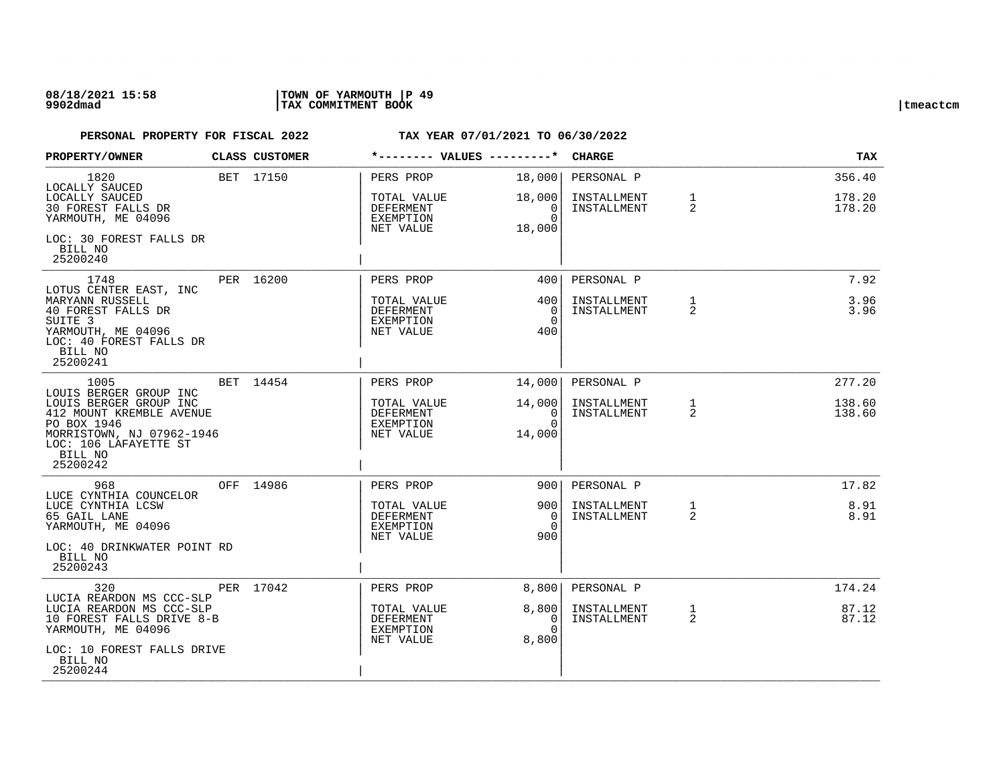## **08/18/2021 15:58 |TOWN OF YARMOUTH |P 49 9902dmad |TAX COMMITMENT BOOK |tmeactcm**

| PROPERTY/OWNER                                                                                                                                                | CLASS CUSTOMER |                                                           |                                             | <b>CHARGE</b>              |                                | TAX              |
|---------------------------------------------------------------------------------------------------------------------------------------------------------------|----------------|-----------------------------------------------------------|---------------------------------------------|----------------------------|--------------------------------|------------------|
| 1820<br>LOCALLY SAUCED                                                                                                                                        | BET 17150      | PERS PROP                                                 | 18,000                                      | PERSONAL P                 |                                | 356.40           |
| LOCALLY SAUCED<br>30 FOREST FALLS DR<br>YARMOUTH, ME 04096                                                                                                    |                | TOTAL VALUE<br>DEFERMENT<br>EXEMPTION                     | 18,000<br>0<br>$\cap$                       | INSTALLMENT<br>INSTALLMENT | $\mathbf{1}$<br>2              | 178.20<br>178.20 |
| LOC: 30 FOREST FALLS DR<br>BILL NO<br>25200240                                                                                                                |                | NET VALUE                                                 | 18,000                                      |                            |                                |                  |
| 1748                                                                                                                                                          | PER 16200      | PERS PROP                                                 | 4001                                        | PERSONAL P                 |                                | 7.92             |
| LOTUS CENTER EAST, INC<br>MARYANN RUSSELL<br>40 FOREST FALLS DR<br>SUITE <sub>3</sub><br>YARMOUTH, ME 04096<br>LOC: 40 FOREST FALLS DR<br>BILL NO<br>25200241 |                | TOTAL VALUE<br><b>DEFERMENT</b><br>EXEMPTION<br>NET VALUE | 400<br>$\Omega$<br>$\Omega$<br>400          | INSTALLMENT<br>INSTALLMENT | $\mathbf{1}$<br>$\overline{2}$ | 3.96<br>3.96     |
| 1005<br>LOUIS BERGER GROUP INC                                                                                                                                | BET 14454      | PERS PROP                                                 | 14,000                                      | PERSONAL P                 |                                | 277.20           |
| LOUIS BERGER GROUP INC<br>412 MOUNT KREMBLE AVENUE<br>PO BOX 1946<br>MORRISTOWN, NJ 07962-1946<br>LOC: 106 LAFAYETTE ST<br>BILL NO<br>25200242                |                | TOTAL VALUE<br>DEFERMENT<br><b>EXEMPTION</b><br>NET VALUE | 14,000<br>$\mathbf 0$<br>$\Omega$<br>14,000 | INSTALLMENT<br>INSTALLMENT | $\mathbf 1$<br>2               | 138.60<br>138.60 |
| 968<br>LUCE CYNTHIA COUNCELOR                                                                                                                                 | OFF 14986      | PERS PROP                                                 | 9001                                        | PERSONAL P                 |                                | 17.82            |
| LUCE CYNTHIA LCSW<br>65 GAIL LANE<br>YARMOUTH, ME 04096<br>LOC: 40 DRINKWATER POINT RD<br>BILL NO<br>25200243                                                 |                | TOTAL VALUE<br>DEFERMENT<br><b>EXEMPTION</b><br>NET VALUE | 9001<br>$\Omega$<br>$\Omega$<br>900         | INSTALLMENT<br>INSTALLMENT | 1<br>$\overline{2}$            | 8.91<br>8.91     |
| 320                                                                                                                                                           | PER 17042      | PERS PROP                                                 | 8,800                                       | PERSONAL P                 |                                | 174.24           |
| LUCIA REARDON MS CCC-SLP<br>LUCIA REARDON MS CCC-SLP<br>10 FOREST FALLS DRIVE 8-B<br>YARMOUTH, ME 04096                                                       |                | TOTAL VALUE<br>DEFERMENT<br>EXEMPTION<br>NET VALUE        | 8,800<br>$\Omega$<br>$\Omega$<br>8,800      | INSTALLMENT<br>INSTALLMENT | 1<br>2                         | 87.12<br>87.12   |
| LOC: 10 FOREST FALLS DRIVE<br>BILL NO<br>25200244                                                                                                             |                |                                                           |                                             |                            |                                |                  |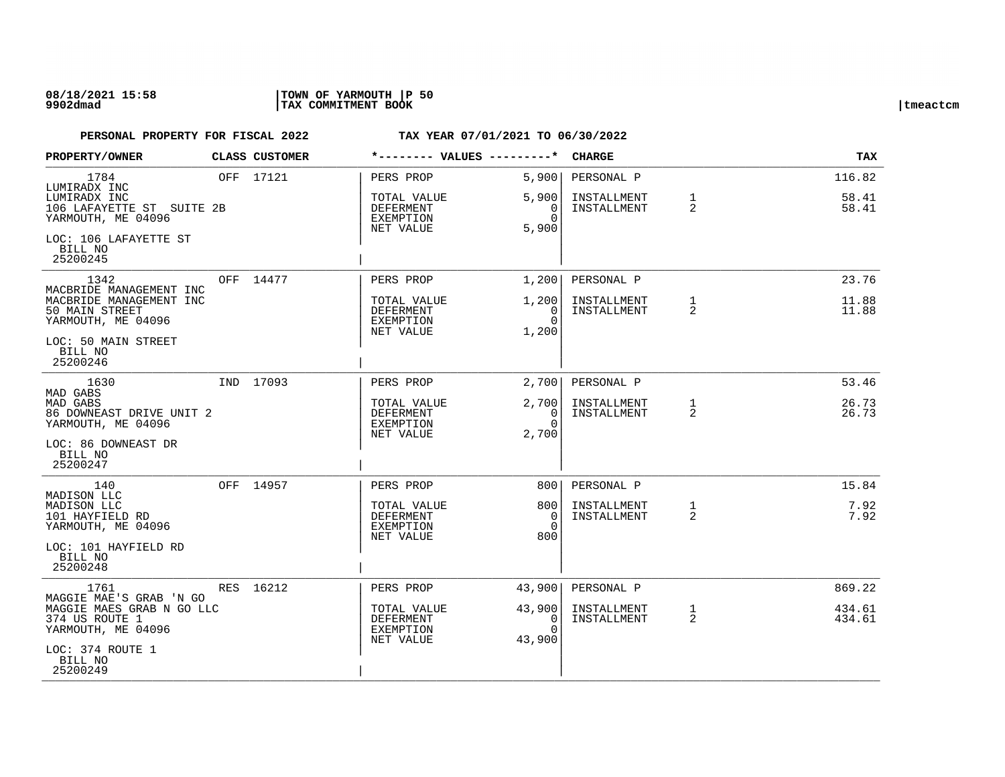## **08/18/2021 15:58 |TOWN OF YARMOUTH |P 50 9902dmad |TAX COMMITMENT BOOK |tmeactcm**

| PROPERTY/OWNER                                                                               | <b>CLASS CUSTOMER</b> | *-------- VALUES ---------*                                     |                                                 | <b>CHARGE</b>                            |                   | TAX                      |
|----------------------------------------------------------------------------------------------|-----------------------|-----------------------------------------------------------------|-------------------------------------------------|------------------------------------------|-------------------|--------------------------|
| 1784<br>LUMIRADX INC<br>LUMIRADX INC<br>106 LAFAYETTE ST SUITE 2B<br>YARMOUTH, ME 04096      | OFF 17121             | PERS PROP<br>TOTAL VALUE<br>DEFERMENT<br>EXEMPTION<br>NET VALUE | 5,900<br>5,900<br>$\Omega$<br>$\Omega$<br>5,900 | PERSONAL P<br>INSTALLMENT<br>INSTALLMENT | $\mathbf{1}$<br>2 | 116.82<br>58.41<br>58.41 |
| LOC: 106 LAFAYETTE ST<br>BILL NO<br>25200245                                                 |                       |                                                                 |                                                 |                                          |                   |                          |
| 1342                                                                                         | OFF 14477             | PERS PROP                                                       | 1,200                                           | PERSONAL P                               |                   | 23.76                    |
| MACBRIDE MANAGEMENT INC<br>MACBRIDE MANAGEMENT INC<br>50 MAIN STREET<br>YARMOUTH, ME 04096   |                       | TOTAL VALUE<br>DEFERMENT<br>EXEMPTION<br>NET VALUE              | 1,200<br>$\Omega$<br>$\Omega$<br>1,200          | INSTALLMENT<br>INSTALLMENT               | $\mathbf{1}$<br>2 | 11.88<br>11.88           |
| LOC: 50 MAIN STREET<br>BILL NO<br>25200246                                                   |                       |                                                                 |                                                 |                                          |                   |                          |
| 1630                                                                                         | IND 17093             | PERS PROP                                                       | 2,700                                           | PERSONAL P                               |                   | 53.46                    |
| MAD GABS<br><b>MAD GABS</b><br>86 DOWNEAST DRIVE UNIT 2<br>YARMOUTH, ME 04096                |                       | TOTAL VALUE<br>DEFERMENT<br>EXEMPTION                           | 2,700<br>$\overline{0}$<br>$\Omega$             | INSTALLMENT<br>INSTALLMENT               | 1<br>2            | 26.73<br>26.73           |
| LOC: 86 DOWNEAST DR<br>BILL NO<br>25200247                                                   |                       | NET VALUE                                                       | 2,700                                           |                                          |                   |                          |
| 140                                                                                          | OFF 14957             | PERS PROP                                                       | 8001                                            | PERSONAL P                               |                   | 15.84                    |
| MADISON LLC<br>MADISON LLC<br>101 HAYFIELD RD<br>YARMOUTH, ME 04096                          |                       | TOTAL VALUE<br>DEFERMENT<br>EXEMPTION<br>NET VALUE              | 800<br>$\Omega$<br>$\Omega$<br>800              | INSTALLMENT<br>INSTALLMENT               | $\mathbf{1}$<br>2 | 7.92<br>7.92             |
| LOC: 101 HAYFIELD RD<br>BILL NO<br>25200248                                                  |                       |                                                                 |                                                 |                                          |                   |                          |
| 1761                                                                                         | RES 16212             | PERS PROP                                                       | 43,900                                          | PERSONAL P                               |                   | 869.22                   |
| MAGGIE MAE'S GRAB 'N GO<br>MAGGIE MAES GRAB N GO LLC<br>374 US ROUTE 1<br>YARMOUTH, ME 04096 |                       | TOTAL VALUE<br>DEFERMENT<br>EXEMPTION<br>NET VALUE              | 43,900<br>0<br>$\Omega$<br>43,900               | INSTALLMENT<br>INSTALLMENT               | $\mathbf{1}$<br>2 | 434.61<br>434.61         |
| LOC: 374 ROUTE 1<br>BILL NO<br>25200249                                                      |                       |                                                                 |                                                 |                                          |                   |                          |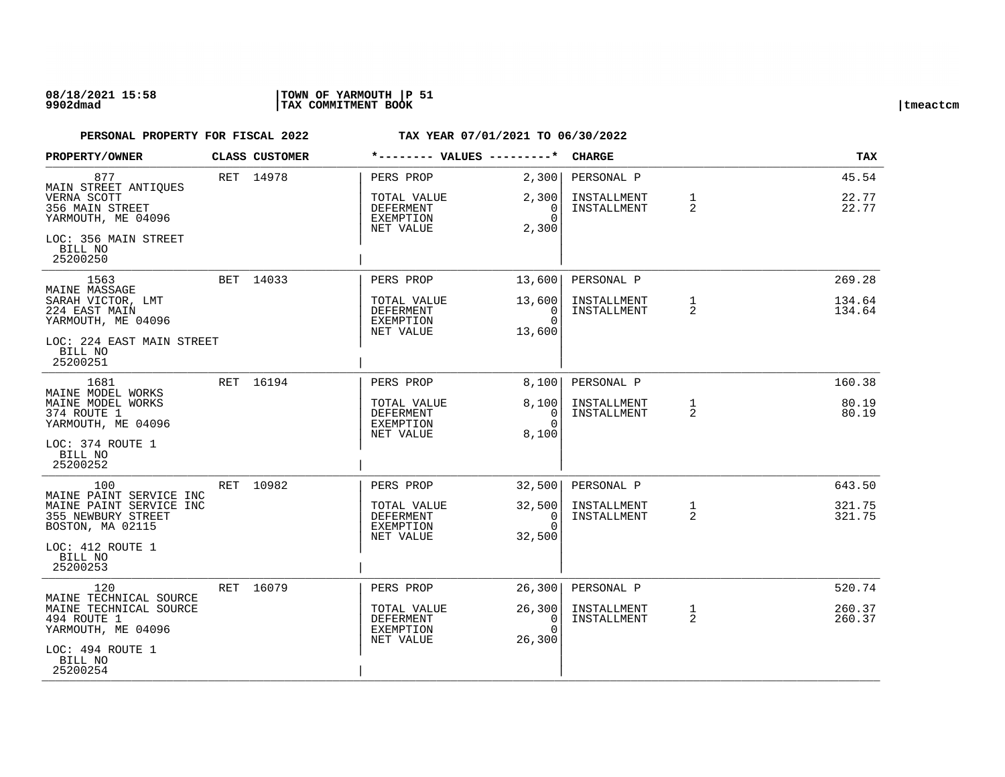## **08/18/2021 15:58 |TOWN OF YARMOUTH |P 51 9902dmad |TAX COMMITMENT BOOK |tmeactcm**

| PROPERTY/OWNER                                                                               |  | <b>CLASS CUSTOMER</b> | *-------- VALUES ---------*                        |                                                    | <b>CHARGE</b>                     |                                | TAX                            |                  |
|----------------------------------------------------------------------------------------------|--|-----------------------|----------------------------------------------------|----------------------------------------------------|-----------------------------------|--------------------------------|--------------------------------|------------------|
| 877                                                                                          |  | RET 14978             | PERS PROP                                          | 2,300                                              | PERSONAL P                        |                                | 45.54                          |                  |
| MAIN STREET ANTIQUES<br>VERNA SCOTT<br>356 MAIN STREET<br>YARMOUTH, ME 04096                 |  |                       | TOTAL VALUE<br>DEFERMENT<br>EXEMPTION<br>NET VALUE | 2,300<br>0<br>$\Omega$<br>2,300                    | INSTALLMENT<br>INSTALLMENT        | $\mathbf{1}$<br>$\overline{2}$ | 22.77<br>22.77                 |                  |
| LOC: 356 MAIN STREET<br>BILL NO<br>25200250                                                  |  |                       |                                                    |                                                    |                                   |                                |                                |                  |
| 1563<br>MAINE MASSAGE                                                                        |  | BET 14033             | PERS PROP                                          | 13,600                                             | PERSONAL P                        |                                | 269.28                         |                  |
| SARAH VICTOR, LMT<br>224 EAST MAIN<br>YARMOUTH, ME 04096                                     |  |                       |                                                    | TOTAL VALUE<br>DEFERMENT<br>EXEMPTION<br>NET VALUE | 13,600<br>0<br>$\Omega$<br>13,600 | INSTALLMENT<br>INSTALLMENT     | $\mathbf{1}$<br>$\overline{2}$ | 134.64<br>134.64 |
| LOC: 224 EAST MAIN STREET<br>BILL NO<br>25200251                                             |  |                       |                                                    |                                                    |                                   |                                |                                |                  |
| 1681<br>MAINE MODEL WORKS                                                                    |  | RET 16194             | PERS PROP                                          | 8,100                                              | PERSONAL P                        |                                | 160.38                         |                  |
| MAINE MODEL WORKS<br>374 ROUTE 1<br>YARMOUTH, ME 04096                                       |  |                       | TOTAL VALUE<br><b>DEFERMENT</b><br>EXEMPTION       | 8,100<br>0<br>$\Omega$                             | INSTALLMENT<br>INSTALLMENT        | $\mathbf{1}$<br>2              | 80.19<br>80.19                 |                  |
| LOC: 374 ROUTE 1<br>BILL NO<br>25200252                                                      |  |                       | NET VALUE                                          | 8,100                                              |                                   |                                |                                |                  |
| 100                                                                                          |  | RET 10982             | PERS PROP                                          | 32,500                                             | PERSONAL P                        |                                | 643.50                         |                  |
| MAINE PAINT SERVICE INC<br>MAINE PAINT SERVICE INC<br>355 NEWBURY STREET<br>BOSTON, MA 02115 |  |                       | TOTAL VALUE<br>DEFERMENT<br>EXEMPTION<br>NET VALUE | 32,500<br>0<br>$\Omega$<br>32,500                  | INSTALLMENT<br>INSTALLMENT        | $\mathbf{1}$<br>2              | 321.75<br>321.75               |                  |
| LOC: 412 ROUTE 1<br>BILL NO<br>25200253                                                      |  |                       |                                                    |                                                    |                                   |                                |                                |                  |
| 120<br>MAINE TECHNICAL SOURCE                                                                |  | RET 16079             | PERS PROP                                          | 26,300                                             | PERSONAL P                        |                                | 520.74                         |                  |
| MAINE TECHNICAL SOURCE<br>494 ROUTE 1<br>YARMOUTH, ME 04096                                  |  |                       | TOTAL VALUE<br>DEFERMENT<br>EXEMPTION<br>NET VALUE | 26,300<br>0<br>$\Omega$<br>26,300                  | INSTALLMENT<br>INSTALLMENT        | $\mathbf{1}$<br>$\overline{2}$ | 260.37<br>260.37               |                  |
| LOC: 494 ROUTE 1<br>BILL NO<br>25200254                                                      |  |                       |                                                    |                                                    |                                   |                                |                                |                  |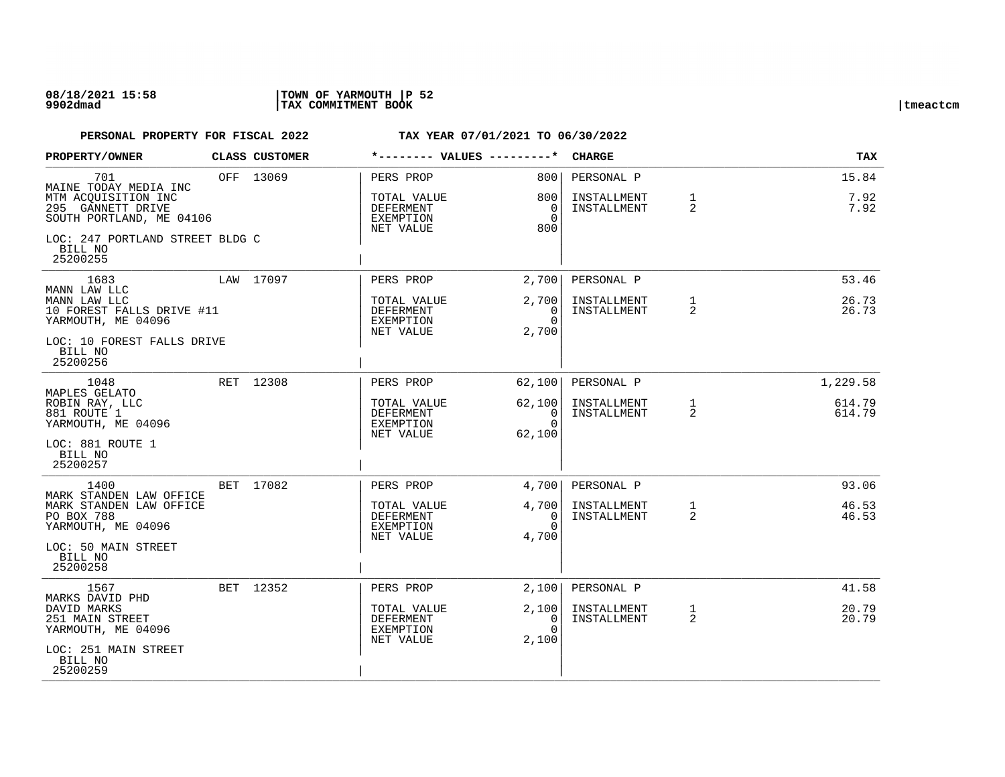| PROPERTY/OWNER                                                                                       | CLASS CUSTOMER | *-------- VALUES ---------*                                            |                                                  | <b>CHARGE</b>                            |                   | TAX                   |
|------------------------------------------------------------------------------------------------------|----------------|------------------------------------------------------------------------|--------------------------------------------------|------------------------------------------|-------------------|-----------------------|
| 701<br>MAINE TODAY MEDIA INC<br>MTM ACQUISITION INC<br>295 GANNETT DRIVE<br>SOUTH PORTLAND, ME 04106 | OFF 13069      | PERS PROP<br>TOTAL VALUE<br><b>DEFERMENT</b><br>EXEMPTION<br>NET VALUE | 8001<br>800<br>$\overline{0}$<br>$\Omega$<br>800 | PERSONAL P<br>INSTALLMENT<br>INSTALLMENT | $\mathbf{1}$<br>2 | 15.84<br>7.92<br>7.92 |
| LOC: 247 PORTLAND STREET BLDG C<br>BILL NO<br>25200255                                               |                |                                                                        |                                                  |                                          |                   |                       |
| 1683                                                                                                 | LAW 17097      | PERS PROP                                                              | 2,700                                            | PERSONAL P                               |                   | 53.46                 |
| MANN LAW LLC<br>MANN LAW LLC<br>10 FOREST FALLS DRIVE #11<br>YARMOUTH, ME 04096                      |                | TOTAL VALUE<br>DEFERMENT<br>EXEMPTION<br>NET VALUE                     | 2,700<br>0<br>$\Omega$<br>2,700                  | INSTALLMENT<br>INSTALLMENT               | 1<br>2            | 26.73<br>26.73        |
| LOC: 10 FOREST FALLS DRIVE<br>BILL NO<br>25200256                                                    |                |                                                                        |                                                  |                                          |                   |                       |
| 1048                                                                                                 | RET 12308      | PERS PROP                                                              | 62,100                                           | PERSONAL P                               |                   | 1,229.58              |
| MAPLES GELATO<br>ROBIN RAY, LLC<br>881 ROUTE 1<br>YARMOUTH, ME 04096                                 |                | TOTAL VALUE<br>DEFERMENT<br>EXEMPTION                                  | 62,100<br>$\overline{\phantom{0}}$<br>$\Omega$   | INSTALLMENT<br>INSTALLMENT               | $\mathbf{1}$<br>2 | 614.79<br>614.79      |
| LOC: 881 ROUTE 1<br>BILL NO<br>25200257                                                              |                | NET VALUE                                                              | 62,100                                           |                                          |                   |                       |
| 1400                                                                                                 | BET 17082      | PERS PROP                                                              | 4,700                                            | PERSONAL P                               |                   | 93.06                 |
| MARK STANDEN LAW OFFICE<br>MARK STANDEN LAW OFFICE<br>PO BOX 788<br>YARMOUTH, ME 04096               |                | TOTAL VALUE<br>DEFERMENT<br>EXEMPTION<br>NET VALUE                     | 4,700<br>0<br>$\Omega$<br>4,700                  | INSTALLMENT<br>INSTALLMENT               | $\mathbf{1}$<br>2 | 46.53<br>46.53        |
| LOC: 50 MAIN STREET<br>BILL NO<br>25200258                                                           |                |                                                                        |                                                  |                                          |                   |                       |
| 1567                                                                                                 | BET 12352      | PERS PROP                                                              | 2,100                                            | PERSONAL P                               |                   | 41.58                 |
| MARKS DAVID PHD<br>DAVID MARKS<br>251 MAIN STREET<br>YARMOUTH, ME 04096                              |                | TOTAL VALUE<br>DEFERMENT<br>EXEMPTION<br>NET VALUE                     | 2,100<br>0<br>$\Omega$<br>2,100                  | INSTALLMENT<br>INSTALLMENT               | $\mathbf{1}$<br>2 | 20.79<br>20.79        |
| LOC: 251 MAIN STREET<br>BILL NO<br>25200259                                                          |                |                                                                        |                                                  |                                          |                   |                       |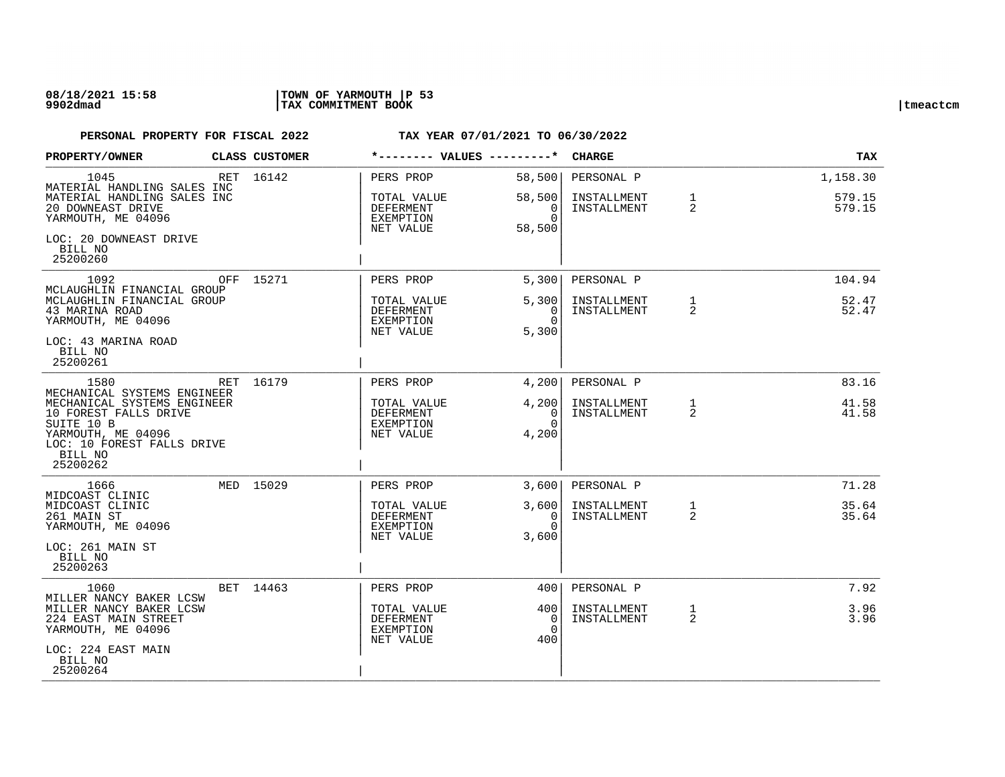| PROPERTY/OWNER                                                                                                                                                               |  | CLASS CUSTOMER | *-------- VALUES ---------*                                      |                                             | <b>CHARGE</b>                            |                                | <b>TAX</b>                   |
|------------------------------------------------------------------------------------------------------------------------------------------------------------------------------|--|----------------|------------------------------------------------------------------|---------------------------------------------|------------------------------------------|--------------------------------|------------------------------|
| 1045<br>MATERIAL HANDLING SALES INC<br>MATERIAL HANDLING SALES INC<br>20 DOWNEAST DRIVE<br>YARMOUTH, ME 04096                                                                |  | RET 16142      | PERS PROP<br>TOTAL VALUE<br>DEFERMENT<br>EXEMPTION<br>NET VALUE  | 58,500<br>58,500<br>0<br>$\Omega$<br>58,500 | PERSONAL P<br>INSTALLMENT<br>INSTALLMENT | $\mathbf{1}$<br>$\overline{2}$ | 1,158.30<br>579.15<br>579.15 |
| LOC: 20 DOWNEAST DRIVE<br>BILL NO<br>25200260                                                                                                                                |  |                |                                                                  |                                             |                                          |                                |                              |
| 1092<br>MCLAUGHLIN FINANCIAL GROUP                                                                                                                                           |  | OFF 15271      | PERS PROP                                                        | 5,300                                       | PERSONAL P                               |                                | 104.94                       |
| MCLAUGHLIN FINANCIAL GROUP<br>43 MARINA ROAD<br>YARMOUTH, ME 04096<br>LOC: 43 MARINA ROAD<br>BILL NO<br>25200261                                                             |  |                | TOTAL VALUE<br><b>DEFERMENT</b><br><b>EXEMPTION</b><br>NET VALUE | 5,300<br>0<br>$\Omega$<br>5,300             | INSTALLMENT<br>INSTALLMENT               | 1<br>$\overline{a}$            | 52.47<br>52.47               |
| 1580                                                                                                                                                                         |  | RET 16179      | PERS PROP                                                        | 4,200                                       | PERSONAL P                               |                                | 83.16                        |
| MECHANICAL SYSTEMS ENGINEER<br>MECHANICAL SYSTEMS ENGINEER<br>10 FOREST FALLS DRIVE<br>SUITE 10 B<br>YARMOUTH, ME 04096<br>LOC: 10 FOREST FALLS DRIVE<br>BILL NO<br>25200262 |  |                | TOTAL VALUE<br><b>DEFERMENT</b><br>EXEMPTION<br>NET VALUE        | 4,200<br>0<br>$\Omega$<br>4,200             | INSTALLMENT<br>INSTALLMENT               | 1<br>2                         | 41.58<br>41.58               |
| 1666<br>MIDCOAST CLINIC                                                                                                                                                      |  | MED 15029      | PERS PROP                                                        | 3.600                                       | PERSONAL P                               |                                | 71.28                        |
| MIDCOAST CLINIC<br>261 MAIN ST<br>YARMOUTH, ME 04096<br>LOC: 261 MAIN ST<br>BILL NO<br>25200263                                                                              |  |                | TOTAL VALUE<br>DEFERMENT<br>EXEMPTION<br>NET VALUE               | 3,600<br>0<br>$\Omega$<br>3,600             | INSTALLMENT<br>INSTALLMENT               | $\mathbf{1}$<br>2              | 35.64<br>35.64               |
| 1060                                                                                                                                                                         |  | BET 14463      | PERS PROP                                                        | 400                                         | PERSONAL P                               |                                | 7.92                         |
| MILLER NANCY BAKER LCSW<br>MILLER NANCY BAKER LCSW<br>224 EAST MAIN STREET<br>YARMOUTH, ME 04096                                                                             |  |                | TOTAL VALUE<br>DEFERMENT<br>EXEMPTION<br>NET VALUE               | 400<br>$\Omega$<br>$\Omega$<br>400          | INSTALLMENT<br>INSTALLMENT               | $\mathbf{1}$<br>$\overline{2}$ | 3.96<br>3.96                 |
| LOC: 224 EAST MAIN<br>BILL NO<br>25200264                                                                                                                                    |  |                |                                                                  |                                             |                                          |                                |                              |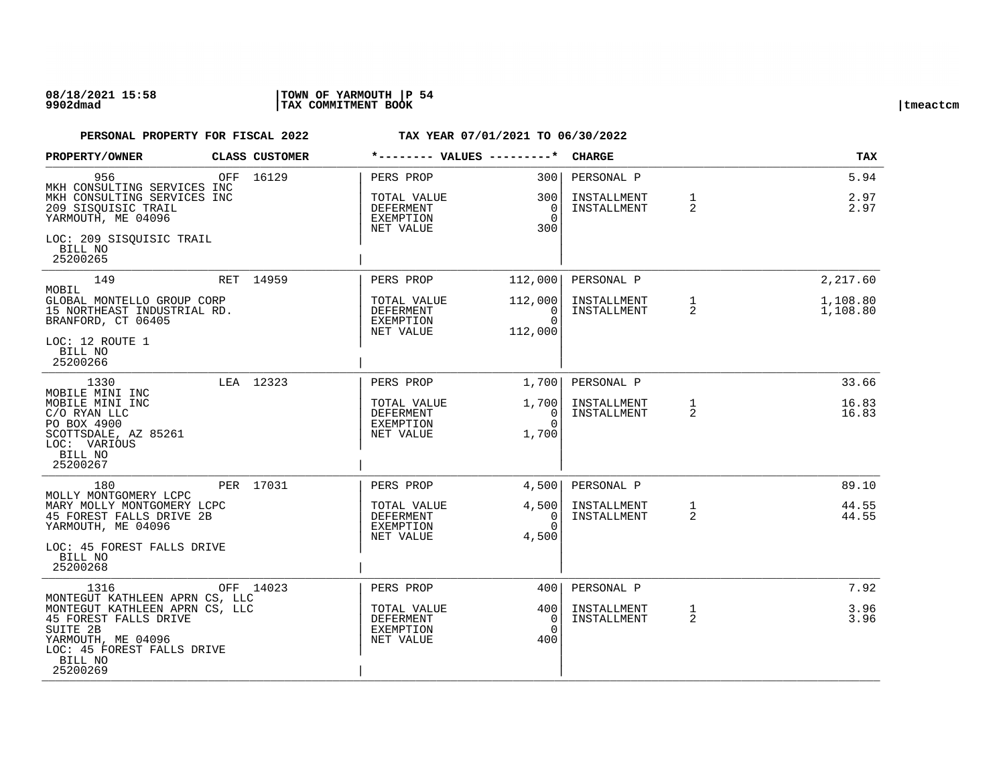| PROPERTY/OWNER                                                                                                                                 |     | CLASS CUSTOMER |                                                    | *-------- VALUES ---------*                   | <b>CHARGE</b>              |                   | <b>TAX</b>           |
|------------------------------------------------------------------------------------------------------------------------------------------------|-----|----------------|----------------------------------------------------|-----------------------------------------------|----------------------------|-------------------|----------------------|
| 956<br>MKH CONSULTING SERVICES INC                                                                                                             | OFF | 16129          | PERS PROP                                          | 3001<br>300 l                                 | PERSONAL P                 | $\mathbf{1}$      | 5.94<br>2.97         |
| MKH CONSULTING SERVICES INC<br>209 SISOUISIC TRAIL<br>YARMOUTH, ME 04096                                                                       |     |                | TOTAL VALUE<br>DEFERMENT<br>EXEMPTION<br>NET VALUE | $\overline{0}$<br>$\Omega$<br>300             | INSTALLMENT<br>INSTALLMENT | 2                 | 2.97                 |
| LOC: 209 SISQUISIC TRAIL<br>BILL NO<br>25200265                                                                                                |     |                |                                                    |                                               |                            |                   |                      |
| 149<br>MOBIL                                                                                                                                   |     | RET 14959      | PERS PROP                                          | 112,000                                       | PERSONAL P                 |                   | 2,217.60             |
| GLOBAL MONTELLO GROUP CORP<br>15 NORTHEAST INDUSTRIAL RD.<br>BRANFORD, CT 06405                                                                |     |                | TOTAL VALUE<br>DEFERMENT<br>EXEMPTION<br>NET VALUE | 112,000<br>- 0<br>$\Omega$<br>112,000         | INSTALLMENT<br>INSTALLMENT | $\mathbf{1}$<br>2 | 1,108.80<br>1,108.80 |
| LOC: 12 ROUTE 1<br>BILL NO<br>25200266                                                                                                         |     |                |                                                    |                                               |                            |                   |                      |
| 1330                                                                                                                                           |     | LEA 12323      | PERS PROP                                          | 1,700                                         | PERSONAL P                 |                   | 33.66                |
| MOBILE MINI INC<br>MOBILE MINI INC<br>C/O RYAN LLC<br>PO BOX 4900<br>SCOTTSDALE, AZ 85261<br>LOC: VARIOUS<br>BILL NO<br>25200267               |     |                | TOTAL VALUE<br>DEFERMENT<br>EXEMPTION<br>NET VALUE | 1,700 <br>$\overline{0}$<br>$\Omega$<br>1,700 | INSTALLMENT<br>INSTALLMENT | 1<br>2            | 16.83<br>16.83       |
| 180                                                                                                                                            |     | PER 17031      | PERS PROP                                          | 4,500                                         | PERSONAL P                 |                   | 89.10                |
| MOLLY MONTGOMERY LCPC<br>MARY MOLLY MONTGOMERY LCPC<br>45 FOREST FALLS DRIVE 2B<br>YARMOUTH, ME 04096<br>LOC: 45 FOREST FALLS DRIVE<br>BILL NO |     |                | TOTAL VALUE<br>DEFERMENT<br>EXEMPTION<br>NET VALUE | 4,500<br>$\Omega$<br>$\Omega$<br>4,500        | INSTALLMENT<br>INSTALLMENT | $\mathbf{1}$<br>2 | 44.55<br>44.55       |
| 25200268                                                                                                                                       |     |                |                                                    |                                               |                            |                   |                      |
| 1316<br>MONTEGUT KATHLEEN APRN CS, LLC                                                                                                         |     | OFF 14023      | PERS PROP                                          | 400l                                          | PERSONAL P                 |                   | 7.92                 |
| MONTEGUT KATHLEEN APRN CS, LLC<br>45 FOREST FALLS DRIVE<br>SUITE 2B<br>YARMOUTH, ME 04096<br>LOC: 45 FOREST FALLS DRIVE<br>BILL NO<br>25200269 |     |                | TOTAL VALUE<br>DEFERMENT<br>EXEMPTION<br>NET VALUE | 400<br>0<br>$\Omega$<br>400                   | INSTALLMENT<br>INSTALLMENT | $\mathbf{1}$<br>2 | 3.96<br>3.96         |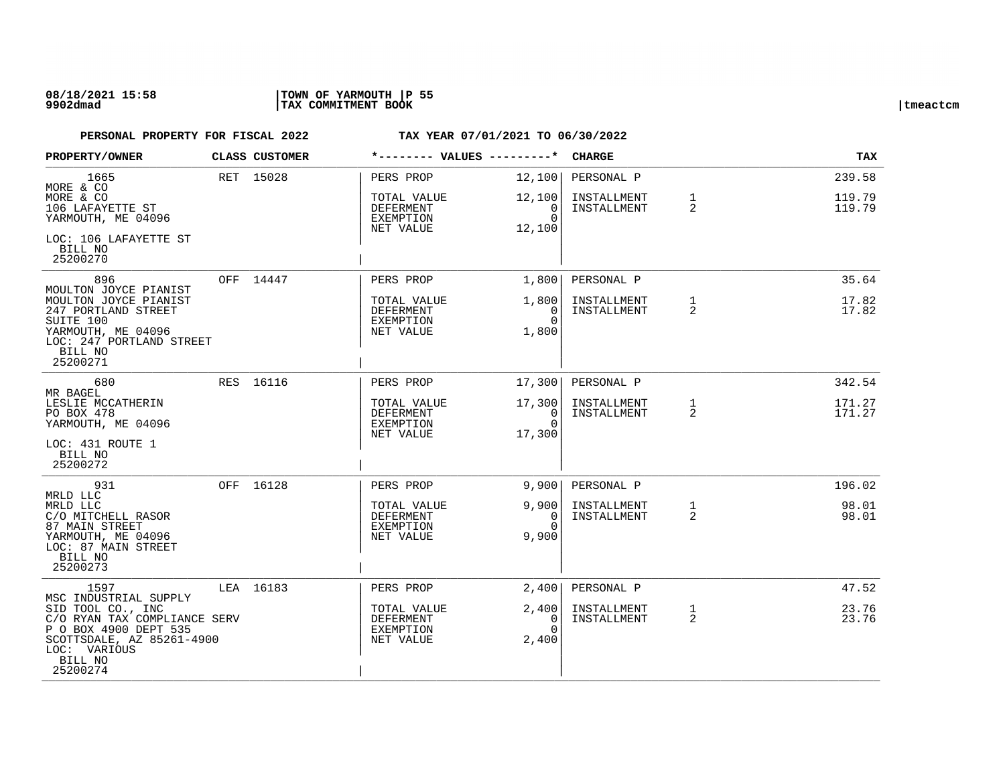## **08/18/2021 15:58 |TOWN OF YARMOUTH |P 55 9902dmad |TAX COMMITMENT BOOK |tmeactcm**

| PROPERTY/OWNER                                                                                                                                              | CLASS CUSTOMER |                                                    | *-------- VALUES ---------*                    | <b>CHARGE</b>                            |                   | TAX                        |
|-------------------------------------------------------------------------------------------------------------------------------------------------------------|----------------|----------------------------------------------------|------------------------------------------------|------------------------------------------|-------------------|----------------------------|
| 1665<br>MORE & CO<br>MORE & CO<br>106 LAFAYETTE ST                                                                                                          | RET 15028      | PERS PROP<br>TOTAL VALUE<br>DEFERMENT              | 12,100<br>12,100<br>0                          | PERSONAL P<br>INSTALLMENT<br>INSTALLMENT | $\mathbf{1}$<br>2 | 239.58<br>119.79<br>119.79 |
| YARMOUTH, ME 04096<br>LOC: 106 LAFAYETTE ST<br>BILL NO<br>25200270                                                                                          |                | EXEMPTION<br>NET VALUE                             | $\Omega$<br>12,100                             |                                          |                   |                            |
| 896                                                                                                                                                         | OFF 14447      | PERS PROP                                          | 1,800                                          | PERSONAL P                               |                   | 35.64                      |
| MOULTON JOYCE PIANIST<br>MOULTON JOYCE PIANIST<br>247 PORTLAND STREET<br>SUITE 100<br>YARMOUTH, ME 04096<br>LOC: 247 PORTLAND STREET<br>BILL NO<br>25200271 |                | TOTAL VALUE<br>DEFERMENT<br>EXEMPTION<br>NET VALUE | 1,800<br>0<br>$\Omega$<br>1,800                | INSTALLMENT<br>INSTALLMENT               | $\mathbf{1}$<br>2 | 17.82<br>17.82             |
| 680<br>MR BAGEL                                                                                                                                             | RES 16116      | PERS PROP                                          | 17,300                                         | PERSONAL P                               |                   | 342.54                     |
| LESLIE MCCATHERIN<br>PO BOX 478<br>YARMOUTH, ME 04096                                                                                                       |                | TOTAL VALUE<br>DEFERMENT<br>EXEMPTION<br>NET VALUE | 17,300<br>$\overline{0}$<br>$\Omega$<br>17,300 | INSTALLMENT<br>INSTALLMENT               | $\mathbf{1}$<br>2 | 171.27<br>171.27           |
| LOC: 431 ROUTE 1<br>BILL NO<br>25200272                                                                                                                     |                |                                                    |                                                |                                          |                   |                            |
| 931<br>MRLD LLC                                                                                                                                             | OFF 16128      | PERS PROP                                          | 9,900                                          | PERSONAL P                               |                   | 196.02                     |
| MRLD LLC<br>C/O MITCHELL RASOR<br>87 MAIN STREET<br>YARMOUTH, ME 04096<br>LOC: 87 MAIN STREET<br>BILL NO<br>25200273                                        |                | TOTAL VALUE<br>DEFERMENT<br>EXEMPTION<br>NET VALUE | 9,900<br>$\Omega$<br>$\Omega$<br>9,900         | INSTALLMENT<br>INSTALLMENT               | $\mathbf{1}$<br>2 | 98.01<br>98.01             |
| 1597<br>MSC INDUSTRIAL SUPPLY                                                                                                                               | LEA 16183      | PERS PROP                                          | 2,400                                          | PERSONAL P                               |                   | 47.52                      |
| SID TOOL CO., INC<br>C/O RYAN TAX COMPLIANCE SERV<br>P O BOX 4900 DEPT 535<br>SCOTTSDALE, AZ 85261-4900<br>LOC: VARIOUS<br>BILL NO<br>25200274              |                | TOTAL VALUE<br>DEFERMENT<br>EXEMPTION<br>NET VALUE | 2,400<br>0<br>$\Omega$<br>2,400                | INSTALLMENT<br>INSTALLMENT               | $\mathbf{1}$<br>2 | 23.76<br>23.76             |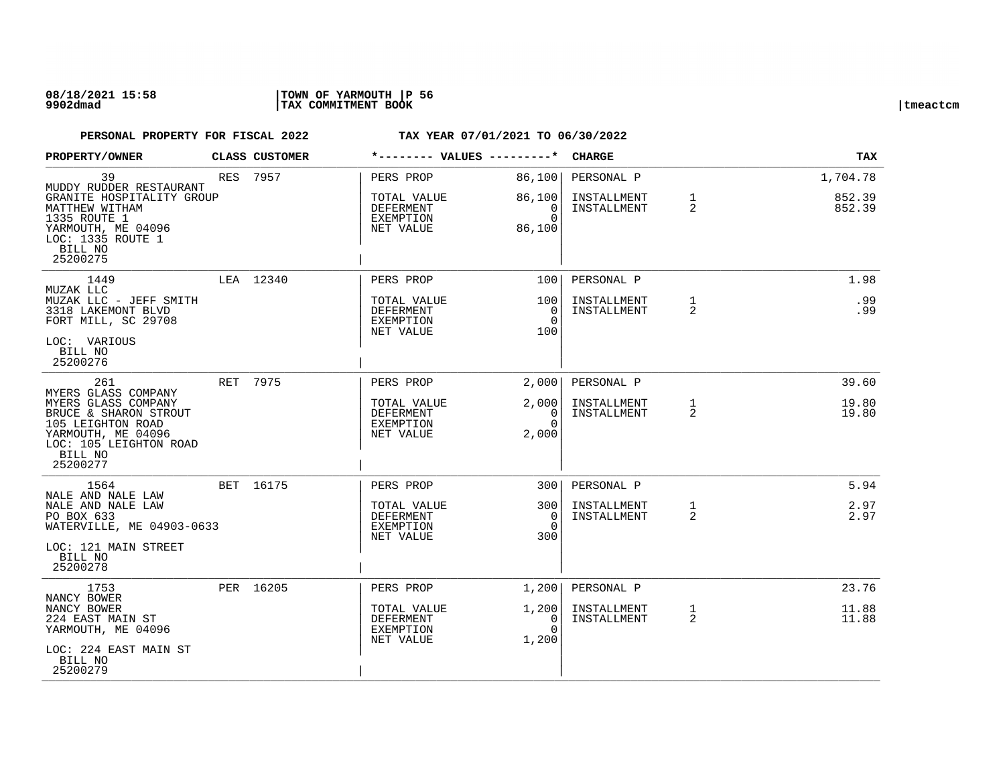## **08/18/2021 15:58 |TOWN OF YARMOUTH |P 56 9902dmad |TAX COMMITMENT BOOK |tmeactcm**

|                           |                                                                                      |                                     | <b>CHARGE</b>               |                                | <b>TAX</b>       |
|---------------------------|--------------------------------------------------------------------------------------|-------------------------------------|-----------------------------|--------------------------------|------------------|
|                           | PERS PROP                                                                            | 86,100                              | PERSONAL P                  |                                | 1,704.78         |
| GRANITE HOSPITALITY GROUP | TOTAL VALUE<br>DEFERMENT<br>EXEMPTION<br>NET VALUE                                   | 86,100<br>0<br>$\Omega$<br>86,100   | INSTALLMENT<br>INSTALLMENT  | $\mathbf{1}$<br>$\overline{2}$ | 852.39<br>852.39 |
|                           | PERS PROP                                                                            | 100                                 | PERSONAL P                  |                                | 1.98             |
|                           | TOTAL VALUE<br><b>DEFERMENT</b><br>EXEMPTION<br>NET VALUE                            | 100<br>$\Omega$<br>$\Omega$<br>100  | INSTALLMENT<br>INSTALLMENT  | $\mathbf{1}$<br>$\overline{2}$ | .99<br>.99       |
|                           | PERS PROP                                                                            | 2,000                               | PERSONAL P                  |                                | 39.60            |
|                           | TOTAL VALUE<br><b>DEFERMENT</b><br>EXEMPTION<br>NET VALUE                            | 2,000<br>0<br>$\Omega$<br>2,000     | INSTALLMENT<br>INSTALLMENT  | $\mathbf{1}$<br>2              | 19.80<br>19.80   |
|                           | PERS PROP                                                                            | 3001                                | PERSONAL P                  |                                | 5.94             |
| WATERVILLE, ME 04903-0633 | TOTAL VALUE<br><b>DEFERMENT</b><br>EXEMPTION<br>NET VALUE                            | 3001<br>$\Omega$<br>$\Omega$<br>300 | INSTALLMENT<br>INSTALLMENT  | $\mathbf{1}$<br>$\overline{2}$ | 2.97<br>2.97     |
|                           | PERS PROP                                                                            | 1,200                               | PERSONAL P                  |                                | 23.76            |
|                           | TOTAL VALUE<br>DEFERMENT<br>EXEMPTION<br>NET VALUE                                   | 1,200<br>0<br>$\Omega$<br>1,200     | INSTALLMENT<br>INSTALLMENT  | $\mathbf{1}$<br>$\overline{2}$ | 11.88<br>11.88   |
|                           | <b>CLASS CUSTOMER</b><br>RES 7957<br>LEA 12340<br>RET 7975<br>BET 16175<br>PER 16205 |                                     | *-------- VALUES ---------* |                                |                  |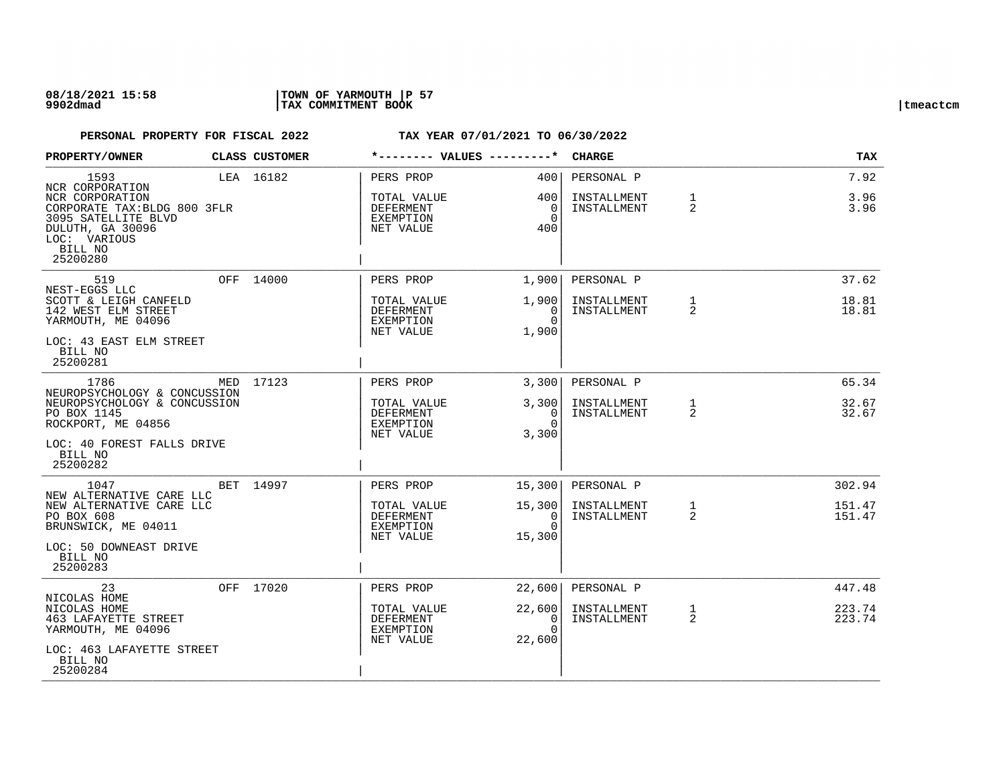| PROPERTY/OWNER                                                                                                                                   |  | <b>CLASS CUSTOMER</b> | *-------- VALUES ---------*                                     |                                              | <b>CHARGE</b>                            |                   | TAX                  |
|--------------------------------------------------------------------------------------------------------------------------------------------------|--|-----------------------|-----------------------------------------------------------------|----------------------------------------------|------------------------------------------|-------------------|----------------------|
| 1593<br>NCR CORPORATION<br>NCR CORPORATION<br>CORPORATE TAX: BLDG 800 3FLR<br>3095 SATELLITE BLVD<br>DULUTH, GA 30096<br>LOC: VARIOUS<br>BILL NO |  | LEA 16182             | PERS PROP<br>TOTAL VALUE<br>DEFERMENT<br>EXEMPTION<br>NET VALUE | 400<br>400 l<br>$\Omega$<br>$\Omega$<br>400  | PERSONAL P<br>INSTALLMENT<br>INSTALLMENT | $\mathbf 1$<br>2  | 7.92<br>3.96<br>3.96 |
| 25200280                                                                                                                                         |  |                       |                                                                 |                                              |                                          |                   |                      |
| 519                                                                                                                                              |  | OFF 14000             | PERS PROP                                                       | 1,900                                        | PERSONAL P                               |                   | 37.62                |
| NEST-EGGS LLC<br>SCOTT & LEIGH CANFELD<br>142 WEST ELM STREET<br>YARMOUTH, ME 04096                                                              |  |                       | TOTAL VALUE<br>DEFERMENT<br>EXEMPTION<br>NET VALUE              | 1,900<br>$\Omega$<br>$\Omega$<br>1,900       | INSTALLMENT<br>INSTALLMENT               | $\mathbf{1}$<br>2 | 18.81<br>18.81       |
| LOC: 43 EAST ELM STREET<br>BILL NO<br>25200281                                                                                                   |  |                       |                                                                 |                                              |                                          |                   |                      |
| 1786                                                                                                                                             |  | MED 17123             | PERS PROP                                                       | $3,300$ $ $                                  | PERSONAL P                               |                   | 65.34                |
| NEUROPSYCHOLOGY & CONCUSSION<br>NEUROPSYCHOLOGY & CONCUSSION<br>PO BOX 1145<br>ROCKPORT, ME 04856                                                |  |                       | TOTAL VALUE<br>DEFERMENT<br>EXEMPTION<br>NET VALUE              | 3,300<br>0 <sup>1</sup><br>$\Omega$<br>3,300 | INSTALLMENT<br>INSTALLMENT               | 1<br>2            | 32.67<br>32.67       |
| LOC: 40 FOREST FALLS DRIVE<br>BILL NO<br>25200282                                                                                                |  |                       |                                                                 |                                              |                                          |                   |                      |
| 1047                                                                                                                                             |  | BET 14997             | PERS PROP                                                       | 15,300                                       | PERSONAL P                               |                   | 302.94               |
| NEW ALTERNATIVE CARE LLC<br>NEW ALTERNATIVE CARE LLC<br>PO BOX 608<br>BRUNSWICK, ME 04011                                                        |  |                       | TOTAL VALUE<br>DEFERMENT<br>EXEMPTION<br>NET VALUE              | 15,300<br>0<br>$\Omega$<br>15,300            | INSTALLMENT<br>INSTALLMENT               | $\mathbf{1}$<br>2 | 151.47<br>151.47     |
| LOC: 50 DOWNEAST DRIVE<br>BILL NO<br>25200283                                                                                                    |  |                       |                                                                 |                                              |                                          |                   |                      |
| 23                                                                                                                                               |  | OFF 17020             | PERS PROP                                                       | 22,600                                       | PERSONAL P                               |                   | 447.48               |
| NICOLAS HOME<br>NICOLAS HOME<br><b>463 LAFAYETTE STREET</b><br>YARMOUTH, ME 04096                                                                |  |                       | TOTAL VALUE<br>DEFERMENT<br>EXEMPTION<br>NET VALUE              | 22,600<br>0<br>$\Omega$<br>22,600            | INSTALLMENT<br>INSTALLMENT               | $\mathbf{1}$<br>2 | 223.74<br>223.74     |
| LOC: 463 LAFAYETTE STREET<br>BILL NO<br>25200284                                                                                                 |  |                       |                                                                 |                                              |                                          |                   |                      |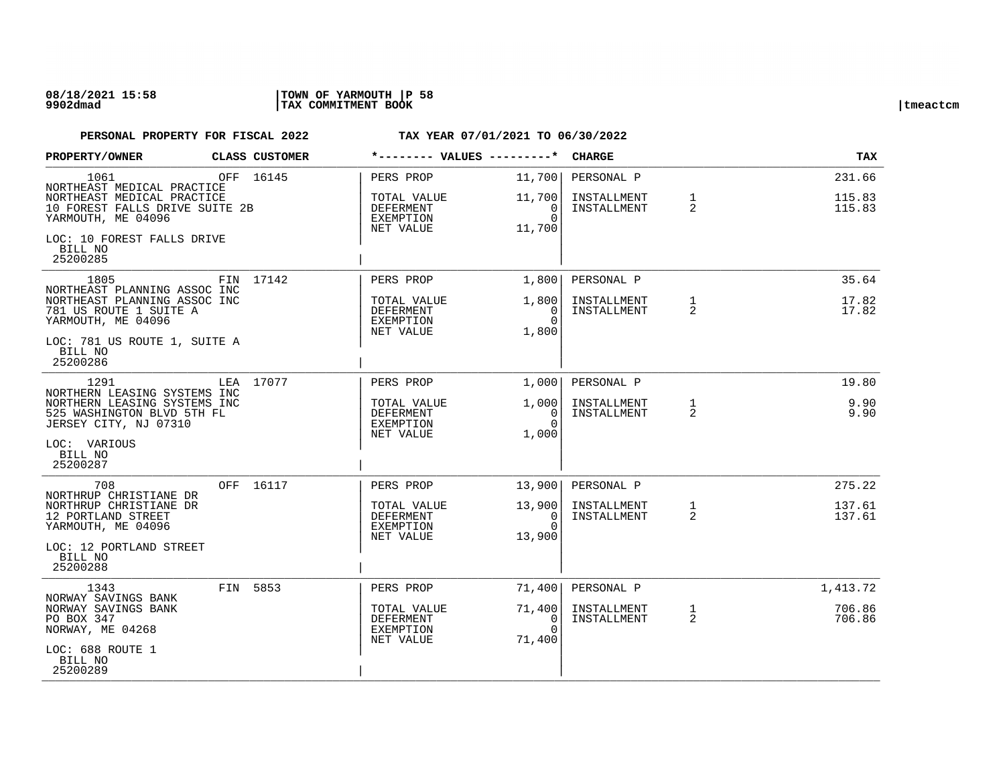| PROPERTY/OWNER                                                                                                           |                                                                                            | CLASS CUSTOMER |                                                    | *-------- VALUES ---------*                     | CHARGE                                   |                   | TAX                        |
|--------------------------------------------------------------------------------------------------------------------------|--------------------------------------------------------------------------------------------|----------------|----------------------------------------------------|-------------------------------------------------|------------------------------------------|-------------------|----------------------------|
| 1061<br>NORTHEAST MEDICAL PRACTICE<br>NORTHEAST MEDICAL PRACTICE<br>10 FOREST FALLS DRIVE SUITE 2B<br>YARMOUTH, ME 04096 |                                                                                            | OFF 16145      | PERS PROP<br>TOTAL VALUE<br>DEFERMENT<br>EXEMPTION | 11,700<br>11,700<br>$\overline{0}$<br>$\Omega$  | PERSONAL P<br>INSTALLMENT<br>INSTALLMENT | $\mathbf{1}$<br>2 | 231.66<br>115.83<br>115.83 |
| LOC: 10 FOREST FALLS DRIVE<br>BILL NO<br>25200285                                                                        |                                                                                            |                | NET VALUE                                          | 11,700                                          |                                          |                   |                            |
| 1805                                                                                                                     |                                                                                            | FIN 17142      | PERS PROP                                          | 1,800                                           | PERSONAL P                               |                   | 35.64                      |
| NORTHEAST PLANNING ASSOC INC<br>NORTHEAST PLANNING ASSOC INC<br>781 US ROUTE 1 SUITE A<br>YARMOUTH, ME 04096             |                                                                                            |                | TOTAL VALUE<br>DEFERMENT<br>EXEMPTION<br>NET VALUE | 1,800  <br>0<br>$\Omega$<br>1,800               | INSTALLMENT<br>INSTALLMENT               | $\mathbf{1}$<br>2 | 17.82<br>17.82             |
| LOC: 781 US ROUTE 1, SUITE A<br>BILL NO<br>25200286                                                                      |                                                                                            |                |                                                    |                                                 |                                          |                   |                            |
| 1291                                                                                                                     |                                                                                            | LEA 17077      | PERS PROP                                          | 1,000                                           | PERSONAL P                               |                   | 19.80                      |
| JERSEY CITY, NJ 07310                                                                                                    | NORTHERN LEASING SYSTEMS INC<br>NORTHERN LEASING SYSTEMS INC<br>525 WASHINGTON BLVD 5TH FL |                | TOTAL VALUE<br>DEFERMENT<br>EXEMPTION              | 1,000  <br>$\overline{\phantom{0}}$<br>$\Omega$ | INSTALLMENT<br>INSTALLMENT               | 1<br>2            | 9.90<br>9.90               |
| LOC: VARIOUS<br>BILL NO<br>25200287                                                                                      |                                                                                            |                | NET VALUE                                          | 1,000                                           |                                          |                   |                            |
| 708                                                                                                                      |                                                                                            | OFF 16117      | PERS PROP                                          | 13,900                                          | PERSONAL P                               |                   | 275.22                     |
| NORTHRUP CHRISTIANE DR<br>NORTHRUP CHRISTIANE DR<br>12 PORTLAND STREET<br>YARMOUTH, ME 04096                             |                                                                                            |                | TOTAL VALUE<br>DEFERMENT<br>EXEMPTION<br>NET VALUE | 13,900<br>$\Omega$<br>$\Omega$<br>13,900        | INSTALLMENT<br>INSTALLMENT               | $\mathbf{1}$<br>2 | 137.61<br>137.61           |
| LOC: 12 PORTLAND STREET<br>BILL NO<br>25200288                                                                           |                                                                                            |                |                                                    |                                                 |                                          |                   |                            |
| 1343                                                                                                                     |                                                                                            | FIN 5853       | PERS PROP                                          | 71,400                                          | PERSONAL P                               |                   | 1,413.72                   |
| NORWAY SAVINGS BANK<br>NORWAY SAVINGS BANK<br>PO BOX 347<br>NORWAY, ME 04268                                             |                                                                                            |                | TOTAL VALUE<br>DEFERMENT<br>EXEMPTION<br>NET VALUE | 71,400<br>$\overline{0}$<br>$\Omega$<br>71,400  | INSTALLMENT<br>INSTALLMENT               | $\mathbf{1}$<br>2 | 706.86<br>706.86           |
| LOC: 688 ROUTE 1<br>BILL NO<br>25200289                                                                                  |                                                                                            |                |                                                    |                                                 |                                          |                   |                            |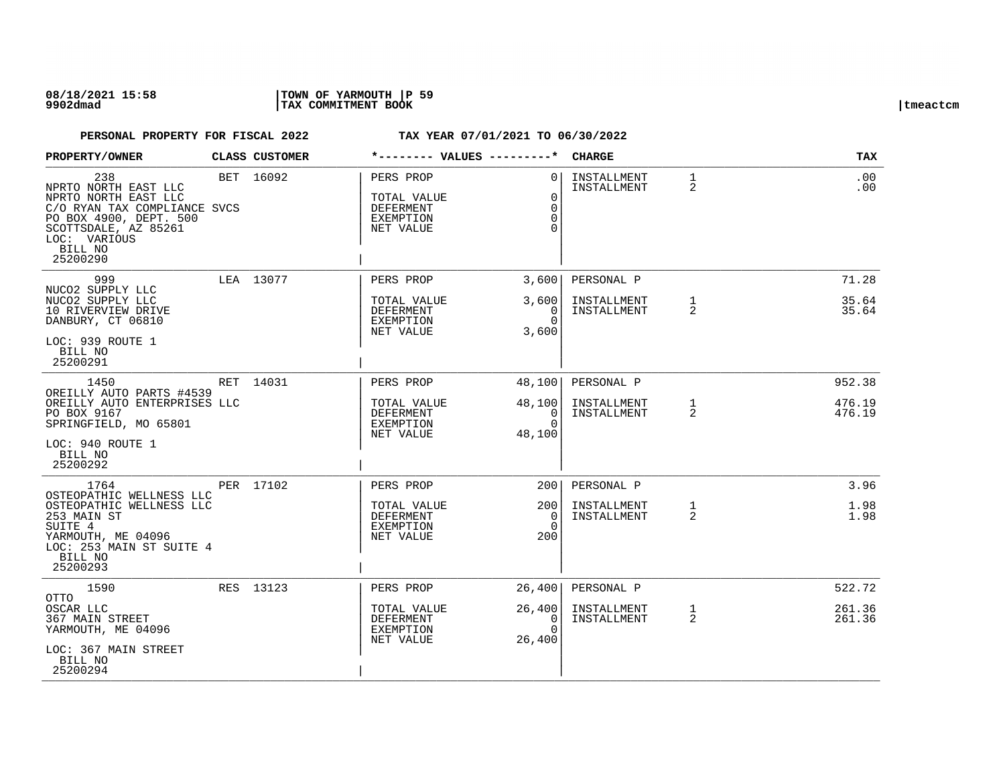| PROPERTY/OWNER                                                                                                                                                               | CLASS CUSTOMER | *-------- VALUES ---------*                                                   |                                                           | <b>CHARGE</b>              |                   | TAX              |
|------------------------------------------------------------------------------------------------------------------------------------------------------------------------------|----------------|-------------------------------------------------------------------------------|-----------------------------------------------------------|----------------------------|-------------------|------------------|
| 238<br>NPRTO NORTH EAST LLC<br>NPRTO NORTH EAST LLC<br>C/O RYAN TAX COMPLIANCE SVCS<br>PO BOX 4900, DEPT. 500<br>SCOTTSDALE, AZ 85261<br>LOC: VARIOUS<br>BILL NO<br>25200290 | BET 16092      | PERS PROP<br>TOTAL VALUE<br><b>DEFERMENT</b><br><b>EXEMPTION</b><br>NET VALUE | $\Omega$<br>$\mathbf 0$<br>$\Omega$<br>$\Omega$<br>$\cap$ | INSTALLMENT<br>INSTALLMENT | $\mathbf{1}$<br>2 | $.00 \,$<br>.00  |
| 999<br>NUCO2 SUPPLY LLC                                                                                                                                                      | LEA 13077      | PERS PROP                                                                     | 3,600                                                     | PERSONAL P                 |                   | 71.28            |
| NUCO2 SUPPLY LLC<br>10 RIVERVIEW DRIVE<br>DANBURY, CT 06810<br>LOC: 939 ROUTE 1<br>BILL NO<br>25200291                                                                       |                | TOTAL VALUE<br><b>DEFERMENT</b><br>EXEMPTION<br>NET VALUE                     | 3,600<br>$\Omega$<br>$\Omega$<br>3,600                    | INSTALLMENT<br>INSTALLMENT | $\mathbf{1}$<br>2 | 35.64<br>35.64   |
| 1450<br>OREILLY AUTO PARTS #4539                                                                                                                                             | RET 14031      | PERS PROP                                                                     | 48,100                                                    | PERSONAL P                 |                   | 952.38           |
| OREILLY AUTO ENTERPRISES LLC<br>PO BOX 9167<br>SPRINGFIELD, MO 65801<br>LOC: 940 ROUTE 1<br>BILL NO<br>25200292                                                              |                | TOTAL VALUE<br><b>DEFERMENT</b><br>EXEMPTION<br>NET VALUE                     | 48,100<br>$\overline{0}$<br>$\Omega$<br>48,100            | INSTALLMENT<br>INSTALLMENT | 1<br>2            | 476.19<br>476.19 |
| 1764<br>OSTEOPATHIC WELLNESS LLC                                                                                                                                             | PER 17102      | PERS PROP                                                                     | 200                                                       | PERSONAL P                 |                   | 3.96             |
| OSTEOPATHIC WELLNESS LLC<br>253 MAIN ST<br>SUITE 4<br>YARMOUTH, ME 04096<br>LOC: 253 MAIN ST SUITE 4<br>BILL NO<br>25200293                                                  |                | TOTAL VALUE<br><b>DEFERMENT</b><br>EXEMPTION<br>NET VALUE                     | 2001<br>$\Omega$<br>$\Omega$<br>200                       | INSTALLMENT<br>INSTALLMENT | $\mathbf{1}$<br>2 | 1.98<br>1.98     |
| 1590<br>OTTO                                                                                                                                                                 | RES 13123      | PERS PROP                                                                     | 26,400                                                    | PERSONAL P                 |                   | 522.72           |
| OSCAR LLC<br>367 MAIN STREET<br>YARMOUTH, ME 04096<br>LOC: 367 MAIN STREET<br>BILL NO<br>25200294                                                                            |                | TOTAL VALUE<br>DEFERMENT<br>EXEMPTION<br>NET VALUE                            | 26,400<br>0<br>$\Omega$<br>26,400                         | INSTALLMENT<br>INSTALLMENT | $\mathbf{1}$<br>2 | 261.36<br>261.36 |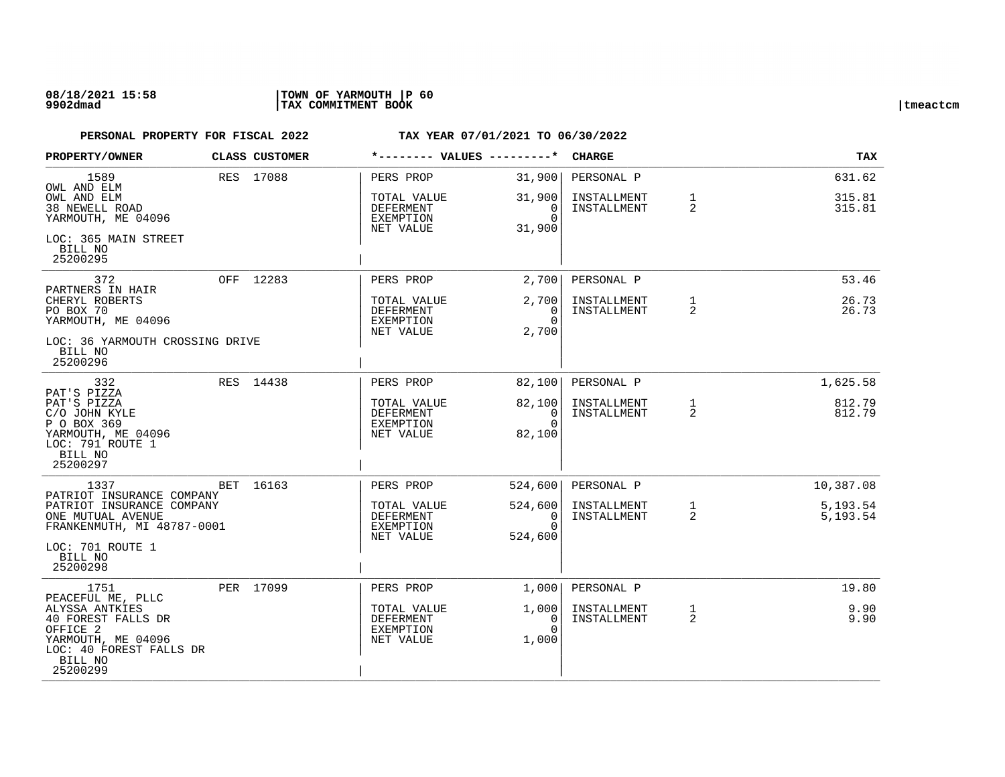## **08/18/2021 15:58 |TOWN OF YARMOUTH |P 60 9902dmad |TAX COMMITMENT BOOK |tmeactcm**

| PROPERTY/OWNER                                                                                                                                       | CLASS CUSTOMER | *-------- VALUES ---------*                                     |                                                        | <b>CHARGE</b>                            |                   | TAX                        |
|------------------------------------------------------------------------------------------------------------------------------------------------------|----------------|-----------------------------------------------------------------|--------------------------------------------------------|------------------------------------------|-------------------|----------------------------|
| 1589<br>OWL AND ELM<br>OWL AND ELM<br><b>38 NEWELL ROAD</b><br>YARMOUTH, ME 04096                                                                    | RES 17088      | PERS PROP<br>TOTAL VALUE<br>DEFERMENT<br>EXEMPTION<br>NET VALUE | 31,900<br>31,900<br>$\mathbf{0}$<br>$\Omega$<br>31,900 | PERSONAL P<br>INSTALLMENT<br>INSTALLMENT | $\mathbf{1}$<br>2 | 631.62<br>315.81<br>315.81 |
| LOC: 365 MAIN STREET<br>BILL NO<br>25200295                                                                                                          |                |                                                                 |                                                        |                                          |                   |                            |
| 372                                                                                                                                                  | OFF 12283      | PERS PROP                                                       | 2,700                                                  | PERSONAL P                               |                   | 53.46                      |
| PARTNERS IN HAIR<br>CHERYL ROBERTS<br>PO BOX 70<br>YARMOUTH, ME 04096                                                                                |                | TOTAL VALUE<br>DEFERMENT<br>EXEMPTION<br>NET VALUE              | 2,700<br>0<br>$\Omega$<br>2,700                        | INSTALLMENT<br>INSTALLMENT               | 1<br>2            | 26.73<br>26.73             |
| LOC: 36 YARMOUTH CROSSING DRIVE<br>BILL NO<br>25200296                                                                                               |                |                                                                 |                                                        |                                          |                   |                            |
| 332                                                                                                                                                  | RES 14438      | PERS PROP                                                       | 82,100                                                 | PERSONAL P                               |                   | 1,625.58                   |
| PAT'S PIZZA<br>PAT'S PIZZA<br>C/O JOHN KYLE<br>P O BOX 369<br>YARMOUTH, ME 04096<br>LOC: 791 ROUTE 1<br>BILL NO<br>25200297                          |                | TOTAL VALUE<br>DEFERMENT<br>EXEMPTION<br>NET VALUE              | 82,100<br>$\overline{0}$<br>$\Omega$<br>82,100         | INSTALLMENT<br>INSTALLMENT               | $\mathbf{1}$<br>2 | 812.79<br>812.79           |
| 1337                                                                                                                                                 | BET 16163      | PERS PROP                                                       | 524,600                                                | PERSONAL P                               |                   | 10,387.08                  |
| PATRIOT INSURANCE COMPANY<br>PATRIOT INSURANCE COMPANY<br>ONE MUTUAL AVENUE<br>FRANKENMUTH, MI 48787-0001<br>LOC: 701 ROUTE 1<br>BILL NO<br>25200298 |                | TOTAL VALUE<br>DEFERMENT<br>EXEMPTION<br>NET VALUE              | 524,600<br>0<br>$\Omega$<br>524,600                    | INSTALLMENT<br>INSTALLMENT               | $\mathbf{1}$<br>2 | 5,193.54<br>5,193.54       |
| 1751                                                                                                                                                 | PER 17099      | PERS PROP                                                       | 1,000                                                  | PERSONAL P                               |                   | 19.80                      |
| PEACEFUL ME, PLLC<br>ALYSSA ANTKIES<br>40 FOREST FALLS DR<br>OFFICE 2<br>YARMOUTH, ME 04096<br>LOC: 40 FOREST FALLS DR<br>BILL NO<br>25200299        |                | TOTAL VALUE<br>DEFERMENT<br>EXEMPTION<br>NET VALUE              | 1,000<br>0<br>$\Omega$<br>1,000                        | INSTALLMENT<br>INSTALLMENT               | $\mathbf{1}$<br>2 | 9.90<br>9.90               |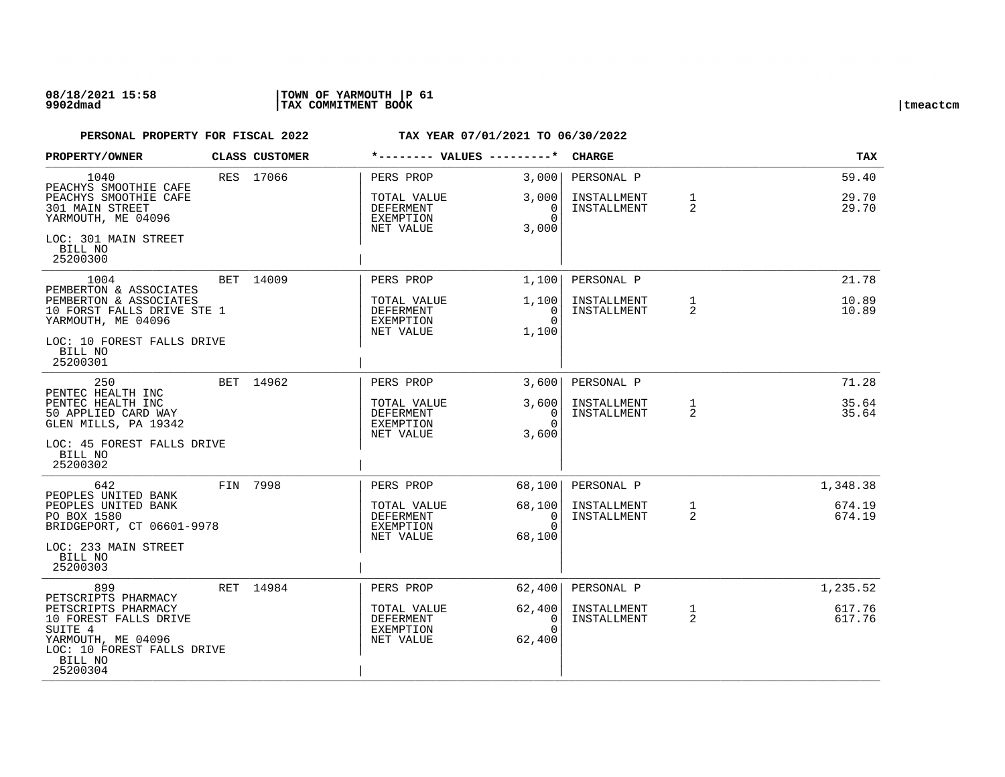## **08/18/2021 15:58 |TOWN OF YARMOUTH |P 61 9902dmad |TAX COMMITMENT BOOK |tmeactcm**

| PROPERTY/OWNER                                                                                                                     | CLASS CUSTOMER |                                                           |                                          | <b>CHARGE</b>              |                   | TAX              |
|------------------------------------------------------------------------------------------------------------------------------------|----------------|-----------------------------------------------------------|------------------------------------------|----------------------------|-------------------|------------------|
| 1040<br>PEACHYS SMOOTHIE CAFE<br>PEACHYS SMOOTHIE CAFE                                                                             | RES 17066      | PERS PROP<br>TOTAL VALUE                                  | 3,000<br>3,000                           | PERSONAL P<br>INSTALLMENT  | 1                 | 59.40<br>29.70   |
| <b>301 MAIN STREET</b><br>YARMOUTH, ME 04096                                                                                       |                | DEFERMENT<br>EXEMPTION<br>NET VALUE                       | 0<br>$\Omega$<br>3,000                   | INSTALLMENT                | 2                 | 29.70            |
| LOC: 301 MAIN STREET<br>BILL NO<br>25200300                                                                                        |                |                                                           |                                          |                            |                   |                  |
| 1004<br>PEMBERTON & ASSOCIATES                                                                                                     | BET 14009      | PERS PROP                                                 | 1,100                                    | PERSONAL P                 |                   | 21.78            |
| PEMBERTON & ASSOCIATES<br>10 FORST FALLS DRIVE STE 1<br>YARMOUTH, ME 04096                                                         |                | TOTAL VALUE<br>DEFERMENT<br>EXEMPTION<br>NET VALUE        | 1,100<br>0<br>$\Omega$<br>1,100          | INSTALLMENT<br>INSTALLMENT | $\mathbf{1}$<br>2 | 10.89<br>10.89   |
| LOC: 10 FOREST FALLS DRIVE<br>BILL NO<br>25200301                                                                                  |                |                                                           |                                          |                            |                   |                  |
| 250<br>PENTEC HEALTH INC                                                                                                           | BET 14962      | PERS PROP                                                 | 3,600                                    | PERSONAL P                 |                   | 71.28            |
| PENTEC HEALTH INC<br>50 APPLIED CARD WAY<br>GLEN MILLS, PA 19342                                                                   |                | TOTAL VALUE<br><b>DEFERMENT</b><br>EXEMPTION<br>NET VALUE | 3,600<br>0<br>$\Omega$<br>3,600          | INSTALLMENT<br>INSTALLMENT | 1<br>2            | 35.64<br>35.64   |
| LOC: 45 FOREST FALLS DRIVE<br>BILL NO<br>25200302                                                                                  |                |                                                           |                                          |                            |                   |                  |
| 642<br>PEOPLES UNITED BANK                                                                                                         | FIN 7998       | PERS PROP                                                 | 68,100                                   | PERSONAL P                 |                   | 1,348.38         |
| PEOPLES UNITED BANK<br>PO BOX 1580<br>BRIDGEPORT, CT 06601-9978                                                                    |                | TOTAL VALUE<br>DEFERMENT<br>EXEMPTION<br>NET VALUE        | 68,100<br>$\Omega$<br>$\Omega$<br>68,100 | INSTALLMENT<br>INSTALLMENT | $\mathbf{1}$<br>2 | 674.19<br>674.19 |
| LOC: 233 MAIN STREET<br>BILL NO<br>25200303                                                                                        |                |                                                           |                                          |                            |                   |                  |
| 899<br>PETSCRIPTS PHARMACY                                                                                                         | RET 14984      | PERS PROP                                                 | 62,400                                   | PERSONAL P                 |                   | 1,235.52         |
| PETSCRIPTS PHARMACY<br>10 FOREST FALLS DRIVE<br>SUITE 4<br>YARMOUTH, ME 04096<br>LOC: 10 FOREST FALLS DRIVE<br>BILL NO<br>25200304 |                | TOTAL VALUE<br>DEFERMENT<br>EXEMPTION<br>NET VALUE        | 62,400<br>0<br>$\Omega$<br>62,400        | INSTALLMENT<br>INSTALLMENT | $\mathbf{1}$<br>2 | 617.76<br>617.76 |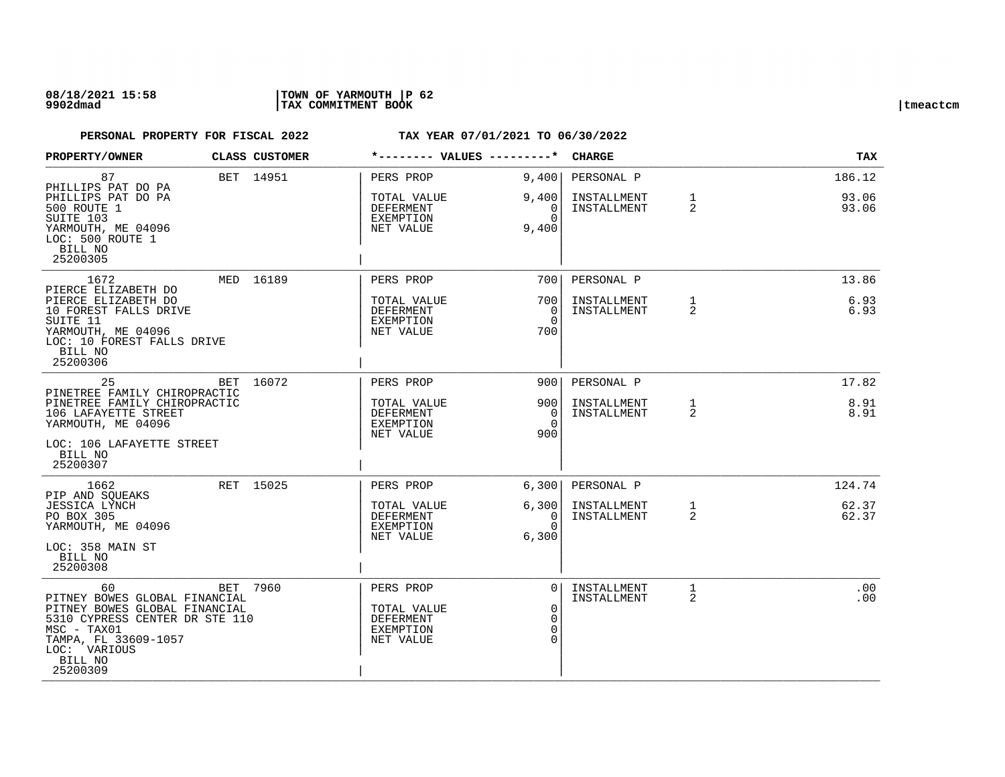## **08/18/2021 15:58 |TOWN OF YARMOUTH |P 62 9902dmad |TAX COMMITMENT BOOK |tmeactcm**

| PROPERTY/OWNER                                                                                                                                                                         | CLASS CUSTOMER |                                                                        |                                                                   | <b>CHARGE</b>                            |                                | <b>TAX</b>               |
|----------------------------------------------------------------------------------------------------------------------------------------------------------------------------------------|----------------|------------------------------------------------------------------------|-------------------------------------------------------------------|------------------------------------------|--------------------------------|--------------------------|
| 87<br>PHILLIPS PAT DO PA<br>PHILLIPS PAT DO PA<br>500 ROUTE 1<br>SUITE 103<br>YARMOUTH, ME 04096<br>LOC: 500 ROUTE 1<br>BILL NO<br>25200305                                            | BET 14951      | PERS PROP<br>TOTAL VALUE<br><b>DEFERMENT</b><br>EXEMPTION<br>NET VALUE | 9,400<br>9,400<br>0<br>$\Omega$<br>9,400                          | PERSONAL P<br>INSTALLMENT<br>INSTALLMENT | $\mathbf{1}$<br>$\overline{2}$ | 186.12<br>93.06<br>93.06 |
| 1672<br>PIERCE ELIZABETH DO<br>PIERCE ELIZABETH DO<br>10 FOREST FALLS DRIVE<br>SUITE 11<br>YARMOUTH, ME 04096<br>LOC: 10 FOREST FALLS DRIVE<br>BILL NO<br>25200306                     | MED 16189      | PERS PROP<br>TOTAL VALUE<br><b>DEFERMENT</b><br>EXEMPTION<br>NET VALUE | 700 l<br>700<br>$\Omega$<br>$\Omega$<br>700                       | PERSONAL P<br>INSTALLMENT<br>INSTALLMENT | $\mathbf{1}$<br>2              | 13.86<br>6.93<br>6.93    |
| 25<br>PINETREE FAMILY CHIROPRACTIC<br>PINETREE FAMILY CHIROPRACTIC<br>106 LAFAYETTE STREET<br>YARMOUTH, ME 04096<br>LOC: 106 LAFAYETTE STREET<br>BILL NO<br>25200307                   | BET 16072      | PERS PROP<br>TOTAL VALUE<br>DEFERMENT<br><b>EXEMPTION</b><br>NET VALUE | 900<br>900<br>0<br>$\Omega$<br>900                                | PERSONAL P<br>INSTALLMENT<br>INSTALLMENT | $\mathbf{1}$<br>2              | 17.82<br>8.91<br>8.91    |
| 1662<br>PIP AND SOUEAKS<br><b>JESSICA LYNCH</b><br>PO BOX 305<br>YARMOUTH, ME 04096<br>LOC: 358 MAIN ST<br>BILL NO<br>25200308                                                         | RET 15025      | PERS PROP<br>TOTAL VALUE<br><b>DEFERMENT</b><br>EXEMPTION<br>NET VALUE | 6,300<br>6,300<br>$\Omega$<br>$\Omega$<br>6,300                   | PERSONAL P<br>INSTALLMENT<br>INSTALLMENT | 1<br>$\overline{2}$            | 124.74<br>62.37<br>62.37 |
| 60<br>PITNEY BOWES GLOBAL FINANCIAL<br>PITNEY BOWES GLOBAL FINANCIAL<br>5310 CYPRESS CENTER DR STE 110<br>$MSC - TAX01$<br>TAMPA, FL 33609-1057<br>LOC: VARIOUS<br>BILL NO<br>25200309 | BET 7960       | PERS PROP<br>TOTAL VALUE<br>DEFERMENT<br>EXEMPTION<br>NET VALUE        | $\Omega$<br>$\mathbf 0$<br>$\mathbf 0$<br>$\mathbf 0$<br>$\Omega$ | INSTALLMENT<br>INSTALLMENT               | $\mathbf{1}$<br>2              | .00<br>.00               |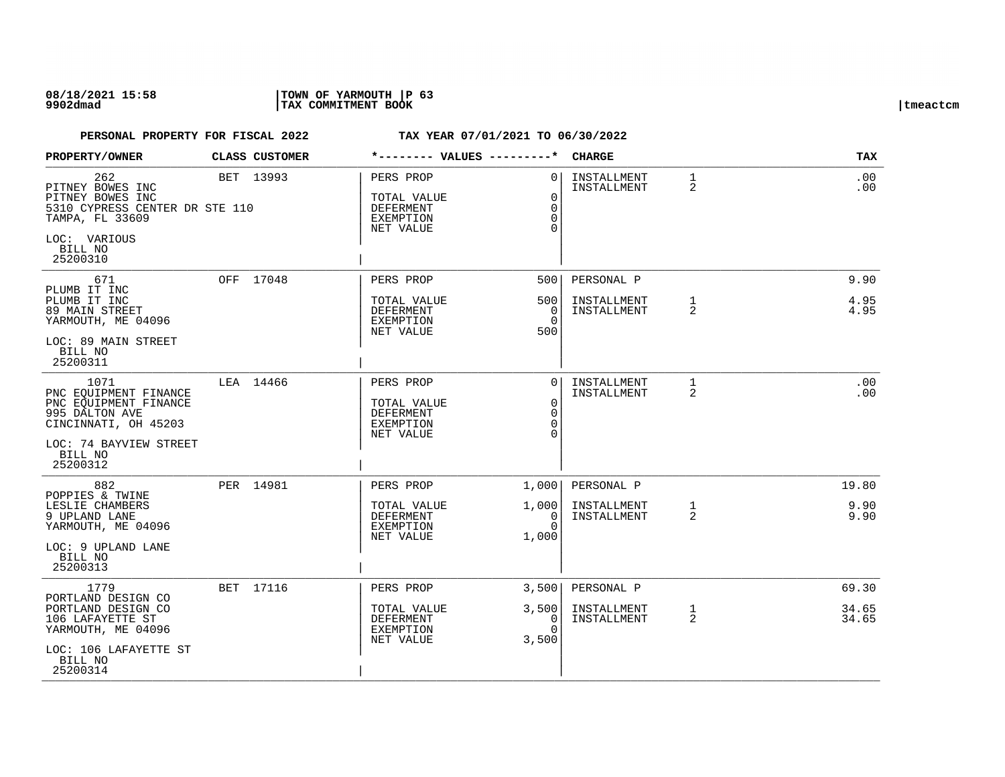## **08/18/2021 15:58 |TOWN OF YARMOUTH |P 63 9902dmad |TAX COMMITMENT BOOK |tmeactcm**

| PROPERTY/OWNER                                                                                                                        | CLASS CUSTOMER |                                                                        |                                              | <b>CHARGE</b>              |                   | <b>TAX</b>      |
|---------------------------------------------------------------------------------------------------------------------------------------|----------------|------------------------------------------------------------------------|----------------------------------------------|----------------------------|-------------------|-----------------|
| 262<br>PITNEY BOWES INC<br>PITNEY BOWES INC<br>5310 CYPRESS CENTER DR STE 110<br>TAMPA, FL 33609<br>LOC: VARIOUS<br>BILL NO           | BET 13993      | PERS PROP<br>TOTAL VALUE<br><b>DEFERMENT</b><br>EXEMPTION<br>NET VALUE | $\Omega$<br>$\Omega$<br>$\Omega$<br>$\Omega$ | INSTALLMENT<br>INSTALLMENT | $\mathbf{1}$<br>2 | .00<br>$.00 \,$ |
| 25200310                                                                                                                              |                |                                                                        |                                              |                            |                   |                 |
| 671<br>PLUMB IT INC                                                                                                                   | OFF 17048      | PERS PROP                                                              | 500                                          | PERSONAL P                 |                   | 9.90            |
| PLUMB IT INC<br>89 MAIN STREET<br>YARMOUTH, ME 04096                                                                                  |                | TOTAL VALUE<br><b>DEFERMENT</b><br>EXEMPTION<br>NET VALUE              | 500<br>$\Omega$<br>$\Omega$<br>500           | INSTALLMENT<br>INSTALLMENT | $\mathbf{1}$<br>2 | 4.95<br>4.95    |
| LOC: 89 MAIN STREET<br>BILL NO<br>25200311                                                                                            |                |                                                                        |                                              |                            |                   |                 |
| 1071<br>PNC EOUIPMENT FINANCE<br>PNC EOUIPMENT FINANCE<br>995 DALTON AVE<br>CINCINNATI, OH 45203<br>LOC: 74 BAYVIEW STREET<br>BILL NO | LEA 14466      | PERS PROP<br>TOTAL VALUE<br><b>DEFERMENT</b><br>EXEMPTION<br>NET VALUE | $\Omega$<br>0<br>$\Omega$<br>$\Omega$        | INSTALLMENT<br>INSTALLMENT | 1<br>2            | .00<br>.00      |
| 25200312                                                                                                                              |                |                                                                        |                                              |                            |                   |                 |
| 882<br>POPPIES & TWINE                                                                                                                | PER 14981      | PERS PROP                                                              | 1,000                                        | PERSONAL P                 |                   | 19.80           |
| LESLIE CHAMBERS<br>9 UPLAND LANE<br>YARMOUTH, ME 04096<br>LOC: 9 UPLAND LANE                                                          |                | TOTAL VALUE<br><b>DEFERMENT</b><br>EXEMPTION<br>NET VALUE              | 1,000<br>$\Omega$<br>$\Omega$<br>1,000       | INSTALLMENT<br>INSTALLMENT | $\mathbf{1}$<br>2 | 9.90<br>9.90    |
| BILL NO<br>25200313                                                                                                                   |                |                                                                        |                                              |                            |                   |                 |
| 1779<br>PORTLAND DESIGN CO                                                                                                            | BET 17116      | PERS PROP                                                              | 3,500                                        | PERSONAL P                 |                   | 69.30           |
| PORTLAND DESIGN CO<br>106 LAFAYETTE ST<br>YARMOUTH, ME 04096                                                                          |                | TOTAL VALUE<br>DEFERMENT<br>EXEMPTION<br>NET VALUE                     | 3,500<br>0<br>$\cap$<br>3,500                | INSTALLMENT<br>INSTALLMENT | $\mathbf{1}$<br>2 | 34.65<br>34.65  |
| LOC: 106 LAFAYETTE ST<br>BILL NO<br>25200314                                                                                          |                |                                                                        |                                              |                            |                   |                 |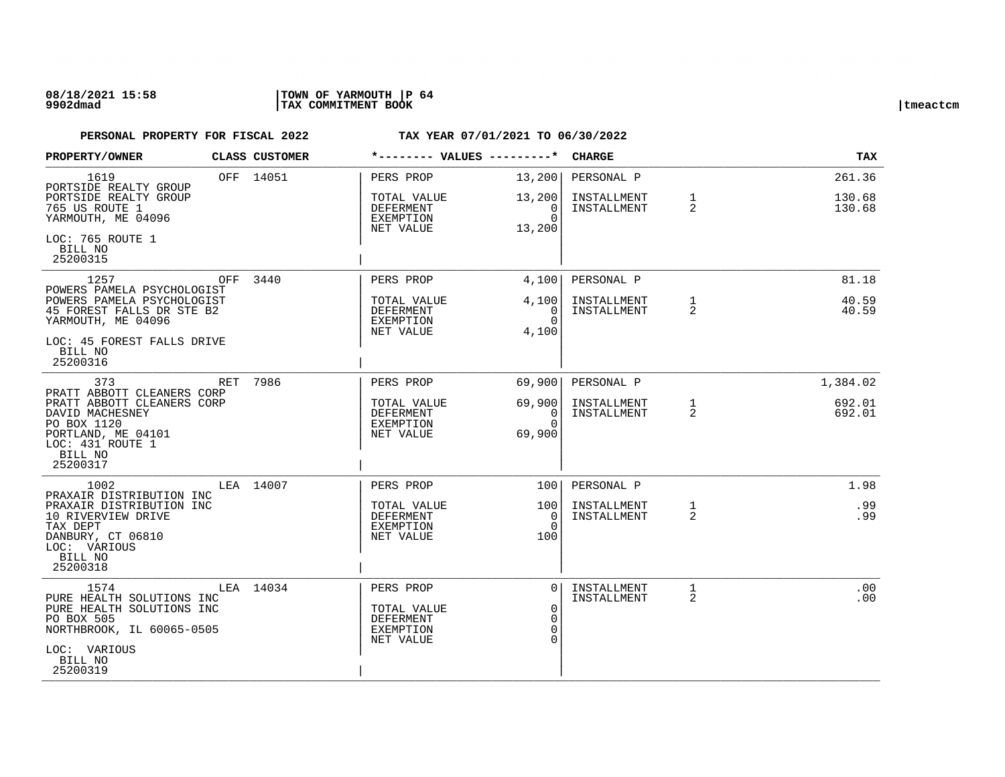## **08/18/2021 15:58 |TOWN OF YARMOUTH |P 64 9902dmad |TAX COMMITMENT BOOK |tmeactcm**

| PROPERTY/OWNER                                                                                                                                   | CLASS CUSTOMER |                                                                               |                                                             | <b>CHARGE</b>              |                   | TAX              |
|--------------------------------------------------------------------------------------------------------------------------------------------------|----------------|-------------------------------------------------------------------------------|-------------------------------------------------------------|----------------------------|-------------------|------------------|
| 1619<br>PORTSIDE REALTY GROUP<br>PORTSIDE REALTY GROUP                                                                                           | OFF 14051      | PERS PROP<br>TOTAL VALUE                                                      | 13,200<br>13,200                                            | PERSONAL P<br>INSTALLMENT  | $\mathbf{1}$      | 261.36<br>130.68 |
| 765 US ROUTE 1<br>YARMOUTH, ME 04096                                                                                                             |                | DEFERMENT<br>EXEMPTION<br>NET VALUE                                           | $\Omega$<br>$\Omega$<br>13,200                              | INSTALLMENT                | 2                 | 130.68           |
| LOC: 765 ROUTE 1<br>BILL NO<br>25200315                                                                                                          |                |                                                                               |                                                             |                            |                   |                  |
| 1257<br>OFF<br>POWERS PAMELA PSYCHOLOGIST                                                                                                        | 3440           | PERS PROP                                                                     | 4,100                                                       | PERSONAL P                 |                   | 81.18            |
| POWERS PAMELA PSYCHOLOGIST<br>45 FOREST FALLS DR STE B2<br>YARMOUTH, ME 04096                                                                    |                | TOTAL VALUE<br>DEFERMENT<br>EXEMPTION<br>NET VALUE                            | 4,100<br>0<br>$\Omega$<br>4,100                             | INSTALLMENT<br>INSTALLMENT | $\mathbf{1}$<br>2 | 40.59<br>40.59   |
| LOC: 45 FOREST FALLS DRIVE<br>BILL NO<br>25200316                                                                                                |                |                                                                               |                                                             |                            |                   |                  |
| 373<br>RET<br>PRATT ABBOTT CLEANERS CORP                                                                                                         | 7986           | PERS PROP                                                                     | 69,900                                                      | PERSONAL P                 |                   | 1,384.02         |
| PRATT ABBOTT CLEANERS CORP<br>DAVID MACHESNEY<br>PO BOX 1120<br>PORTLAND, ME 04101<br>LOC: 431 ROUTE 1<br>BILL NO<br>25200317                    |                | TOTAL VALUE<br>DEFERMENT<br><b>EXEMPTION</b><br>NET VALUE                     | 69,900<br>$\mathbf{0}$<br>$\Omega$<br>69,900                | INSTALLMENT<br>INSTALLMENT | $\mathbf{1}$<br>2 | 692.01<br>692.01 |
| 1002<br>PRAXAIR DISTRIBUTION INC                                                                                                                 | LEA 14007      | PERS PROP                                                                     | 1001                                                        | PERSONAL P                 |                   | 1.98             |
| PRAXAIR DISTRIBUTION INC<br>10 RIVERVIEW DRIVE<br>TAX DEPT<br>DANBURY, CT 06810<br>LOC: VARIOUS<br>BILL NO<br>25200318                           |                | TOTAL VALUE<br><b>DEFERMENT</b><br>EXEMPTION<br>NET VALUE                     | 100<br>$\Omega$<br>0<br>100                                 | INSTALLMENT<br>INSTALLMENT | 1<br>2            | .99<br>.99       |
| 1574<br>PURE HEALTH SOLUTIONS INC<br>PURE HEALTH SOLUTIONS INC<br>PO BOX 505<br>NORTHBROOK, IL 60065-0505<br>LOC: VARIOUS<br>BILL NO<br>25200319 | LEA 14034      | PERS PROP<br>TOTAL VALUE<br><b>DEFERMENT</b><br><b>EXEMPTION</b><br>NET VALUE | $\Omega$<br>$\mathbf 0$<br>$\Omega$<br>$\Omega$<br>$\Omega$ | INSTALLMENT<br>INSTALLMENT | 1<br>2            | .00<br>.00       |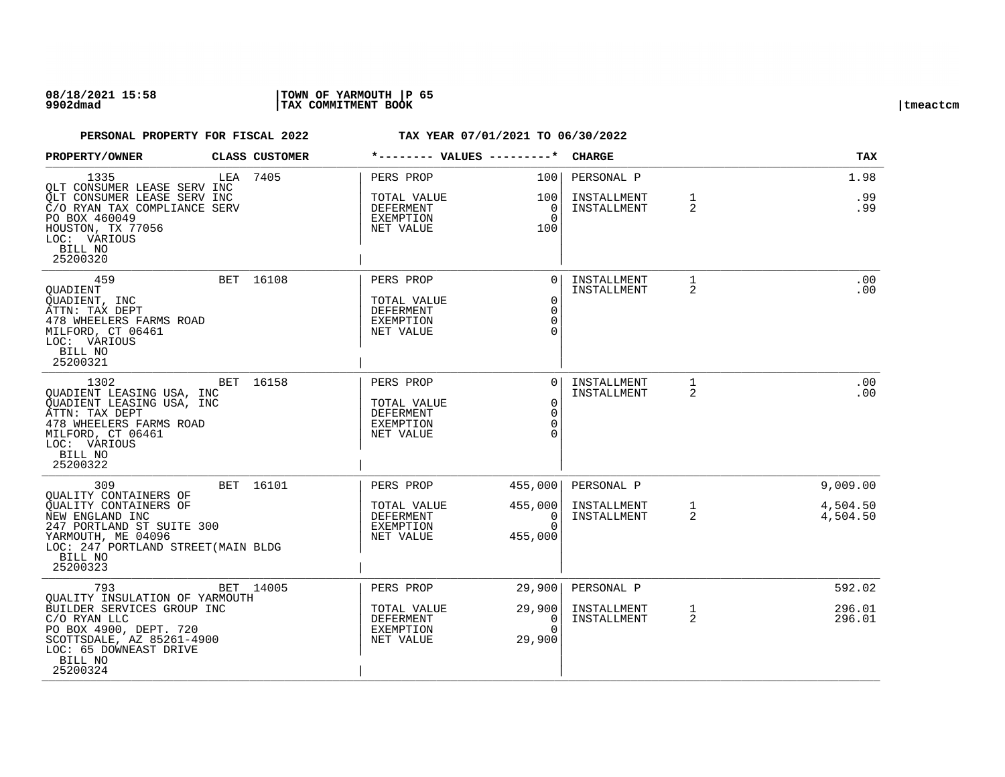## **08/18/2021 15:58 |TOWN OF YARMOUTH |P 65 9902dmad |TAX COMMITMENT BOOK |tmeactcm**

| PROPERTY/OWNER                                                                                                                                                          | CLASS CUSTOMER | *-------- VALUES ---------*                                     |                                                                      | <b>CHARGE</b>              |                   | <b>TAX</b>           |
|-------------------------------------------------------------------------------------------------------------------------------------------------------------------------|----------------|-----------------------------------------------------------------|----------------------------------------------------------------------|----------------------------|-------------------|----------------------|
| 1335<br>OLT CONSUMER LEASE SERV INC                                                                                                                                     | LEA 7405       | PERS PROP                                                       | 100                                                                  | PERSONAL P                 |                   | 1.98                 |
| QLT CONSUMER LEASE SERV INC<br>C/O RYAN TAX COMPLIANCE SERV<br>PO BOX 460049<br>HOUSTON, TX 77056<br>LOC: VARIOUS<br>BILL NO<br>25200320                                |                | TOTAL VALUE<br>DEFERMENT<br>EXEMPTION<br>NET VALUE              | 100<br>0<br>$\Omega$<br>100                                          | INSTALLMENT<br>INSTALLMENT | 1<br>2            | .99<br>.99           |
| 459<br>OUADIENT<br>QUADIENT, INC<br>ATTN: TAX DEPT<br>478 WHEELERS FARMS ROAD<br>MILFORD, CT 06461<br>LOC: VARIOUS<br>BILL NO<br>25200321                               | BET 16108      | PERS PROP<br>TOTAL VALUE<br>DEFERMENT<br>EXEMPTION<br>NET VALUE | $\Omega$<br>$\mathbf 0$<br>$\Omega$<br>$\Omega$<br>$\Omega$          | INSTALLMENT<br>INSTALLMENT | 1<br>2            | .00<br>.00           |
| 1302<br>QUADIENT LEASING USA, INC<br>QUADIENT LEASING USA, INC<br>ATTN: TAX DEPT<br>478 WHEELERS FARMS ROAD<br>MILFORD, CT 06461<br>LOC: VARIOUS<br>BILL NO<br>25200322 | BET 16158      | PERS PROP<br>TOTAL VALUE<br>DEFERMENT<br>EXEMPTION<br>NET VALUE | $\Omega$<br>$\overline{0}$<br>$\overline{0}$<br>$\Omega$<br>$\Omega$ | INSTALLMENT<br>INSTALLMENT | 1<br>2            | .00<br>.00           |
| 309<br>OUALITY CONTAINERS OF                                                                                                                                            | BET 16101      | PERS PROP                                                       | 455,000                                                              | PERSONAL P                 |                   | 9,009.00             |
| OUALITY CONTAINERS OF<br>NEW ENGLAND INC<br>247 PORTLAND ST SUITE 300<br>YARMOUTH, ME 04096<br>LOC: 247 PORTLAND STREET (MAIN BLDG<br>BILL NO<br>25200323               |                | TOTAL VALUE<br>DEFERMENT<br>EXEMPTION<br>NET VALUE              | 455,000<br>0<br>$\Omega$<br>455,000                                  | INSTALLMENT<br>INSTALLMENT | $\mathbf{1}$<br>2 | 4,504.50<br>4,504.50 |
| 793<br>OUALITY INSULATION OF YARMOUTH                                                                                                                                   | BET 14005      | PERS PROP                                                       | 29,900                                                               | PERSONAL P                 |                   | 592.02               |
| BUILDER SERVICES GROUP INC<br>C/O RYAN LLC<br>PO BOX 4900, DEPT. 720<br>SCOTTSDALE, AZ 85261-4900<br>LOC: 65 DOWNEAST DRIVE<br>BILL NO<br>25200324                      |                | TOTAL VALUE<br>DEFERMENT<br>EXEMPTION<br>NET VALUE              | 29,900<br>0<br>$\Omega$<br>29,900                                    | INSTALLMENT<br>INSTALLMENT | $\mathbf{1}$<br>2 | 296.01<br>296.01     |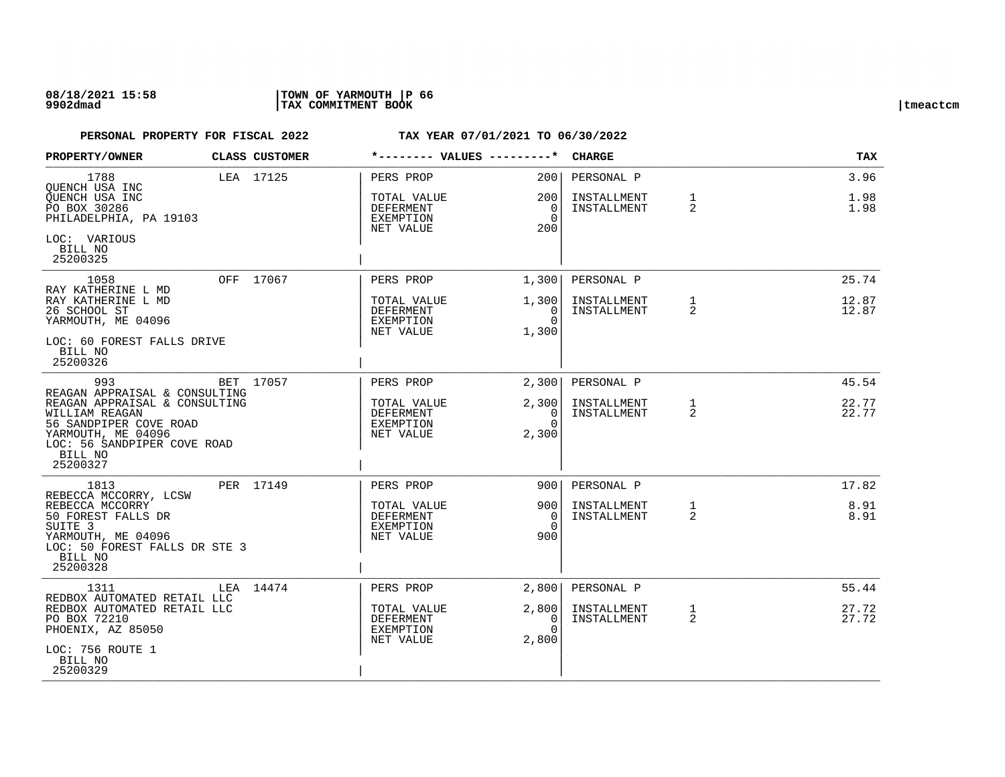## **08/18/2021 15:58 |TOWN OF YARMOUTH |P 66 9902dmad |TAX COMMITMENT BOOK |tmeactcm**

| PROPERTY/OWNER                                                                                                                              | <b>CLASS CUSTOMER</b> | *-------- VALUES ---------*                                     |                                                   | <b>CHARGE</b>                            |                   | TAX                  |
|---------------------------------------------------------------------------------------------------------------------------------------------|-----------------------|-----------------------------------------------------------------|---------------------------------------------------|------------------------------------------|-------------------|----------------------|
| 1788<br>OUENCH USA INC<br>OUENCH USA INC<br>PO BOX 30286<br>PHILADELPHIA, PA 19103                                                          | LEA 17125             | PERS PROP<br>TOTAL VALUE<br>DEFERMENT<br>EXEMPTION<br>NET VALUE | 200<br>200 L<br>$\overline{0}$<br>$\Omega$<br>200 | PERSONAL P<br>INSTALLMENT<br>INSTALLMENT | $\mathbf{1}$<br>2 | 3.96<br>1.98<br>1.98 |
| LOC: VARIOUS<br>BILL NO<br>25200325                                                                                                         |                       |                                                                 |                                                   |                                          |                   |                      |
| 1058                                                                                                                                        | OFF 17067             | PERS PROP                                                       | 1,300                                             | PERSONAL P                               |                   | 25.74                |
| RAY KATHERINE L MD<br>RAY KATHERINE L MD<br>26 SCHOOL ST<br>YARMOUTH, ME 04096                                                              |                       | TOTAL VALUE<br>DEFERMENT<br>EXEMPTION<br>NET VALUE              | 1,300<br>$\Omega$<br>$\Omega$<br>1,300            | INSTALLMENT<br>INSTALLMENT               | $\mathbf{1}$<br>2 | 12.87<br>12.87       |
| LOC: 60 FOREST FALLS DRIVE<br>BILL NO<br>25200326                                                                                           |                       |                                                                 |                                                   |                                          |                   |                      |
| 993                                                                                                                                         | BET 17057             | PERS PROP                                                       | 2,300                                             | PERSONAL P                               |                   | 45.54                |
| REAGAN APPRAISAL & CONSULTING<br>REAGAN APPRAISAL & CONSULTING<br>WILLIAM REAGAN<br>56 SANDPIPER COVE ROAD<br>YARMOUTH, ME 04096            |                       | TOTAL VALUE<br>DEFERMENT<br>EXEMPTION<br>NET VALUE              | 2,300<br>$\overline{0}$<br>$\Omega$<br>2,300      | INSTALLMENT<br>INSTALLMENT               | $\mathbf{1}$<br>2 | 22.77<br>22.77       |
| LOC: 56 SANDPIPER COVE ROAD<br>BILL NO<br>25200327                                                                                          |                       |                                                                 |                                                   |                                          |                   |                      |
| 1813                                                                                                                                        | PER 17149             | PERS PROP                                                       | 900                                               | PERSONAL P                               |                   | 17.82                |
| REBECCA MCCORRY, LCSW<br>REBECCA MCCORRY<br>50 FOREST FALLS DR<br>SUITE <sub>3</sub><br>YARMOUTH, ME 04096<br>LOC: 50 FOREST FALLS DR STE 3 |                       | TOTAL VALUE<br>DEFERMENT<br>EXEMPTION<br>NET VALUE              | 900 l<br>$\Omega$<br>$\Omega$<br>900              | INSTALLMENT<br>INSTALLMENT               | $\mathbf{1}$<br>2 | 8.91<br>8.91         |
| BILL NO<br>25200328                                                                                                                         |                       |                                                                 |                                                   |                                          |                   |                      |
| 1311                                                                                                                                        | LEA 14474             | PERS PROP                                                       | 2,800                                             | PERSONAL P                               |                   | 55.44                |
| REDBOX AUTOMATED RETAIL LLC<br>REDBOX AUTOMATED RETAIL LLC<br>PO BOX 72210<br>PHOENIX, AZ 85050                                             |                       | TOTAL VALUE<br>DEFERMENT<br>EXEMPTION                           | 2,800<br>0<br>$\Omega$                            | INSTALLMENT<br>INSTALLMENT               | $\mathbf{1}$<br>2 | 27.72<br>27.72       |
| LOC: 756 ROUTE 1<br>BILL NO<br>25200329                                                                                                     |                       | NET VALUE                                                       | 2,800                                             |                                          |                   |                      |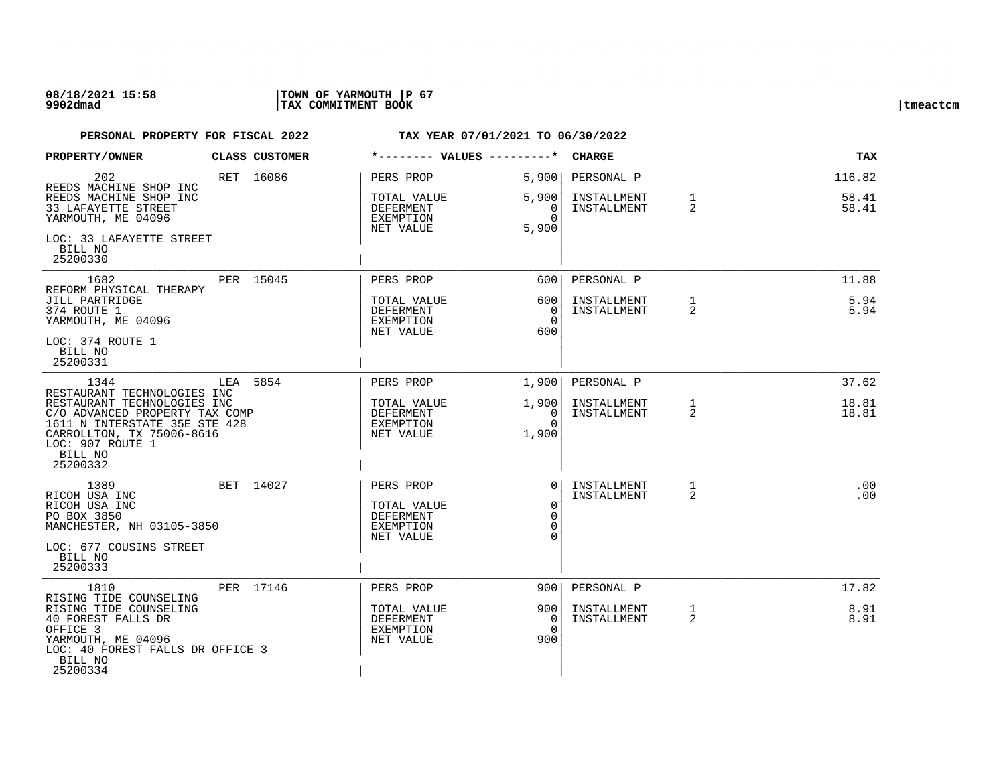## **08/18/2021 15:58 |TOWN OF YARMOUTH |P 67 9902dmad |TAX COMMITMENT BOOK |tmeactcm**

| PROPERTY/OWNER                                                                                                                                                                            |     | <b>CLASS CUSTOMER</b> | *-------- VALUES ---------*                                            |                                                   | <b>CHARGE</b>              |                   | <b>TAX</b>      |
|-------------------------------------------------------------------------------------------------------------------------------------------------------------------------------------------|-----|-----------------------|------------------------------------------------------------------------|---------------------------------------------------|----------------------------|-------------------|-----------------|
| 202<br>REEDS MACHINE SHOP INC                                                                                                                                                             |     | RET 16086             | PERS PROP                                                              | 5,900                                             | PERSONAL P                 |                   | 116.82          |
| REEDS MACHINE SHOP INC<br>33 LAFAYETTE STREET<br>YARMOUTH, ME 04096                                                                                                                       |     |                       | TOTAL VALUE<br>DEFERMENT<br>EXEMPTION<br>NET VALUE                     | 5,900<br>0<br>$\Omega$<br>5,900                   | INSTALLMENT<br>INSTALLMENT | 1<br>2            | 58.41<br>58.41  |
| LOC: 33 LAFAYETTE STREET<br>BILL NO<br>25200330                                                                                                                                           |     |                       |                                                                        |                                                   |                            |                   |                 |
| 1682<br>REFORM PHYSICAL THERAPY                                                                                                                                                           |     | PER 15045             | PERS PROP                                                              | 600                                               | PERSONAL P                 |                   | 11.88           |
| JILL PARTRIDGE<br>374 ROUTE 1<br>YARMOUTH, ME 04096                                                                                                                                       |     |                       | TOTAL VALUE<br>DEFERMENT<br><b>EXEMPTION</b><br>NET VALUE              | 6001<br>$\Omega$<br>$\Omega$<br>600               | INSTALLMENT<br>INSTALLMENT | $\mathbf{1}$<br>2 | 5.94<br>5.94    |
| LOC: 374 ROUTE 1<br>BILL NO<br>25200331                                                                                                                                                   |     |                       |                                                                        |                                                   |                            |                   |                 |
| 1344                                                                                                                                                                                      | LEA | 5854                  | PERS PROP                                                              | 1,900                                             | PERSONAL P                 |                   | 37.62           |
| RESTAURANT TECHNOLOGIES INC<br>RESTAURANT TECHNOLOGIES INC<br>C/O ADVANCED PROPERTY TAX COMP<br>1611 N INTERSTATE 35E STE 428<br>CARROLLTON, TX 75006-8616<br>LOC: 907 ROUTE 1<br>BILL NO |     |                       | TOTAL VALUE<br>DEFERMENT<br>EXEMPTION<br>NET VALUE                     | 1,900<br>0<br>$\Omega$<br>1,900                   | INSTALLMENT<br>INSTALLMENT | $\mathbf{1}$<br>2 | 18.81<br>18.81  |
| 25200332                                                                                                                                                                                  |     |                       |                                                                        |                                                   |                            |                   |                 |
| 1389<br>RICOH USA INC<br>RICOH USA INC<br>PO BOX 3850<br>MANCHESTER, NH 03105-3850<br>LOC: 677 COUSINS STREET                                                                             |     | BET 14027             | PERS PROP<br>TOTAL VALUE<br>DEFERMENT<br><b>EXEMPTION</b><br>NET VALUE | $\Omega$<br>$\Omega$<br>$\Omega$<br>$\Omega$<br>∩ | INSTALLMENT<br>INSTALLMENT | $\mathbf{1}$<br>2 | $.00 \,$<br>.00 |
| BILL NO<br>25200333                                                                                                                                                                       |     |                       |                                                                        |                                                   |                            |                   |                 |
| 1810<br>RISING TIDE COUNSELING                                                                                                                                                            |     | PER 17146             | PERS PROP                                                              | 9001                                              | PERSONAL P                 |                   | 17.82           |
| RISING TIDE COUNSELING<br>40 FOREST FALLS DR<br>OFFICE 3<br>YARMOUTH, ME 04096<br>LOC: 40 FOREST FALLS DR OFFICE 3<br>BILL NO<br>25200334                                                 |     |                       | TOTAL VALUE<br>DEFERMENT<br>EXEMPTION<br>NET VALUE                     | 9001<br>0<br>$\Omega$<br>900                      | INSTALLMENT<br>INSTALLMENT | $\mathbf{1}$<br>2 | 8.91<br>8.91    |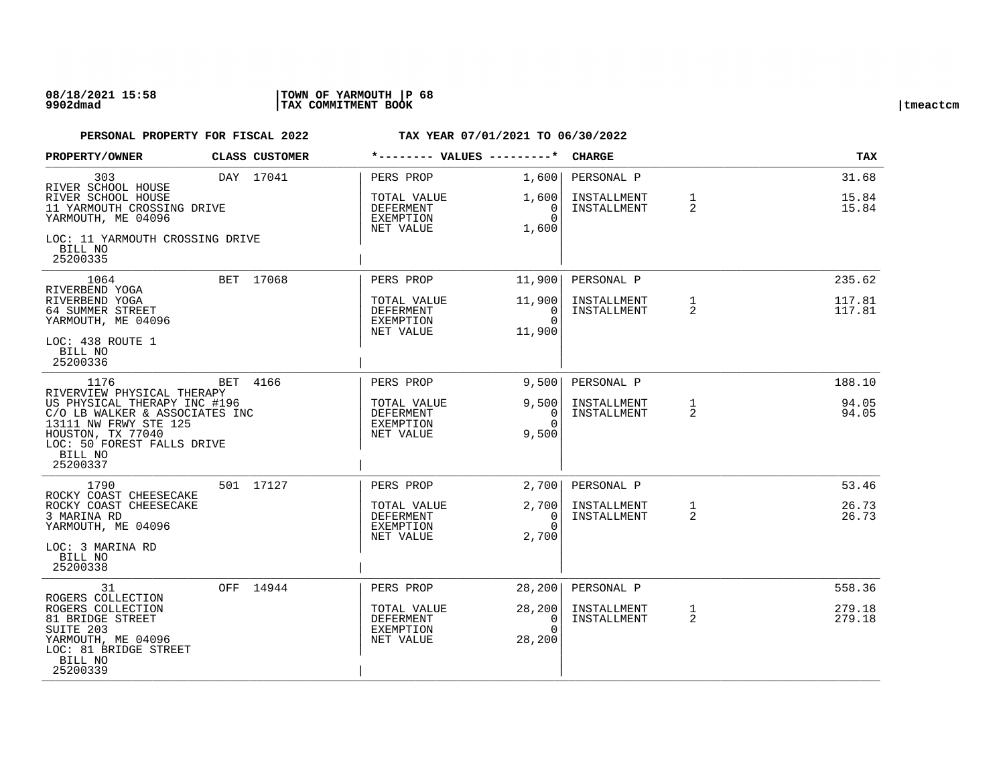| PROPERTY/OWNER                                                                                                                                                                      |  | CLASS CUSTOMER | *-------- VALUES ---------*                               |                                              | <b>CHARGE</b>              |                                | <b>TAX</b>       |
|-------------------------------------------------------------------------------------------------------------------------------------------------------------------------------------|--|----------------|-----------------------------------------------------------|----------------------------------------------|----------------------------|--------------------------------|------------------|
| 303<br>RIVER SCHOOL HOUSE                                                                                                                                                           |  | DAY 17041      | PERS PROP                                                 | 1,600                                        | PERSONAL P                 |                                | 31.68            |
| RIVER SCHOOL HOUSE<br>11 YARMOUTH CROSSING DRIVE<br>YARMOUTH, ME 04096                                                                                                              |  |                | TOTAL VALUE<br><b>DEFERMENT</b><br>EXEMPTION<br>NET VALUE | 1,600<br>0<br>$\Omega$<br>1,600              | INSTALLMENT<br>INSTALLMENT | $\mathbf{1}$<br>2              | 15.84<br>15.84   |
| LOC: 11 YARMOUTH CROSSING DRIVE<br>BILL NO<br>25200335                                                                                                                              |  |                |                                                           |                                              |                            |                                |                  |
| 1064<br>RIVERBEND YOGA                                                                                                                                                              |  | BET 17068      | PERS PROP                                                 | 11,900                                       | PERSONAL P                 |                                | 235.62           |
| RIVERBEND YOGA<br>64 SUMMER STREET<br>YARMOUTH, ME 04096                                                                                                                            |  |                | TOTAL VALUE<br>DEFERMENT<br>EXEMPTION<br>NET VALUE        | 11,900<br>0<br>$\Omega$<br>11,900            | INSTALLMENT<br>INSTALLMENT | $\mathbf{1}$<br>$\overline{2}$ | 117.81<br>117.81 |
| LOC: 438 ROUTE 1<br>BILL NO<br>25200336                                                                                                                                             |  |                |                                                           |                                              |                            |                                |                  |
| 1176                                                                                                                                                                                |  | BET 4166       | PERS PROP                                                 | 9,500                                        | PERSONAL P                 |                                | 188.10           |
| RIVERVIEW PHYSICAL THERAPY<br>US PHYSICAL THERAPY INC #196<br>C/O LB WALKER & ASSOCIATES INC<br>13111 NW FRWY STE 125<br>HOUSTON, TX 77040<br>LOC: 50 FOREST FALLS DRIVE<br>BILL NO |  |                | TOTAL VALUE<br><b>DEFERMENT</b><br>EXEMPTION<br>NET VALUE | 9,500<br>$\overline{0}$<br>$\Omega$<br>9,500 | INSTALLMENT<br>INSTALLMENT | $\mathbf{1}$<br>2              | 94.05<br>94.05   |
| 25200337                                                                                                                                                                            |  |                |                                                           |                                              |                            |                                |                  |
| 1790<br>ROCKY COAST CHEESECAKE                                                                                                                                                      |  | 501 17127      | PERS PROP                                                 | 2,700                                        | PERSONAL P                 |                                | 53.46            |
| ROCKY COAST CHEESECAKE<br>3 MARINA RD<br>YARMOUTH, ME 04096                                                                                                                         |  |                | TOTAL VALUE<br>DEFERMENT<br>EXEMPTION                     | 2,700<br>0<br>$\Omega$                       | INSTALLMENT<br>INSTALLMENT | $\mathbf{1}$<br>2              | 26.73<br>26.73   |
| LOC: 3 MARINA RD<br>BILL NO<br>25200338                                                                                                                                             |  |                | NET VALUE                                                 | 2,700                                        |                            |                                |                  |
| 31                                                                                                                                                                                  |  | OFF 14944      | PERS PROP                                                 | 28,200                                       | PERSONAL P                 |                                | 558.36           |
| ROGERS COLLECTION<br>ROGERS COLLECTION<br>81 BRIDGE STREET<br>SUITE 203<br>YARMOUTH, ME 04096<br>LOC: 81 BRIDGE STREET<br>BILL NO<br>25200339                                       |  |                | TOTAL VALUE<br>DEFERMENT<br>EXEMPTION<br>NET VALUE        | 28,200<br>0<br>$\Omega$<br>28,200            | INSTALLMENT<br>INSTALLMENT | $\mathbf{1}$<br>2              | 279.18<br>279.18 |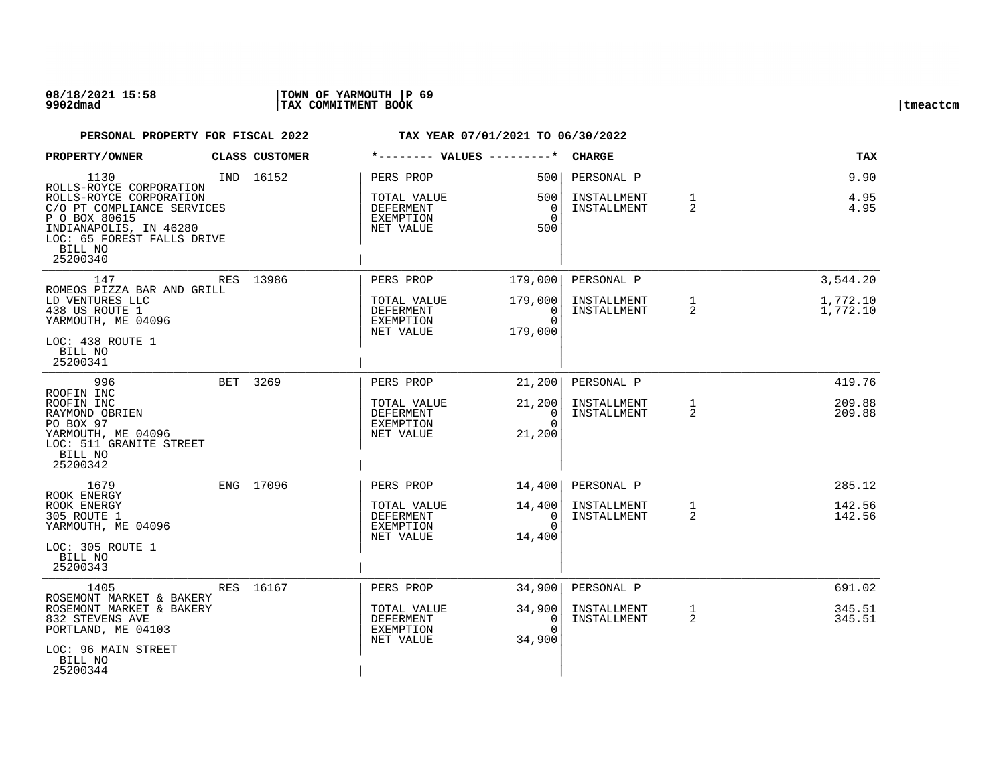| PROPERTY/OWNER                                                                                                                                                                           | <b>CLASS CUSTOMER</b> |                                                                        | *-------- VALUES ---------*                              | <b>CHARGE</b>                            |                   | TAX                              |
|------------------------------------------------------------------------------------------------------------------------------------------------------------------------------------------|-----------------------|------------------------------------------------------------------------|----------------------------------------------------------|------------------------------------------|-------------------|----------------------------------|
| 1130<br>ROLLS-ROYCE CORPORATION<br>ROLLS-ROYCE CORPORATION<br>C/O PT COMPLIANCE SERVICES<br>P O BOX 80615<br>INDIANAPOLIS, IN 46280<br>LOC: 65 FOREST FALLS DRIVE<br>BILL NO<br>25200340 | IND 16152             | PERS PROP<br>TOTAL VALUE<br>DEFERMENT<br>EXEMPTION<br>NET VALUE        | 500<br>500<br>$\overline{0}$<br>$\Omega$<br>500          | PERSONAL P<br>INSTALLMENT<br>INSTALLMENT | $\mathbf{1}$<br>2 | 9.90<br>4.95<br>4.95             |
| 147<br>ROMEOS PIZZA BAR AND GRILL<br>LD VENTURES LLC<br>438 US ROUTE 1<br>YARMOUTH, ME 04096<br>LOC: 438 ROUTE 1<br>BILL NO<br>25200341                                                  | RES 13986             | PERS PROP<br>TOTAL VALUE<br><b>DEFERMENT</b><br>EXEMPTION<br>NET VALUE | 179,000<br>179,000<br>$\Omega$<br>$\Omega$<br>179,000    | PERSONAL P<br>INSTALLMENT<br>INSTALLMENT | $\mathbf{1}$<br>2 | 3,544.20<br>1,772.10<br>1,772.10 |
| 996<br>ROOFIN INC<br>ROOFIN INC<br>RAYMOND OBRIEN<br>PO BOX 97<br>YARMOUTH, ME 04096<br>LOC: 511 GRANITE STREET<br>BILL NO<br>25200342                                                   | BET 3269              | PERS PROP<br>TOTAL VALUE<br>DEFERMENT<br>EXEMPTION<br>NET VALUE        | 21,200<br>21,200<br>0 <sup>1</sup><br>$\Omega$<br>21,200 | PERSONAL P<br>INSTALLMENT<br>INSTALLMENT | $\mathbf{1}$<br>2 | 419.76<br>209.88<br>209.88       |
| 1679<br>ROOK ENERGY<br>ROOK ENERGY<br>305 ROUTE 1<br>YARMOUTH, ME 04096<br>LOC: 305 ROUTE 1<br>BILL NO<br>25200343                                                                       | ENG 17096             | PERS PROP<br>TOTAL VALUE<br>DEFERMENT<br>EXEMPTION<br>NET VALUE        | 14,400<br>14,400<br>0<br>$\Omega$<br>14,400              | PERSONAL P<br>INSTALLMENT<br>INSTALLMENT | $\mathbf{1}$<br>2 | 285.12<br>142.56<br>142.56       |
| 1405<br>ROSEMONT MARKET & BAKERY<br>ROSEMONT MARKET & BAKERY<br>832 STEVENS AVE<br>PORTLAND, ME 04103<br>LOC: 96 MAIN STREET<br>BILL NO<br>25200344                                      | RES 16167             | PERS PROP<br>TOTAL VALUE<br>DEFERMENT<br>EXEMPTION<br>NET VALUE        | 34,900<br>34,900<br>0<br>$\Omega$<br>34,900              | PERSONAL P<br>INSTALLMENT<br>INSTALLMENT | $\mathbf{1}$<br>2 | 691.02<br>345.51<br>345.51       |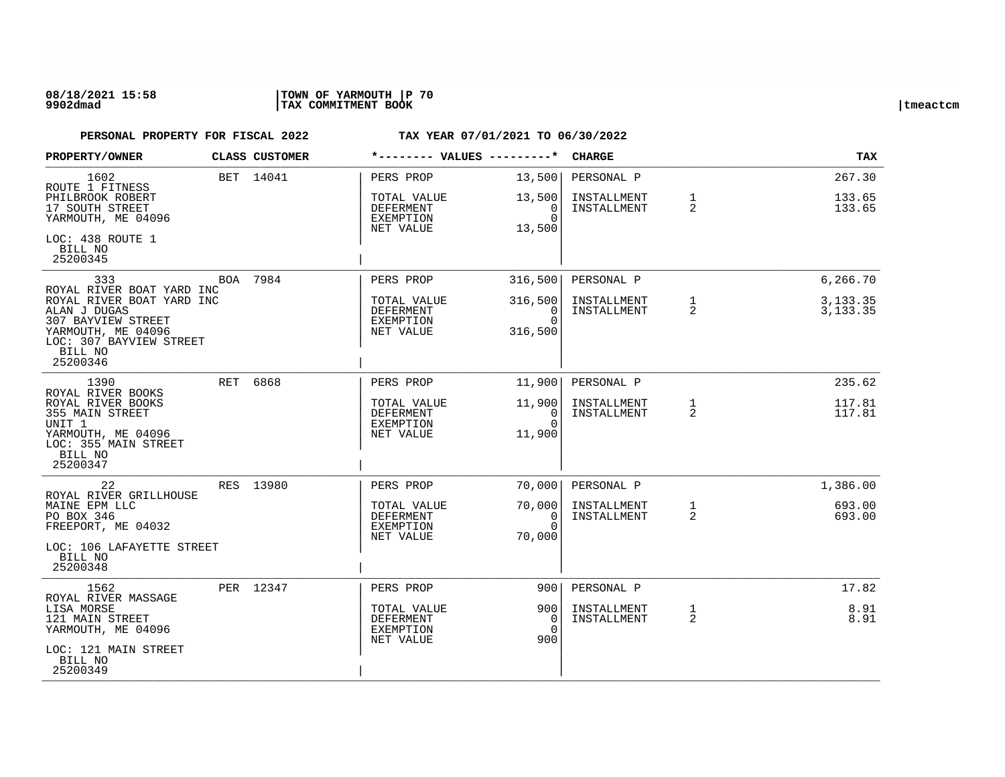## **08/18/2021 15:58 |TOWN OF YARMOUTH |P 70 9902dmad |TAX COMMITMENT BOOK |tmeactcm**

| PROPERTY/OWNER                                                                                                                           |     | CLASS CUSTOMER | *-------- VALUES ---------*                                      |                                            | <b>CHARGE</b>              |                   | <b>TAX</b>             |
|------------------------------------------------------------------------------------------------------------------------------------------|-----|----------------|------------------------------------------------------------------|--------------------------------------------|----------------------------|-------------------|------------------------|
| 1602<br>ROUTE 1 FITNESS                                                                                                                  |     | BET 14041      | PERS PROP                                                        | 13,500                                     | PERSONAL P                 |                   | 267.30                 |
| PHILBROOK ROBERT<br>17 SOUTH STREET<br>YARMOUTH, ME 04096                                                                                |     |                | TOTAL VALUE<br>DEFERMENT<br>EXEMPTION<br>NET VALUE               | 13,500<br>0<br>$\Omega$<br>13,500          | INSTALLMENT<br>INSTALLMENT | 1<br>2            | 133.65<br>133.65       |
| LOC: 438 ROUTE 1<br>BILL NO<br>25200345                                                                                                  |     |                |                                                                  |                                            |                            |                   |                        |
| 333<br>ROYAL RIVER BOAT YARD INC                                                                                                         |     | BOA 7984       | PERS PROP                                                        | 316,500                                    | PERSONAL P                 |                   | 6,266.70               |
| ROYAL RIVER BOAT YARD INC<br>ALAN J DUGAS<br>307 BAYVIEW STREET<br>YARMOUTH, ME 04096<br>LOC: 307 BAYVIEW STREET<br>BILL NO<br>25200346  |     |                | TOTAL VALUE<br>DEFERMENT<br>EXEMPTION<br>NET VALUE               | 316,500<br>$\Omega$<br>$\Omega$<br>316,500 | INSTALLMENT<br>INSTALLMENT | $\mathbf{1}$<br>2 | 3, 133. 35<br>3,133.35 |
| 1390                                                                                                                                     | RET | 6868           | PERS PROP                                                        | 11,900                                     | PERSONAL P                 |                   | 235.62                 |
| ROYAL RIVER BOOKS<br>ROYAL RIVER BOOKS<br>355 MAIN STREET<br>UNIT 1<br>YARMOUTH, ME 04096<br>LOC: 355 MAIN STREET<br>BILL NO<br>25200347 |     |                | TOTAL VALUE<br>DEFERMENT<br>EXEMPTION<br>NET VALUE               | 11,900<br>0<br>$\Omega$<br>11,900          | INSTALLMENT<br>INSTALLMENT | $\mathbf{1}$<br>2 | 117.81<br>117.81       |
| 22<br>ROYAL RIVER GRILLHOUSE                                                                                                             |     | RES 13980      | PERS PROP                                                        | 70,000                                     | PERSONAL P                 |                   | 1,386.00               |
| MAINE EPM LLC<br>PO BOX 346<br>FREEPORT, ME 04032<br>LOC: 106 LAFAYETTE STREET<br>BILL NO<br>25200348                                    |     |                | TOTAL VALUE<br>DEFERMENT<br><b>EXEMPTION</b><br>NET VALUE        | 70,000<br>0<br>$\Omega$<br>70,000          | INSTALLMENT<br>INSTALLMENT | $\mathbf{1}$<br>2 | 693.00<br>693.00       |
| 1562                                                                                                                                     |     | PER 12347      | PERS PROP                                                        | 9001                                       | PERSONAL P                 |                   | 17.82                  |
| ROYAL RIVER MASSAGE<br>LISA MORSE<br>121 MAIN STREET<br>YARMOUTH, ME 04096<br>LOC: 121 MAIN STREET                                       |     |                | TOTAL VALUE<br><b>DEFERMENT</b><br><b>EXEMPTION</b><br>NET VALUE | 9001<br>0<br>$\Omega$<br>900               | INSTALLMENT<br>INSTALLMENT | 1<br>2            | 8.91<br>8.91           |
| BILL NO<br>25200349                                                                                                                      |     |                |                                                                  |                                            |                            |                   |                        |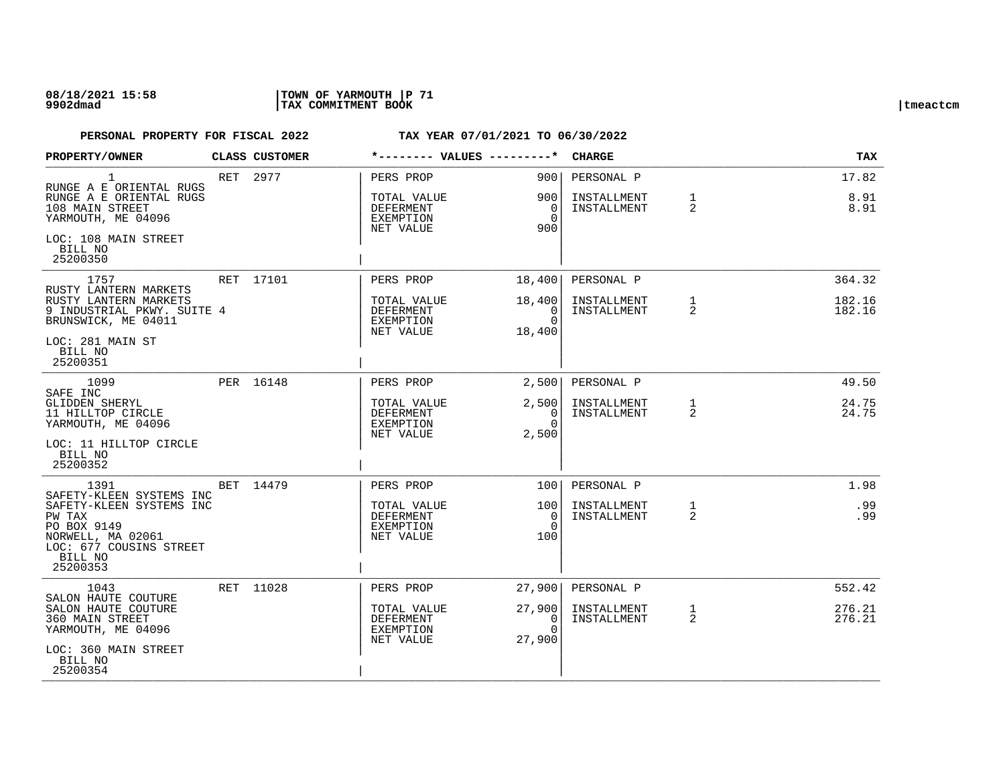## **08/18/2021 15:58 |TOWN OF YARMOUTH |P 71 9902dmad |TAX COMMITMENT BOOK |tmeactcm**

| PROPERTY/OWNER                                                                                                           | CLASS CUSTOMER |                                                           | *-------- VALUES ---------*         | <b>CHARGE</b>              |                                | <b>TAX</b>       |
|--------------------------------------------------------------------------------------------------------------------------|----------------|-----------------------------------------------------------|-------------------------------------|----------------------------|--------------------------------|------------------|
| 1                                                                                                                        | RET 2977       | PERS PROP                                                 | 900                                 | PERSONAL P                 |                                | 17.82            |
| RUNGE A E ORIENTAL RUGS<br>RUNGE A E ORIENTAL RUGS<br>108 MAIN STREET<br>YARMOUTH, ME 04096                              |                | TOTAL VALUE<br>DEFERMENT<br>EXEMPTION<br>NET VALUE        | 9001<br>0<br>$\Omega$<br>900        | INSTALLMENT<br>INSTALLMENT | $\mathbf{1}$<br>2              | 8.91<br>8.91     |
| LOC: 108 MAIN STREET<br>BILL NO<br>25200350                                                                              |                |                                                           |                                     |                            |                                |                  |
| 1757<br>RUSTY LANTERN MARKETS                                                                                            | RET 17101      | PERS PROP                                                 | 18,400                              | PERSONAL P                 |                                | 364.32           |
| RUSTY LANTERN MARKETS<br>9 INDUSTRIAL PKWY. SUITE 4<br>BRUNSWICK, ME 04011                                               |                | TOTAL VALUE<br>DEFERMENT<br>EXEMPTION<br>NET VALUE        | 18,400<br>0<br>$\Omega$<br>18,400   | INSTALLMENT<br>INSTALLMENT | $\mathbf{1}$<br>$\overline{2}$ | 182.16<br>182.16 |
| LOC: 281 MAIN ST<br>BILL NO<br>25200351                                                                                  |                |                                                           |                                     |                            |                                |                  |
| 1099<br>SAFE INC                                                                                                         | PER 16148      | PERS PROP                                                 | 2,500                               | PERSONAL P                 |                                | 49.50            |
| <b>GLIDDEN SHERYL</b><br>11 HILLTOP CIRCLE<br>YARMOUTH, ME 04096                                                         |                | TOTAL VALUE<br>DEFERMENT<br>EXEMPTION<br>NET VALUE        | 2,500<br>0<br>$\Omega$<br>2,500     | INSTALLMENT<br>INSTALLMENT | $\mathbf{1}$<br>2              | 24.75<br>24.75   |
| LOC: 11 HILLTOP CIRCLE<br>BILL NO<br>25200352                                                                            |                |                                                           |                                     |                            |                                |                  |
| 1391<br>SAFETY-KLEEN SYSTEMS INC                                                                                         | BET 14479      | PERS PROP                                                 | 100 <sup>1</sup>                    | PERSONAL P                 |                                | 1.98             |
| SAFETY-KLEEN SYSTEMS INC<br>PW TAX<br>PO BOX 9149<br>NORWELL, MA 02061<br>LOC: 677 COUSINS STREET<br>BILL NO<br>25200353 |                | TOTAL VALUE<br><b>DEFERMENT</b><br>EXEMPTION<br>NET VALUE | 1001<br>$\Omega$<br>$\Omega$<br>100 | INSTALLMENT<br>INSTALLMENT | $\mathbf{1}$<br>2              | .99<br>.99       |
| 1043<br>SALON HAUTE COUTURE                                                                                              | RET 11028      | PERS PROP                                                 | 27,900                              | PERSONAL P                 |                                | 552.42           |
| SALON HAUTE COUTURE<br>360 MAIN STREET<br>YARMOUTH, ME 04096                                                             |                | TOTAL VALUE<br>DEFERMENT<br>EXEMPTION<br>NET VALUE        | 27,900<br>0<br>$\cap$<br>27,900     | INSTALLMENT<br>INSTALLMENT | $\mathbf{1}$<br>$\overline{2}$ | 276.21<br>276.21 |
| LOC: 360 MAIN STREET<br>BILL NO<br>25200354                                                                              |                |                                                           |                                     |                            |                                |                  |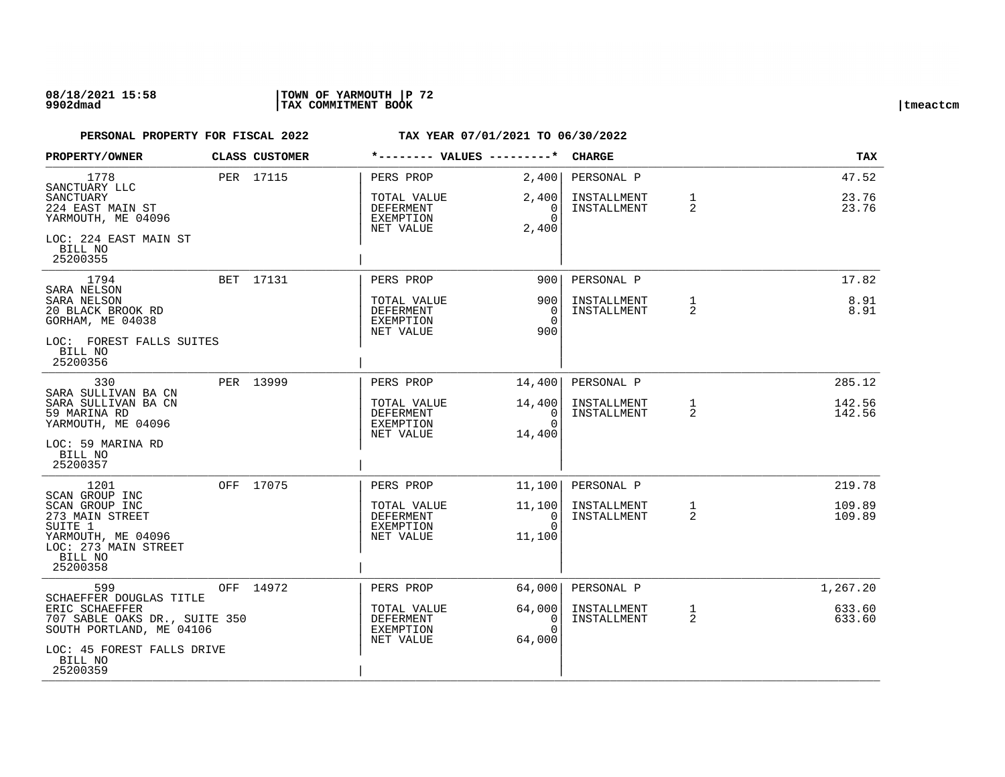## **08/18/2021 15:58 |TOWN OF YARMOUTH |P 72 9902dmad |TAX COMMITMENT BOOK |tmeactcm**

| <b>PROPERTY/OWNER</b>                                                                                 | <b>CLASS CUSTOMER</b> | *-------- VALUES ---------*                               |                                                | <b>CHARGE</b>              |                                | <b>TAX</b>       |
|-------------------------------------------------------------------------------------------------------|-----------------------|-----------------------------------------------------------|------------------------------------------------|----------------------------|--------------------------------|------------------|
| 1778<br>SANCTUARY LLC                                                                                 | PER 17115             | PERS PROP                                                 | 2,400                                          | PERSONAL P                 |                                | 47.52            |
| SANCTUARY<br>224 EAST MAIN ST<br>YARMOUTH, ME 04096                                                   |                       | TOTAL VALUE<br>DEFERMENT<br>EXEMPTION                     | 2,400<br>0<br>$\Omega$                         | INSTALLMENT<br>INSTALLMENT | $\mathbf{1}$<br>$\overline{2}$ | 23.76<br>23.76   |
| LOC: 224 EAST MAIN ST<br>BILL NO<br>25200355                                                          |                       | NET VALUE                                                 | 2,400                                          |                            |                                |                  |
| 1794<br>SARA NELSON                                                                                   | BET 17131             | PERS PROP                                                 | 9001                                           | PERSONAL P                 |                                | 17.82            |
| SARA NELSON<br>20 BLACK BROOK RD<br>GORHAM, ME 04038                                                  |                       | TOTAL VALUE<br><b>DEFERMENT</b><br>EXEMPTION<br>NET VALUE | 900<br>$\Omega$<br>$\Omega$<br>900             | INSTALLMENT<br>INSTALLMENT | 1<br>$\overline{2}$            | 8.91<br>8.91     |
| LOC: FOREST FALLS SUITES<br>BILL NO<br>25200356                                                       |                       |                                                           |                                                |                            |                                |                  |
| 330<br>SARA SULLIVAN BA CN                                                                            | PER 13999             | PERS PROP                                                 | 14,400                                         | PERSONAL P                 |                                | 285.12           |
| SARA SULLIVAN BA CN<br>59 MARINA RD<br>YARMOUTH, ME 04096                                             |                       | TOTAL VALUE<br>DEFERMENT<br>EXEMPTION<br>NET VALUE        | 14,400<br>$\overline{0}$<br>$\Omega$<br>14,400 | INSTALLMENT<br>INSTALLMENT | 1<br>2                         | 142.56<br>142.56 |
| LOC: 59 MARINA RD<br>BILL NO<br>25200357                                                              |                       |                                                           |                                                |                            |                                |                  |
| 1201<br>SCAN GROUP INC                                                                                | OFF 17075             | PERS PROP                                                 | 11,100                                         | PERSONAL P                 |                                | 219.78           |
| SCAN GROUP INC<br>273 MAIN STREET<br>SUITE 1<br>YARMOUTH, ME 04096<br>LOC: 273 MAIN STREET<br>BILL NO |                       | TOTAL VALUE<br>DEFERMENT<br>EXEMPTION<br>NET VALUE        | 11,100<br>0<br>$\Omega$<br>11,100              | INSTALLMENT<br>INSTALLMENT | $\mathbf{1}$<br>2              | 109.89<br>109.89 |
| 25200358                                                                                              |                       |                                                           |                                                |                            |                                |                  |
| 599<br>SCHAEFFER DOUGLAS TITLE                                                                        | OFF 14972             | PERS PROP                                                 | 64,000                                         | PERSONAL P                 |                                | 1,267.20         |
| ERIC SCHAEFFER<br>707 SABLE OAKS DR., SUITE 350<br>SOUTH PORTLAND, ME 04106                           |                       | TOTAL VALUE<br>DEFERMENT<br>EXEMPTION<br>NET VALUE        | 64,000<br>0<br>$\Omega$<br>64,000              | INSTALLMENT<br>INSTALLMENT | $\mathbf{1}$<br>2              | 633.60<br>633.60 |
| LOC: 45 FOREST FALLS DRIVE<br>BILL NO<br>25200359                                                     |                       |                                                           |                                                |                            |                                |                  |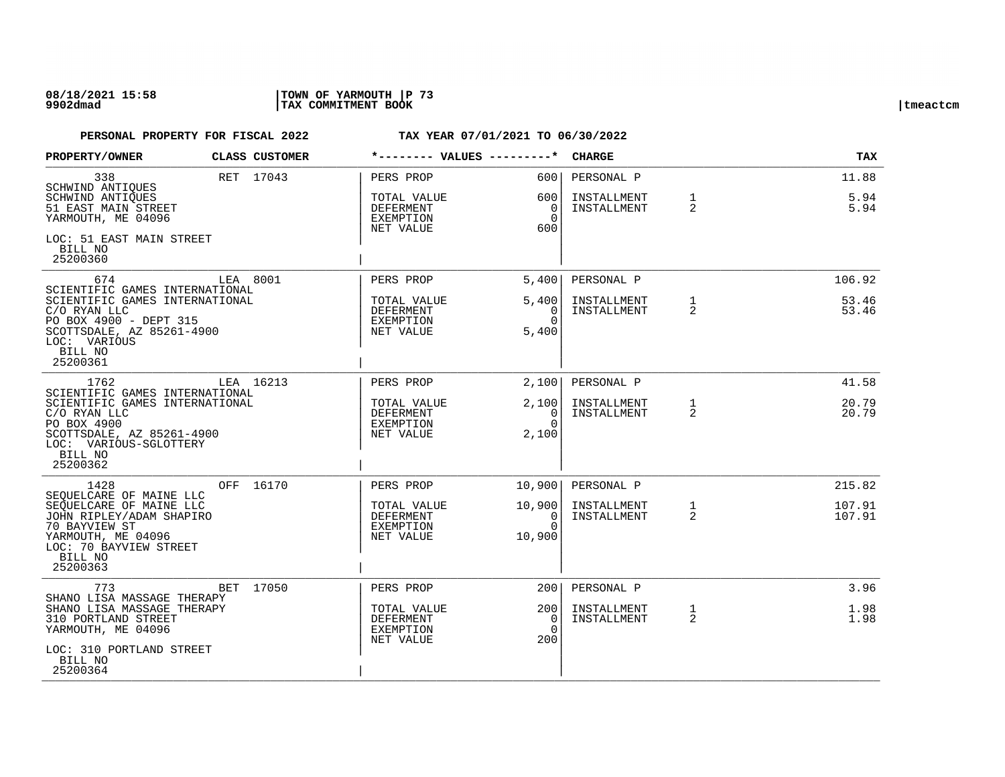### **08/18/2021 15:58 |TOWN OF YARMOUTH |P 73 9902dmad |TAX COMMITMENT BOOK |tmeactcm**

| PROPERTY/OWNER                                                                                                                                                                | CLASS CUSTOMER | *-------- VALUES ---------*                        |                                              | <b>CHARGE</b>              |                                | <b>TAX</b>       |
|-------------------------------------------------------------------------------------------------------------------------------------------------------------------------------|----------------|----------------------------------------------------|----------------------------------------------|----------------------------|--------------------------------|------------------|
| 338<br>SCHWIND ANTIQUES                                                                                                                                                       | RET 17043      | PERS PROP                                          | 6001                                         | PERSONAL P                 |                                | 11.88            |
| SCHWIND ANTIQUES<br>51 EAST MAIN STREET<br>YARMOUTH, ME 04096                                                                                                                 |                | TOTAL VALUE<br>DEFERMENT<br>EXEMPTION<br>NET VALUE | 600 l<br>$\overline{0}$<br>$\Omega$<br>600   | INSTALLMENT<br>INSTALLMENT | $\mathbf{1}$<br>2              | 5.94<br>5.94     |
| LOC: 51 EAST MAIN STREET<br>BILL NO<br>25200360                                                                                                                               |                |                                                    |                                              |                            |                                |                  |
| 674<br>SCIENTIFIC GAMES INTERNATIONAL                                                                                                                                         | LEA 8001       | PERS PROP                                          | 5.400                                        | PERSONAL P                 |                                | 106.92           |
| SCIENTIFIC GAMES INTERNATIONAL<br>C/O RYAN LLC<br>PO BOX 4900 - DEPT 315<br>SCOTTSDALE, AZ 85261-4900<br>LOC: VARIOUS<br>BILL NO<br>25200361                                  |                | TOTAL VALUE<br>DEFERMENT<br>EXEMPTION<br>NET VALUE | 5,400<br>$\Omega$<br>$\Omega$<br>5,400       | INSTALLMENT<br>INSTALLMENT | $\mathbf{1}$<br>2              | 53.46<br>53.46   |
| 1762                                                                                                                                                                          | LEA 16213      | PERS PROP                                          | 2,100                                        | PERSONAL P                 |                                | 41.58            |
| SCIENTIFIC GAMES INTERNATIONAL<br>SCIENTIFIC GAMES INTERNATIONAL<br>C/O RYAN LLC<br>PO BOX 4900<br>SCOTTSDALE, AZ 85261-4900<br>LOC: VARIOUS-SGLOTTERY<br>BILL NO<br>25200362 |                | TOTAL VALUE<br>DEFERMENT<br>EXEMPTION<br>NET VALUE | 2,100<br>$\overline{0}$<br>$\Omega$<br>2,100 | INSTALLMENT<br>INSTALLMENT | $\mathbf{1}$<br>2              | 20.79<br>20.79   |
| 1428<br>SEQUELCARE OF MAINE LLC                                                                                                                                               | OFF 16170      | PERS PROP                                          | 10,900                                       | PERSONAL P                 |                                | 215.82           |
| SEQUELCARE OF MAINE LLC<br>JOHN RIPLEY/ADAM SHAPIRO<br>70 BAYVIEW ST<br>YARMOUTH, ME 04096<br>LOC: 70 BAYVIEW STREET<br>BILL NO<br>25200363                                   |                | TOTAL VALUE<br>DEFERMENT<br>EXEMPTION<br>NET VALUE | 10,900<br>0<br>$\Omega$<br>10,900            | INSTALLMENT<br>INSTALLMENT | $\mathbf{1}$<br>2              | 107.91<br>107.91 |
| 773<br>SHANO LISA MASSAGE THERAPY                                                                                                                                             | BET 17050      | PERS PROP                                          | 2001                                         | PERSONAL P                 |                                | 3.96             |
| SHANO LISA MASSAGE THERAPY<br>310 PORTLAND STREET<br>YARMOUTH, ME 04096                                                                                                       |                | TOTAL VALUE<br>DEFERMENT<br>EXEMPTION<br>NET VALUE | 2001<br>0<br>$\Omega$<br>200                 | INSTALLMENT<br>INSTALLMENT | $\mathbf{1}$<br>$\overline{2}$ | 1.98<br>1.98     |
| LOC: 310 PORTLAND STREET<br>BILL NO<br>25200364                                                                                                                               |                |                                                    |                                              |                            |                                |                  |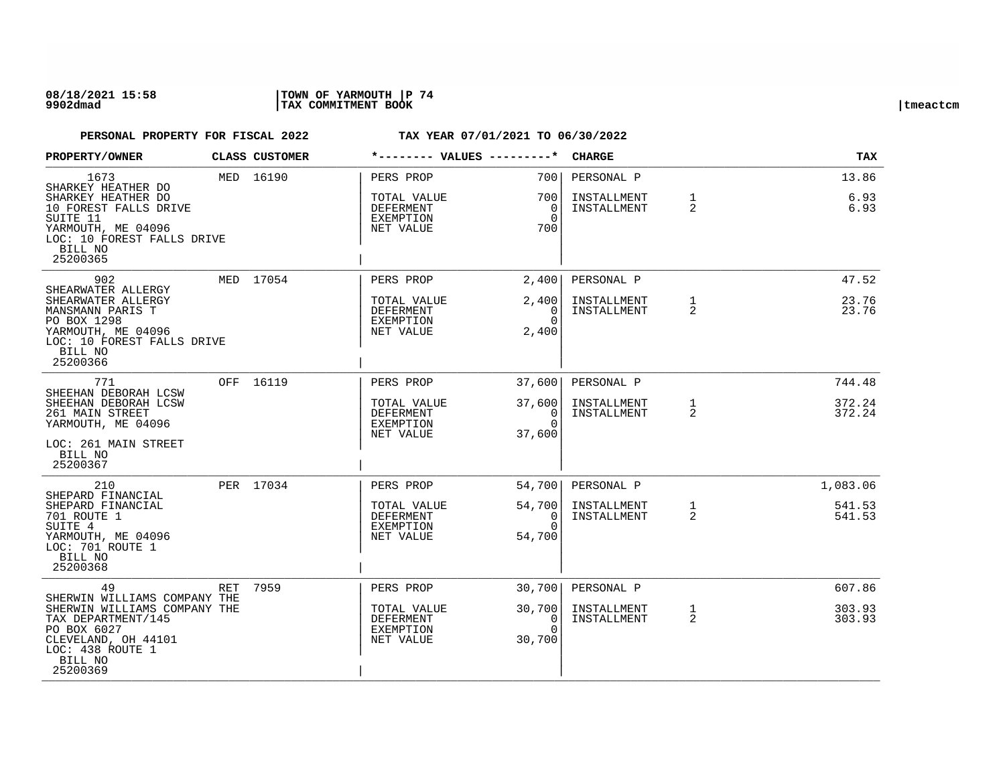### **08/18/2021 15:58 |TOWN OF YARMOUTH |P 74 9902dmad |TAX COMMITMENT BOOK |tmeactcm**

| PROPERTY/OWNER                                                                                                                                                   |     | CLASS CUSTOMER |                                                                        |                                           | <b>CHARGE</b>                            |                   | <b>TAX</b>            |
|------------------------------------------------------------------------------------------------------------------------------------------------------------------|-----|----------------|------------------------------------------------------------------------|-------------------------------------------|------------------------------------------|-------------------|-----------------------|
| 1673<br>SHARKEY HEATHER DO<br>SHARKEY HEATHER DO<br>10 FOREST FALLS DRIVE<br>SUITE 11<br>YARMOUTH, ME 04096<br>LOC: 10 FOREST FALLS DRIVE<br>BILL NO<br>25200365 |     | MED 16190      | PERS PROP<br>TOTAL VALUE<br><b>DEFERMENT</b><br>EXEMPTION<br>NET VALUE | 700<br>700<br>$\Omega$<br>$\Omega$<br>700 | PERSONAL P<br>INSTALLMENT<br>INSTALLMENT | $\mathbf{1}$<br>2 | 13.86<br>6.93<br>6.93 |
| 902<br>SHEARWATER ALLERGY                                                                                                                                        |     | MED 17054      | PERS PROP                                                              | 2,400                                     | PERSONAL P                               |                   | 47.52                 |
| SHEARWATER ALLERGY<br>MANSMANN PARIS T<br>PO BOX 1298<br>YARMOUTH, ME 04096<br>LOC: 10 FOREST FALLS DRIVE<br>BILL NO<br>25200366                                 |     |                | TOTAL VALUE<br>DEFERMENT<br>EXEMPTION<br>NET VALUE                     | 2,400<br>$\Omega$<br>$\Omega$<br>2,400    | INSTALLMENT<br>INSTALLMENT               | $\mathbf{1}$<br>2 | 23.76<br>23.76        |
| 771<br>SHEEHAN DEBORAH LCSW                                                                                                                                      |     | OFF 16119      | PERS PROP                                                              | 37,600                                    | PERSONAL P                               |                   | 744.48                |
| SHEEHAN DEBORAH LCSW<br>261 MAIN STREET<br>YARMOUTH, ME 04096<br>LOC: 261 MAIN STREET<br>BILL NO<br>25200367                                                     |     |                | TOTAL VALUE<br>DEFERMENT<br><b>EXEMPTION</b><br>NET VALUE              | 37,600<br>0<br>$\Omega$<br>37,600         | INSTALLMENT<br>INSTALLMENT               | $\mathbf{1}$<br>2 | 372.24<br>372.24      |
| 210<br>SHEPARD FINANCIAL                                                                                                                                         |     | PER 17034      | PERS PROP                                                              | 54,700                                    | PERSONAL P                               |                   | 1,083.06              |
| SHEPARD FINANCIAL<br>701 ROUTE 1<br>SUITE 4<br>YARMOUTH, ME 04096<br>LOC: 701 ROUTE 1<br>BILL NO<br>25200368                                                     |     |                | TOTAL VALUE<br><b>DEFERMENT</b><br>EXEMPTION<br>NET VALUE              | 54,700<br>$\Omega$<br>$\Omega$<br>54,700  | INSTALLMENT<br>INSTALLMENT               | $\mathbf{1}$<br>2 | 541.53<br>541.53      |
| 49<br>SHERWIN WILLIAMS COMPANY THE                                                                                                                               | RET | 7959           | PERS PROP                                                              | 30,700                                    | PERSONAL P                               |                   | 607.86                |
| SHERWIN WILLIAMS COMPANY THE<br>TAX DEPARTMENT/145<br>PO BOX 6027<br>CLEVELAND, OH 44101<br>LOC: 438 ROUTE 1<br>BILL NO<br>25200369                              |     |                | TOTAL VALUE<br>DEFERMENT<br>EXEMPTION<br>NET VALUE                     | 30,700<br>0<br>$\Omega$<br>30,700         | INSTALLMENT<br>INSTALLMENT               | $\mathbf{1}$<br>2 | 303.93<br>303.93      |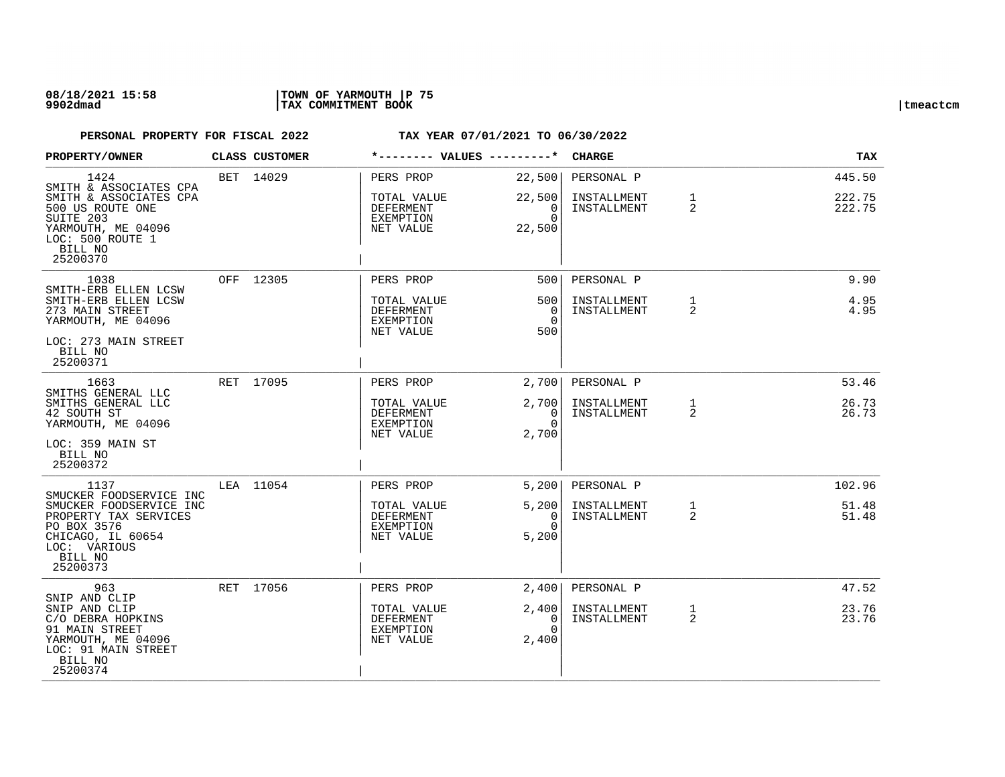### **08/18/2021 15:58 |TOWN OF YARMOUTH |P 75 9902dmad |TAX COMMITMENT BOOK |tmeactcm**

| PROPERTY/OWNER                                                                                                              | <b>CLASS CUSTOMER</b> | *-------- VALUES ---------*                               |                                        | <b>CHARGE</b>              |                                | TAX              |
|-----------------------------------------------------------------------------------------------------------------------------|-----------------------|-----------------------------------------------------------|----------------------------------------|----------------------------|--------------------------------|------------------|
| 1424<br>SMITH & ASSOCIATES CPA                                                                                              | BET 14029             | PERS PROP                                                 | 22,500                                 | PERSONAL P                 |                                | 445.50           |
| SMITH & ASSOCIATES CPA<br>500 US ROUTE ONE<br>SUITE 203<br>YARMOUTH, ME 04096<br>LOC: 500 ROUTE 1<br>BILL NO<br>25200370    |                       | TOTAL VALUE<br>DEFERMENT<br>EXEMPTION<br>NET VALUE        | 22,500<br>0<br>$\Omega$<br>22,500      | INSTALLMENT<br>INSTALLMENT | $\mathbf{1}$<br>$\overline{2}$ | 222.75<br>222.75 |
| 1038<br>SMITH-ERB ELLEN LCSW                                                                                                | OFF 12305             | PERS PROP                                                 | 500                                    | PERSONAL P                 |                                | 9.90             |
| SMITH-ERB ELLEN LCSW<br>273 MAIN STREET<br>YARMOUTH, ME 04096                                                               |                       | TOTAL VALUE<br>DEFERMENT<br>EXEMPTION<br>NET VALUE        | 500<br>$\Omega$<br>$\Omega$<br>500     | INSTALLMENT<br>INSTALLMENT | $\mathbf{1}$<br>$\overline{2}$ | 4.95<br>4.95     |
| LOC: 273 MAIN STREET<br>BILL NO<br>25200371                                                                                 |                       |                                                           |                                        |                            |                                |                  |
| 1663<br>SMITHS GENERAL LLC                                                                                                  | RET 17095             | PERS PROP                                                 | 2,700                                  | PERSONAL P                 |                                | 53.46            |
| SMITHS GENERAL LLC<br>42 SOUTH ST<br>YARMOUTH, ME 04096                                                                     |                       | TOTAL VALUE<br><b>DEFERMENT</b><br>EXEMPTION<br>NET VALUE | 2,700<br>$\Omega$<br>$\Omega$<br>2,700 | INSTALLMENT<br>INSTALLMENT | 1<br>2                         | 26.73<br>26.73   |
| LOC: 359 MAIN ST<br>BILL NO<br>25200372                                                                                     |                       |                                                           |                                        |                            |                                |                  |
| 1137<br>SMUCKER FOODSERVICE INC                                                                                             | LEA 11054             | PERS PROP                                                 | 5,200                                  | PERSONAL P                 |                                | 102.96           |
| SMUCKER FOODSERVICE INC<br>PROPERTY TAX SERVICES<br>PO BOX 3576<br>CHICAGO, IL 60654<br>LOC: VARIOUS<br>BILL NO<br>25200373 |                       | TOTAL VALUE<br><b>DEFERMENT</b><br>EXEMPTION<br>NET VALUE | 5,200<br>$\Omega$<br>$\Omega$<br>5,200 | INSTALLMENT<br>INSTALLMENT | $\mathbf{1}$<br>$\overline{2}$ | 51.48<br>51.48   |
| 963<br>SNIP AND CLIP                                                                                                        | RET 17056             | PERS PROP                                                 | 2,400                                  | PERSONAL P                 |                                | 47.52            |
| SNIP AND CLIP<br>C/O DEBRA HOPKINS<br>91 MAIN STREET<br>YARMOUTH, ME 04096<br>LOC: 91 MAIN STREET<br>BILL NO<br>25200374    |                       | TOTAL VALUE<br>DEFERMENT<br>EXEMPTION<br>NET VALUE        | 2,400<br>0<br>$\cap$<br>2,400          | INSTALLMENT<br>INSTALLMENT | 1<br>$\overline{2}$            | 23.76<br>23.76   |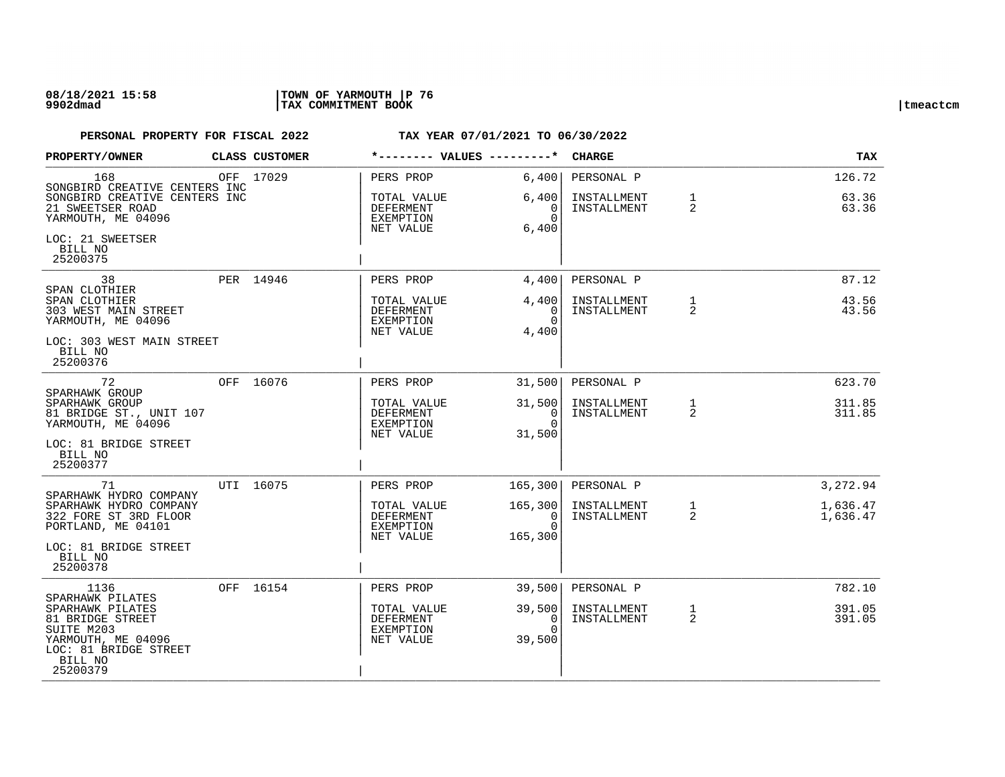| PROPERTY/OWNER                                                                                                                               |  | <b>CLASS CUSTOMER</b> | *-------- VALUES ---------*                               |                                                    | <b>CHARGE</b>                                                      |                            | TAX                      |                  |
|----------------------------------------------------------------------------------------------------------------------------------------------|--|-----------------------|-----------------------------------------------------------|----------------------------------------------------|--------------------------------------------------------------------|----------------------------|--------------------------|------------------|
| 168<br>SONGBIRD CREATIVE CENTERS INC<br>SONGBIRD CREATIVE CENTERS INC<br>21 SWEETSER ROAD<br>YARMOUTH, ME 04096                              |  | OFF 17029             | PERS PROP<br>TOTAL VALUE<br>DEFERMENT<br>EXEMPTION        | 6,400<br>6,400<br>$\Omega$<br>$\Omega$             | PERSONAL P<br>INSTALLMENT<br>INSTALLMENT                           | $\mathbf{1}$<br>2          | 126.72<br>63.36<br>63.36 |                  |
| LOC: 21 SWEETSER<br>BILL NO<br>25200375                                                                                                      |  |                       | NET VALUE                                                 | 6,400                                              |                                                                    |                            |                          |                  |
| 38                                                                                                                                           |  | PER 14946             | PERS PROP                                                 | 4,400                                              | PERSONAL P                                                         |                            | 87.12                    |                  |
| SPAN CLOTHIER<br>SPAN CLOTHIER<br>303 WEST MAIN STREET<br>YARMOUTH, ME 04096                                                                 |  |                       | TOTAL VALUE<br><b>DEFERMENT</b><br>EXEMPTION<br>NET VALUE | 4,400<br>$\Omega$<br>$\Omega$<br>4,400             | INSTALLMENT<br>INSTALLMENT                                         | $\mathbf{1}$<br>2          | 43.56<br>43.56           |                  |
| LOC: 303 WEST MAIN STREET<br>BILL NO<br>25200376                                                                                             |  |                       |                                                           |                                                    |                                                                    |                            |                          |                  |
| 72                                                                                                                                           |  | OFF 16076             | PERS PROP                                                 | 31,500                                             | PERSONAL P                                                         |                            | 623.70                   |                  |
| SPARHAWK GROUP<br>SPARHAWK GROUP<br>81 BRIDGE ST., UNIT 107<br>YARMOUTH, ME 04096                                                            |  |                       |                                                           | TOTAL VALUE<br>DEFERMENT<br>EXEMPTION<br>NET VALUE | 31,500<br>$\begin{array}{c c} 0 \end{array}$<br>$\Omega$<br>31,500 | INSTALLMENT<br>INSTALLMENT | $\mathbf{1}$<br>2        | 311.85<br>311.85 |
| LOC: 81 BRIDGE STREET<br>BILL NO<br>25200377                                                                                                 |  |                       |                                                           |                                                    |                                                                    |                            |                          |                  |
| 71                                                                                                                                           |  | UTI 16075             | PERS PROP                                                 | 165, 300                                           | PERSONAL P                                                         |                            | 3,272.94                 |                  |
| SPARHAWK HYDRO COMPANY<br>SPARHAWK HYDRO COMPANY<br>322 FORE ST 3RD FLOOR<br>PORTLAND, ME 04101                                              |  |                       | TOTAL VALUE<br>DEFERMENT<br>EXEMPTION<br>NET VALUE        | 165, 300<br>$\Omega$<br>$\Omega$<br>165,300        | INSTALLMENT<br>INSTALLMENT                                         | $\mathbf{1}$<br>2          | 1,636.47<br>1,636.47     |                  |
| LOC: 81 BRIDGE STREET<br>BILL NO<br>25200378                                                                                                 |  |                       |                                                           |                                                    |                                                                    |                            |                          |                  |
| 1136                                                                                                                                         |  | OFF 16154             | PERS PROP                                                 | 39,500                                             | PERSONAL P                                                         |                            | 782.10                   |                  |
| SPARHAWK PILATES<br>SPARHAWK PILATES<br>81 BRIDGE STREET<br>SUITE M203<br>YARMOUTH, ME 04096<br>LOC: 81 BRIDGE STREET<br>BILL NO<br>25200379 |  |                       | TOTAL VALUE<br>DEFERMENT<br>EXEMPTION<br>NET VALUE        | 39,500<br>0<br>$\Omega$<br>39,500                  | INSTALLMENT<br>INSTALLMENT                                         | $\mathbf{1}$<br>2          | 391.05<br>391.05         |                  |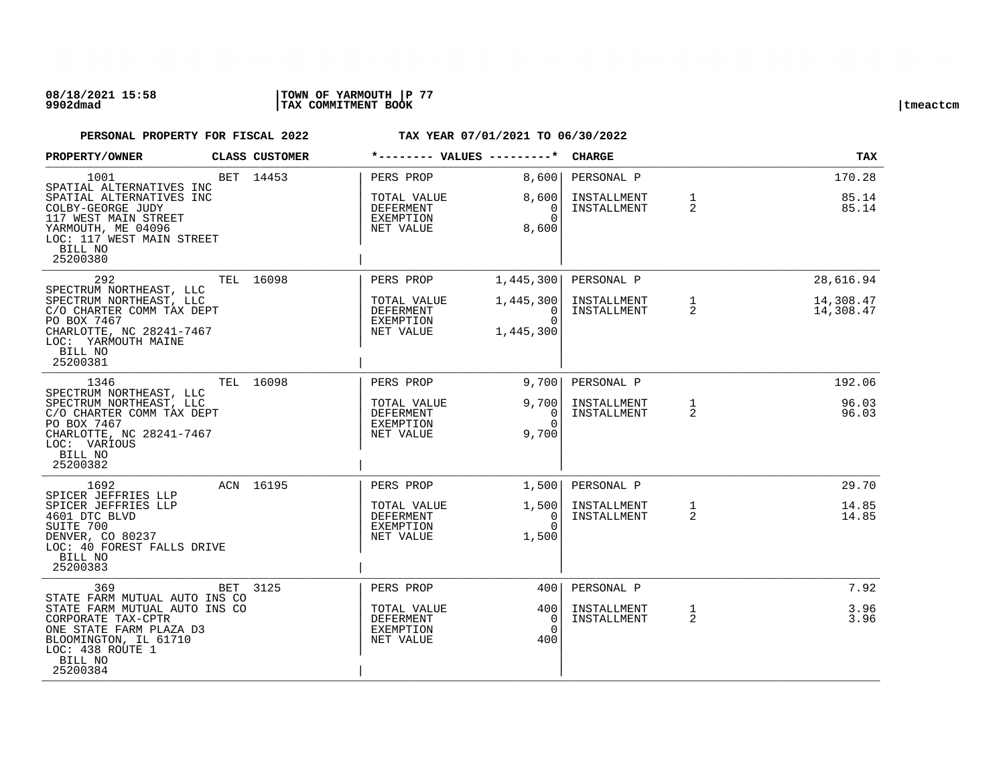| PROPERTY/OWNER                                                                                                                                     |     | CLASS CUSTOMER | *-------- VALUES ---------*                                      |                                                | <b>CHARGE</b>              |                                | <b>TAX</b>             |
|----------------------------------------------------------------------------------------------------------------------------------------------------|-----|----------------|------------------------------------------------------------------|------------------------------------------------|----------------------------|--------------------------------|------------------------|
| 1001<br>SPATIAL ALTERNATIVES INC                                                                                                                   |     | BET 14453      | PERS PROP                                                        | 8,600                                          | PERSONAL P                 |                                | 170.28                 |
| SPATIAL ALTERNATIVES INC<br>COLBY-GEORGE JUDY<br>117 WEST MAIN STREET<br>YARMOUTH, ME 04096<br>LOC: 117 WEST MAIN STREET<br>BILL NO<br>25200380    |     |                | TOTAL VALUE<br>DEFERMENT<br>EXEMPTION<br>NET VALUE               | 8,600<br>0<br>$\Omega$<br>8,600                | INSTALLMENT<br>INSTALLMENT | $\mathbf{1}$<br>2              | 85.14<br>85.14         |
| 292<br>SPECTRUM NORTHEAST, LLC                                                                                                                     |     | TEL 16098      | PERS PROP                                                        | 1,445,300                                      | PERSONAL P                 |                                | 28,616.94              |
| SPECTRUM NORTHEAST, LLC<br>C/O CHARTER COMM TAX DEPT<br>PO BOX 7467<br>CHARLOTTE, NC 28241-7467<br>LOC: YARMOUTH MAINE<br>BILL NO<br>25200381      |     |                | TOTAL VALUE<br>DEFERMENT<br>EXEMPTION<br>NET VALUE               | 1,445,300<br>$\Omega$<br>$\Omega$<br>1,445,300 | INSTALLMENT<br>INSTALLMENT | $\mathbf{1}$<br>2              | 14,308.47<br>14,308.47 |
| 1346<br>SPECTRUM NORTHEAST, LLC                                                                                                                    |     | TEL 16098      | PERS PROP                                                        | 9,700                                          | PERSONAL P                 |                                | 192.06                 |
| SPECTRUM NORTHEAST, LLC<br>C/O CHARTER COMM TAX DEPT<br>PO BOX 7467<br>CHARLOTTE, NC 28241-7467<br>LOC: VARIOUS<br>BILL NO<br>25200382             |     |                | TOTAL VALUE<br><b>DEFERMENT</b><br>EXEMPTION<br>NET VALUE        | 9,700<br>0<br>$\Omega$<br>9,700                | INSTALLMENT<br>INSTALLMENT | $\mathbf{1}$<br>$\overline{2}$ | 96.03<br>96.03         |
| 1692<br>SPICER JEFFRIES LLP                                                                                                                        |     | ACN 16195      | PERS PROP                                                        | 1,500                                          | PERSONAL P                 |                                | 29.70                  |
| SPICER JEFFRIES LLP<br>4601 DTC BLVD<br>SUITE 700<br>DENVER, CO 80237<br>LOC: 40 FOREST FALLS DRIVE<br>BILL NO<br>25200383                         |     |                | TOTAL VALUE<br>DEFERMENT<br>EXEMPTION<br>NET VALUE               | 1,500<br>$\Omega$<br>$\Omega$<br>1,500         | INSTALLMENT<br>INSTALLMENT | $\mathbf{1}$<br>2              | 14.85<br>14.85         |
| 369<br>STATE FARM MUTUAL AUTO INS CO                                                                                                               | BET | 3125           | PERS PROP                                                        | 4001                                           | PERSONAL P                 |                                | 7.92                   |
| STATE FARM MUTUAL AUTO INS CO<br>CORPORATE TAX-CPTR<br>ONE STATE FARM PLAZA D3<br>BLOOMINGTON, IL 61710<br>LOC: 438 ROUTE 1<br>BILL NO<br>25200384 |     |                | TOTAL VALUE<br><b>DEFERMENT</b><br><b>EXEMPTION</b><br>NET VALUE | 400<br>0<br>$\Omega$<br>400                    | INSTALLMENT<br>INSTALLMENT | $\mathbf{1}$<br>2              | 3.96<br>3.96           |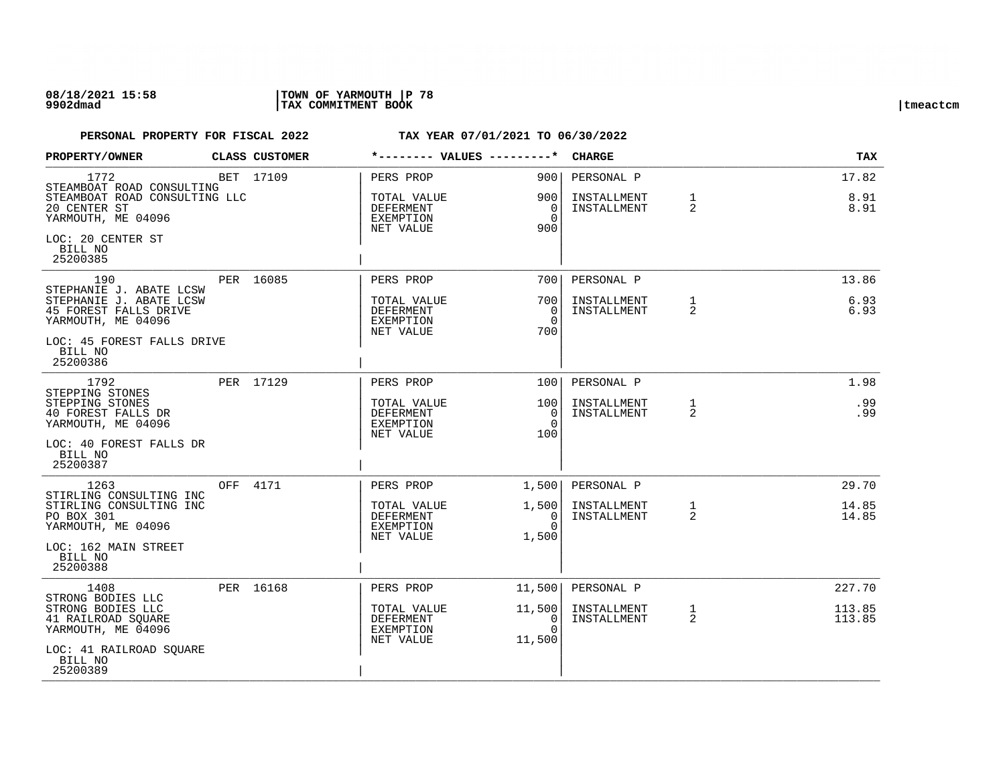| PROPERTY/OWNER                                                                                    |     | CLASS CUSTOMER | *-------- VALUES ---------*                                      |                                          | <b>CHARGE</b>              |                                | <b>TAX</b>       |
|---------------------------------------------------------------------------------------------------|-----|----------------|------------------------------------------------------------------|------------------------------------------|----------------------------|--------------------------------|------------------|
| 1772<br>STEAMBOAT ROAD CONSULTING                                                                 |     | BET 17109      | PERS PROP                                                        | 900                                      | PERSONAL P                 |                                | 17.82            |
| STEAMBOAT ROAD CONSULTING LLC<br>20 CENTER ST<br>YARMOUTH, ME 04096                               |     |                | TOTAL VALUE<br>DEFERMENT<br>EXEMPTION<br>NET VALUE               | 900<br>0<br>$\Omega$<br>900              | INSTALLMENT<br>INSTALLMENT | $\mathbf{1}$<br>2              | 8.91<br>8.91     |
| LOC: 20 CENTER ST<br>BILL NO<br>25200385                                                          |     |                |                                                                  |                                          |                            |                                |                  |
| 190                                                                                               |     | PER 16085      | PERS PROP                                                        | 7001                                     | PERSONAL P                 |                                | 13.86            |
| STEPHANIE J. ABATE LCSW<br>STEPHANIE J. ABATE LCSW<br>45 FOREST FALLS DRIVE<br>YARMOUTH, ME 04096 |     |                | TOTAL VALUE<br><b>DEFERMENT</b><br><b>EXEMPTION</b><br>NET VALUE | 700<br>$\Omega$<br>$\Omega$<br>700       | INSTALLMENT<br>INSTALLMENT | $\mathbf{1}$<br>$\overline{2}$ | 6.93<br>6.93     |
| LOC: 45 FOREST FALLS DRIVE<br>BILL NO<br>25200386                                                 |     |                |                                                                  |                                          |                            |                                |                  |
| 1792                                                                                              |     | PER 17129      | PERS PROP                                                        | 100 <sup>1</sup>                         | PERSONAL P                 |                                | 1.98             |
| STEPPING STONES<br>STEPPING STONES<br>40 FOREST FALLS DR<br>YARMOUTH, ME 04096                    |     |                | TOTAL VALUE<br>DEFERMENT<br><b>EXEMPTION</b><br>NET VALUE        | 100<br>$\overline{0}$<br>$\Omega$<br>100 | INSTALLMENT<br>INSTALLMENT | $\mathbf{1}$<br>2              | .99<br>.99       |
| LOC: 40 FOREST FALLS DR<br>BILL NO<br>25200387                                                    |     |                |                                                                  |                                          |                            |                                |                  |
| 1263<br>STIRLING CONSULTING INC                                                                   | OFF | 4171           | PERS PROP                                                        | 1,500                                    | PERSONAL P                 |                                | 29.70            |
| STIRLING CONSULTING INC<br><b>PO BOX 301</b><br>YARMOUTH, ME 04096                                |     |                | TOTAL VALUE<br>DEFERMENT<br>EXEMPTION<br>NET VALUE               | 1,500<br>$\Omega$<br>$\Omega$<br>1,500   | INSTALLMENT<br>INSTALLMENT | 1<br>2                         | 14.85<br>14.85   |
| LOC: 162 MAIN STREET<br>BILL NO<br>25200388                                                       |     |                |                                                                  |                                          |                            |                                |                  |
| 1408<br>STRONG BODIES LLC                                                                         |     | PER 16168      | PERS PROP                                                        | 11,500                                   | PERSONAL P                 |                                | 227.70           |
| STRONG BODIES LLC<br>41 RAILROAD SQUARE<br>YARMOUTH, ME 04096                                     |     |                | TOTAL VALUE<br>DEFERMENT<br>EXEMPTION<br>NET VALUE               | 11,500<br>0<br>$\Omega$<br>11,500        | INSTALLMENT<br>INSTALLMENT | 1<br>2                         | 113.85<br>113.85 |
| LOC: 41 RAILROAD SQUARE<br>BILL NO<br>25200389                                                    |     |                |                                                                  |                                          |                            |                                |                  |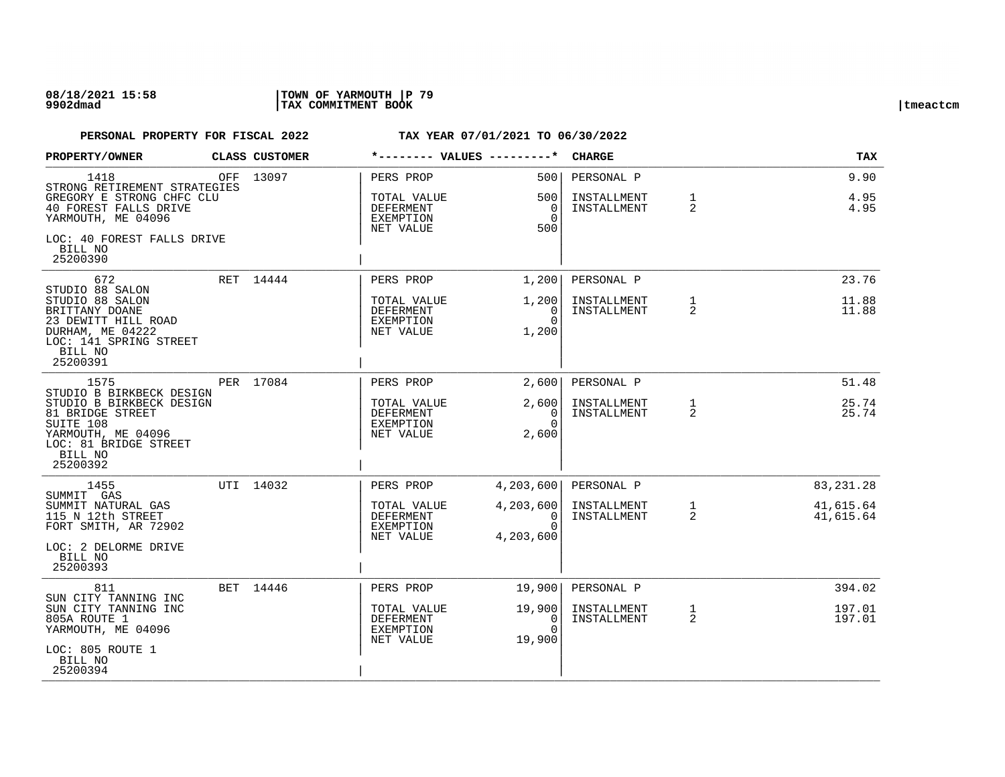| PROPERTY/OWNER                                                                                                                  | CLASS CUSTOMER | *-------- VALUES ---------*                               |                                              | <b>CHARGE</b>                            |                   | <b>TAX</b>             |
|---------------------------------------------------------------------------------------------------------------------------------|----------------|-----------------------------------------------------------|----------------------------------------------|------------------------------------------|-------------------|------------------------|
| 1418<br>STRONG RETIREMENT STRATEGIES<br>GREGORY E STRONG CHFC CLU<br>40 FOREST FALLS DRIVE                                      | OFF 13097      | PERS PROP<br>TOTAL VALUE<br>DEFERMENT                     | 500<br>500<br>$\overline{0}$                 | PERSONAL P<br>INSTALLMENT<br>INSTALLMENT | $\mathbf{1}$<br>2 | 9.90<br>4.95<br>4.95   |
| YARMOUTH, ME 04096<br>LOC: 40 FOREST FALLS DRIVE<br>BILL NO                                                                     |                | <b>EXEMPTION</b><br>NET VALUE                             | $\Omega$<br>500                              |                                          |                   |                        |
| 25200390                                                                                                                        |                |                                                           |                                              |                                          |                   |                        |
| 672<br>STUDIO 88 SALON                                                                                                          | RET 14444      | PERS PROP                                                 | 1,200                                        | PERSONAL P                               |                   | 23.76                  |
| STUDIO 88 SALON<br>BRITTANY DOANE<br>23 DEWITT HILL ROAD<br>DURHAM, ME 04222<br>LOC: 141 SPRING STREET<br>BILL NO<br>25200391   |                | TOTAL VALUE<br><b>DEFERMENT</b><br>EXEMPTION<br>NET VALUE | 1,200<br>$\Omega$<br>$\Omega$<br>1,200       | INSTALLMENT<br>INSTALLMENT               | $\mathbf{1}$<br>2 | 11.88<br>11.88         |
| 1575<br>STUDIO B BIRKBECK DESIGN                                                                                                | PER 17084      | PERS PROP                                                 | 2,600                                        | PERSONAL P                               |                   | 51.48                  |
| STUDIO B BIRKBECK DESIGN<br>81 BRIDGE STREET<br>SUITE 108<br>YARMOUTH, ME 04096<br>LOC: 81 BRIDGE STREET<br>BILL NO<br>25200392 |                | TOTAL VALUE<br><b>DEFERMENT</b><br>EXEMPTION<br>NET VALUE | 2,600<br>$\overline{0}$<br>$\Omega$<br>2,600 | INSTALLMENT<br>INSTALLMENT               | 1<br>2            | 25.74<br>25.74         |
| 1455<br>SUMMIT GAS                                                                                                              | UTI 14032      | PERS PROP                                                 | 4,203,600                                    | PERSONAL P                               |                   | 83, 231. 28            |
| SUMMIT NATURAL GAS<br>115 N 12th STREET<br>FORT SMITH, AR 72902<br>LOC: 2 DELORME DRIVE<br>BILL NO<br>25200393                  |                | TOTAL VALUE<br>DEFERMENT<br>EXEMPTION<br>NET VALUE        | 4,203,600<br>0<br>$\Omega$<br>4,203,600      | INSTALLMENT<br>INSTALLMENT               | $\mathbf{1}$<br>2 | 41,615.64<br>41,615.64 |
| 811<br>SUN CITY TANNING INC                                                                                                     | BET 14446      | PERS PROP                                                 | 19,900                                       | PERSONAL P                               |                   | 394.02                 |
| SUN CITY TANNING INC<br>805A ROUTE 1<br>YARMOUTH, ME 04096                                                                      |                | TOTAL VALUE<br>DEFERMENT<br>EXEMPTION<br>NET VALUE        | 19,900<br>$\Omega$<br>$\Omega$<br>19,900     | INSTALLMENT<br>INSTALLMENT               | $\mathbf{1}$<br>2 | 197.01<br>197.01       |
| LOC: 805 ROUTE 1<br>BILL NO<br>25200394                                                                                         |                |                                                           |                                              |                                          |                   |                        |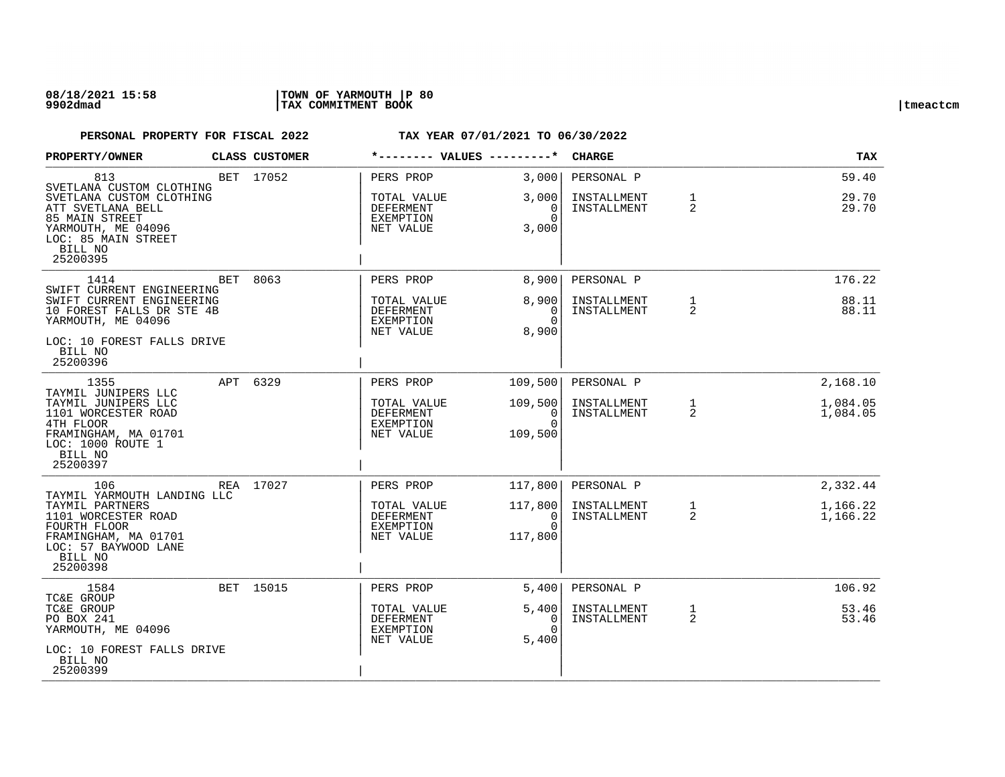| PROPERTY/OWNER                                                                                                                                                         | CLASS CUSTOMER | *-------- VALUES ---------*                                     |                                                                          | <b>CHARGE</b>                            |                   | TAX                     |
|------------------------------------------------------------------------------------------------------------------------------------------------------------------------|----------------|-----------------------------------------------------------------|--------------------------------------------------------------------------|------------------------------------------|-------------------|-------------------------|
| 813<br>SVETLANA CUSTOM CLOTHING<br>SVETLANA CUSTOM CLOTHING<br>ATT SVETLANA BELL<br>85 MAIN STREET<br>YARMOUTH, ME 04096<br>LOC: 85 MAIN STREET<br>BILL NO<br>25200395 | BET 17052      | PERS PROP<br>TOTAL VALUE<br>DEFERMENT<br>EXEMPTION<br>NET VALUE | 3,000<br>3,000<br>$\overline{0}$<br>$\Omega$<br>3,000                    | PERSONAL P<br>INSTALLMENT<br>INSTALLMENT | $\mathbf{1}$<br>2 | 59.40<br>29.70<br>29.70 |
| 1414<br>SWIFT CURRENT ENGINEERING                                                                                                                                      | BET 8063       | PERS PROP                                                       | 8,900                                                                    | PERSONAL P                               |                   | 176.22                  |
| SWIFT CURRENT ENGINEERING<br>10 FOREST FALLS DR STE 4B<br>YARMOUTH, ME 04096<br>LOC: 10 FOREST FALLS DRIVE<br>BILL NO<br>25200396                                      |                | TOTAL VALUE<br>DEFERMENT<br>EXEMPTION<br>NET VALUE              | 8,900<br>$\Omega$<br>$\Omega$<br>8,900                                   | INSTALLMENT<br>INSTALLMENT               | $\mathbf{1}$<br>2 | 88.11<br>88.11          |
| 1355                                                                                                                                                                   | APT 6329       | PERS PROP                                                       | 109,500                                                                  | PERSONAL P                               |                   | 2,168.10                |
| TAYMIL JUNIPERS LLC<br>TAYMIL JUNIPERS LLC<br>1101 WORCESTER ROAD<br>4TH FLOOR<br>FRAMINGHAM, MA 01701<br>LOC: 1000 ROUTE 1<br>BILL NO<br>25200397                     |                | TOTAL VALUE<br>DEFERMENT<br>EXEMPTION<br>NET VALUE              | 109,500<br>$\begin{bmatrix} 0 \\ 0 \end{bmatrix}$<br>$\Omega$<br>109,500 | INSTALLMENT<br>INSTALLMENT               | $\mathbf{1}$<br>2 | 1,084.05<br>1,084.05    |
| 106<br>TAYMIL YARMOUTH LANDING LLC                                                                                                                                     | REA 17027      | PERS PROP                                                       | 117,800                                                                  | PERSONAL P                               |                   | 2,332.44                |
| TAYMIL PARTNERS<br>1101 WORCESTER ROAD<br>FOURTH FLOOR<br>FRAMINGHAM, MA 01701<br>LOC: 57 BAYWOOD LANE<br>BILL NO<br>25200398                                          |                | TOTAL VALUE<br>DEFERMENT<br>EXEMPTION<br>NET VALUE              | 117,800<br>0<br>$\Omega$<br>117,800                                      | INSTALLMENT<br>INSTALLMENT               | 1<br>2            | 1,166.22<br>1,166.22    |
| 1584<br>TC&E GROUP                                                                                                                                                     | BET 15015      | PERS PROP                                                       | 5,400                                                                    | PERSONAL P                               |                   | 106.92                  |
| TC&E GROUP<br>PO BOX 241<br>YARMOUTH, ME 04096<br>LOC: 10 FOREST FALLS DRIVE<br>BILL NO                                                                                |                | TOTAL VALUE<br>DEFERMENT<br>EXEMPTION<br>NET VALUE              | 5,400<br>0<br>$\Omega$<br>5,400                                          | INSTALLMENT<br>INSTALLMENT               | $\mathbf{1}$<br>2 | 53.46<br>53.46          |
| 25200399                                                                                                                                                               |                |                                                                 |                                                                          |                                          |                   |                         |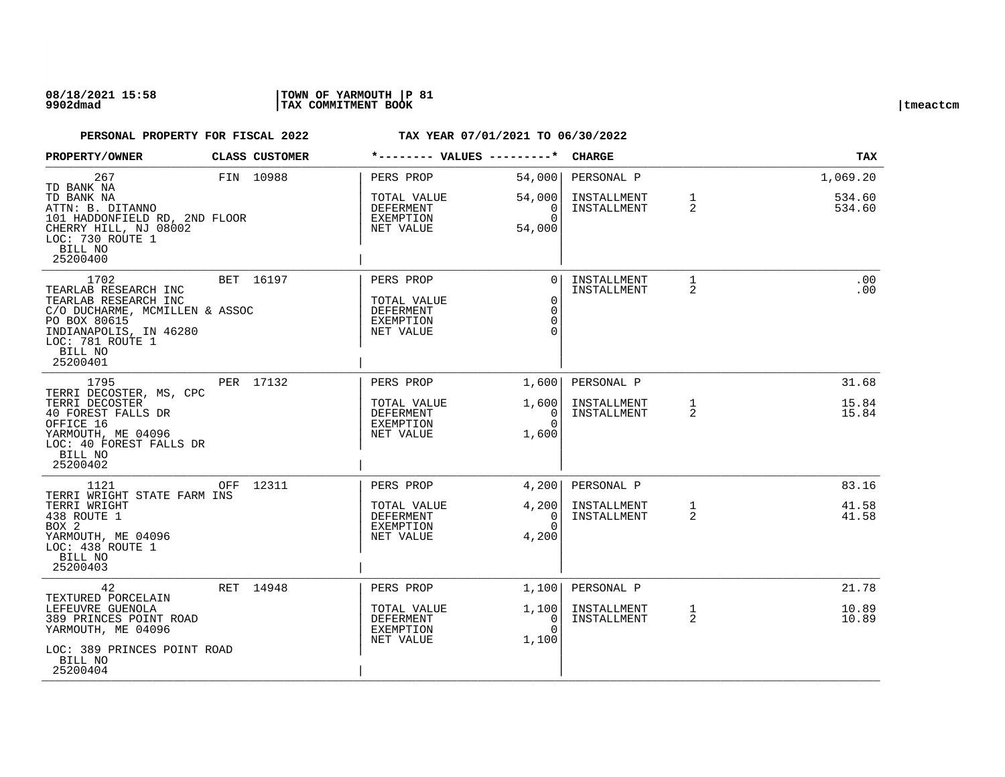### **08/18/2021 15:58 |TOWN OF YARMOUTH |P 81 9902dmad |TAX COMMITMENT BOOK |tmeactcm**

| PROPERTY/OWNER                                                                                                                                                              | CLASS CUSTOMER |                                                                        | *-------- VALUES ---------*                               | <b>CHARGE</b>              |                                | <b>TAX</b>       |
|-----------------------------------------------------------------------------------------------------------------------------------------------------------------------------|----------------|------------------------------------------------------------------------|-----------------------------------------------------------|----------------------------|--------------------------------|------------------|
| 267<br>TD BANK NA                                                                                                                                                           | FIN 10988      | PERS PROP                                                              | 54,000                                                    | PERSONAL P                 |                                | 1,069.20         |
| TD BANK NA<br>ATTN: B. DITANNO<br>101 HADDONFIELD RD, 2ND FLOOR<br>CHERRY HILL, NJ 08002<br>LOC: 730 ROUTE 1<br>BILL NO<br>25200400                                         |                | TOTAL VALUE<br>DEFERMENT<br>EXEMPTION<br>NET VALUE                     | 54,000<br>0<br>$\Omega$<br>54,000                         | INSTALLMENT<br>INSTALLMENT | $\mathbf{1}$<br>2              | 534.60<br>534.60 |
| 1702<br>TEARLAB RESEARCH INC<br>TEARLAB RESEARCH INC<br>C/O DUCHARME, MCMILLEN & ASSOC<br>PO BOX 80615<br>INDIANAPOLIS, IN 46280<br>LOC: 781 ROUTE 1<br>BILL NO<br>25200401 | BET 16197      | PERS PROP<br>TOTAL VALUE<br><b>DEFERMENT</b><br>EXEMPTION<br>NET VALUE | $\Omega$<br>$\mathbf 0$<br>$\Omega$<br>$\Omega$<br>$\cap$ | INSTALLMENT<br>INSTALLMENT | $\mathbf{1}$<br>2              | .00<br>.00       |
| 1795                                                                                                                                                                        | PER 17132      | PERS PROP                                                              | 1,600                                                     | PERSONAL P                 |                                | 31.68            |
| TERRI DECOSTER, MS, CPC<br>TERRI DECOSTER<br>40 FOREST FALLS DR<br>OFFICE 16<br>YARMOUTH, ME 04096<br>LOC: 40 FOREST FALLS DR<br>BILL NO<br>25200402                        |                | TOTAL VALUE<br><b>DEFERMENT</b><br>EXEMPTION<br>NET VALUE              | 1,600<br>0<br>$\Omega$<br>1,600                           | INSTALLMENT<br>INSTALLMENT | $\mathbf{1}$<br>$\overline{2}$ | 15.84<br>15.84   |
| 1121<br>TERRI WRIGHT STATE FARM INS                                                                                                                                         | OFF 12311      | PERS PROP                                                              | 4,200                                                     | PERSONAL P                 |                                | 83.16            |
| TERRI WRIGHT<br>438 ROUTE 1<br>BOX 2<br>YARMOUTH, ME 04096<br>LOC: 438 ROUTE 1<br>BILL NO<br>25200403                                                                       |                | TOTAL VALUE<br>DEFERMENT<br>EXEMPTION<br>NET VALUE                     | 4,200<br>$\Omega$<br>$\Omega$<br>4,200                    | INSTALLMENT<br>INSTALLMENT | $\mathbf{1}$<br>2              | 41.58<br>41.58   |
| 42<br>TEXTURED PORCELAIN                                                                                                                                                    | RET 14948      | PERS PROP                                                              | 1,100                                                     | PERSONAL P                 |                                | 21.78            |
| LEFEUVRE GUENOLA<br>389 PRINCES POINT ROAD<br>YARMOUTH, ME 04096<br>LOC: 389 PRINCES POINT ROAD                                                                             |                | TOTAL VALUE<br>DEFERMENT<br>EXEMPTION<br>NET VALUE                     | 1,100<br>0<br>$\Omega$<br>1,100                           | INSTALLMENT<br>INSTALLMENT | $\mathbf{1}$<br>2              | 10.89<br>10.89   |
| BILL NO<br>25200404                                                                                                                                                         |                |                                                                        |                                                           |                            |                                |                  |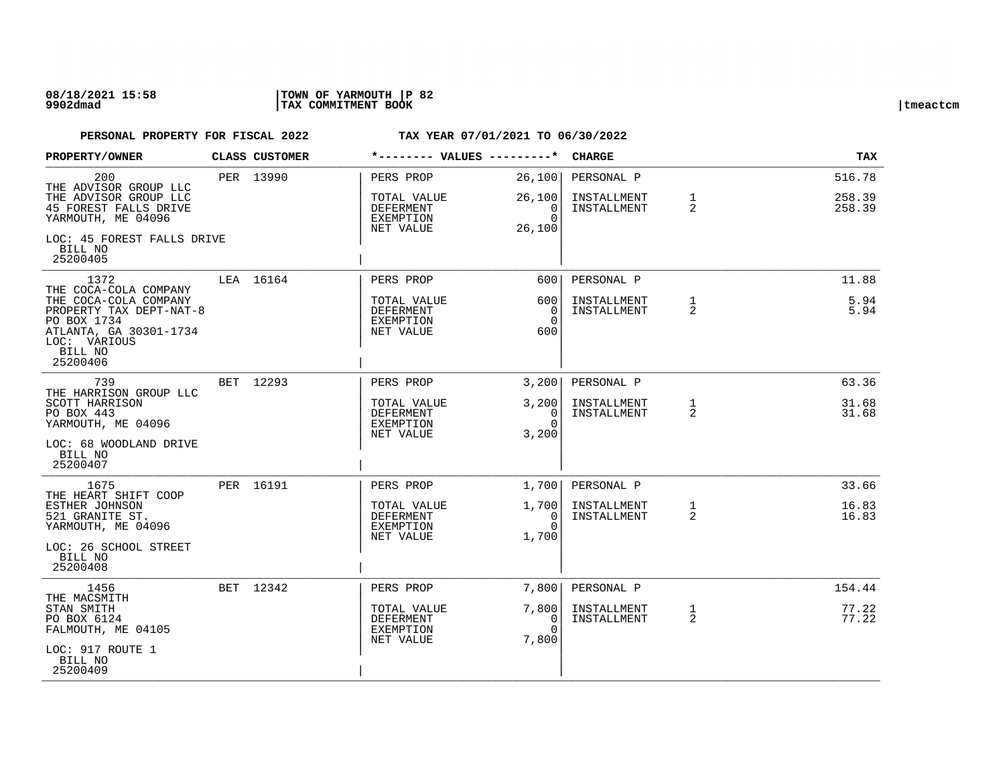| PROPERTY/OWNER                                                                                                                   | CLASS CUSTOMER | *-------- VALUES ---------*                               |                                 | <b>CHARGE</b>              |                     | <b>TAX</b>       |
|----------------------------------------------------------------------------------------------------------------------------------|----------------|-----------------------------------------------------------|---------------------------------|----------------------------|---------------------|------------------|
| 200<br>THE ADVISOR GROUP LLC                                                                                                     | PER 13990      | PERS PROP                                                 | 26,100                          | PERSONAL P                 |                     | 516.78           |
| THE ADVISOR GROUP LLC<br>45 FOREST FALLS DRIVE<br>YARMOUTH, ME 04096                                                             |                | TOTAL VALUE<br><b>DEFERMENT</b><br>EXEMPTION              | 26,100<br>0<br>$\Omega$         | INSTALLMENT<br>INSTALLMENT | $\mathbf 1$<br>2    | 258.39<br>258.39 |
| LOC: 45 FOREST FALLS DRIVE<br>BILL NO<br>25200405                                                                                |                | NET VALUE                                                 | 26,100                          |                            |                     |                  |
| 1372<br>THE COCA-COLA COMPANY                                                                                                    | LEA 16164      | PERS PROP                                                 | 600                             | PERSONAL P                 |                     | 11.88            |
| THE COCA-COLA COMPANY<br>PROPERTY TAX DEPT-NAT-8<br>PO BOX 1734<br>ATLANTA, GA 30301-1734<br>LOC: VARIOUS<br>BILL NO<br>25200406 |                | TOTAL VALUE<br><b>DEFERMENT</b><br>EXEMPTION<br>NET VALUE | 600<br>0<br>$\Omega$<br>600     | INSTALLMENT<br>INSTALLMENT | 1<br>$\overline{2}$ | 5.94<br>5.94     |
| 739                                                                                                                              | BET 12293      | PERS PROP                                                 | 3,200                           | PERSONAL P                 |                     | 63.36            |
| THE HARRISON GROUP LLC<br>SCOTT HARRISON<br>PO BOX 443<br>YARMOUTH, ME 04096                                                     |                | TOTAL VALUE<br><b>DEFERMENT</b><br>EXEMPTION<br>NET VALUE | 3,200<br>0<br>$\Omega$<br>3,200 | INSTALLMENT<br>INSTALLMENT | 1<br>2              | 31.68<br>31.68   |
| LOC: 68 WOODLAND DRIVE<br>BILL NO<br>25200407                                                                                    |                |                                                           |                                 |                            |                     |                  |
| 1675<br>THE HEART SHIFT COOP                                                                                                     | PER 16191      | PERS PROP                                                 | 1,700                           | PERSONAL P                 |                     | 33.66            |
| ESTHER JOHNSON<br>521 GRANITE ST.<br>YARMOUTH, ME 04096<br>LOC: 26 SCHOOL STREET                                                 |                | TOTAL VALUE<br>DEFERMENT<br>EXEMPTION<br>NET VALUE        | 1,700<br>0<br>$\Omega$<br>1,700 | INSTALLMENT<br>INSTALLMENT | 1<br>2              | 16.83<br>16.83   |
| BILL NO<br>25200408                                                                                                              |                |                                                           |                                 |                            |                     |                  |
| 1456<br>THE MACSMITH                                                                                                             | BET 12342      | PERS PROP                                                 | 7,800                           | PERSONAL P                 |                     | 154.44           |
| STAN SMITH<br>PO BOX 6124<br>FALMOUTH, ME 04105                                                                                  |                | TOTAL VALUE<br><b>DEFERMENT</b><br>EXEMPTION<br>NET VALUE | 7,800<br>0<br>$\Omega$<br>7,800 | INSTALLMENT<br>INSTALLMENT | $\mathbf{1}$<br>2   | 77.22<br>77.22   |
| LOC: 917 ROUTE 1<br>BILL NO<br>25200409                                                                                          |                |                                                           |                                 |                            |                     |                  |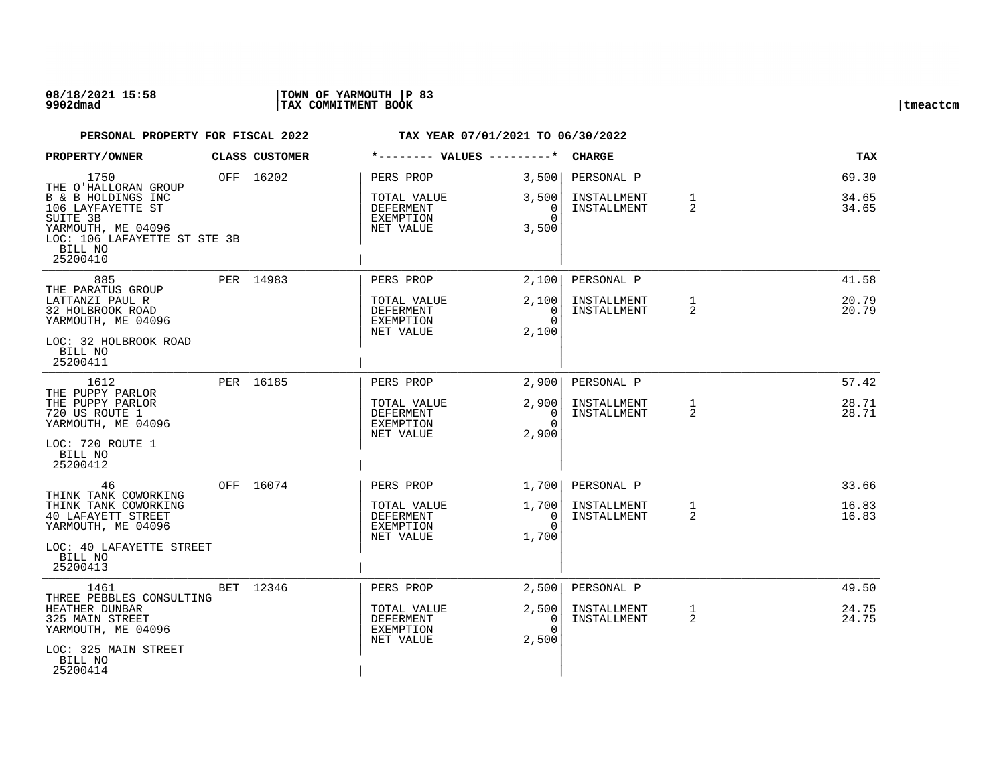### **08/18/2021 15:58 |TOWN OF YARMOUTH |P 83 9902dmad |TAX COMMITMENT BOOK |tmeactcm**

| <b>PROPERTY/OWNER</b>                                                               | CLASS CUSTOMER | *-------- VALUES ---------*                        |                                 | <b>CHARGE</b>              |                                | TAX            |
|-------------------------------------------------------------------------------------|----------------|----------------------------------------------------|---------------------------------|----------------------------|--------------------------------|----------------|
| 1750<br>THE O'HALLORAN GROUP                                                        | OFF 16202      | PERS PROP                                          | 3,500                           | PERSONAL P                 |                                | 69.30          |
| B & B HOLDINGS INC<br>106 LAYFAYETTE ST<br>SUITE 3B                                 |                | TOTAL VALUE<br>DEFERMENT<br>EXEMPTION              | 3,500<br>$\Omega$<br>$\Omega$   | INSTALLMENT<br>INSTALLMENT | $\mathbf{1}$<br>2              | 34.65<br>34.65 |
| YARMOUTH, ME 04096<br>LOC: 106 LAFAYETTE ST STE 3B<br>BILL NO<br>25200410           |                | NET VALUE                                          | 3,500                           |                            |                                |                |
| 885                                                                                 | PER 14983      | PERS PROP                                          | 2,100                           | PERSONAL P                 |                                | 41.58          |
| THE PARATUS GROUP<br>LATTANZI PAUL R<br>32 HOLBROOK ROAD<br>YARMOUTH, ME 04096      |                | TOTAL VALUE<br>DEFERMENT<br>EXEMPTION<br>NET VALUE | 2,100<br>0<br>$\cap$<br>2,100   | INSTALLMENT<br>INSTALLMENT | $\mathbf{1}$<br>2              | 20.79<br>20.79 |
| LOC: 32 HOLBROOK ROAD<br>BILL NO<br>25200411                                        |                |                                                    |                                 |                            |                                |                |
| 1612<br>THE PUPPY PARLOR                                                            | PER 16185      | PERS PROP                                          | 2,900                           | PERSONAL P                 |                                | 57.42          |
| THE PUPPY PARLOR<br>720 US ROUTE 1<br>YARMOUTH, ME 04096                            |                | TOTAL VALUE<br>DEFERMENT<br><b>EXEMPTION</b>       | 2,900<br>0<br>$\Omega$<br>2,900 | INSTALLMENT<br>INSTALLMENT | $\mathbf{1}$<br>2              | 28.71<br>28.71 |
| LOC: 720 ROUTE 1<br>BILL NO<br>25200412                                             |                | NET VALUE                                          |                                 |                            |                                |                |
| 46<br>THINK TANK COWORKING                                                          | OFF 16074      | PERS PROP                                          | 1,700                           | PERSONAL P                 |                                | 33.66          |
| THINK TANK COWORKING<br>40 LAFAYETT STREET<br>YARMOUTH, ME 04096                    |                | TOTAL VALUE<br>DEFERMENT<br>EXEMPTION              | 1,700<br>0<br>$\Omega$          | INSTALLMENT<br>INSTALLMENT | 1<br>$\overline{2}$            | 16.83<br>16.83 |
| LOC: 40 LAFAYETTE STREET<br>BILL NO<br>25200413                                     |                | NET VALUE                                          | 1,700                           |                            |                                |                |
| 1461                                                                                | BET 12346      | PERS PROP                                          | 2,500                           | PERSONAL P                 |                                | 49.50          |
| THREE PEBBLES CONSULTING<br>HEATHER DUNBAR<br>325 MAIN STREET<br>YARMOUTH, ME 04096 |                | TOTAL VALUE<br>DEFERMENT<br>EXEMPTION              | 2,500<br>0<br>$\Omega$          | INSTALLMENT<br>INSTALLMENT | $\mathbf{1}$<br>$\overline{2}$ | 24.75<br>24.75 |
| LOC: 325 MAIN STREET<br>BILL NO<br>25200414                                         |                | NET VALUE                                          | 2,500                           |                            |                                |                |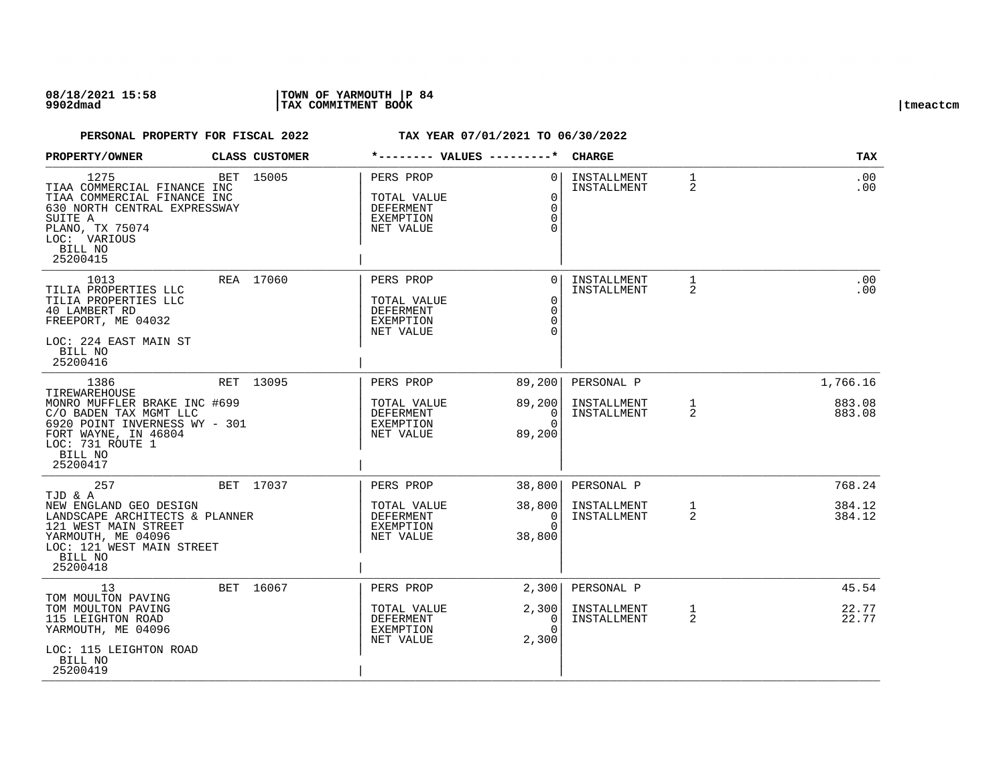| PROPERTY/OWNER                                                                                                                                                                      | CLASS CUSTOMER |                                                                        | *-------- VALUES ---------*                              | <b>CHARGE</b>                            |                   | <b>TAX</b>                   |
|-------------------------------------------------------------------------------------------------------------------------------------------------------------------------------------|----------------|------------------------------------------------------------------------|----------------------------------------------------------|------------------------------------------|-------------------|------------------------------|
| 1275<br>TIAA COMMERCIAL FINANCE INC<br>TIAA COMMERCIAL FINANCE INC<br>630 NORTH CENTRAL EXPRESSWAY<br>SUITE A<br>PLANO, TX 75074<br>LOC: VARIOUS<br>BILL NO<br>25200415             | BET 15005      | PERS PROP<br>TOTAL VALUE<br><b>DEFERMENT</b><br>EXEMPTION<br>NET VALUE | $\Omega$<br>$\Omega$<br>$\Omega$<br>$\Omega$             | INSTALLMENT<br>INSTALLMENT               | $\mathbf{1}$<br>2 | .00<br>.00                   |
| 1013<br>TILIA PROPERTIES LLC<br>TILIA PROPERTIES LLC<br>40 LAMBERT RD<br>FREEPORT, ME 04032<br>LOC: 224 EAST MAIN ST<br>BILL NO<br>25200416                                         | REA 17060      | PERS PROP<br>TOTAL VALUE<br><b>DEFERMENT</b><br>EXEMPTION<br>NET VALUE | 0<br>$\mathbf 0$<br>$\Omega$<br>$\Omega$                 | INSTALLMENT<br>INSTALLMENT               | 1<br>2            | .00<br>.00                   |
| 1386<br>TIREWAREHOUSE<br>MONRO MUFFLER BRAKE INC #699<br>C/O BADEN TAX MGMT LLC<br>6920 POINT INVERNESS WY - 301<br>FORT WAYNE, IN 46804<br>LOC: 731 ROUTE 1<br>BILL NO<br>25200417 | RET 13095      | PERS PROP<br>TOTAL VALUE<br>DEFERMENT<br>EXEMPTION<br>NET VALUE        | 89,200<br>89,200<br>0<br>$\Omega$<br>89,200              | PERSONAL P<br>INSTALLMENT<br>INSTALLMENT | $\mathbf{1}$<br>2 | 1,766.16<br>883.08<br>883.08 |
| 257<br>TJD & A<br>NEW ENGLAND GEO DESIGN<br>LANDSCAPE ARCHITECTS & PLANNER<br>121 WEST MAIN STREET<br>YARMOUTH, ME 04096<br>LOC: 121 WEST MAIN STREET<br>BILL NO<br>25200418        | BET 17037      | PERS PROP<br>TOTAL VALUE<br><b>DEFERMENT</b><br>EXEMPTION<br>NET VALUE | 38,800<br>38,800<br>$\overline{0}$<br>$\Omega$<br>38,800 | PERSONAL P<br>INSTALLMENT<br>INSTALLMENT | $\mathbf{1}$<br>2 | 768.24<br>384.12<br>384.12   |
| 13<br>TOM MOULTON PAVING<br>TOM MOULTON PAVING<br>115 LEIGHTON ROAD<br>YARMOUTH, ME 04096<br>LOC: 115 LEIGHTON ROAD<br>BILL NO<br>25200419                                          | BET 16067      | PERS PROP<br>TOTAL VALUE<br>DEFERMENT<br>EXEMPTION<br>NET VALUE        | 2,300<br>2,300<br>0<br>$\Omega$<br>2,300                 | PERSONAL P<br>INSTALLMENT<br>INSTALLMENT | $\mathbf{1}$<br>2 | 45.54<br>22.77<br>22.77      |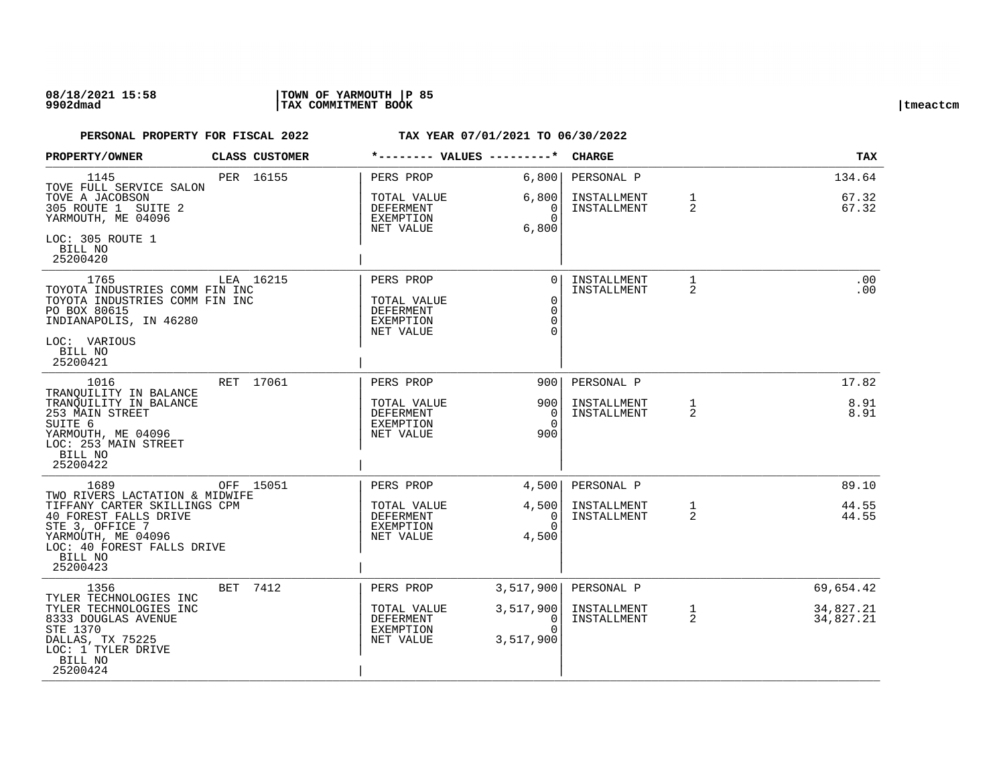### **08/18/2021 15:58 |TOWN OF YARMOUTH |P 85 9902dmad |TAX COMMITMENT BOOK |tmeactcm**

| PROPERTY/OWNER                                                                                                                                            |     | CLASS CUSTOMER |                                                                               | *-------- VALUES ---------*                                    | <b>CHARGE</b>                            |                   | <b>TAX</b>               |
|-----------------------------------------------------------------------------------------------------------------------------------------------------------|-----|----------------|-------------------------------------------------------------------------------|----------------------------------------------------------------|------------------------------------------|-------------------|--------------------------|
| 1145<br>TOVE FULL SERVICE SALON<br>TOVE A JACOBSON<br>305 ROUTE 1 SUITE 2<br>YARMOUTH, ME 04096<br>LOC: 305 ROUTE 1                                       |     | PER 16155      | PERS PROP<br>TOTAL VALUE<br>DEFERMENT<br>EXEMPTION<br>NET VALUE               | 6,800<br>6,800<br>0<br>$\Omega$<br>6,800                       | PERSONAL P<br>INSTALLMENT<br>INSTALLMENT | $\mathbf{1}$<br>2 | 134.64<br>67.32<br>67.32 |
| BILL NO<br>25200420                                                                                                                                       |     |                |                                                                               |                                                                |                                          |                   |                          |
| 1765<br>TOYOTA INDUSTRIES COMM FIN INC<br>TOYOTA INDUSTRIES COMM FIN INC<br>PO BOX 80615<br>INDIANAPOLIS, IN 46280<br>LOC: VARIOUS<br>BILL NO<br>25200421 |     | LEA 16215      | PERS PROP<br>TOTAL VALUE<br><b>DEFERMENT</b><br><b>EXEMPTION</b><br>NET VALUE | $\Omega$<br>$\mathbf 0$<br>$\mathbf 0$<br>$\Omega$<br>$\Omega$ | INSTALLMENT<br>INSTALLMENT               | $\mathbf{1}$<br>2 | .00<br>.00               |
| 1016<br>TRANOUILITY IN BALANCE                                                                                                                            |     | RET 17061      | PERS PROP                                                                     | 9001                                                           | PERSONAL P                               |                   | 17.82                    |
| TRANOUILITY IN BALANCE<br>253 MAIN STREET<br>SUITE 6<br>YARMOUTH, ME 04096<br>LOC: 253 MAIN STREET<br>BILL NO<br>25200422                                 |     |                | TOTAL VALUE<br>DEFERMENT<br>EXEMPTION<br>NET VALUE                            | 900<br>$\overline{0}$<br>$\Omega$<br>900                       | INSTALLMENT<br>INSTALLMENT               | $\mathbf{1}$<br>2 | 8.91<br>8.91             |
| 1689<br>TWO RIVERS LACTATION & MIDWIFE                                                                                                                    |     | OFF 15051      | PERS PROP                                                                     | 4,500                                                          | PERSONAL P                               |                   | 89.10                    |
| TIFFANY CARTER SKILLINGS CPM<br>40 FOREST FALLS DRIVE<br>STE 3, OFFICE 7<br>YARMOUTH, ME 04096<br>LOC: 40 FOREST FALLS DRIVE<br>BILL NO<br>25200423       |     |                | TOTAL VALUE<br>DEFERMENT<br>EXEMPTION<br>NET VALUE                            | 4,500<br>$\Omega$<br>$\Omega$<br>4,500                         | INSTALLMENT<br>INSTALLMENT               | $\mathbf{1}$<br>2 | 44.55<br>44.55           |
| 1356<br>TYLER TECHNOLOGIES INC                                                                                                                            | BET | 7412           | PERS PROP                                                                     | 3,517,900                                                      | PERSONAL P                               |                   | 69,654.42                |
| TYLER TECHNOLOGIES INC<br>8333 DOUGLAS AVENUE<br>STE 1370<br>DALLAS, TX 75225<br>LOC: 1 TYLER DRIVE<br>BILL NO<br>25200424                                |     |                | TOTAL VALUE<br>DEFERMENT<br>EXEMPTION<br>NET VALUE                            | 3,517,900<br>$\Omega$<br>$\Omega$<br>3,517,900                 | INSTALLMENT<br>INSTALLMENT               | $\mathbf{1}$<br>2 | 34,827.21<br>34,827.21   |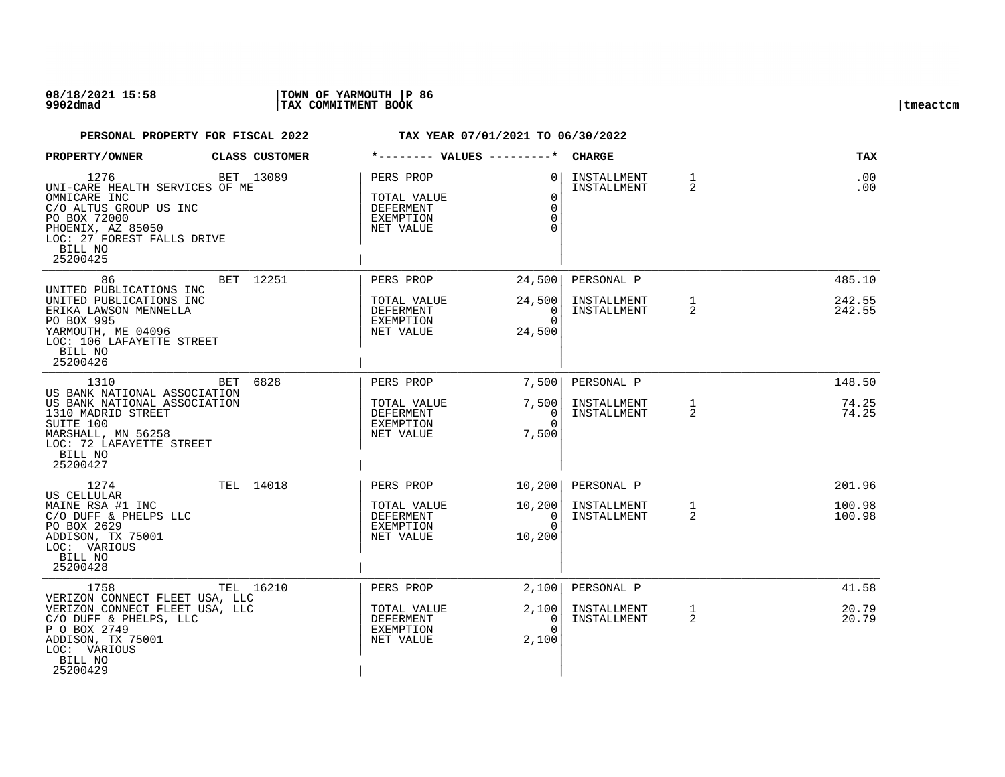| <b>PROPERTY/OWNER</b>                                                                                                                                                      |     | <b>CLASS CUSTOMER</b> |                                                                 | *-------- VALUES ---------*               | <b>CHARGE</b>              |                                | <b>TAX</b>       |
|----------------------------------------------------------------------------------------------------------------------------------------------------------------------------|-----|-----------------------|-----------------------------------------------------------------|-------------------------------------------|----------------------------|--------------------------------|------------------|
| 1276<br>UNI-CARE HEALTH SERVICES OF ME<br>OMNICARE INC<br>C/O ALTUS GROUP US INC<br>PO BOX 72000<br>PHOENIX, AZ 85050<br>LOC: 27 FOREST FALLS DRIVE<br>BILL NO<br>25200425 |     | BET 13089             | PERS PROP<br>TOTAL VALUE<br>DEFERMENT<br>EXEMPTION<br>NET VALUE | $\Omega$<br>$\Omega$<br>$\Omega$          | INSTALLMENT<br>INSTALLMENT | $\mathbf{1}$<br>2              | .00<br>$.00 \,$  |
| 86<br>UNITED PUBLICATIONS INC                                                                                                                                              |     | BET 12251             | PERS PROP                                                       | 24,500                                    | PERSONAL P                 |                                | 485.10           |
| UNITED PUBLICATIONS INC<br>ERIKA LAWSON MENNELLA<br>PO BOX 995<br>YARMOUTH, ME 04096<br>LOC: 106 LAFAYETTE STREET<br>BILL NO<br>25200426                                   |     |                       | TOTAL VALUE<br>DEFERMENT<br>EXEMPTION<br>NET VALUE              | 24,500<br>0<br>$\Omega$<br>24,500         | INSTALLMENT<br>INSTALLMENT | $\mathbf{1}$<br>$\overline{2}$ | 242.55<br>242.55 |
| 1310<br>US BANK NATIONAL ASSOCIATION                                                                                                                                       | BET | 6828                  | PERS PROP                                                       | 7,500                                     | PERSONAL P                 |                                | 148.50           |
| US BANK NATIONAL ASSOCIATION<br>1310 MADRID STREET<br>SUITE 100<br>MARSHALL, MN 56258<br>LOC: 72 LAFAYETTE STREET<br>BILL NO<br>25200427                                   |     |                       | TOTAL VALUE<br><b>DEFERMENT</b><br>EXEMPTION<br>NET VALUE       | 7,500<br>$\Omega$<br>$\Omega$<br>7,500    | INSTALLMENT<br>INSTALLMENT | $\mathbf{1}$<br>2              | 74.25<br>74.25   |
| 1274<br>US CELLULAR                                                                                                                                                        |     | TEL 14018             | PERS PROP                                                       | 10,200                                    | PERSONAL P                 |                                | 201.96           |
| MAINE RSA #1 INC<br>C/O DUFF & PHELPS LLC<br>PO BOX 2629<br>ADDISON, TX 75001<br>LOC: VARIOUS<br>BILL NO<br>25200428                                                       |     |                       | TOTAL VALUE<br><b>DEFERMENT</b><br>EXEMPTION<br>NET VALUE       | 10, 200<br>$\Omega$<br>$\Omega$<br>10,200 | INSTALLMENT<br>INSTALLMENT | $\mathbf{1}$<br>2              | 100.98<br>100.98 |
| 1758                                                                                                                                                                       |     | TEL 16210             | PERS PROP                                                       | 2,100                                     | PERSONAL P                 |                                | 41.58            |
| VERIZON CONNECT FLEET USA, LLC<br>VERIZON CONNECT FLEET USA, LLC<br>C/O DUFF & PHELPS, LLC<br>P O BOX 2749<br>ADDISON, TX 75001<br>LOC: VARIOUS<br>BILL NO<br>25200429     |     |                       | TOTAL VALUE<br>DEFERMENT<br>EXEMPTION<br>NET VALUE              | 2,100<br>0<br>$\cap$<br>2,100             | INSTALLMENT<br>INSTALLMENT | $\mathbf{1}$<br>$\overline{2}$ | 20.79<br>20.79   |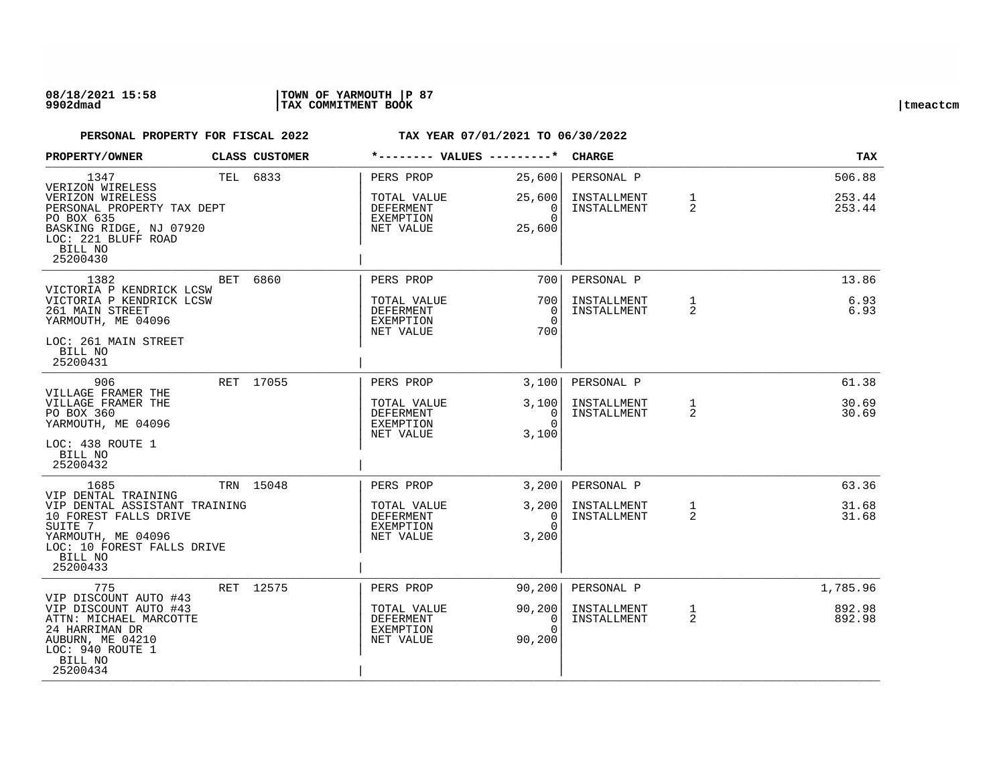### **08/18/2021 15:58 |TOWN OF YARMOUTH |P 87 9902dmad |TAX COMMITMENT BOOK |tmeactcm**

| PROPERTY/OWNER                                                                                                                                                              | CLASS CUSTOMER |                                                                 | *-------- VALUES ---------*                              | <b>CHARGE</b>                            |                   | <b>TAX</b>                   |
|-----------------------------------------------------------------------------------------------------------------------------------------------------------------------------|----------------|-----------------------------------------------------------------|----------------------------------------------------------|------------------------------------------|-------------------|------------------------------|
| 1347<br>VERIZON WIRELESS<br>VERIZON WIRELESS<br>PERSONAL PROPERTY TAX DEPT<br>PO BOX 635<br>BASKING RIDGE, NJ 07920<br>LOC: 221 BLUFF ROAD<br>BILL NO<br>25200430           | TEL 6833       | PERS PROP<br>TOTAL VALUE<br>DEFERMENT<br>EXEMPTION<br>NET VALUE | 25,600<br>25,600<br>$\overline{0}$<br>$\Omega$<br>25,600 | PERSONAL P<br>INSTALLMENT<br>INSTALLMENT | 1<br>2            | 506.88<br>253.44<br>253.44   |
| 1382<br>VICTORIA P KENDRICK LCSW<br>VICTORIA P KENDRICK LCSW<br>261 MAIN STREET<br>YARMOUTH, ME 04096                                                                       | BET 6860       | PERS PROP<br>TOTAL VALUE<br>DEFERMENT<br>EXEMPTION<br>NET VALUE | 7001<br>700 l<br>0<br>$\Omega$<br>700                    | PERSONAL P<br>INSTALLMENT<br>INSTALLMENT | $\mathbf{1}$<br>2 | 13.86<br>6.93<br>6.93        |
| LOC: 261 MAIN STREET<br>BILL NO<br>25200431                                                                                                                                 |                |                                                                 |                                                          |                                          |                   |                              |
| 906<br>VILLAGE FRAMER THE<br>VILLAGE FRAMER THE<br>PO BOX 360<br>YARMOUTH, ME 04096<br>LOC: 438 ROUTE 1<br>BILL NO<br>25200432                                              | RET 17055      | PERS PROP<br>TOTAL VALUE<br>DEFERMENT<br>EXEMPTION<br>NET VALUE | 3,100<br>3,100<br>$\overline{0}$<br>$\Omega$<br>3,100    | PERSONAL P<br>INSTALLMENT<br>INSTALLMENT | 1<br>2            | 61.38<br>30.69<br>30.69      |
| 1685<br>VIP DENTAL TRAINING<br>VIP DENTAL ASSISTANT TRAINING<br>10 FOREST FALLS DRIVE<br>SUITE 7<br>YARMOUTH, ME 04096<br>LOC: 10 FOREST FALLS DRIVE<br>BILL NO<br>25200433 | TRN 15048      | PERS PROP<br>TOTAL VALUE<br>DEFERMENT<br>EXEMPTION<br>NET VALUE | 3,200<br>3,200<br>$\Omega$<br>$\Omega$<br>3,200          | PERSONAL P<br>INSTALLMENT<br>INSTALLMENT | $\mathbf{1}$<br>2 | 63.36<br>31.68<br>31.68      |
| 775<br>VIP DISCOUNT AUTO #43<br>VIP DISCOUNT AUTO #43<br>ATTN: MICHAEL MARCOTTE<br>24 HARRIMAN DR<br>AUBURN, ME 04210<br>LOC: 940 ROUTE 1<br>BILL NO<br>25200434            | RET 12575      | PERS PROP<br>TOTAL VALUE<br>DEFERMENT<br>EXEMPTION<br>NET VALUE | 90, 200<br>90, 200<br>0<br>$\Omega$<br>90,200            | PERSONAL P<br>INSTALLMENT<br>INSTALLMENT | $\mathbf{1}$<br>2 | 1,785.96<br>892.98<br>892.98 |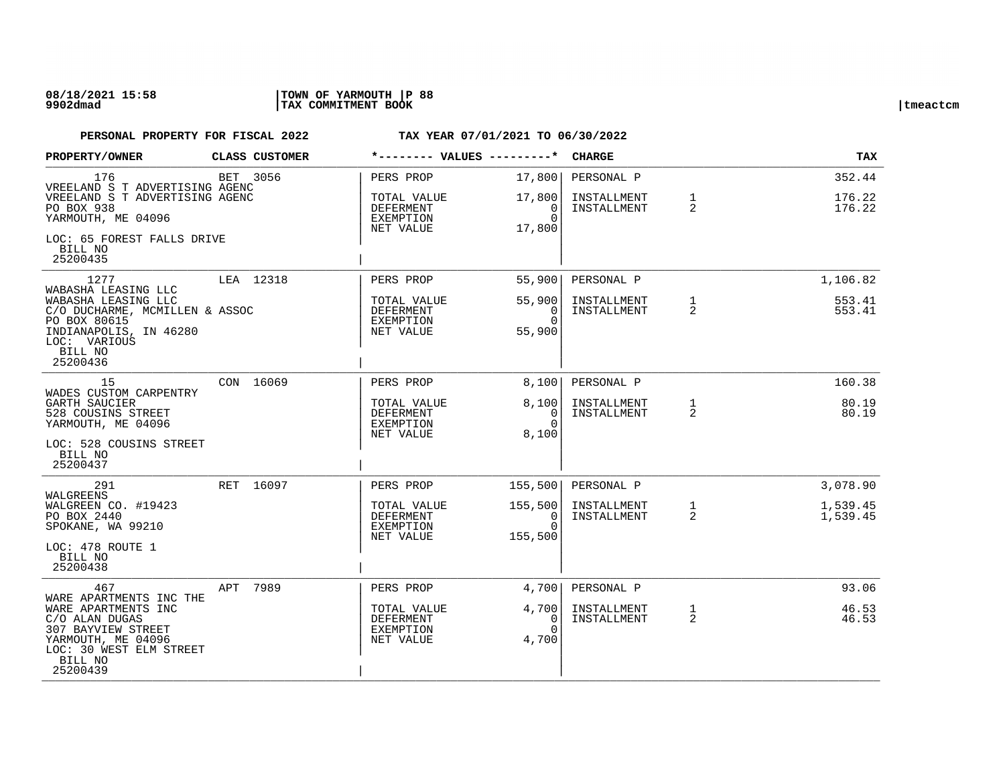| PROPERTY/OWNER                                                                                                                                                 |           | CLASS CUSTOMER |                                                    |                                                | <b>CHARGE</b>                            |                   | TAX                        |
|----------------------------------------------------------------------------------------------------------------------------------------------------------------|-----------|----------------|----------------------------------------------------|------------------------------------------------|------------------------------------------|-------------------|----------------------------|
| 176<br>VREELAND S T ADVERTISING AGENC<br>VREELAND S T ADVERTISING AGENC<br>PO BOX 938                                                                          | BET 3056  |                | PERS PROP<br>TOTAL VALUE<br>DEFERMENT              | 17,800<br>17,800<br>$\overline{0}$             | PERSONAL P<br>INSTALLMENT<br>INSTALLMENT | $\mathbf{1}$<br>2 | 352.44<br>176.22<br>176.22 |
| YARMOUTH, ME 04096<br>LOC: 65 FOREST FALLS DRIVE<br>BILL NO<br>25200435                                                                                        |           |                | EXEMPTION<br>NET VALUE                             | $\Omega$<br>17,800                             |                                          |                   |                            |
| 1277                                                                                                                                                           | LEA 12318 |                | PERS PROP                                          | 55,900                                         | PERSONAL P                               |                   | 1,106.82                   |
| WABASHA LEASING LLC<br>WABASHA LEASING LLC<br>C/O DUCHARME, MCMILLEN & ASSOC<br>PO BOX 80615<br>INDIANAPOLIS, IN 46280<br>LOC: VARIOUS<br>BILL NO<br>25200436  |           |                | TOTAL VALUE<br>DEFERMENT<br>EXEMPTION<br>NET VALUE | 55,900<br>$\overline{0}$<br>$\Omega$<br>55,900 | INSTALLMENT<br>INSTALLMENT               | $\mathbf{1}$<br>2 | 553.41<br>553.41           |
| 15                                                                                                                                                             | CON 16069 |                | PERS PROP                                          | 8,100                                          | PERSONAL P                               |                   | 160.38                     |
| WADES CUSTOM CARPENTRY<br>GARTH SAUCIER<br>528 COUSINS STREET<br>YARMOUTH, ME 04096<br>LOC: 528 COUSINS STREET                                                 |           |                | TOTAL VALUE<br>DEFERMENT<br>EXEMPTION<br>NET VALUE | 8,100<br>$\overline{0}$<br>$\Omega$<br>8,100   | INSTALLMENT<br>INSTALLMENT               | $\mathbf{1}$<br>2 | 80.19<br>80.19             |
| BILL NO<br>25200437                                                                                                                                            |           |                |                                                    |                                                |                                          |                   |                            |
| 291<br>WALGREENS                                                                                                                                               | RET 16097 |                | PERS PROP                                          | 155,500                                        | PERSONAL P                               |                   | 3,078.90                   |
| WALGREEN CO. #19423<br>PO BOX 2440<br>SPOKANE, WA 99210<br>LOC: 478 ROUTE 1<br>BILL NO<br>25200438                                                             |           |                | TOTAL VALUE<br>DEFERMENT<br>EXEMPTION<br>NET VALUE | 155,500<br>0<br>$\Omega$<br>155,500            | INSTALLMENT<br>INSTALLMENT               | $\mathbf{1}$<br>2 | 1,539.45<br>1,539.45       |
| 467                                                                                                                                                            | APT       | 7989           | PERS PROP                                          | 4,700                                          | PERSONAL P                               |                   | 93.06                      |
| WARE APARTMENTS INC THE<br>WARE APARTMENTS INC<br>C/O ALAN DUGAS<br>307 BAYVIEW STREET<br>YARMOUTH, ME 04096<br>LOC: 30 WEST ELM STREET<br>BILL NO<br>25200439 |           |                | TOTAL VALUE<br>DEFERMENT<br>EXEMPTION<br>NET VALUE | 4,700<br>0<br>$\Omega$<br>4,700                | INSTALLMENT<br>INSTALLMENT               | $\mathbf{1}$<br>2 | 46.53<br>46.53             |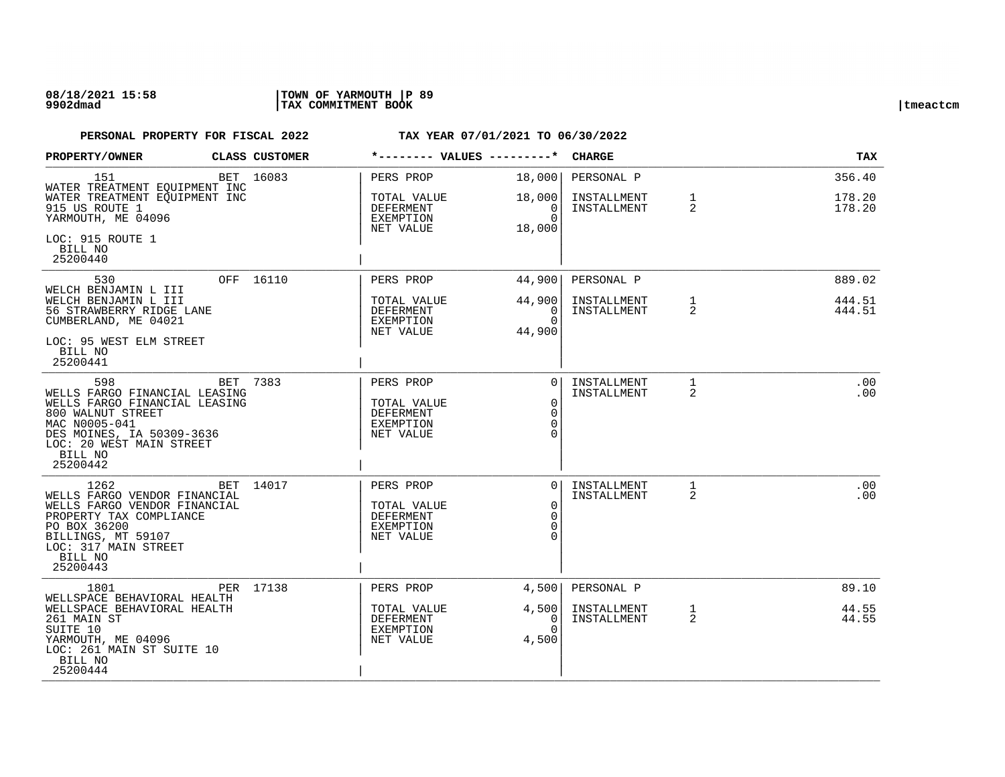| PROPERTY/OWNER                                                                                                                                                                              | CLASS CUSTOMER | *-------- VALUES ---------*                                            |                                                 | <b>CHARGE</b>                            |                   | <b>TAX</b>                 |
|---------------------------------------------------------------------------------------------------------------------------------------------------------------------------------------------|----------------|------------------------------------------------------------------------|-------------------------------------------------|------------------------------------------|-------------------|----------------------------|
| 151<br>WATER TREATMENT EQUIPMENT INC<br>WATER TREATMENT EQUIPMENT INC<br>915 US ROUTE 1<br>YARMOUTH, ME 04096                                                                               | BET 16083      | PERS PROP<br>TOTAL VALUE<br>DEFERMENT<br>EXEMPTION                     | 18,000<br>18,000<br>0 <sup>1</sup><br>$\Omega$  | PERSONAL P<br>INSTALLMENT<br>INSTALLMENT | $\mathbf{1}$<br>2 | 356.40<br>178.20<br>178.20 |
| LOC: 915 ROUTE 1<br>BILL NO<br>25200440                                                                                                                                                     |                | NET VALUE                                                              | 18,000                                          |                                          |                   |                            |
| 530                                                                                                                                                                                         | OFF 16110      | PERS PROP                                                              | 44,900                                          | PERSONAL P                               |                   | 889.02                     |
| WELCH BENJAMIN L III<br>WELCH BENJAMIN L III<br>56 STRAWBERRY RIDGE LANE<br>CUMBERLAND, ME 04021<br>LOC: 95 WEST ELM STREET                                                                 |                | TOTAL VALUE<br>DEFERMENT<br>EXEMPTION<br>NET VALUE                     | 44,900<br>0<br>$\Omega$<br>44,900               | INSTALLMENT<br>INSTALLMENT               | $\mathbf{1}$<br>2 | 444.51<br>444.51           |
| BILL NO<br>25200441                                                                                                                                                                         |                |                                                                        |                                                 |                                          |                   |                            |
| 598<br>WELLS FARGO FINANCIAL LEASING<br>WELLS FARGO FINANCIAL LEASING<br>800 WALNUT STREET<br>MAC N0005-041<br>DES MOINES, IA 50309-3636<br>LOC: 20 WEST MAIN STREET<br>BILL NO<br>25200442 | BET 7383       | PERS PROP<br>TOTAL VALUE<br><b>DEFERMENT</b><br>EXEMPTION<br>NET VALUE | $\Omega$<br>$\mathbf 0$<br>$\Omega$<br>$\Omega$ | INSTALLMENT<br>INSTALLMENT               | $\mathbf{1}$<br>2 | .00<br>.00                 |
| 1262<br>WELLS FARGO VENDOR FINANCIAL<br>WELLS FARGO VENDOR FINANCIAL<br>PROPERTY TAX COMPLIANCE<br>PO BOX 36200<br>BILLINGS, MT 59107<br>LOC: 317 MAIN STREET<br>BILL NO<br>25200443        | BET 14017      | PERS PROP<br>TOTAL VALUE<br><b>DEFERMENT</b><br>EXEMPTION<br>NET VALUE | $\Omega$<br>$\Omega$<br>$\Omega$<br>$\Omega$    | INSTALLMENT<br>INSTALLMENT               | $\mathbf{1}$<br>2 | .00<br>.00                 |
| 1801                                                                                                                                                                                        | PER 17138      | PERS PROP                                                              | 4,500                                           | PERSONAL P                               |                   | 89.10                      |
| WELLSPACE BEHAVIORAL HEALTH<br>WELLSPACE BEHAVIORAL HEALTH<br>261 MAIN ST<br>SUITE 10<br>YARMOUTH, ME 04096<br>LOC: 261 MAIN ST SUITE 10<br>BILL NO<br>25200444                             |                | TOTAL VALUE<br>DEFERMENT<br>EXEMPTION<br>NET VALUE                     | 4,500<br>0<br>$\Omega$<br>4,500                 | INSTALLMENT<br>INSTALLMENT               | $\mathbf{1}$<br>2 | 44.55<br>44.55             |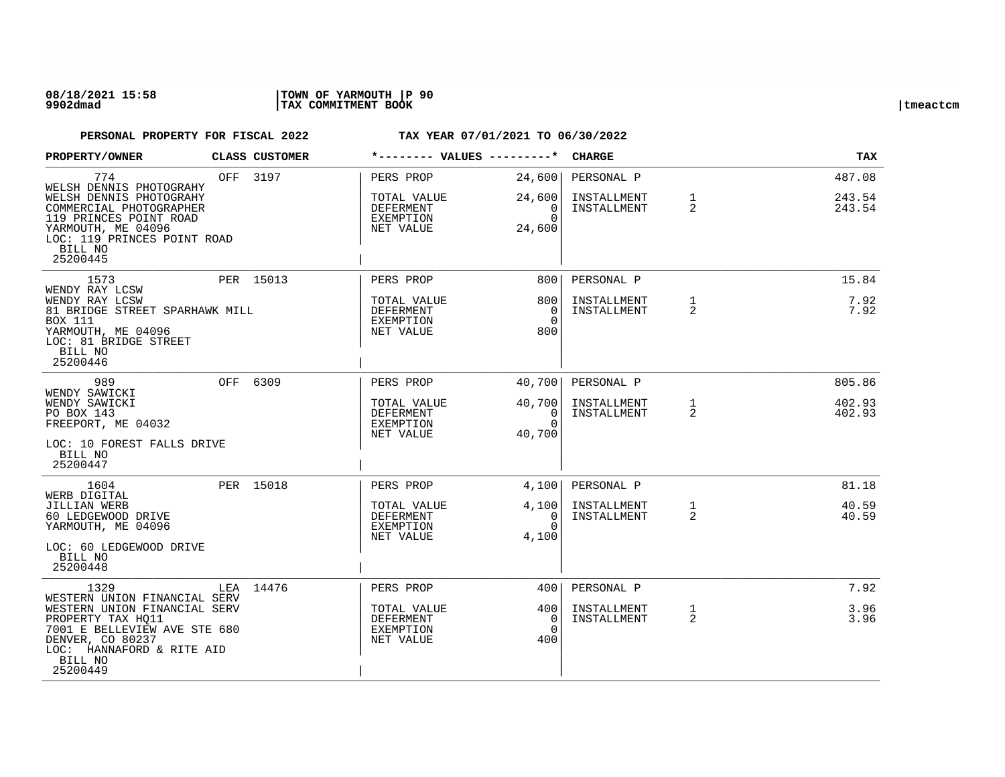### **08/18/2021 15:58 |TOWN OF YARMOUTH |P 90 9902dmad |TAX COMMITMENT BOOK |tmeactcm**

| PROPERTY/OWNER                                                                                                                                            | <b>CLASS CUSTOMER</b> | *-------- VALUES ---------*                               |                                        | <b>CHARGE</b>              |                   | <b>TAX</b>       |
|-----------------------------------------------------------------------------------------------------------------------------------------------------------|-----------------------|-----------------------------------------------------------|----------------------------------------|----------------------------|-------------------|------------------|
| 774<br>WELSH DENNIS PHOTOGRAHY                                                                                                                            | OFF 3197              | PERS PROP                                                 | 24,600                                 | PERSONAL P                 |                   | 487.08           |
| WELSH DENNIS PHOTOGRAHY<br>COMMERCIAL PHOTOGRAPHER<br>119 PRINCES POINT ROAD<br>YARMOUTH, ME 04096<br>LOC: 119 PRINCES POINT ROAD<br>BILL NO<br>25200445  |                       | TOTAL VALUE<br>DEFERMENT<br>EXEMPTION<br>NET VALUE        | 24,600<br>0<br>$\Omega$<br>24,600      | INSTALLMENT<br>INSTALLMENT | $\mathbf{1}$<br>2 | 243.54<br>243.54 |
| 1573<br>WENDY RAY LCSW                                                                                                                                    | PER 15013             | PERS PROP                                                 | 800                                    | PERSONAL P                 |                   | 15.84            |
| WENDY RAY LCSW<br>81 BRIDGE STREET SPARHAWK MILL<br><b>BOX 111</b><br>YARMOUTH, ME 04096<br>LOC: 81 BRIDGE STREET<br>BILL NO<br>25200446                  |                       | TOTAL VALUE<br>DEFERMENT<br>EXEMPTION<br>NET VALUE        | 800<br>$\Omega$<br>$\Omega$<br>800     | INSTALLMENT<br>INSTALLMENT | $\mathbf{1}$<br>2 | 7.92<br>7.92     |
| 989<br>WENDY SAWICKI                                                                                                                                      | OFF 6309              | PERS PROP                                                 | 40,700                                 | PERSONAL P                 |                   | 805.86           |
| WENDY SAWICKI<br>PO BOX 143<br>FREEPORT, ME 04032<br>LOC: 10 FOREST FALLS DRIVE<br>BILL NO<br>25200447                                                    |                       | TOTAL VALUE<br>DEFERMENT<br>EXEMPTION<br>NET VALUE        | 40,700<br>0<br>$\Omega$<br>40,700      | INSTALLMENT<br>INSTALLMENT | $\mathbf{1}$<br>2 | 402.93<br>402.93 |
| 1604<br>WERB DIGITAL                                                                                                                                      | PER 15018             | PERS PROP                                                 | 4,100                                  | PERSONAL P                 |                   | 81.18            |
| JILLIAN WERB<br>60 LEDGEWOOD DRIVE<br>YARMOUTH, ME 04096<br>LOC: 60 LEDGEWOOD DRIVE<br>BILL NO<br>25200448                                                |                       | TOTAL VALUE<br>DEFERMENT<br>EXEMPTION<br>NET VALUE        | 4,100<br>$\Omega$<br>$\Omega$<br>4,100 | INSTALLMENT<br>INSTALLMENT | $\mathbf{1}$<br>2 | 40.59<br>40.59   |
| 1329<br>WESTERN UNION FINANCIAL SERV                                                                                                                      | LEA 14476             | PERS PROP                                                 | 4001                                   | PERSONAL P                 |                   | 7.92             |
| WESTERN UNION FINANCIAL SERV<br>PROPERTY TAX HQ11<br>7001 E BELLEVIEW AVE STE 680<br>DENVER, CO 80237<br>LOC: HANNAFORD & RITE AID<br>BILL NO<br>25200449 |                       | TOTAL VALUE<br>DEFERMENT<br><b>EXEMPTION</b><br>NET VALUE | 400<br>$\Omega$<br>$\Omega$<br>400     | INSTALLMENT<br>INSTALLMENT | $\mathbf{1}$<br>2 | 3.96<br>3.96     |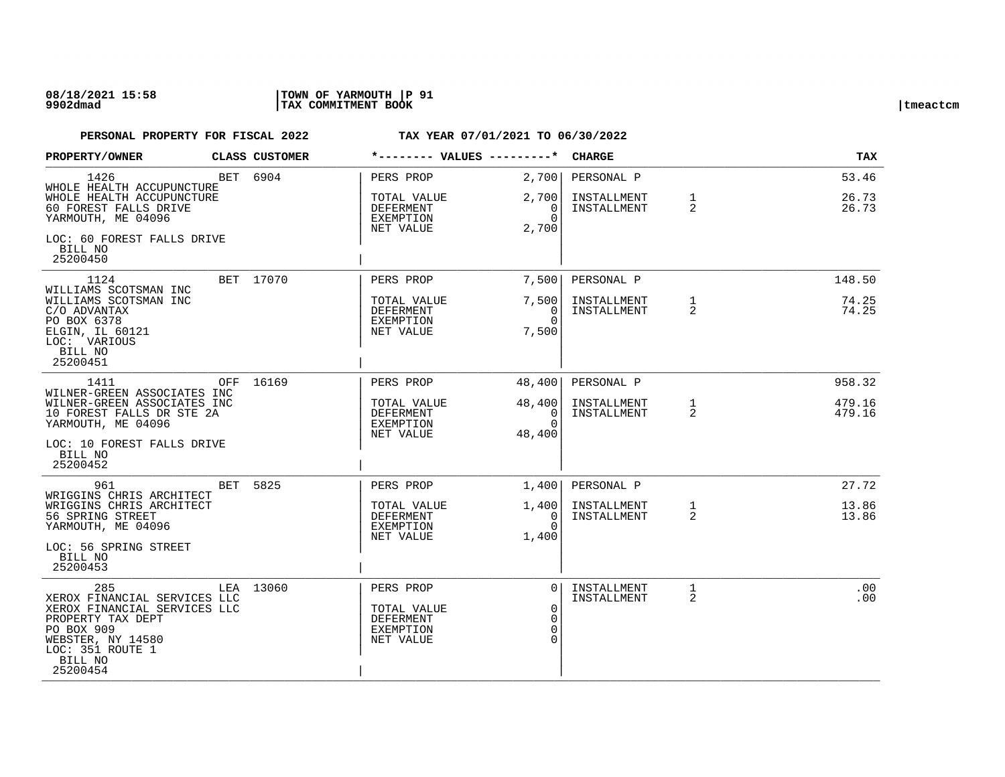| PROPERTY/OWNER                                                                                                                                                         |                                                                                         | <b>CLASS CUSTOMER</b> | *-------- VALUES ---------*                                            |                                                | <b>CHARGE</b>              |                   | <b>TAX</b>       |
|------------------------------------------------------------------------------------------------------------------------------------------------------------------------|-----------------------------------------------------------------------------------------|-----------------------|------------------------------------------------------------------------|------------------------------------------------|----------------------------|-------------------|------------------|
| 1426<br>WHOLE HEALTH ACCUPUNCTURE                                                                                                                                      |                                                                                         | BET 6904              | PERS PROP                                                              | 2,700                                          | PERSONAL P                 |                   | 53.46            |
| WHOLE HEALTH ACCUPUNCTURE<br>60 FOREST FALLS DRIVE<br>YARMOUTH, ME 04096                                                                                               |                                                                                         |                       | TOTAL VALUE<br>DEFERMENT<br>EXEMPTION<br>NET VALUE                     | 2,700<br>0<br>$\Omega$<br>2,700                | INSTALLMENT<br>INSTALLMENT | $\mathbf{1}$<br>2 | 26.73<br>26.73   |
| LOC: 60 FOREST FALLS DRIVE<br>BILL NO<br>25200450                                                                                                                      |                                                                                         |                       |                                                                        |                                                |                            |                   |                  |
| 1124<br>WILLIAMS SCOTSMAN INC                                                                                                                                          |                                                                                         | BET 17070             | PERS PROP                                                              | 7,500                                          | PERSONAL P                 |                   | 148.50           |
| WILLIAMS SCOTSMAN INC<br>C/O ADVANTAX<br>PO BOX 6378<br>ELGIN, IL 60121<br>LOC: VARIOUS<br>BILL NO<br>25200451                                                         |                                                                                         |                       | TOTAL VALUE<br>DEFERMENT<br>EXEMPTION<br>NET VALUE                     | 7,500<br>$\Omega$<br>$\Omega$<br>7,500         | INSTALLMENT<br>INSTALLMENT | $\mathbf{1}$<br>2 | 74.25<br>74.25   |
| 1411                                                                                                                                                                   | OFF 16169                                                                               | PERS PROP             | 48,400                                                                 | PERSONAL P                                     |                            | 958.32            |                  |
| YARMOUTH, ME 04096                                                                                                                                                     | WILNER-GREEN ASSOCIATES INC<br>WILNER-GREEN ASSOCIATES INC<br>10 FOREST FALLS DR STE 2A |                       | TOTAL VALUE<br>DEFERMENT<br>EXEMPTION<br>NET VALUE                     | 48,400<br>$\overline{0}$<br>$\Omega$<br>48,400 | INSTALLMENT<br>INSTALLMENT | $\mathbf{1}$<br>2 | 479.16<br>479.16 |
| LOC: 10 FOREST FALLS DRIVE<br>BILL NO<br>25200452                                                                                                                      |                                                                                         |                       |                                                                        |                                                |                            |                   |                  |
| 961<br>WRIGGINS CHRIS ARCHITECT                                                                                                                                        |                                                                                         | BET 5825              | PERS PROP                                                              | 1,400                                          | PERSONAL P                 |                   | 27.72            |
| WRIGGINS CHRIS ARCHITECT<br>56 SPRING STREET<br>YARMOUTH, ME 04096<br>LOC: 56 SPRING STREET                                                                            |                                                                                         |                       | TOTAL VALUE<br>DEFERMENT<br>EXEMPTION<br>NET VALUE                     | 1,400<br>$\Omega$<br>$\Omega$<br>1,400         | INSTALLMENT<br>INSTALLMENT | $\mathbf{1}$<br>2 | 13.86<br>13.86   |
| BILL NO<br>25200453                                                                                                                                                    |                                                                                         |                       |                                                                        |                                                |                            |                   |                  |
| 285<br>XEROX FINANCIAL SERVICES LLC<br>XEROX FINANCIAL SERVICES LLC<br>PROPERTY TAX DEPT<br>PO BOX 909<br>WEBSTER, NY 14580<br>LOC: 351 ROUTE 1<br>BILL NO<br>25200454 |                                                                                         | LEA 13060             | PERS PROP<br>TOTAL VALUE<br><b>DEFERMENT</b><br>EXEMPTION<br>NET VALUE | $\Omega$<br>$\Omega$<br>$\Omega$<br>$\Omega$   | INSTALLMENT<br>INSTALLMENT | 1<br>2            | .00<br>.00       |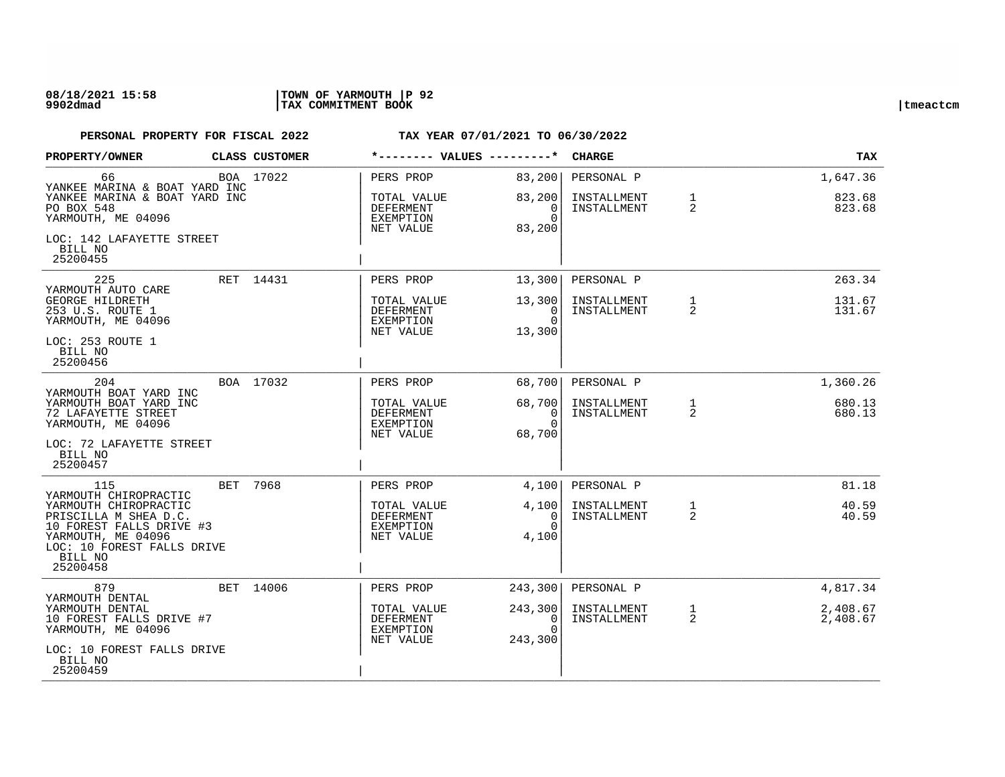| PROPERTY/OWNER                                                                                                                                                                 |  | <b>CLASS CUSTOMER</b>                                     | *-------- VALUES ---------*                        |                                                           | <b>CHARGE</b>                                  |                                | <b>TAX</b>                     |                  |
|--------------------------------------------------------------------------------------------------------------------------------------------------------------------------------|--|-----------------------------------------------------------|----------------------------------------------------|-----------------------------------------------------------|------------------------------------------------|--------------------------------|--------------------------------|------------------|
| 66<br>YANKEE MARINA & BOAT YARD INC                                                                                                                                            |  | BOA 17022                                                 | PERS PROP                                          | 83,200                                                    | PERSONAL P                                     |                                | 1,647.36                       |                  |
| YANKEE MARINA & BOAT YARD INC<br>PO BOX 548<br>YARMOUTH, ME 04096                                                                                                              |  |                                                           | TOTAL VALUE<br>DEFERMENT<br>EXEMPTION<br>NET VALUE | 83,200<br>0<br>$\Omega$<br>83,200                         | INSTALLMENT<br>INSTALLMENT                     | $\mathbf{1}$<br>2              | 823.68<br>823.68               |                  |
| LOC: 142 LAFAYETTE STREET<br>BILL NO<br>25200455                                                                                                                               |  |                                                           |                                                    |                                                           |                                                |                                |                                |                  |
| 225<br>YARMOUTH AUTO CARE                                                                                                                                                      |  | RET 14431                                                 | PERS PROP                                          | 13,300                                                    | PERSONAL P                                     |                                | 263.34                         |                  |
| <b>GEORGE HILDRETH</b><br>253 U.S. ROUTE 1<br>YARMOUTH, ME 04096                                                                                                               |  |                                                           | TOTAL VALUE<br>DEFERMENT<br>EXEMPTION<br>NET VALUE | 13,300<br>$\Omega$<br>$\Omega$<br>13,300                  | INSTALLMENT<br>INSTALLMENT                     | $\mathbf{1}$<br>2              | 131.67<br>131.67               |                  |
| LOC: 253 ROUTE 1<br>BILL NO<br>25200456                                                                                                                                        |  |                                                           |                                                    |                                                           |                                                |                                |                                |                  |
| 204<br>YARMOUTH BOAT YARD INC                                                                                                                                                  |  | BOA 17032                                                 | PERS PROP                                          | 68,700                                                    | PERSONAL P                                     |                                | 1,360.26                       |                  |
| YARMOUTH BOAT YARD INC<br>72 LAFAYETTE STREET<br>YARMOUTH, ME 04096                                                                                                            |  |                                                           |                                                    | TOTAL VALUE<br><b>DEFERMENT</b><br>EXEMPTION<br>NET VALUE | 68,700<br>$\overline{0}$<br>$\Omega$<br>68,700 | INSTALLMENT<br>INSTALLMENT     | $\mathbf{1}$<br>$\overline{2}$ | 680.13<br>680.13 |
| LOC: 72 LAFAYETTE STREET<br>BILL NO<br>25200457                                                                                                                                |  |                                                           |                                                    |                                                           |                                                |                                |                                |                  |
| 115                                                                                                                                                                            |  | BET 7968                                                  | PERS PROP                                          | 4,100                                                     | PERSONAL P                                     |                                | 81.18                          |                  |
| YARMOUTH CHIROPRACTIC<br>YARMOUTH CHIROPRACTIC<br>PRISCILLA M SHEA D.C.<br>10 FOREST FALLS DRIVE #3<br>YARMOUTH, ME 04096<br>LOC: 10 FOREST FALLS DRIVE<br>BILL NO<br>25200458 |  | TOTAL VALUE<br><b>DEFERMENT</b><br>EXEMPTION<br>NET VALUE | 4,100<br>$\Omega$<br>$\Omega$<br>4,100             | INSTALLMENT<br>INSTALLMENT                                | $\mathbf{1}$<br>2                              | 40.59<br>40.59                 |                                |                  |
| 879<br>YARMOUTH DENTAL                                                                                                                                                         |  | BET 14006                                                 | PERS PROP                                          | 243,300                                                   | PERSONAL P                                     |                                | 4,817.34                       |                  |
| YARMOUTH DENTAL<br>10 FOREST FALLS DRIVE #7<br>YARMOUTH, ME 04096                                                                                                              |  |                                                           | TOTAL VALUE<br>DEFERMENT<br>EXEMPTION<br>NET VALUE | 243,300<br>0<br>$\Omega$<br>243,300                       | INSTALLMENT<br>INSTALLMENT                     | $\mathbf{1}$<br>$\overline{2}$ | 2,408.67<br>2,408.67           |                  |
| LOC: 10 FOREST FALLS DRIVE<br>BILL NO<br>25200459                                                                                                                              |  |                                                           |                                                    |                                                           |                                                |                                |                                |                  |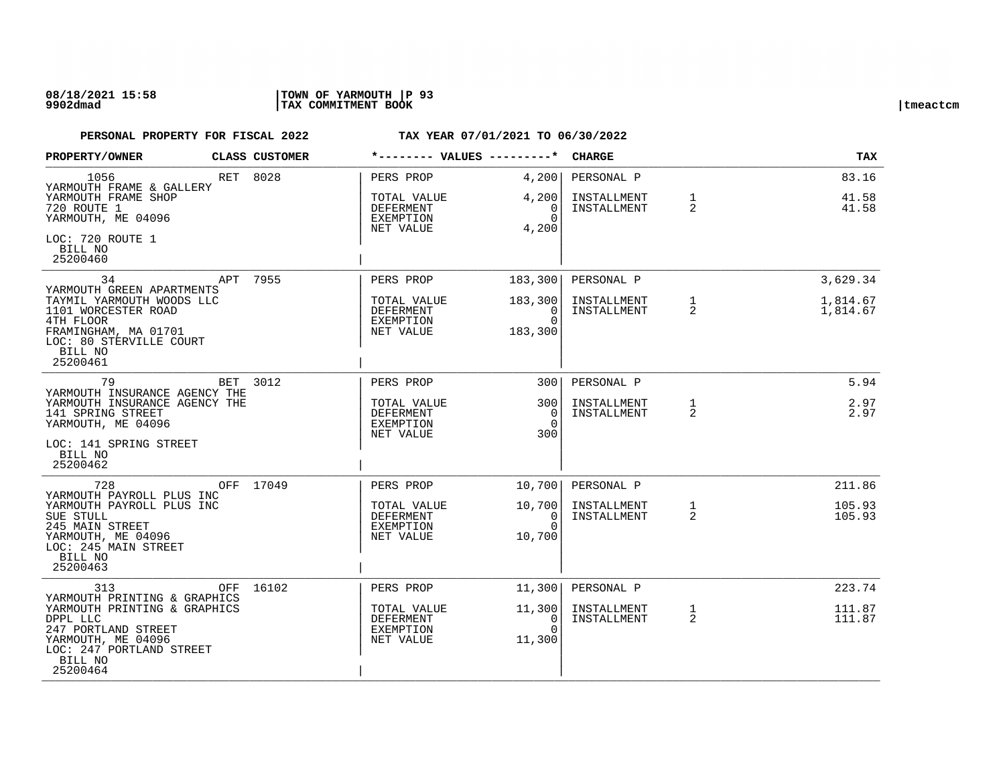| <b>PROPERTY/OWNER</b>                                                                                                                                       |     | CLASS CUSTOMER                                            | *-------- VALUES ---------*                                     |                                            | <b>CHARGE</b>                            |                   | TAX                     |
|-------------------------------------------------------------------------------------------------------------------------------------------------------------|-----|-----------------------------------------------------------|-----------------------------------------------------------------|--------------------------------------------|------------------------------------------|-------------------|-------------------------|
| 1056<br>YARMOUTH FRAME & GALLERY<br>YARMOUTH FRAME SHOP<br>720 ROUTE 1<br>YARMOUTH, ME 04096                                                                |     | RET 8028                                                  | PERS PROP<br>TOTAL VALUE<br>DEFERMENT<br>EXEMPTION<br>NET VALUE | 4,200<br>4,200<br>0<br>$\Omega$<br>4,200   | PERSONAL P<br>INSTALLMENT<br>INSTALLMENT | $\mathbf{1}$<br>2 | 83.16<br>41.58<br>41.58 |
| LOC: 720 ROUTE 1<br>BILL NO<br>25200460                                                                                                                     |     |                                                           |                                                                 |                                            |                                          |                   |                         |
| 34<br>YARMOUTH GREEN APARTMENTS                                                                                                                             | APT | 7955                                                      | PERS PROP                                                       | 183,300                                    | PERSONAL P                               |                   | 3,629.34                |
| TAYMIL YARMOUTH WOODS LLC<br>1101 WORCESTER ROAD<br>4TH FLOOR<br>FRAMINGHAM, MA 01701<br>LOC: 80 STERVILLE COURT<br>BILL NO<br>25200461                     |     |                                                           | TOTAL VALUE<br>DEFERMENT<br>EXEMPTION<br>NET VALUE              | 183,300<br>$\Omega$<br>$\Omega$<br>183,300 | INSTALLMENT<br>INSTALLMENT               | $\mathbf{1}$<br>2 | 1,814.67<br>1,814.67    |
| 79                                                                                                                                                          | BET | 3012                                                      | PERS PROP                                                       | 300 <sup>1</sup>                           | PERSONAL P                               |                   | 5.94                    |
| YARMOUTH INSURANCE AGENCY THE<br>YARMOUTH INSURANCE AGENCY THE<br>141 SPRING STREET<br>YARMOUTH, ME 04096<br>LOC: 141 SPRING STREET                         |     | TOTAL VALUE<br>DEFERMENT<br><b>EXEMPTION</b><br>NET VALUE | 3001<br>$\Omega$<br>$\Omega$<br>300                             | INSTALLMENT<br>INSTALLMENT                 | $\mathbf{1}$<br>2                        | 2.97<br>2.97      |                         |
| BILL NO<br>25200462                                                                                                                                         |     |                                                           |                                                                 |                                            |                                          |                   |                         |
| 728                                                                                                                                                         |     | OFF 17049                                                 | PERS PROP                                                       | 10,700                                     | PERSONAL P                               |                   | 211.86                  |
| YARMOUTH PAYROLL PLUS INC<br>YARMOUTH PAYROLL PLUS INC<br>SUE STULL<br>245 MAIN STREET<br>YARMOUTH, ME 04096<br>LOC: 245 MAIN STREET<br>BILL NO<br>25200463 |     |                                                           | TOTAL VALUE<br>DEFERMENT<br>EXEMPTION<br>NET VALUE              | 10,700<br>$\Omega$<br>$\Omega$<br>10,700   | INSTALLMENT<br>INSTALLMENT               | $\mathbf{1}$<br>2 | 105.93<br>105.93        |
| 313<br>YARMOUTH PRINTING & GRAPHICS                                                                                                                         |     | OFF 16102                                                 | PERS PROP                                                       | 11,300                                     | PERSONAL P                               |                   | 223.74                  |
| YARMOUTH PRINTING & GRAPHICS<br>DPPL LLC<br>247 PORTLAND STREET<br>YARMOUTH, ME 04096<br>LOC: 247 PORTLAND STREET<br>BILL NO<br>25200464                    |     |                                                           | TOTAL VALUE<br>DEFERMENT<br><b>EXEMPTION</b><br>NET VALUE       | 11,300<br>0<br>$\Omega$<br>11,300          | INSTALLMENT<br>INSTALLMENT               | $\mathbf{1}$<br>2 | 111.87<br>111.87        |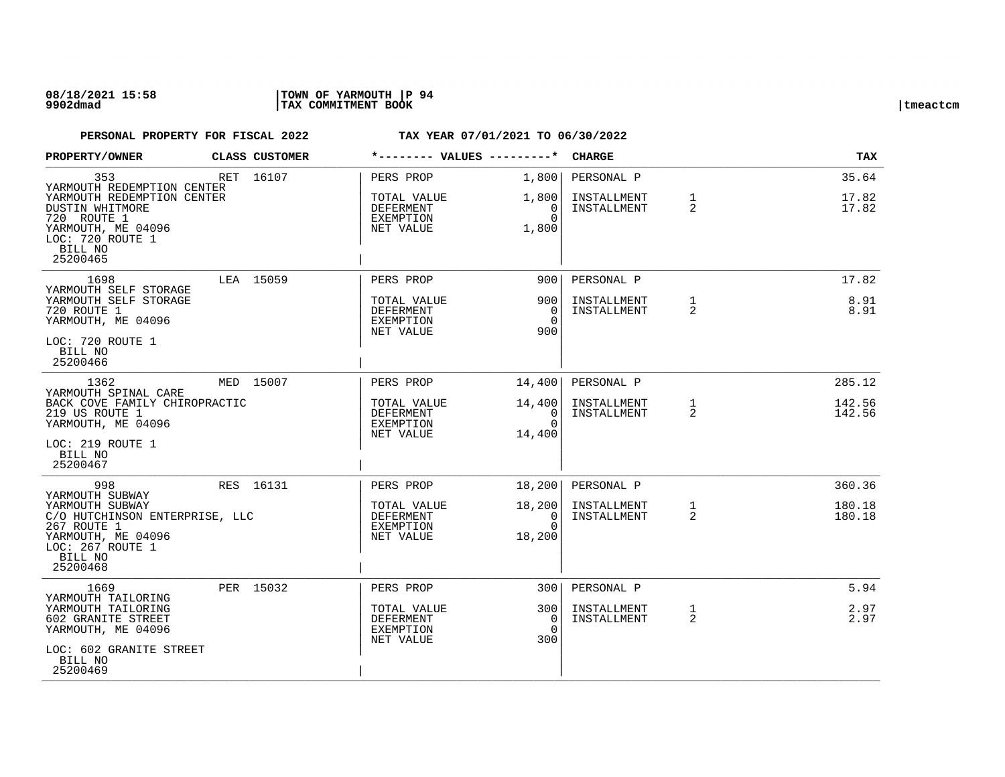| PROPERTY/OWNER                                                                                                                                                     | CLASS CUSTOMER |                                                                        | *-------- VALUES ---------*                              | <b>CHARGE</b>                            |                   | TAX                        |
|--------------------------------------------------------------------------------------------------------------------------------------------------------------------|----------------|------------------------------------------------------------------------|----------------------------------------------------------|------------------------------------------|-------------------|----------------------------|
| 353<br>YARMOUTH REDEMPTION CENTER<br>YARMOUTH REDEMPTION CENTER<br>DUSTIN WHITMORE<br>720 ROUTE 1<br>YARMOUTH, ME 04096<br>LOC: 720 ROUTE 1<br>BILL NO<br>25200465 | RET 16107      | PERS PROP<br>TOTAL VALUE<br>DEFERMENT<br>EXEMPTION<br>NET VALUE        | 1,800<br>1,800<br>0<br>$\Omega$<br>1,800                 | PERSONAL P<br>INSTALLMENT<br>INSTALLMENT | $\mathbf{1}$<br>2 | 35.64<br>17.82<br>17.82    |
| 1698<br>YARMOUTH SELF STORAGE<br>YARMOUTH SELF STORAGE<br>720 ROUTE 1<br>YARMOUTH, ME 04096<br>LOC: 720 ROUTE 1<br>BILL NO<br>25200466                             | LEA 15059      | PERS PROP<br>TOTAL VALUE<br>DEFERMENT<br>EXEMPTION<br>NET VALUE        | 900<br>900<br>$\overline{0}$<br>$\Omega$<br>900          | PERSONAL P<br>INSTALLMENT<br>INSTALLMENT | $\mathbf{1}$<br>2 | 17.82<br>8.91<br>8.91      |
| 1362<br>YARMOUTH SPINAL CARE<br>BACK COVE FAMILY CHIROPRACTIC<br>219 US ROUTE 1<br>YARMOUTH, ME 04096<br>LOC: 219 ROUTE 1<br>BILL NO<br>25200467                   | MED 15007      | PERS PROP<br>TOTAL VALUE<br>DEFERMENT<br>EXEMPTION<br>NET VALUE        | 14,400<br>14,400<br>$\overline{0}$<br>$\Omega$<br>14,400 | PERSONAL P<br>INSTALLMENT<br>INSTALLMENT | $\mathbf{1}$<br>2 | 285.12<br>142.56<br>142.56 |
| 998<br>YARMOUTH SUBWAY<br>YARMOUTH SUBWAY<br>C/O HUTCHINSON ENTERPRISE, LLC<br>267 ROUTE 1<br>YARMOUTH, ME 04096<br>LOC: 267 ROUTE 1<br>BILL NO<br>25200468        | RES 16131      | PERS PROP<br>TOTAL VALUE<br><b>DEFERMENT</b><br>EXEMPTION<br>NET VALUE | 18,200<br>18,200<br>$\Omega$<br>$\Omega$<br>18,200       | PERSONAL P<br>INSTALLMENT<br>INSTALLMENT | $\mathbf{1}$<br>2 | 360.36<br>180.18<br>180.18 |
| 1669<br>YARMOUTH TAILORING<br>YARMOUTH TAILORING<br>602 GRANITE STREET<br>YARMOUTH, ME 04096<br>LOC: 602 GRANITE STREET<br>BILL NO<br>25200469                     | PER 15032      | PERS PROP<br>TOTAL VALUE<br>DEFERMENT<br><b>EXEMPTION</b><br>NET VALUE | 3001<br>300<br>0<br>$\Omega$<br>300                      | PERSONAL P<br>INSTALLMENT<br>INSTALLMENT | $\mathbf{1}$<br>2 | 5.94<br>2.97<br>2.97       |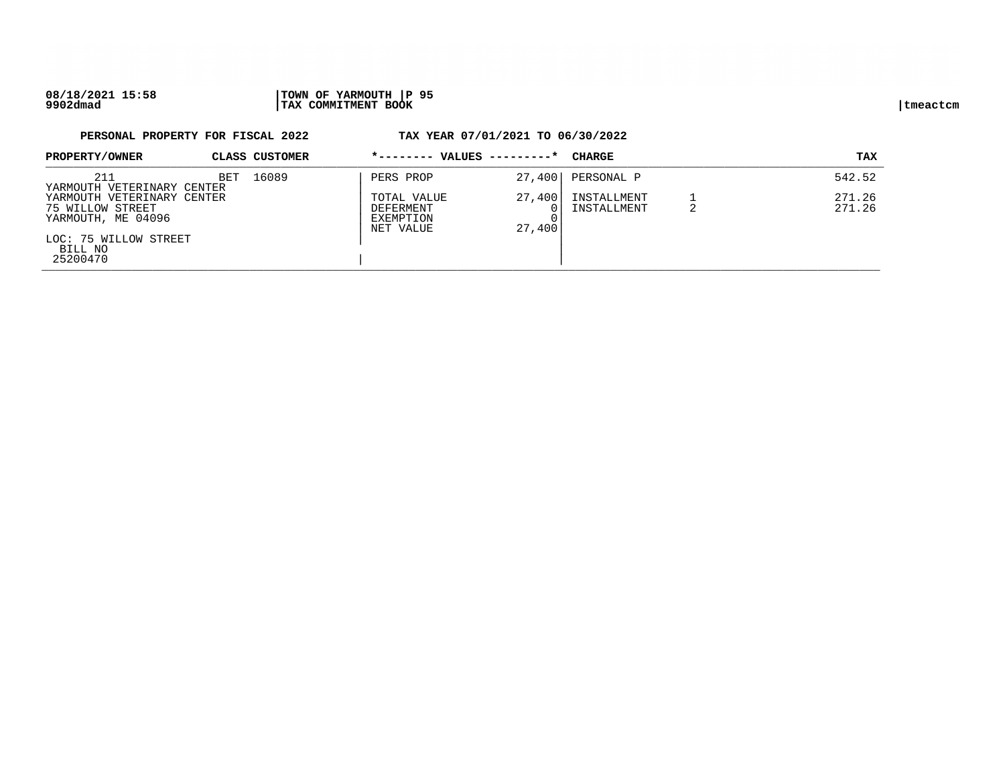### **08/18/2021 15:58 |TOWN OF YARMOUTH |P 95 9902dmad |TAX COMMITMENT BOOK |tmeactcm**

# **PERSONAL PROPERTY FOR FISCAL 2022 TAX YEAR 07/01/2021 TO 06/30/2022 PROPERTY/OWNER CLASS CUSTOMER \*-------- VALUES ---------\* CHARGE TAX**  PROFERITI/ ONNER CLEADS COSTONER PROPERTY ABOUT A PROPERTY CHARGE THAT A REPORT OF TAX 211 **BET 16089** | PERS PROP 27,400 | PERSONAL P 542.52  $\begin{array}{c|c|c|c|c|c|c|c} \hline \texttt{YARMOUTH} & \texttt{VETERINARY CENTER} \\ \hline \texttt{YARMOUTH} & \texttt{VETERINARY CENTER} & \texttt{VATER} & \texttt{VATER} & \texttt{VATER} & \texttt{VATER} & \texttt{VATER} \\ \hline \end{array}$ YARMOUTH VETERINARY CENTER | TOTAL VALUE 27,400| INSTALLMENT 1 271.26 THE STRING OF THE STREET STREET AND RESERVENT TO A POST OF THE STREET AND RESERVENT OF THE STREET AND RESERVENT OF THE STREET OF THE STREET OF THE STREET OF THE STREET OF THE STREET OF THE STREET OF THE STREET OF THE STREE

| YARMOUTH, ME 04096               | EXEMPTION<br>NET VALUE | ,400<br>27 |  |
|----------------------------------|------------------------|------------|--|
| LOC: 75 WILLOW STREET<br>BILL NO |                        |            |  |
| 25200470                         |                        |            |  |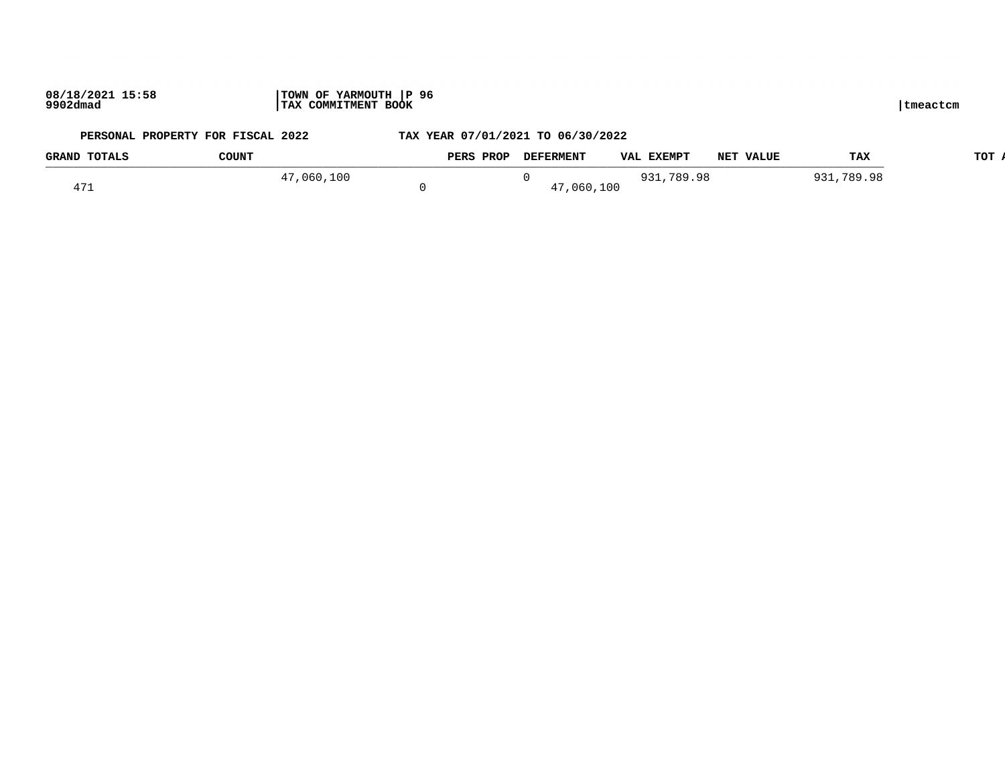# **PERSONAL PROPERTY FOR FISCAL 2022 TAX YEAR 07/01/2021 TO 06/30/2022 GRAND TOTALS COUNT PERS PROP DEFERMENT VAL EXEMPT NET VALUE TAX TOT ACTUAL**

| GRAND TOTAUD | ----     | the community of the second state of the second state of the second state of the second state of the second state of the second state of the second state of the second state is a second state of the second state is a secon | nei value | ---                          |
|--------------|----------|--------------------------------------------------------------------------------------------------------------------------------------------------------------------------------------------------------------------------------|-----------|------------------------------|
|              | .060.100 |                                                                                                                                                                                                                                | 789.98    | O <sub>J</sub> .<br>789<br>റ |
|              |          | .100<br>060.                                                                                                                                                                                                                   |           |                              |